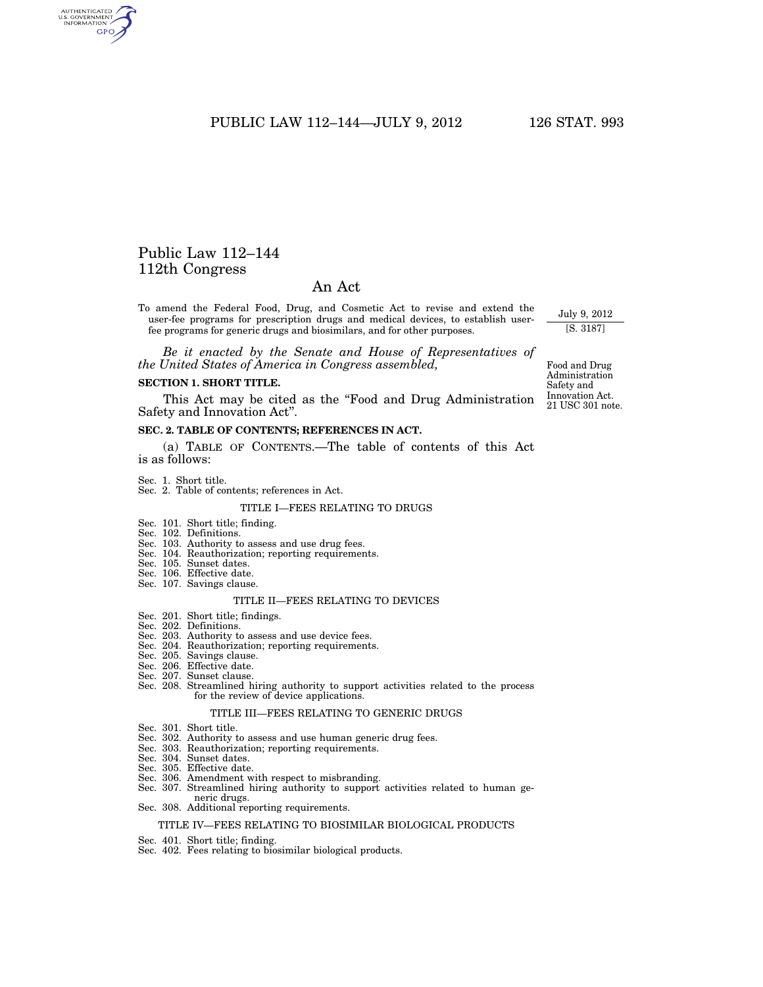# PUBLIC LAW 112–144—JULY 9, 2012 126 STAT. 993

# Public Law 112–144 112th Congress

AUTHENTICATED<br>U.S. GOVERNMENT<br>INFORMATION GPO

# An Act

To amend the Federal Food, Drug, and Cosmetic Act to revise and extend the user-fee programs for prescription drugs and medical devices, to establish userfee programs for generic drugs and biosimilars, and for other purposes.

*Be it enacted by the Senate and House of Representatives of the United States of America in Congress assembled,* 

#### **SECTION 1. SHORT TITLE.**

This Act may be cited as the "Food and Drug Administration Safety and Innovation Act''.

# **SEC. 2. TABLE OF CONTENTS; REFERENCES IN ACT.**

(a) TABLE OF CONTENTS.—The table of contents of this Act is as follows:

Sec. 1. Short title.

# Sec. 2. Table of contents; references in Act.

## TITLE I—FEES RELATING TO DRUGS

- Sec. 101. Short title; finding.
- Sec. 102. Definitions.
- Sec. 103. Authority to assess and use drug fees.
- Sec. 104. Reauthorization; reporting requirements.
- Sec. 105. Sunset dates.
- Sec. 106. Effective date. Sec. 107. Savings clause.

# TITLE II—FEES RELATING TO DEVICES

- Sec. 201. Short title; findings.
- Sec. 202. Definitions.
- Sec. 203. Authority to assess and use device fees.
- Sec. 204. Reauthorization; reporting requirements.
- Sec. 205. Savings clause.
- Sec. 206. Effective date.
- Sec. 207. Sunset clause.
- Sec. 208. Streamlined hiring authority to support activities related to the process for the review of device applications.

#### TITLE III—FEES RELATING TO GENERIC DRUGS

- Sec. 301. Short title.
- Sec. 302. Authority to assess and use human generic drug fees.
- Sec. 303. Reauthorization; reporting requirements.
- Sec. 304. Sunset dates.
- Sec. 305. Effective date.
- Sec. 306. Amendment with respect to misbranding.
- Sec. 307. Streamlined hiring authority to support activities related to human generic drugs.
- Sec. 308. Additional reporting requirements.

#### TITLE IV—FEES RELATING TO BIOSIMILAR BIOLOGICAL PRODUCTS

- Sec. 401. Short title; finding.
- Sec. 402. Fees relating to biosimilar biological products.

21 USC 301 note. Food and Drug Administration Safety and Innovation Act.

July 9, 2012 [S. 3187]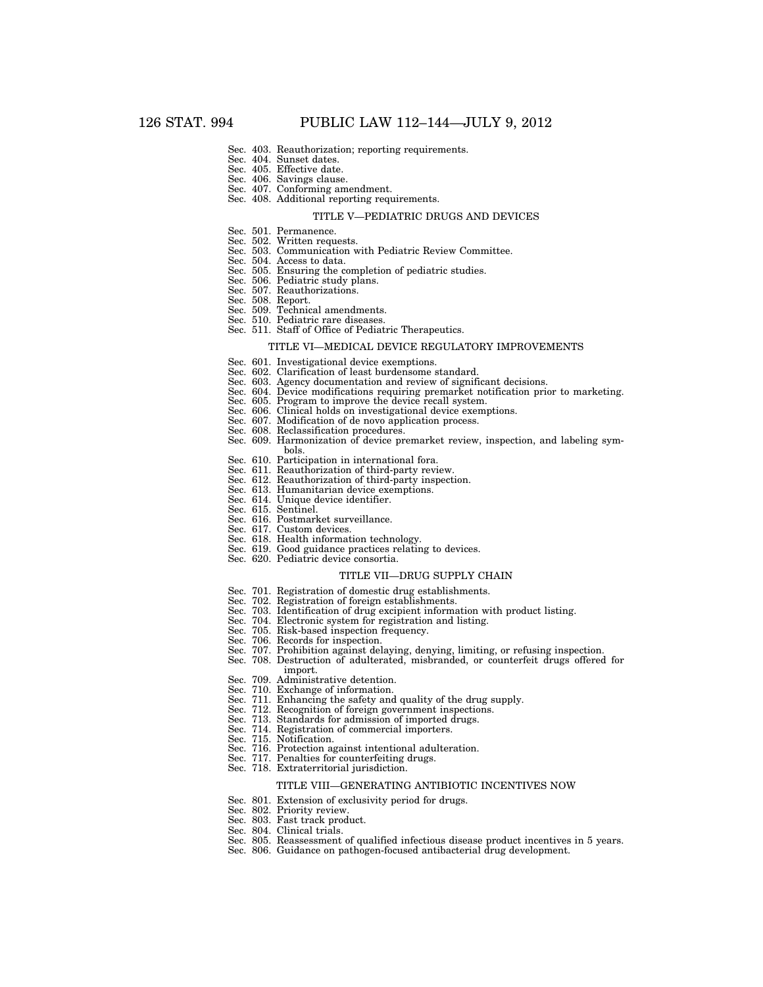- Sec. 403. Reauthorization; reporting requirements.
- Sec. 404. Sunset dates.
- Sec. 405. Effective date.
- Sec. 406. Savings clause.
- Sec. 407. Conforming amendment. Sec. 408. Additional reporting requirements.

#### TITLE V—PEDIATRIC DRUGS AND DEVICES

- Sec. 501. Permanence.
- Sec. 502. Written requests.
- Sec. 503. Communication with Pediatric Review Committee.
- 
- Sec. 504. Access to data. Sec. 505. Ensuring the completion of pediatric studies. Sec. 506. Pediatric study plans.
- Sec. 507. Reauthorizations.
- 
- Sec. 508. Report.
- Sec. 509. Technical amendments. Sec. 510. Pediatric rare diseases.
- Sec. 511. Staff of Office of Pediatric Therapeutics.

# TITLE VI—MEDICAL DEVICE REGULATORY IMPROVEMENTS

- Sec. 601. Investigational device exemptions.
- Sec. 602. Clarification of least burdensome standard.
- Sec. 603. Agency documentation and review of significant decisions.
- Sec. 604. Device modifications requiring premarket notification prior to marketing.
- Sec. 605. Program to improve the device recall system.
- Sec. 606. Clinical holds on investigational device exemptions.
- Sec. 607. Modification of de novo application process.
- Sec. 608. Reclassification procedures.
- Sec. 609. Harmonization of device premarket review, inspection, and labeling sym-
- bols. Sec. 610. Participation in international fora.
- Sec. 611. Reauthorization of third-party review.
- Sec. 612. Reauthorization of third-party inspection.
- Sec. 613. Humanitarian device exemptions.
- Sec. 614. Unique device identifier.
- Sec. 615. Sentinel.
- Sec. 616. Postmarket surveillance.
- Sec. 617. Custom devices.
- Sec. 618. Health information technology.
- Sec. 619. Good guidance practices relating to devices.
- Sec. 620. Pediatric device consortia.
	- TITLE VII—DRUG SUPPLY CHAIN
- Sec. 701. Registration of domestic drug establishments.
- Sec. 702. Registration of foreign establishments.
- Sec. 703. Identification of drug excipient information with product listing.
- Sec. 704. Electronic system for registration and listing.
- Sec. 705. Risk-based inspection frequency.
- Sec. 706. Records for inspection.
- Sec. 707. Prohibition against delaying, denying, limiting, or refusing inspection.
- Sec. 708. Destruction of adulterated, misbranded, or counterfeit drugs offered for import.
- Sec. 709. Administrative detention.
- Sec. 710. Exchange of information.
- Sec. 711. Enhancing the safety and quality of the drug supply.
- Sec. 712. Recognition of foreign government inspections.
- Sec. 713. Standards for admission of imported drugs.
- Sec. 714. Registration of commercial importers.
- Sec. 715. Notification.
- Sec. 716. Protection against intentional adulteration.
- Sec. 717. Penalties for counterfeiting drugs.
- Sec. 718. Extraterritorial jurisdiction.

#### TITLE VIII—GENERATING ANTIBIOTIC INCENTIVES NOW

- Sec. 801. Extension of exclusivity period for drugs.
- Sec. 802. Priority review.
- Sec. 803. Fast track product.
- Sec. 804. Clinical trials.
- Sec. 805. Reassessment of qualified infectious disease product incentives in 5 years.
- Sec. 806. Guidance on pathogen-focused antibacterial drug development.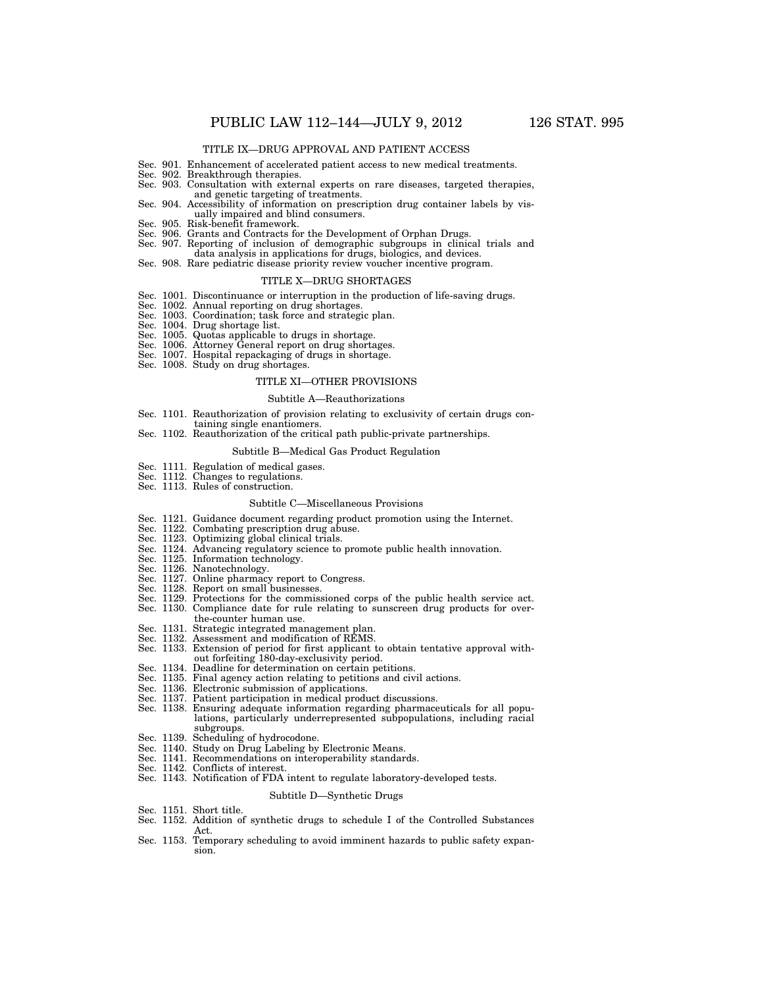- Sec. 901. Enhancement of accelerated patient access to new medical treatments.
- Sec. 902. Breakthrough therapies.
- Sec. 903. Consultation with external experts on rare diseases, targeted therapies, and genetic targeting of treatments.
- Sec. 904. Accessibility of information on prescription drug container labels by visually impaired and blind consumers.
- Sec. 905. Risk-benefit framework.
- Sec. 906. Grants and Contracts for the Development of Orphan Drugs.
- Sec. 907. Reporting of inclusion of demographic subgroups in clinical trials and data analysis in applications for drugs, biologics, and devices.
- Sec. 908. Rare pediatric disease priority review voucher incentive program.

#### TITLE X—DRUG SHORTAGES

- Sec. 1001. Discontinuance or interruption in the production of life-saving drugs.
- Sec. 1002. Annual reporting on drug shortages. Sec. 1003. Coordination; task force and strategic plan.
- 
- Sec. 1004. Drug shortage list.
- Sec. 1005. Quotas applicable to drugs in shortage.
- Sec. 1006. Attorney General report on drug shortages. Sec. 1007. Hospital repackaging of drugs in shortage.
- 
- Sec. 1008. Study on drug shortages.

### TITLE XI—OTHER PROVISIONS

#### Subtitle A—Reauthorizations

- Sec. 1101. Reauthorization of provision relating to exclusivity of certain drugs containing single enantiomers.
- Sec. 1102. Reauthorization of the critical path public-private partnerships.

#### Subtitle B—Medical Gas Product Regulation

- Sec. 1111. Regulation of medical gases.
- Sec. 1112. Changes to regulations.
- Sec. 1113. Rules of construction.

#### Subtitle C—Miscellaneous Provisions

- Sec. 1121. Guidance document regarding product promotion using the Internet.
- Sec. 1122. Combating prescription drug abuse.
- Sec. 1123. Optimizing global clinical trials.
- Sec. 1124. Advancing regulatory science to promote public health innovation.
- Sec. 1125. Information technology.
- 
- Sec. 1126. Nanotechnology.<br>Sec. 1127. Online pharmacy Online pharmacy report to Congress.
- Sec. 1128. Report on small businesses.
- Sec. 1129. Protections for the commissioned corps of the public health service act. Sec. 1130. Compliance date for rule relating to sunscreen drug products for over-
- the-counter human use.
- Sec. 1131. Strategic integrated management plan.
- Sec. 1132. Assessment and modification of REMS.
- Sec. 1133. Extension of period for first applicant to obtain tentative approval without forfeiting 180-day-exclusivity period.
- Sec. 1134. Deadline for determination on certain petitions.
- Sec. 1135. Final agency action relating to petitions and civil actions.
- Sec. 1136. Electronic submission of applications.
- Sec. 1137. Patient participation in medical product discussions.
- Sec. 1138. Ensuring adequate information regarding pharmaceuticals for all populations, particularly underrepresented subpopulations, including racial subgroups.
- Sec. 1139. Scheduling of hydrocodone.
- Sec. 1140. Study on Drug Labeling by Electronic Means.
- Sec. 1141. Recommendations on interoperability standards.
- Sec. 1142. Conflicts of interest.
- Sec. 1143. Notification of FDA intent to regulate laboratory-developed tests.

#### Subtitle D—Synthetic Drugs

- Sec. 1151. Short title.
- Sec. 1152. Addition of synthetic drugs to schedule I of the Controlled Substances Act.
- Sec. 1153. Temporary scheduling to avoid imminent hazards to public safety expansion.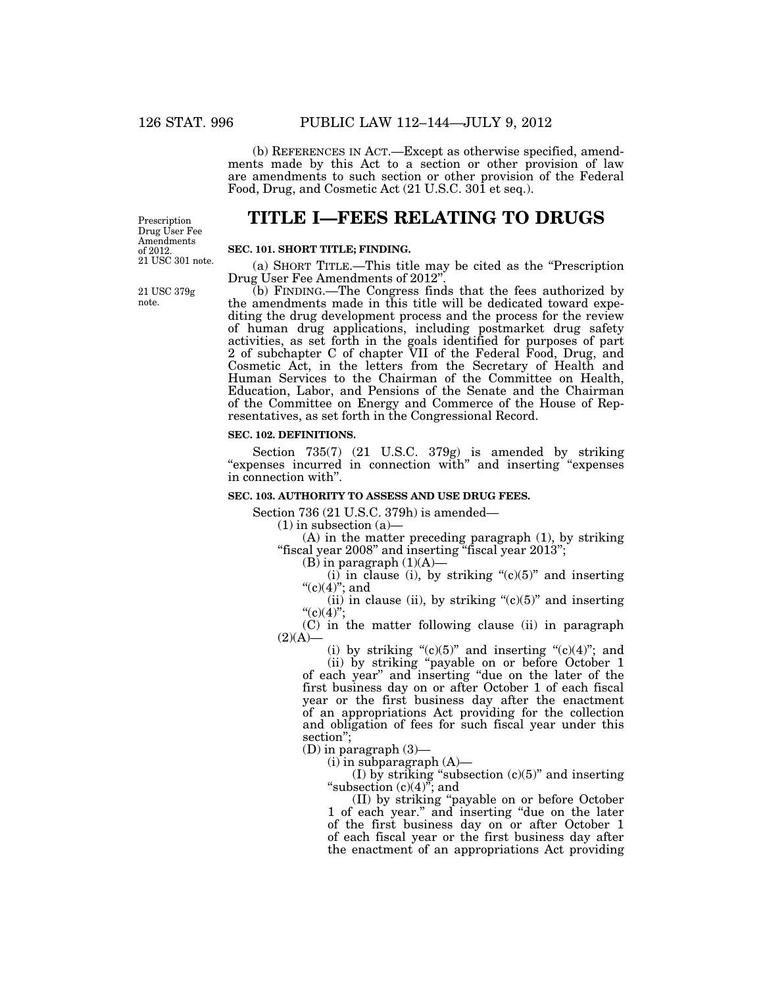(b) REFERENCES IN ACT.—Except as otherwise specified, amendments made by this Act to a section or other provision of law are amendments to such section or other provision of the Federal Food, Drug, and Cosmetic Act (21 U.S.C. 301 et seq.).

Prescription Drug User Fee Amendments of 2012. 21 USC 301 note.

21 USC 379g note.

# **TITLE I—FEES RELATING TO DRUGS**

## **SEC. 101. SHORT TITLE; FINDING.**

(a) SHORT TITLE.—This title may be cited as the ''Prescription Drug User Fee Amendments of 2012".

(b) FINDING.—The Congress finds that the fees authorized by the amendments made in this title will be dedicated toward expediting the drug development process and the process for the review of human drug applications, including postmarket drug safety activities, as set forth in the goals identified for purposes of part 2 of subchapter C of chapter VII of the Federal Food, Drug, and Cosmetic Act, in the letters from the Secretary of Health and Human Services to the Chairman of the Committee on Health, Education, Labor, and Pensions of the Senate and the Chairman of the Committee on Energy and Commerce of the House of Representatives, as set forth in the Congressional Record.

#### **SEC. 102. DEFINITIONS.**

Section 735(7) (21 U.S.C. 379g) is amended by striking "expenses incurred in connection with" and inserting "expenses" in connection with''.

#### **SEC. 103. AUTHORITY TO ASSESS AND USE DRUG FEES.**

Section 736 (21 U.S.C. 379h) is amended—

 $(1)$  in subsection  $(a)$ —

(A) in the matter preceding paragraph (1), by striking ''fiscal year 2008'' and inserting ''fiscal year 2013'';

 $(B)$  in paragraph  $(1)(A)$ –

 $(i)$  in clause  $(i)$ , by striking " $(c)(5)$ " and inserting " $(c)(4)$ "; and

(ii) in clause (ii), by striking " $(c)(5)$ " and inserting "(c)(4)";

(C) in the matter following clause (ii) in paragraph  $(2)(A)$ —

(i) by striking " $(c)(5)$ " and inserting " $(c)(4)$ "; and

(ii) by striking ''payable on or before October 1 of each year'' and inserting ''due on the later of the first business day on or after October 1 of each fiscal year or the first business day after the enactment of an appropriations Act providing for the collection and obligation of fees for such fiscal year under this section'';

(D) in paragraph (3)—

 $(i)$  in subparagraph  $(A)$ —

(I) by striking "subsection  $(c)(5)$ " and inserting "subsection  $(c)(4)$ "; and

(II) by striking ''payable on or before October 1 of each year.'' and inserting ''due on the later of the first business day on or after October 1 of each fiscal year or the first business day after the enactment of an appropriations Act providing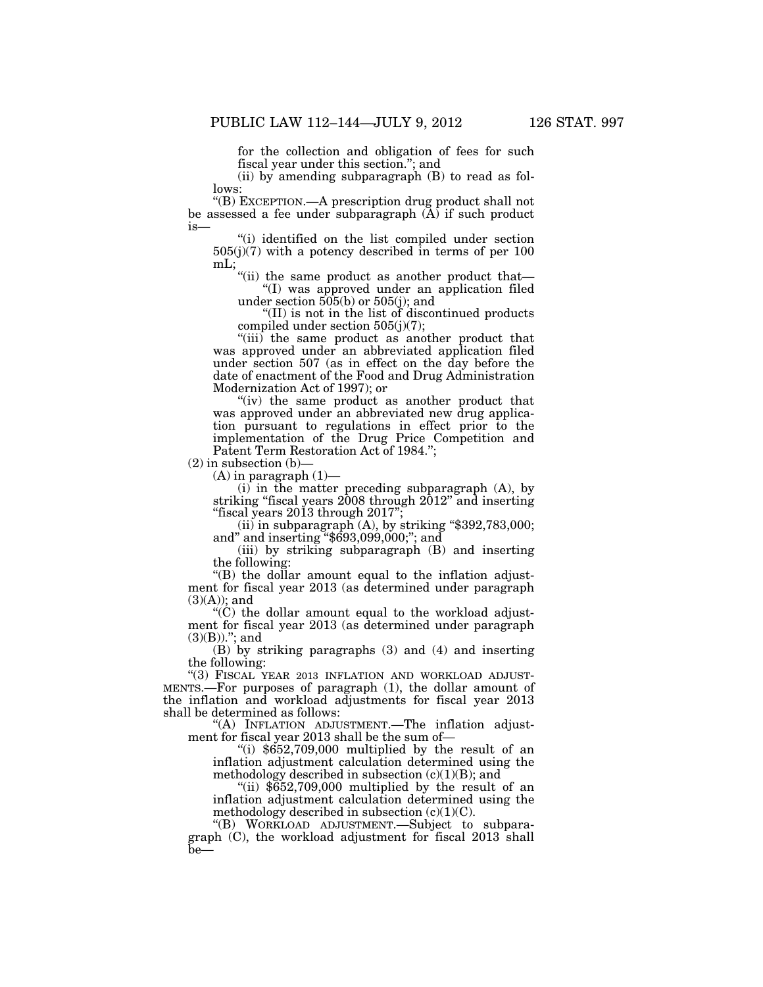for the collection and obligation of fees for such fiscal year under this section.''; and

(ii) by amending subparagraph (B) to read as follows:

''(B) EXCEPTION.—A prescription drug product shall not be assessed a fee under subparagraph  $(\overline{A})$  if such product is—

''(i) identified on the list compiled under section  $505(j)(7)$  with a potency described in terms of per 100 mL;

''(ii) the same product as another product that— ''(I) was approved under an application filed

under section 505(b) or 505(j); and

''(II) is not in the list of discontinued products compiled under section 505(j)(7);

''(iii) the same product as another product that was approved under an abbreviated application filed under section 507 (as in effect on the day before the date of enactment of the Food and Drug Administration Modernization Act of 1997); or

"(iv) the same product as another product that was approved under an abbreviated new drug application pursuant to regulations in effect prior to the implementation of the Drug Price Competition and Patent Term Restoration Act of 1984.'';

 $(2)$  in subsection  $(b)$ –

 $(A)$  in paragraph  $(1)$ —

(i) in the matter preceding subparagraph (A), by striking ''fiscal years 2008 through 2012'' and inserting ''fiscal years 2013 through 2017'';

(ii) in subparagraph  $(A)$ , by striking "\$392,783,000; and'' and inserting ''\$693,099,000;''; and

(iii) by striking subparagraph (B) and inserting the following:

''(B) the dollar amount equal to the inflation adjustment for fiscal year 2013 (as determined under paragraph  $(3)(A)$ ; and

 $C$ ) the dollar amount equal to the workload adjustment for fiscal year 2013 (as determined under paragraph  $(3)(B))$ ."; and

(B) by striking paragraphs (3) and (4) and inserting the following:

''(3) FISCAL YEAR 2013 INFLATION AND WORKLOAD ADJUST-MENTS.—For purposes of paragraph (1), the dollar amount of the inflation and workload adjustments for fiscal year 2013 shall be determined as follows:

''(A) INFLATION ADJUSTMENT.—The inflation adjustment for fiscal year 2013 shall be the sum of—

"(i)  $$652,709,000$  multiplied by the result of an inflation adjustment calculation determined using the methodology described in subsection  $(c)(1)(B)$ ; and

"(ii)  $$652,709,000$  multiplied by the result of an inflation adjustment calculation determined using the methodology described in subsection  $(c)(1)(C)$ .

''(B) WORKLOAD ADJUSTMENT.—Subject to subparagraph (C), the workload adjustment for fiscal 2013 shall  $be-$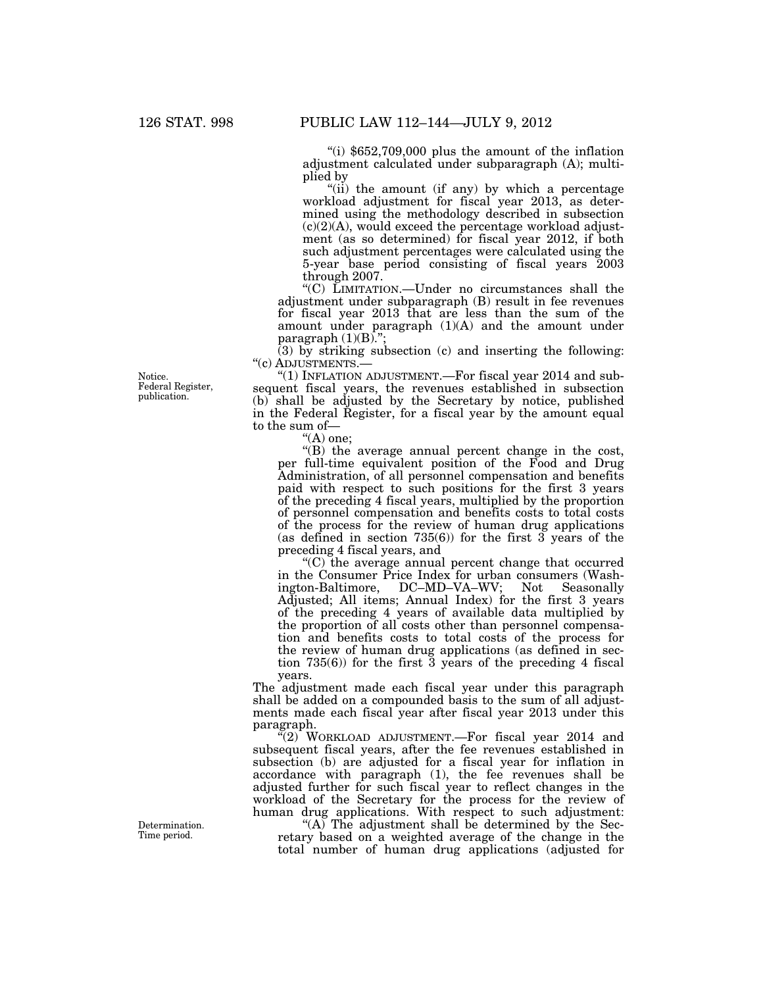''(i) \$652,709,000 plus the amount of the inflation adjustment calculated under subparagraph (A); multiplied by

"(ii) the amount (if any) by which a percentage workload adjustment for fiscal year 2013, as determined using the methodology described in subsection  $(c)(2)(A)$ , would exceed the percentage workload adjustment (as so determined) for fiscal year 2012, if both such adjustment percentages were calculated using the 5-year base period consisting of fiscal years 2003 through 2007.

''(C) LIMITATION.—Under no circumstances shall the adjustment under subparagraph (B) result in fee revenues for fiscal year 2013 that are less than the sum of the amount under paragraph (1)(A) and the amount under paragraph  $(1)(B)$ .";

(3) by striking subsection (c) and inserting the following: "(c) ADJUSTMENTS.-

"(1) INFLATION ADJUSTMENT.— $\rm{For~fised~year}$   $\rm{2014~and~sub}$ sequent fiscal years, the revenues established in subsection (b) shall be adjusted by the Secretary by notice, published in the Federal Register, for a fiscal year by the amount equal to the sum of—

 $<sup>4</sup>(A)$  one;</sup>

''(B) the average annual percent change in the cost, per full-time equivalent position of the Food and Drug Administration, of all personnel compensation and benefits paid with respect to such positions for the first 3 years of the preceding 4 fiscal years, multiplied by the proportion of personnel compensation and benefits costs to total costs of the process for the review of human drug applications (as defined in section 735(6)) for the first  $3 \overline{)}$  years of the preceding 4 fiscal years, and

''(C) the average annual percent change that occurred in the Consumer Price Index for urban consumers (Washington-Baltimore, DC–MD–VA–WV; Not Seasonally Adjusted; All items; Annual Index) for the first 3 years of the preceding 4 years of available data multiplied by the proportion of all costs other than personnel compensation and benefits costs to total costs of the process for the review of human drug applications (as defined in section 735(6)) for the first 3 years of the preceding 4 fiscal years.

The adjustment made each fiscal year under this paragraph shall be added on a compounded basis to the sum of all adjustments made each fiscal year after fiscal year 2013 under this paragraph.

''(2) WORKLOAD ADJUSTMENT.—For fiscal year 2014 and subsequent fiscal years, after the fee revenues established in subsection (b) are adjusted for a fiscal year for inflation in accordance with paragraph (1), the fee revenues shall be adjusted further for such fiscal year to reflect changes in the workload of the Secretary for the process for the review of human drug applications. With respect to such adjustment:

"(A) The adjustment shall be determined by the Secretary based on a weighted average of the change in the total number of human drug applications (adjusted for

Notice. Federal Register, publication.

Determination. Time period.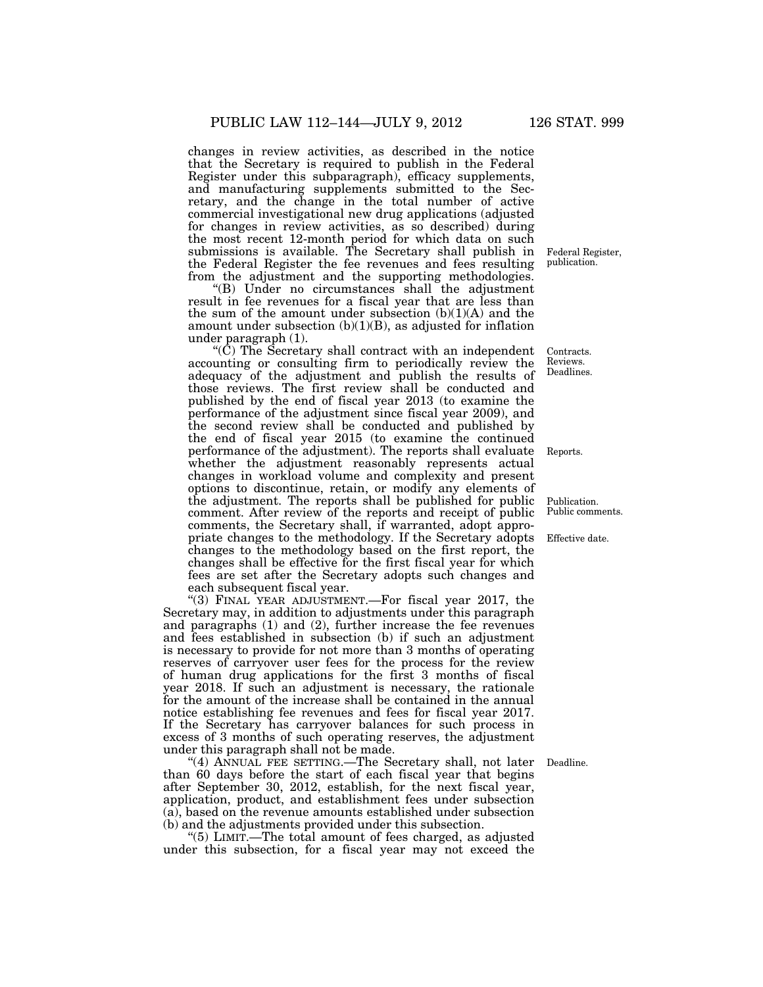changes in review activities, as described in the notice that the Secretary is required to publish in the Federal Register under this subparagraph), efficacy supplements, and manufacturing supplements submitted to the Secretary, and the change in the total number of active commercial investigational new drug applications (adjusted for changes in review activities, as so described) during the most recent 12-month period for which data on such submissions is available. The Secretary shall publish in Federal Register, the Federal Register the fee revenues and fees resulting from the adjustment and the supporting methodologies.

"(B) Under no circumstances shall the adjustment result in fee revenues for a fiscal year that are less than the sum of the amount under subsection  $(b)(1)(A)$  and the amount under subsection  $(b)(1)(B)$ , as adjusted for inflation under paragraph (1).

 $\rm(C)$  The Secretary shall contract with an independent accounting or consulting firm to periodically review the adequacy of the adjustment and publish the results of those reviews. The first review shall be conducted and published by the end of fiscal year 2013 (to examine the performance of the adjustment since fiscal year 2009), and the second review shall be conducted and published by the end of fiscal year 2015 (to examine the continued performance of the adjustment). The reports shall evaluate whether the adjustment reasonably represents actual changes in workload volume and complexity and present options to discontinue, retain, or modify any elements of the adjustment. The reports shall be published for public comment. After review of the reports and receipt of public comments, the Secretary shall, if warranted, adopt appropriate changes to the methodology. If the Secretary adopts changes to the methodology based on the first report, the changes shall be effective for the first fiscal year for which fees are set after the Secretary adopts such changes and each subsequent fiscal year.

"(3) FINAL YEAR ADJUSTMENT.—For fiscal year 2017, the Secretary may, in addition to adjustments under this paragraph and paragraphs (1) and (2), further increase the fee revenues and fees established in subsection (b) if such an adjustment is necessary to provide for not more than 3 months of operating reserves of carryover user fees for the process for the review of human drug applications for the first 3 months of fiscal year 2018. If such an adjustment is necessary, the rationale for the amount of the increase shall be contained in the annual notice establishing fee revenues and fees for fiscal year 2017. If the Secretary has carryover balances for such process in excess of 3 months of such operating reserves, the adjustment under this paragraph shall not be made.

''(4) ANNUAL FEE SETTING.—The Secretary shall, not later than 60 days before the start of each fiscal year that begins after September 30, 2012, establish, for the next fiscal year, application, product, and establishment fees under subsection (a), based on the revenue amounts established under subsection (b) and the adjustments provided under this subsection.

''(5) LIMIT.—The total amount of fees charged, as adjusted under this subsection, for a fiscal year may not exceed the

publication.

Contracts. Reviews. Deadlines.

Reports.

Publication. Public comments.

Effective date.

Deadline.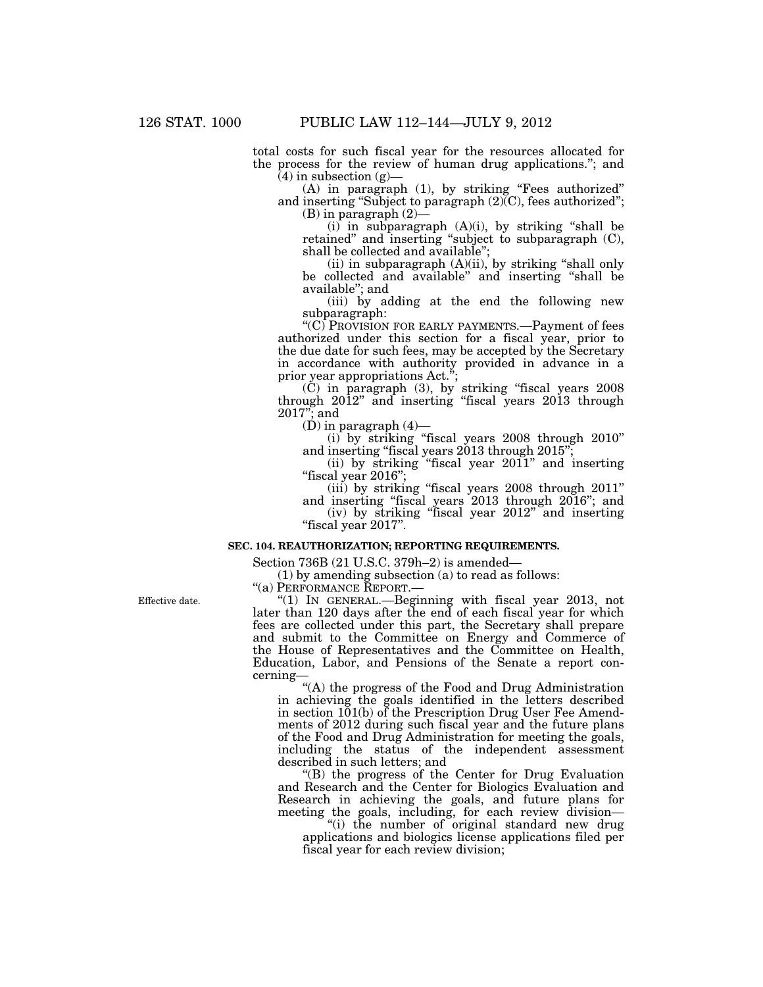total costs for such fiscal year for the resources allocated for the process for the review of human drug applications.''; and  $(4)$  in subsection  $(g)$ —

(A) in paragraph (1), by striking ''Fees authorized'' and inserting "Subject to paragraph  $(2)$ <sup>(C)</sup>, fees authorized"; (B) in paragraph (2)—

 $(i)$  in subparagraph  $(A)(i)$ , by striking "shall be retained" and inserting "subject to subparagraph (C), shall be collected and available'';

(ii) in subparagraph (A)(ii), by striking ''shall only be collected and available'' and inserting ''shall be available''; and

(iii) by adding at the end the following new subparagraph:

"(C) PROVISION FOR EARLY PAYMENTS.—Payment of fees authorized under this section for a fiscal year, prior to the due date for such fees, may be accepted by the Secretary in accordance with authority provided in advance in a prior year appropriations Act.";

(C) in paragraph (3), by striking ''fiscal years 2008 through 2012'' and inserting ''fiscal years 2013 through 2017''; and

 $(D)$  in paragraph  $(4)$ -

(i) by striking ''fiscal years 2008 through 2010'' and inserting "fiscal years 2013 through 2015";

(ii) by striking ''fiscal year 2011'' and inserting ''fiscal year 2016'';

(iii) by striking "fiscal years 2008 through 2011" and inserting ''fiscal years 2013 through 2016''; and

(iv) by striking ''fiscal year 2012'' and inserting ''fiscal year 2017''.

## **SEC. 104. REAUTHORIZATION; REPORTING REQUIREMENTS.**

Section 736B (21 U.S.C. 379h–2) is amended—

(1) by amending subsection (a) to read as follows:

''(a) PERFORMANCE REPORT.—

Effective date.

''(1) IN GENERAL.—Beginning with fiscal year 2013, not later than 120 days after the end of each fiscal year for which fees are collected under this part, the Secretary shall prepare and submit to the Committee on Energy and Commerce of the House of Representatives and the Committee on Health, Education, Labor, and Pensions of the Senate a report concerning—

''(A) the progress of the Food and Drug Administration in achieving the goals identified in the letters described in section 101(b) of the Prescription Drug User Fee Amendments of 2012 during such fiscal year and the future plans of the Food and Drug Administration for meeting the goals, including the status of the independent assessment described in such letters; and

''(B) the progress of the Center for Drug Evaluation and Research and the Center for Biologics Evaluation and Research in achieving the goals, and future plans for meeting the goals, including, for each review division—

"(i) the number of original standard new drug applications and biologics license applications filed per fiscal year for each review division;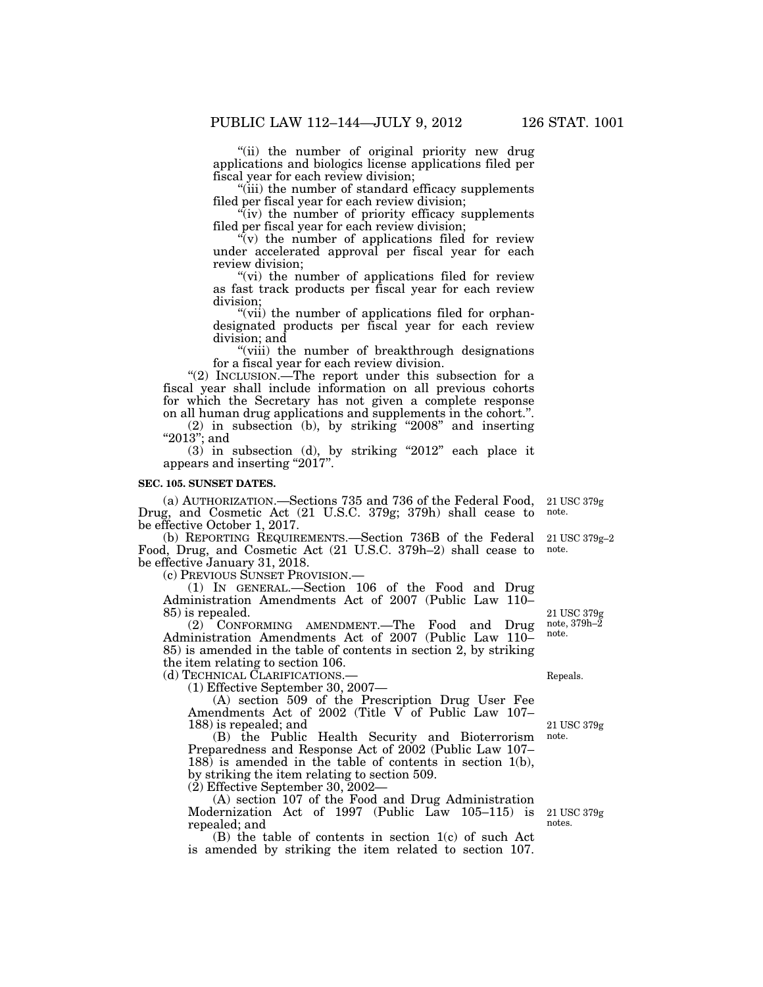''(ii) the number of original priority new drug applications and biologics license applications filed per fiscal year for each review division;

''(iii) the number of standard efficacy supplements filed per fiscal year for each review division;

 $\sqrt[n]{i}$  the number of priority efficacy supplements filed per fiscal year for each review division;

 $\sqrt[n]{v}$  the number of applications filed for review under accelerated approval per fiscal year for each review division;

"(vi) the number of applications filed for review as fast track products per fiscal year for each review division;

"(vii) the number of applications filed for orphandesignated products per fiscal year for each review division; and

''(viii) the number of breakthrough designations for a fiscal year for each review division.

"(2) INCLUSION.—The report under this subsection for a fiscal year shall include information on all previous cohorts for which the Secretary has not given a complete response on all human drug applications and supplements in the cohort.''.

(2) in subsection (b), by striking ''2008'' and inserting " $2013$ "; and

 $(3)$  in subsection  $(d)$ , by striking "2012" each place it appears and inserting "2017".

#### **SEC. 105. SUNSET DATES.**

(a) AUTHORIZATION.—Sections 735 and 736 of the Federal Food, Drug, and Cosmetic Act (21 U.S.C. 379g; 379h) shall cease to be effective October 1, 2017. 21 USC 379g note.

(b) REPORTING REQUIREMENTS.—Section 736B of the Federal Food, Drug, and Cosmetic Act (21 U.S.C. 379h–2) shall cease to be effective January 31, 2018.<br>(c) PREVIOUS SUNSET PROVISION.—

 $(1)$  IN GENERAL.—Section 106 of the Food and Drug Administration Amendments Act of 2007 (Public Law 110– 85) is repealed.

(2) CONFORMING AMENDMENT.—The Food and Drug Administration Amendments Act of 2007 (Public Law 110– 85) is amended in the table of contents in section 2, by striking the item relating to section 106.

(d) TECHNICAL CLARIFICATIONS.—

(1) Effective September 30, 2007—

(A) section 509 of the Prescription Drug User Fee Amendments Act of 2002 (Title V of Public Law 107– 188) is repealed; and

(B) the Public Health Security and Bioterrorism Preparedness and Response Act of 2002 (Public Law 107– 188) is amended in the table of contents in section 1(b), by striking the item relating to section 509.

 $(2)$  Effective September 30, 2002–

(A) section 107 of the Food and Drug Administration Modernization Act of 1997 (Public Law 105–115) is repealed; and

(B) the table of contents in section 1(c) of such Act is amended by striking the item related to section 107.

21 USC 379g–2 note.

21 USC 379g note, 379h–2 note.

Repeals.

21 USC 379g note.

21 USC 379g notes.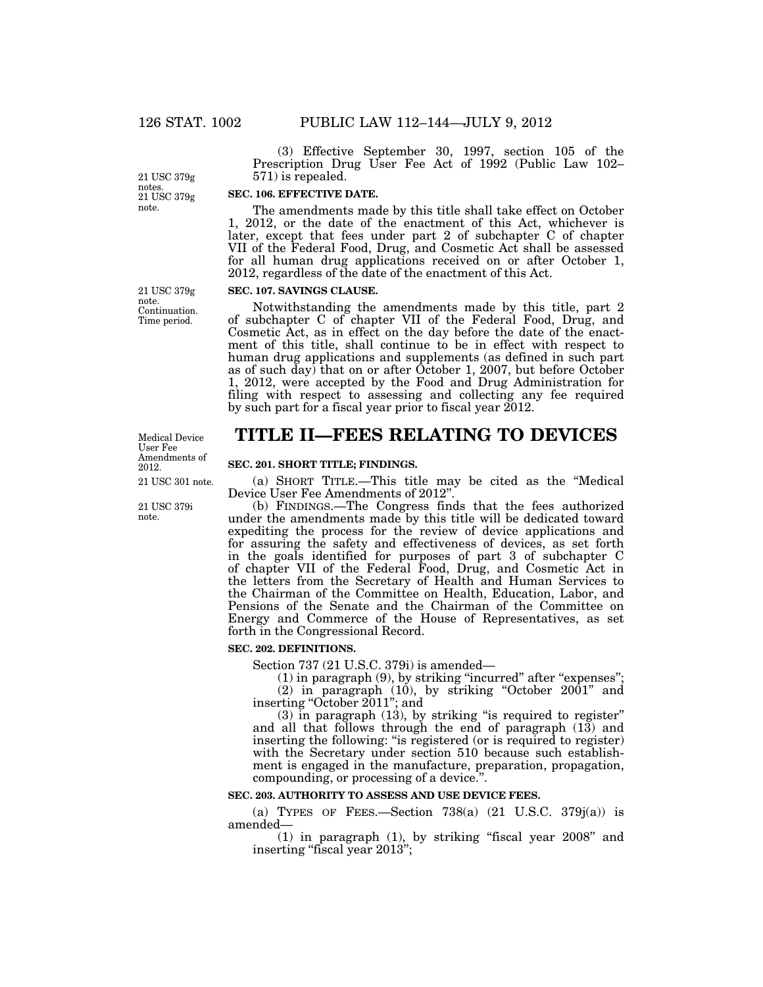(3) Effective September 30, 1997, section 105 of the Prescription Drug User Fee Act of 1992 (Public Law 102– 571) is repealed.

21 USC 379g note. 21 USC 379g notes.

# **SEC. 106. EFFECTIVE DATE.**

The amendments made by this title shall take effect on October 1, 2012, or the date of the enactment of this Act, whichever is later, except that fees under part 2 of subchapter C of chapter VII of the Federal Food, Drug, and Cosmetic Act shall be assessed for all human drug applications received on or after October 1, 2012, regardless of the date of the enactment of this Act.

#### **SEC. 107. SAVINGS CLAUSE.**

Notwithstanding the amendments made by this title, part 2 of subchapter C of chapter VII of the Federal Food, Drug, and Cosmetic Act, as in effect on the day before the date of the enactment of this title, shall continue to be in effect with respect to human drug applications and supplements (as defined in such part as of such day) that on or after October 1, 2007, but before October 1, 2012, were accepted by the Food and Drug Administration for filing with respect to assessing and collecting any fee required by such part for a fiscal year prior to fiscal year 2012.

# **TITLE II—FEES RELATING TO DEVICES**

### **SEC. 201. SHORT TITLE; FINDINGS.**

(a) SHORT TITLE.—This title may be cited as the ''Medical Device User Fee Amendments of 2012''.

(b) FINDINGS.—The Congress finds that the fees authorized under the amendments made by this title will be dedicated toward expediting the process for the review of device applications and for assuring the safety and effectiveness of devices, as set forth in the goals identified for purposes of part 3 of subchapter C of chapter VII of the Federal Food, Drug, and Cosmetic Act in the letters from the Secretary of Health and Human Services to the Chairman of the Committee on Health, Education, Labor, and Pensions of the Senate and the Chairman of the Committee on Energy and Commerce of the House of Representatives, as set forth in the Congressional Record.

#### **SEC. 202. DEFINITIONS.**

Section 737 (21 U.S.C. 379i) is amended—

(1) in paragraph (9), by striking "incurred" after "expenses"; (2) in paragraph (10), by striking ''October 2001'' and

inserting ''October 2011''; and

 $(3)$  in paragraph  $(13)$ , by striking "is required to register" and all that follows through the end of paragraph (13) and inserting the following: "is registered (or is required to register) with the Secretary under section 510 because such establishment is engaged in the manufacture, preparation, propagation, compounding, or processing of a device.''.

## **SEC. 203. AUTHORITY TO ASSESS AND USE DEVICE FEES.**

(a) TYPES OF FEES.—Section  $738(a)$  (21 U.S.C.  $379i(a)$ ) is amended—

 $(1)$  in paragraph  $(1)$ , by striking "fiscal year 2008" and inserting "fiscal year 2013";

Continuation. Time period.

21 USC 379g note.

Medical Device User Fee Amendments of 2012.

21 USC 301 note.

21 USC 379i note.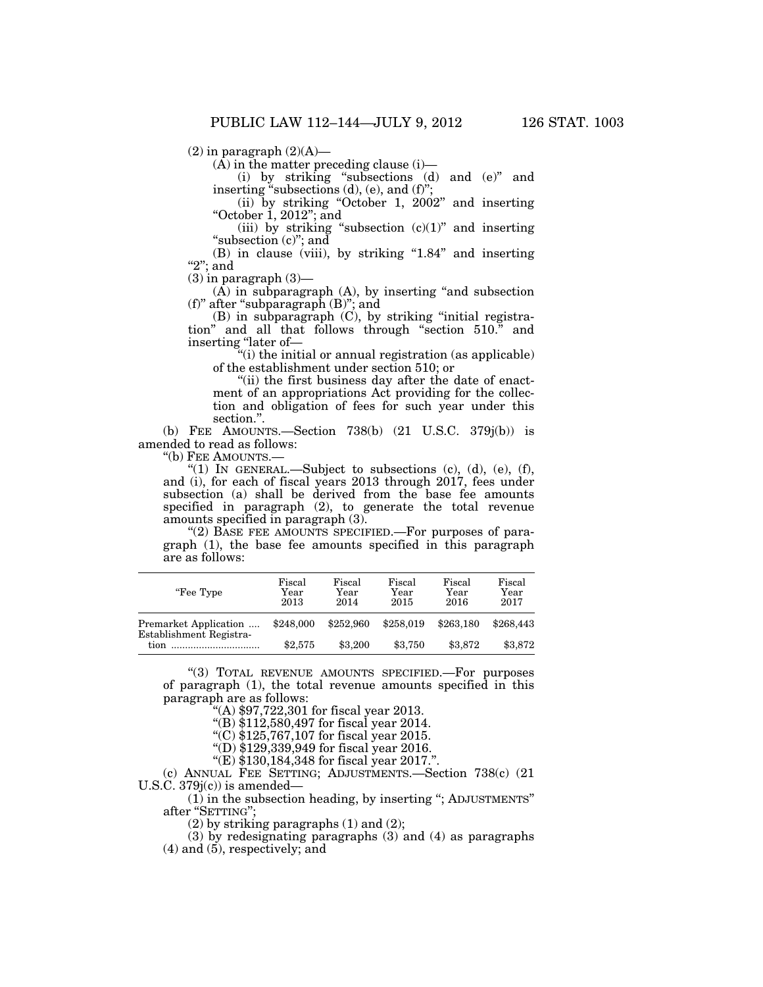$(2)$  in paragraph  $(2)(A)$ —

 $(\overline{A})$  in the matter preceding clause (i)—

(i) by striking ''subsections (d) and (e)'' and inserting "subsections (d), (e), and (f)";

(ii) by striking ''October 1, 2002'' and inserting "October 1, 2012"; and

(iii) by striking "subsection  $(c)(1)$ " and inserting "subsection (c)"; and

 $(B)$  in clause (viii), by striking "1.84" and inserting " $2$ "; and

 $(3)$  in paragraph  $(3)$ —

 $(A)$  in subparagraph  $(A)$ , by inserting "and subsection (f)'' after ''subparagraph (B)''; and

 $(B)$  in subparagraph  $(C)$ , by striking "initial registration'' and all that follows through ''section 510.'' and inserting ''later of—

"(i) the initial or annual registration (as applicable) of the establishment under section 510; or

"(ii) the first business day after the date of enactment of an appropriations Act providing for the collection and obligation of fees for such year under this section.''.

(b) FEE AMOUNTS.—Section 738(b) (21 U.S.C. 379j(b)) is amended to read as follows:

''(b) FEE AMOUNTS.—

"(1) IN GENERAL.—Subject to subsections  $(c)$ ,  $(d)$ ,  $(e)$ ,  $(f)$ , and (i), for each of fiscal years 2013 through 2017, fees under subsection (a) shall be derived from the base fee amounts specified in paragraph (2), to generate the total revenue amounts specified in paragraph (3).

"(2) BASE FEE AMOUNTS SPECIFIED.—For purposes of paragraph (1), the base fee amounts specified in this paragraph are as follows:

| "Fee Type"                                               | Fiscal<br>Year<br>2013 | Fiscal<br>Year<br>2014 | Fiscal<br>Year<br>2015 | Fiscal<br>Year<br>2016 | Fiscal<br>Year<br>2017 |
|----------------------------------------------------------|------------------------|------------------------|------------------------|------------------------|------------------------|
| Premarket Application<br>Establishment Registra-<br>tion | \$248,000              | \$252,960              | \$258,019              | \$263.180              | \$268,443              |
|                                                          | \$2,575                | \$3,200                | \$3.750                | \$3.872                | \$3,872                |

''(3) TOTAL REVENUE AMOUNTS SPECIFIED.—For purposes of paragraph (1), the total revenue amounts specified in this paragraph are as follows:

''(A) \$97,722,301 for fiscal year 2013.

''(B) \$112,580,497 for fiscal year 2014.

''(C) \$125,767,107 for fiscal year 2015.

''(D) \$129,339,949 for fiscal year 2016.

"(E) \$130,184,348 for fiscal year 2017."

(c) ANNUAL FEE SETTING; ADJUSTMENTS.—Section 738(c) (21 U.S.C.  $379j(c)$  is amended–

(1) in the subsection heading, by inserting ''; ADJUSTMENTS'' after ''SETTING'';

(2) by striking paragraphs (1) and (2);

(3) by redesignating paragraphs (3) and (4) as paragraphs (4) and (5), respectively; and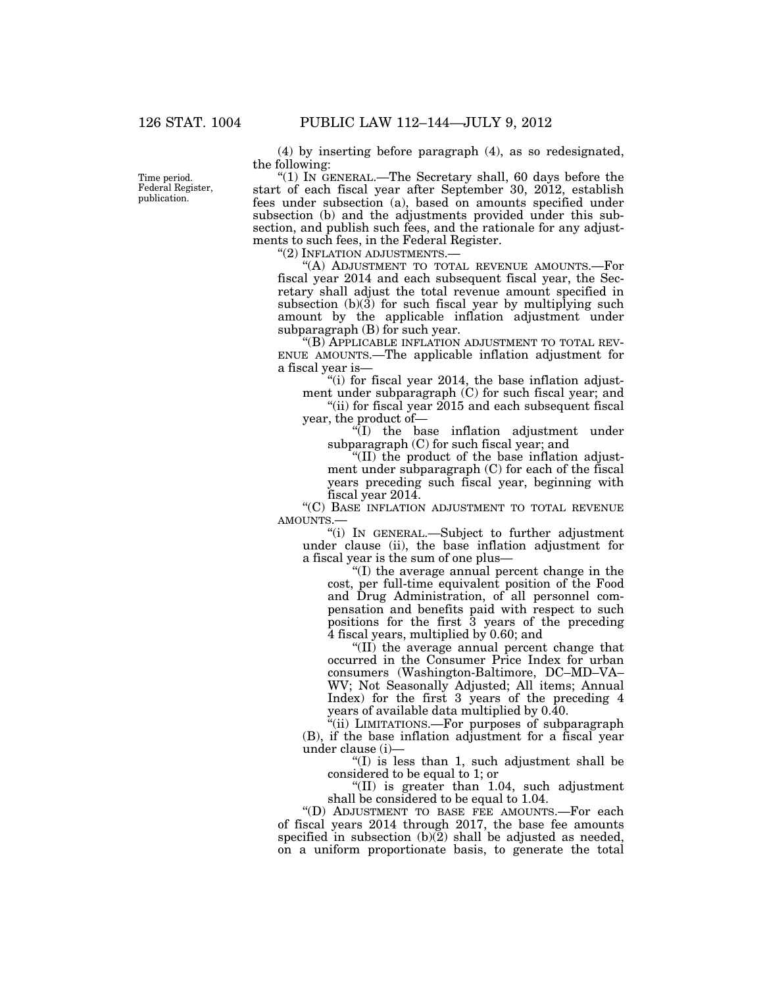Time period. Federal Register, publication.

(4) by inserting before paragraph (4), as so redesignated, the following:

" $(1)$  In GENERAL.—The Secretary shall, 60 days before the start of each fiscal year after September 30, 2012, establish fees under subsection (a), based on amounts specified under subsection (b) and the adjustments provided under this subsection, and publish such fees, and the rationale for any adjustments to such fees, in the Federal Register.

''(2) INFLATION ADJUSTMENTS.—

''(A) ADJUSTMENT TO TOTAL REVENUE AMOUNTS.—For fiscal year 2014 and each subsequent fiscal year, the Secretary shall adjust the total revenue amount specified in subsection  $(b)(3)$  for such fiscal year by multiplying such amount by the applicable inflation adjustment under subparagraph (B) for such year.

''(B) APPLICABLE INFLATION ADJUSTMENT TO TOTAL REV-ENUE AMOUNTS.—The applicable inflation adjustment for a fiscal year is—

"(i) for fiscal year 2014, the base inflation adjustment under subparagraph (C) for such fiscal year; and

"(ii) for fiscal year 2015 and each subsequent fiscal year, the product of—

''(I) the base inflation adjustment under subparagraph (C) for such fiscal year; and

''(II) the product of the base inflation adjustment under subparagraph (C) for each of the fiscal years preceding such fiscal year, beginning with fiscal year 2014.

"(C) BASE INFLATION ADJUSTMENT TO TOTAL REVENUE AMOUNTS.—

''(i) IN GENERAL.—Subject to further adjustment under clause (ii), the base inflation adjustment for a fiscal year is the sum of one plus—

''(I) the average annual percent change in the cost, per full-time equivalent position of the Food and Drug Administration, of all personnel compensation and benefits paid with respect to such positions for the first 3 years of the preceding 4 fiscal years, multiplied by 0.60; and

''(II) the average annual percent change that occurred in the Consumer Price Index for urban consumers (Washington-Baltimore, DC–MD–VA– WV; Not Seasonally Adjusted; All items; Annual Index) for the first 3 years of the preceding 4 years of available data multiplied by 0.40.

"(ii) LIMITATIONS.—For purposes of subparagraph (B), if the base inflation adjustment for a fiscal year under clause (i)—

''(I) is less than 1, such adjustment shall be considered to be equal to 1; or

''(II) is greater than 1.04, such adjustment shall be considered to be equal to 1.04.

''(D) ADJUSTMENT TO BASE FEE AMOUNTS.—For each of fiscal years 2014 through 2017, the base fee amounts specified in subsection  $(b)(2)$  shall be adjusted as needed, on a uniform proportionate basis, to generate the total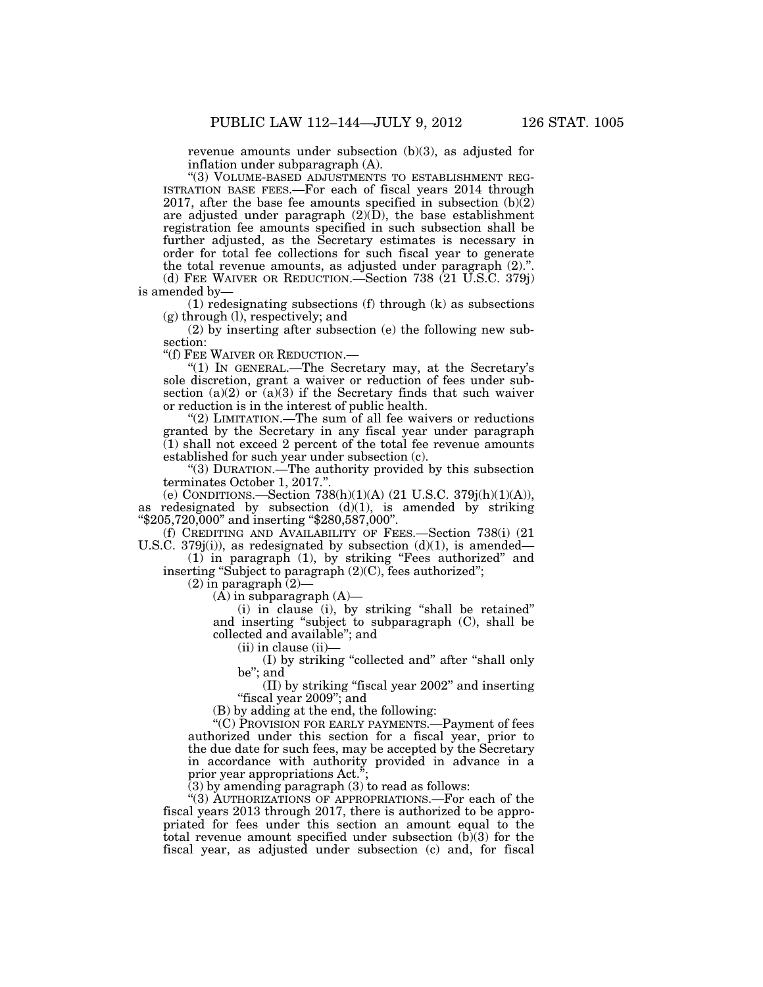revenue amounts under subsection (b)(3), as adjusted for inflation under subparagraph (A).

"(3) VOLUME-BASED ADJUSTMENTS TO ESTABLISHMENT REG-ISTRATION BASE FEES.—For each of fiscal years 2014 through 2017, after the base fee amounts specified in subsection (b)(2) are adjusted under paragraph (2)(D), the base establishment registration fee amounts specified in such subsection shall be further adjusted, as the Secretary estimates is necessary in order for total fee collections for such fiscal year to generate the total revenue amounts, as adjusted under paragraph (2).''. (d) FEE WAIVER OR REDUCTION.—Section 738 (21 U.S.C. 379j)

is amended by—

(1) redesignating subsections (f) through (k) as subsections (g) through (l), respectively; and

(2) by inserting after subsection (e) the following new subsection:

''(f) FEE WAIVER OR REDUCTION.—

"(1) IN GENERAL.—The Secretary may, at the Secretary's sole discretion, grant a waiver or reduction of fees under subsection (a)(2) or  $(a)(3)$  if the Secretary finds that such waiver or reduction is in the interest of public health.

"(2) LIMITATION.—The sum of all fee waivers or reductions granted by the Secretary in any fiscal year under paragraph  $(1)$  shall not exceed 2 percent of the total fee revenue amounts established for such year under subsection (c).

''(3) DURATION.—The authority provided by this subsection terminates October 1, 2017.''.

(e) CONDITIONS.—Section 738(h)(1)(A) (21 U.S.C. 379j(h)(1)(A)), as redesignated by subsection  $(d)(1)$ , is amended by striking ''\$205,720,000'' and inserting ''\$280,587,000''.

(f) CREDITING AND AVAILABILITY OF FEES.—Section 738(i) (21 U.S.C. 379 $j(i)$ , as redesignated by subsection  $(d)(1)$ , is amended—

(1) in paragraph (1), by striking ''Fees authorized'' and inserting "Subject to paragraph  $(2)(C)$ , fees authorized";

 $(2)$  in paragraph  $(2)$ 

(A) in subparagraph (A)—

(i) in clause (i), by striking ''shall be retained'' and inserting ''subject to subparagraph (C), shall be collected and available''; and

 $(ii)$  in clause  $(ii)$ —

(I) by striking ''collected and'' after ''shall only be''; and

(II) by striking ''fiscal year 2002'' and inserting ''fiscal year 2009''; and

(B) by adding at the end, the following:

''(C) PROVISION FOR EARLY PAYMENTS.—Payment of fees authorized under this section for a fiscal year, prior to the due date for such fees, may be accepted by the Secretary in accordance with authority provided in advance in a prior year appropriations Act.<sup>5</sup>

 $(3)$  by amending paragraph  $(3)$  to read as follows:

''(3) AUTHORIZATIONS OF APPROPRIATIONS.—For each of the fiscal years 2013 through 2017, there is authorized to be appropriated for fees under this section an amount equal to the total revenue amount specified under subsection  $(b)(3)$  for the fiscal year, as adjusted under subsection (c) and, for fiscal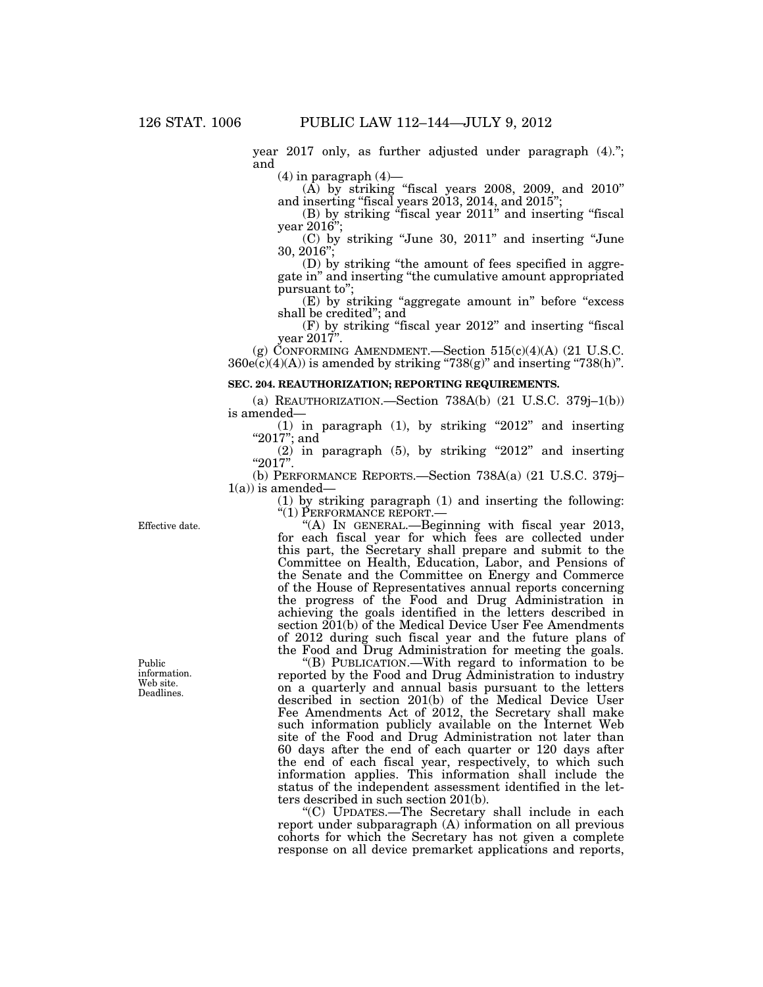year 2017 only, as further adjusted under paragraph (4).''; and

 $(4)$  in paragraph  $(4)$ —

 $(A)$  by striking "fiscal years 2008, 2009, and 2010" and inserting ''fiscal years 2013, 2014, and 2015'';

(B) by striking ''fiscal year 2011'' and inserting ''fiscal year 2016'';

(C) by striking ''June 30, 2011'' and inserting ''June 30, 2016'';

(D) by striking ''the amount of fees specified in aggregate in'' and inserting ''the cumulative amount appropriated pursuant to'';

(E) by striking "aggregate amount in" before "excess shall be credited''; and

(F) by striking ''fiscal year 2012'' and inserting ''fiscal year 2017''.

(g) CONFORMING AMENDMENT.—Section  $515(c)(4)(A)$  (21 U.S.C.  $360e(c)(4)(A))$  is amended by striking "738(g)" and inserting "738(h)".

## **SEC. 204. REAUTHORIZATION; REPORTING REQUIREMENTS.**

(a) REAUTHORIZATION.—Section 738A(b) (21 U.S.C. 379j–1(b)) is amended—

(1) in paragraph (1), by striking ''2012'' and inserting "2017"; and

 $(2)$  in paragraph  $(5)$ , by striking "2012" and inserting  $"2017"$ .

(b) PERFORMANCE REPORTS.—Section 738A(a) (21 U.S.C. 379j–  $1(a)$ ) is amended-

(1) by striking paragraph (1) and inserting the following: ''(1) PERFORMANCE REPORT.—

''(A) IN GENERAL.—Beginning with fiscal year 2013, for each fiscal year for which fees are collected under this part, the Secretary shall prepare and submit to the Committee on Health, Education, Labor, and Pensions of the Senate and the Committee on Energy and Commerce of the House of Representatives annual reports concerning the progress of the Food and Drug Administration in achieving the goals identified in the letters described in section  $201(b)$  of the Medical Device User Fee Amendments of 2012 during such fiscal year and the future plans of the Food and Drug Administration for meeting the goals.

''(B) PUBLICATION.—With regard to information to be reported by the Food and Drug Administration to industry on a quarterly and annual basis pursuant to the letters described in section 201(b) of the Medical Device User Fee Amendments Act of 2012, the Secretary shall make such information publicly available on the Internet Web site of the Food and Drug Administration not later than 60 days after the end of each quarter or 120 days after the end of each fiscal year, respectively, to which such information applies. This information shall include the status of the independent assessment identified in the letters described in such section 201(b).

''(C) UPDATES.—The Secretary shall include in each report under subparagraph (A) information on all previous cohorts for which the Secretary has not given a complete response on all device premarket applications and reports,

Effective date.

Public information. Web site. Deadlines.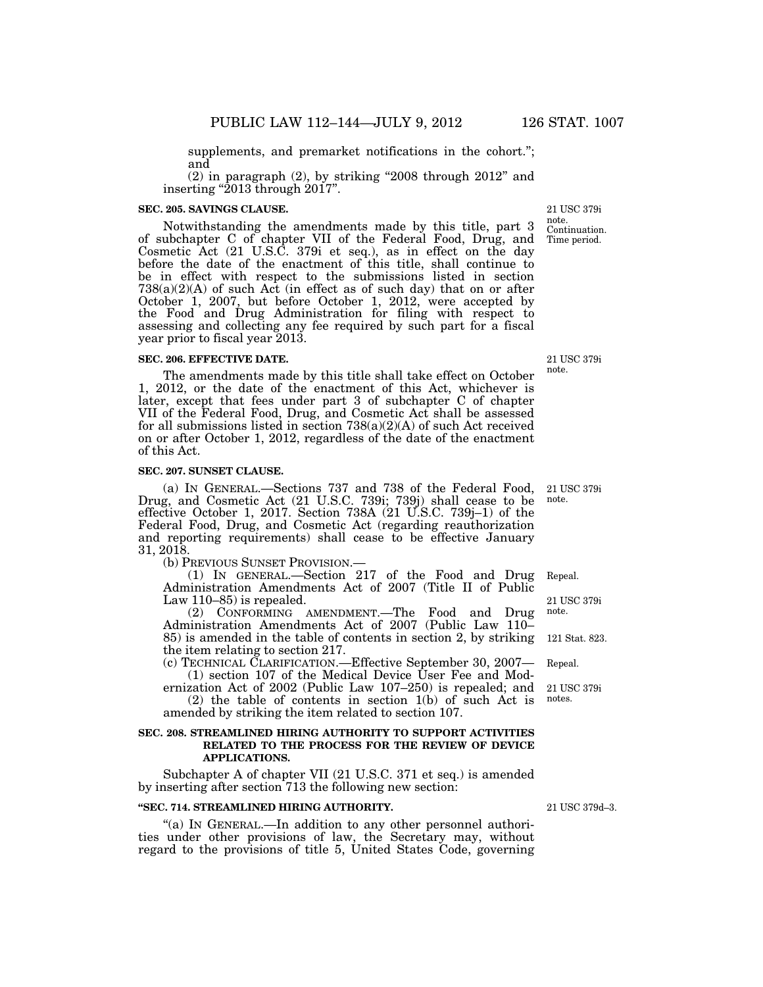supplements, and premarket notifications in the cohort."; and

 $(2)$  in paragraph  $(2)$ , by striking "2008 through 2012" and inserting "2013 through 2017".

### **SEC. 205. SAVINGS CLAUSE.**

Notwithstanding the amendments made by this title, part 3 of subchapter C of chapter VII of the Federal Food, Drug, and Cosmetic Act (21 U.S.C. 379i et seq.), as in effect on the day before the date of the enactment of this title, shall continue to be in effect with respect to the submissions listed in section  $738(a)(2)(A)$  of such Act (in effect as of such day) that on or after October 1, 2007, but before October 1, 2012, were accepted by the Food and Drug Administration for filing with respect to assessing and collecting any fee required by such part for a fiscal year prior to fiscal year 2013. Time period.

### **SEC. 206. EFFECTIVE DATE.**

The amendments made by this title shall take effect on October 1, 2012, or the date of the enactment of this Act, whichever is later, except that fees under part 3 of subchapter C of chapter VII of the Federal Food, Drug, and Cosmetic Act shall be assessed for all submissions listed in section 738(a)(2)(A) of such Act received on or after October 1, 2012, regardless of the date of the enactment of this Act.

## **SEC. 207. SUNSET CLAUSE.**

(a) IN GENERAL.—Sections 737 and 738 of the Federal Food, Drug, and Cosmetic Act (21 U.S.C. 739i; 739j) shall cease to be effective October 1, 2017. Section 738A (21 U.S.C. 739j–1) of the Federal Food, Drug, and Cosmetic Act (regarding reauthorization and reporting requirements) shall cease to be effective January 31, 2018.

(b) PREVIOUS SUNSET PROVISION.—

(1) IN GENERAL.—Section 217 of the Food and Drug Administration Amendments Act of 2007 (Title II of Public Law 110–85) is repealed. 21 USC 379i Repeal.

(2) CONFORMING AMENDMENT.—The Food and Drug Administration Amendments Act of 2007 (Public Law 110– 85) is amended in the table of contents in section 2, by striking the item relating to section 217. 121 Stat. 823. note.

(c) TECHNICAL CLARIFICATION.—Effective September 30, 2007—  $(1)$  section 107 of the Medical Device User Fee and Mod-Repeal.

ernization Act of 2002 (Public Law 107–250) is repealed; and (2) the table of contents in section 1(b) of such Act is 21 USC 379i

amended by striking the item related to section 107.

# **SEC. 208. STREAMLINED HIRING AUTHORITY TO SUPPORT ACTIVITIES RELATED TO THE PROCESS FOR THE REVIEW OF DEVICE APPLICATIONS.**

Subchapter A of chapter VII (21 U.S.C. 371 et seq.) is amended by inserting after section 713 the following new section:

### **''SEC. 714. STREAMLINED HIRING AUTHORITY.**

"(a) In GENERAL.—In addition to any other personnel authorities under other provisions of law, the Secretary may, without regard to the provisions of title 5, United States Code, governing

21 USC 379d–3.

notes.

21 USC 379i note.

21 USC 379i note.

Continuation. 21 USC 379i note.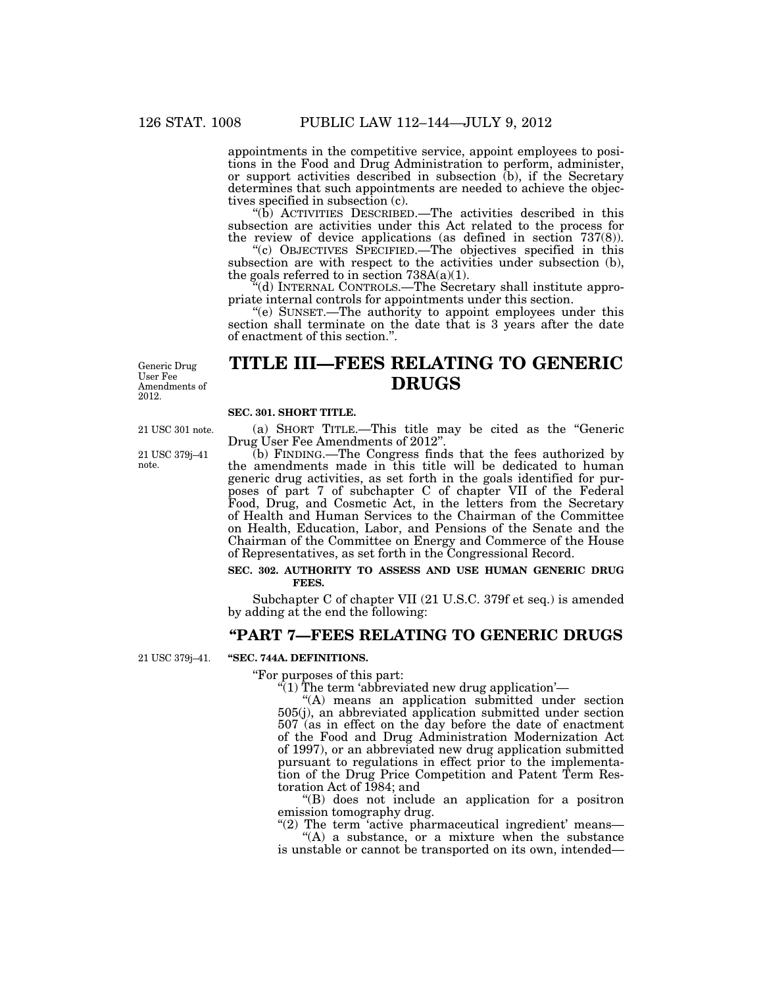appointments in the competitive service, appoint employees to positions in the Food and Drug Administration to perform, administer, or support activities described in subsection (b), if the Secretary determines that such appointments are needed to achieve the objectives specified in subsection (c).

''(b) ACTIVITIES DESCRIBED.—The activities described in this subsection are activities under this Act related to the process for the review of device applications (as defined in section 737(8)).

''(c) OBJECTIVES SPECIFIED.—The objectives specified in this subsection are with respect to the activities under subsection (b), the goals referred to in section  $738A(a)(1)$ .

 $\mathcal{H}$ (d) INTERNAL CONTROLS.—The Secretary shall institute appropriate internal controls for appointments under this section.

''(e) SUNSET.—The authority to appoint employees under this section shall terminate on the date that is 3 years after the date of enactment of this section.''.

Generic Drug User Fee Amendments of 2012.

# **TITLE III—FEES RELATING TO GENERIC DRUGS**

# **SEC. 301. SHORT TITLE.**

21 USC 301 note.

21 USC 379j–41 note.

(a) SHORT TITLE.—This title may be cited as the ''Generic Drug User Fee Amendments of 2012''.

(b) FINDING.—The Congress finds that the fees authorized by the amendments made in this title will be dedicated to human generic drug activities, as set forth in the goals identified for purposes of part 7 of subchapter C of chapter VII of the Federal Food, Drug, and Cosmetic Act, in the letters from the Secretary of Health and Human Services to the Chairman of the Committee on Health, Education, Labor, and Pensions of the Senate and the Chairman of the Committee on Energy and Commerce of the House of Representatives, as set forth in the Congressional Record.

# **SEC. 302. AUTHORITY TO ASSESS AND USE HUMAN GENERIC DRUG FEES.**

Subchapter C of chapter VII (21 U.S.C. 379f et seq.) is amended by adding at the end the following:

# **''PART 7—FEES RELATING TO GENERIC DRUGS**

**''SEC. 744A. DEFINITIONS.**  21 USC 379j–41.

# ''For purposes of this part:

 $\hat{r}(1)$  The term 'abbreviated new drug application'—

"(A) means an application submitted under section 505(j), an abbreviated application submitted under section 507 (as in effect on the day before the date of enactment of the Food and Drug Administration Modernization Act of 1997), or an abbreviated new drug application submitted pursuant to regulations in effect prior to the implementation of the Drug Price Competition and Patent Term Restoration Act of 1984; and

''(B) does not include an application for a positron emission tomography drug.

" $(2)$  The term 'active pharmaceutical ingredient' means— ''(A) a substance, or a mixture when the substance

is unstable or cannot be transported on its own, intended—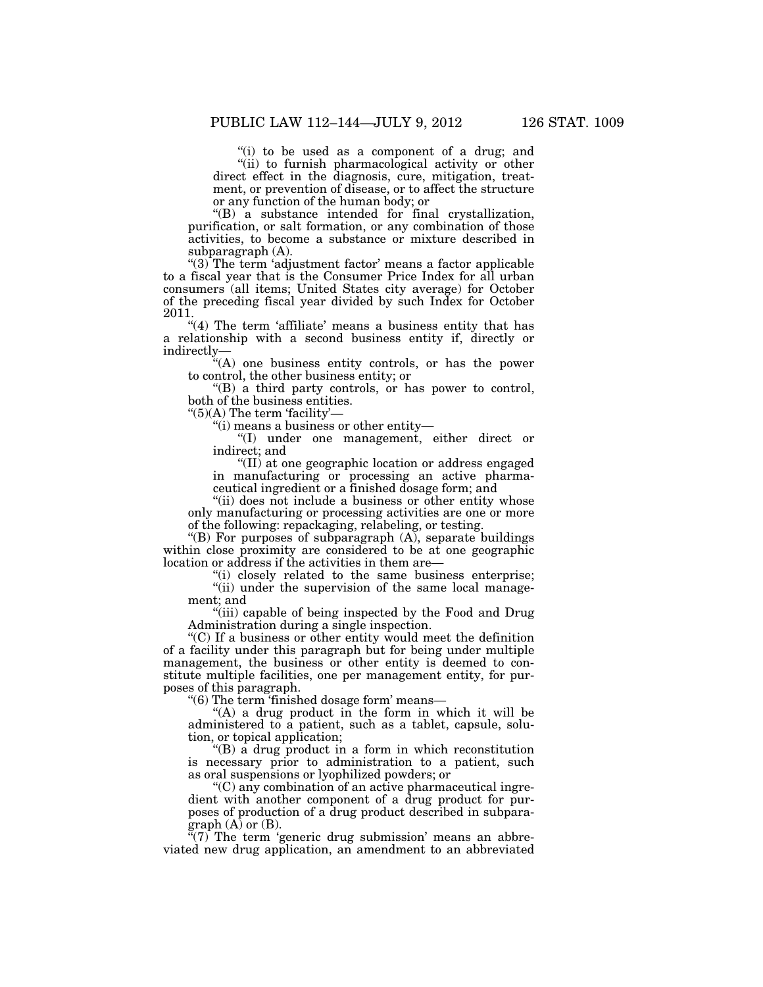''(i) to be used as a component of a drug; and ''(ii) to furnish pharmacological activity or other direct effect in the diagnosis, cure, mitigation, treatment, or prevention of disease, or to affect the structure or any function of the human body; or

''(B) a substance intended for final crystallization, purification, or salt formation, or any combination of those activities, to become a substance or mixture described in subparagraph (A).

" $(3)$  The term 'adjustment factor' means a factor applicable to a fiscal year that is the Consumer Price Index for all urban consumers (all items; United States city average) for October of the preceding fiscal year divided by such Index for October 2011.

"(4) The term 'affiliate' means a business entity that has a relationship with a second business entity if, directly or indirectly—

''(A) one business entity controls, or has the power to control, the other business entity; or

''(B) a third party controls, or has power to control, both of the business entities.

 $"(5)(A)$  The term 'facility'—

''(i) means a business or other entity—

''(I) under one management, either direct or indirect; and

''(II) at one geographic location or address engaged in manufacturing or processing an active pharmaceutical ingredient or a finished dosage form; and

"(ii) does not include a business or other entity whose only manufacturing or processing activities are one or more of the following: repackaging, relabeling, or testing.

"(B) For purposes of subparagraph (A), separate buildings within close proximity are considered to be at one geographic location or address if the activities in them are—

''(i) closely related to the same business enterprise;

"(ii) under the supervision of the same local management; and

''(iii) capable of being inspected by the Food and Drug Administration during a single inspection.

''(C) If a business or other entity would meet the definition of a facility under this paragraph but for being under multiple management, the business or other entity is deemed to constitute multiple facilities, one per management entity, for purposes of this paragraph.

''(6) The term 'finished dosage form' means—

"(A) a drug product in the form in which it will be administered to a patient, such as a tablet, capsule, solution, or topical application;

''(B) a drug product in a form in which reconstitution is necessary prior to administration to a patient, such as oral suspensions or lyophilized powders; or

''(C) any combination of an active pharmaceutical ingredient with another component of a drug product for purposes of production of a drug product described in subpara $graph (A)$  or  $(B)$ .

"(7) The term 'generic drug submission' means an abbreviated new drug application, an amendment to an abbreviated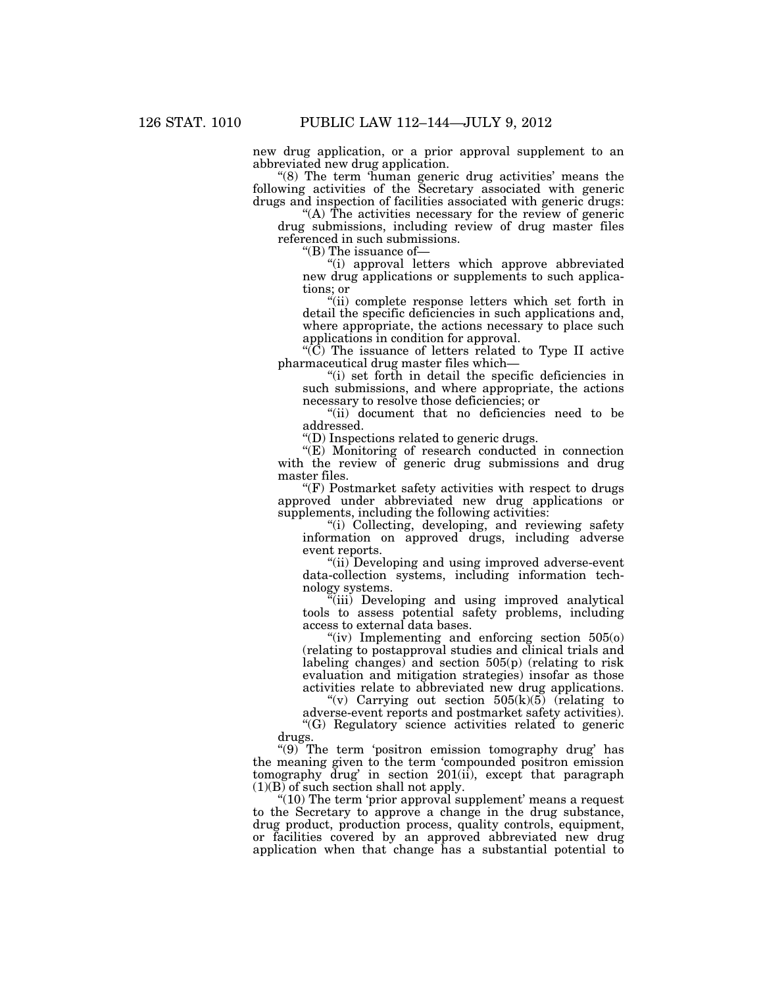new drug application, or a prior approval supplement to an abbreviated new drug application.

 $(8)$  The term 'human generic drug activities' means the following activities of the Secretary associated with generic drugs and inspection of facilities associated with generic drugs:

''(A) The activities necessary for the review of generic drug submissions, including review of drug master files referenced in such submissions.

''(B) The issuance of—

''(i) approval letters which approve abbreviated new drug applications or supplements to such applications; or

''(ii) complete response letters which set forth in detail the specific deficiencies in such applications and, where appropriate, the actions necessary to place such applications in condition for approval.

''(C) The issuance of letters related to Type II active pharmaceutical drug master files which—

''(i) set forth in detail the specific deficiencies in such submissions, and where appropriate, the actions necessary to resolve those deficiencies; or

''(ii) document that no deficiencies need to be addressed.

''(D) Inspections related to generic drugs.

"(E) Monitoring of research conducted in connection with the review of generic drug submissions and drug master files.

"(F) Postmarket safety activities with respect to drugs approved under abbreviated new drug applications or supplements, including the following activities:

"(i) Collecting, developing, and reviewing safety information on approved drugs, including adverse event reports.

"(ii) Developing and using improved adverse-event data-collection systems, including information technology systems.

''(iii) Developing and using improved analytical tools to assess potential safety problems, including access to external data bases.

"(iv) Implementing and enforcing section  $505(0)$ (relating to postapproval studies and clinical trials and labeling changes) and section  $505(p)$  (relating to risk evaluation and mitigation strategies) insofar as those activities relate to abbreviated new drug applications.

"(v) Carrying out section  $505(k)(5)$  (relating to adverse-event reports and postmarket safety activities).

''(G) Regulatory science activities related to generic drugs.

''(9) The term 'positron emission tomography drug' has the meaning given to the term 'compounded positron emission tomography drug' in section 201(ii), except that paragraph  $(1)(B)$  of such section shall not apply.

"(10) The term 'prior approval supplement' means a request to the Secretary to approve a change in the drug substance, drug product, production process, quality controls, equipment, or facilities covered by an approved abbreviated new drug application when that change has a substantial potential to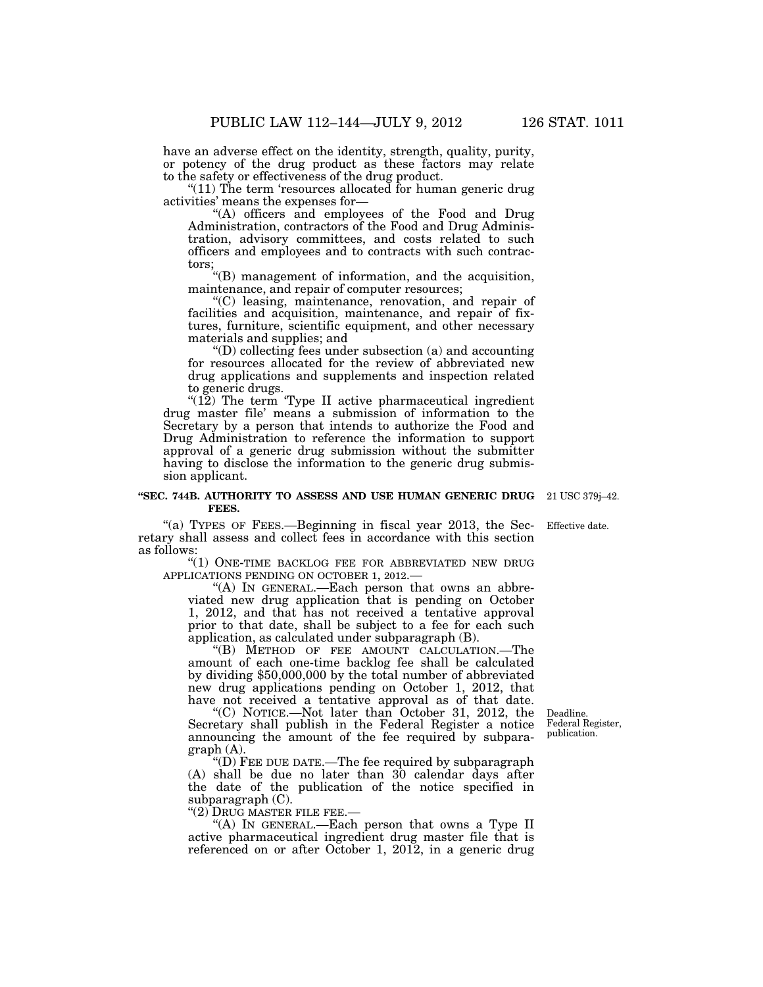have an adverse effect on the identity, strength, quality, purity, or potency of the drug product as these factors may relate to the safety or effectiveness of the drug product.

"(11) The term 'resources allocated for human generic drug activities' means the expenses for—

''(A) officers and employees of the Food and Drug Administration, contractors of the Food and Drug Administration, advisory committees, and costs related to such officers and employees and to contracts with such contractors;

''(B) management of information, and the acquisition, maintenance, and repair of computer resources;

''(C) leasing, maintenance, renovation, and repair of facilities and acquisition, maintenance, and repair of fixtures, furniture, scientific equipment, and other necessary materials and supplies; and

 $\mathrm{``(D)}$  collecting fees under subsection (a) and accounting for resources allocated for the review of abbreviated new drug applications and supplements and inspection related to generic drugs.

"(12) The term 'Type II active pharmaceutical ingredient" drug master file' means a submission of information to the Secretary by a person that intends to authorize the Food and Drug Administration to reference the information to support approval of a generic drug submission without the submitter having to disclose the information to the generic drug submission applicant.

#### **''SEC. 744B. AUTHORITY TO ASSESS AND USE HUMAN GENERIC DRUG**  21 USC 379j–42. **FEES.**

"(a) TYPES OF FEES.—Beginning in fiscal year 2013, the Secretary shall assess and collect fees in accordance with this section as follows:

"(1) ONE-TIME BACKLOG FEE FOR ABBREVIATED NEW DRUG APPLICATIONS PENDING ON OCTOBER 1, 2012.—

"(A) IN GENERAL.—Each person that owns an abbreviated new drug application that is pending on October 1, 2012, and that has not received a tentative approval prior to that date, shall be subject to a fee for each such application, as calculated under subparagraph (B).

''(B) METHOD OF FEE AMOUNT CALCULATION.—The amount of each one-time backlog fee shall be calculated by dividing \$50,000,000 by the total number of abbreviated new drug applications pending on October 1, 2012, that have not received a tentative approval as of that date.

''(C) NOTICE.—Not later than October 31, 2012, the Secretary shall publish in the Federal Register a notice announcing the amount of the fee required by subparagraph (A).

''(D) FEE DUE DATE.—The fee required by subparagraph (A) shall be due no later than 30 calendar days after the date of the publication of the notice specified in subparagraph (C).

''(2) DRUG MASTER FILE FEE.—

"(A) In GENERAL.—Each person that owns a Type II active pharmaceutical ingredient drug master file that is referenced on or after October 1, 2012, in a generic drug

Deadline. Federal Register, publication.

Effective date.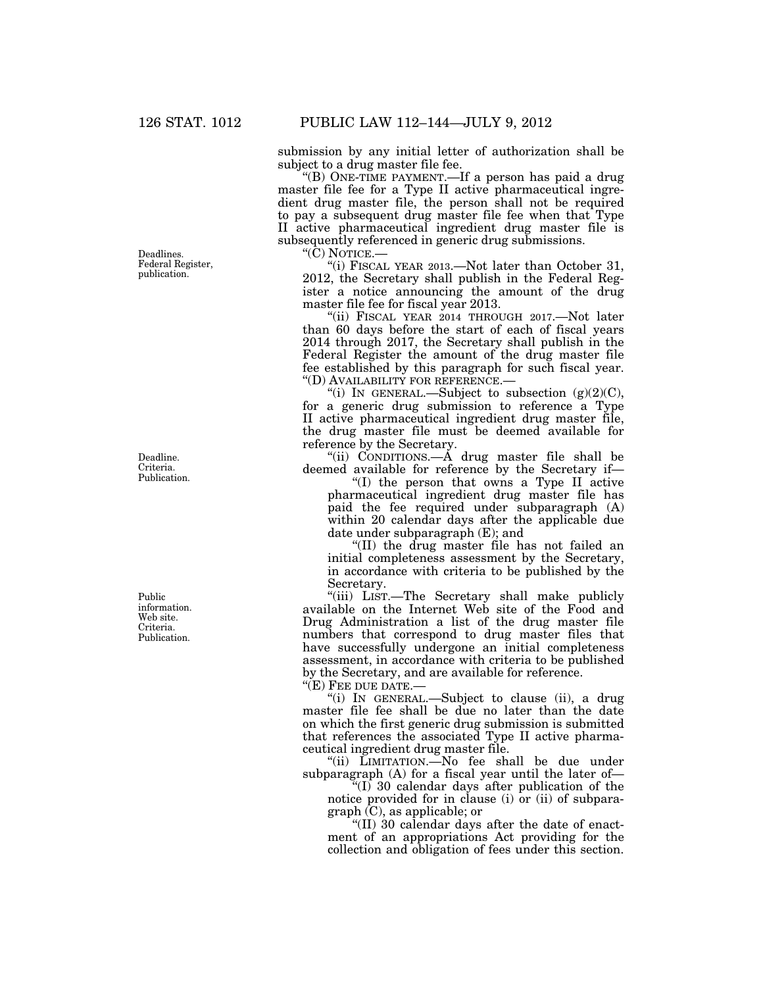Deadlines. Federal Register,

publication.

Deadline.

Criteria. Publication.

Public information. Web site. Criteria. Publication.

submission by any initial letter of authorization shall be subject to a drug master file fee.

''(B) ONE-TIME PAYMENT.—If a person has paid a drug master file fee for a Type II active pharmaceutical ingredient drug master file, the person shall not be required to pay a subsequent drug master file fee when that Type II active pharmaceutical ingredient drug master file is subsequently referenced in generic drug submissions.

''(C) NOTICE.—

''(i) FISCAL YEAR 2013.—Not later than October 31, 2012, the Secretary shall publish in the Federal Register a notice announcing the amount of the drug master file fee for fiscal year 2013.

"(ii) FISCAL YEAR 2014 THROUGH 2017. Not later than 60 days before the start of each of fiscal years 2014 through 2017, the Secretary shall publish in the Federal Register the amount of the drug master file fee established by this paragraph for such fiscal year. ''(D) AVAILABILITY FOR REFERENCE.—

"(i) IN GENERAL.—Subject to subsection  $(g)(2)(C)$ , for a generic drug submission to reference a Type II active pharmaceutical ingredient drug master file, the drug master file must be deemed available for reference by the Secretary.

''(ii) CONDITIONS.—A drug master file shall be deemed available for reference by the Secretary if—

''(I) the person that owns a Type II active pharmaceutical ingredient drug master file has paid the fee required under subparagraph (A) within 20 calendar days after the applicable due date under subparagraph (E); and

''(II) the drug master file has not failed an initial completeness assessment by the Secretary, in accordance with criteria to be published by the Secretary.

''(iii) LIST.—The Secretary shall make publicly available on the Internet Web site of the Food and Drug Administration a list of the drug master file numbers that correspond to drug master files that have successfully undergone an initial completeness assessment, in accordance with criteria to be published by the Secretary, and are available for reference.

''(E) FEE DUE DATE.—

''(i) IN GENERAL.—Subject to clause (ii), a drug master file fee shall be due no later than the date on which the first generic drug submission is submitted that references the associated Type II active pharmaceutical ingredient drug master file.

"(ii) LIMITATION. No fee shall be due under subparagraph (A) for a fiscal year until the later of—

 $\sqrt[4]{(I)}$  30 calendar days after publication of the notice provided for in clause (i) or (ii) of subparagraph (C), as applicable; or

" $(II)$  30 calendar days after the date of enactment of an appropriations Act providing for the collection and obligation of fees under this section.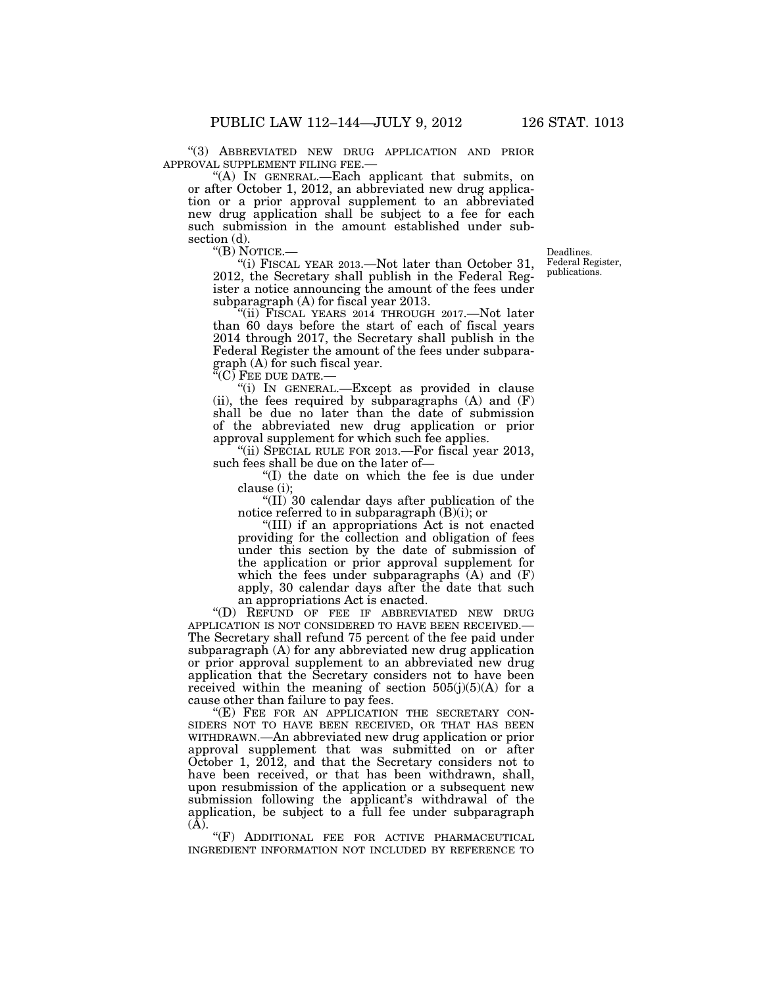''(3) ABBREVIATED NEW DRUG APPLICATION AND PRIOR

"(A) IN GENERAL.—Each applicant that submits, on or after October 1, 2012, an abbreviated new drug application or a prior approval supplement to an abbreviated new drug application shall be subject to a fee for each such submission in the amount established under subsection (d).<br>"(B) NOTICE.—

"(i) FISCAL YEAR 2013.—Not later than October 31, 2012, the Secretary shall publish in the Federal Register a notice announcing the amount of the fees under subparagraph (A) for fiscal year 2013.

''(ii) FISCAL YEARS 2014 THROUGH 2017.—Not later than 60 days before the start of each of fiscal years 2014 through 2017, the Secretary shall publish in the Federal Register the amount of the fees under subparagraph (A) for such fiscal year.

 $\rm ^{7}\!(C)$  Fee due date.—

''(i) IN GENERAL.—Except as provided in clause (ii), the fees required by subparagraphs  $(A)$  and  $(F)$ shall be due no later than the date of submission of the abbreviated new drug application or prior approval supplement for which such fee applies.

''(ii) SPECIAL RULE FOR 2013.—For fiscal year 2013, such fees shall be due on the later of—

''(I) the date on which the fee is due under clause (i);

''(II) 30 calendar days after publication of the notice referred to in subparagraph (B)(i); or

''(III) if an appropriations Act is not enacted providing for the collection and obligation of fees under this section by the date of submission of the application or prior approval supplement for which the fees under subparagraphs  $(A)$  and  $(F)$ apply, 30 calendar days after the date that such an appropriations Act is enacted.

''(D) REFUND OF FEE IF ABBREVIATED NEW DRUG APPLICATION IS NOT CONSIDERED TO HAVE BEEN RECEIVED.— The Secretary shall refund 75 percent of the fee paid under subparagraph (A) for any abbreviated new drug application or prior approval supplement to an abbreviated new drug application that the Secretary considers not to have been received within the meaning of section  $505(j)(5)(A)$  for a cause other than failure to pay fees.

"(E) FEE FOR AN APPLICATION THE SECRETARY CON-SIDERS NOT TO HAVE BEEN RECEIVED, OR THAT HAS BEEN WITHDRAWN.—An abbreviated new drug application or prior approval supplement that was submitted on or after October 1, 2012, and that the Secretary considers not to have been received, or that has been withdrawn, shall, upon resubmission of the application or a subsequent new submission following the applicant's withdrawal of the application, be subject to a full fee under subparagraph (A).

"(F) ADDITIONAL FEE FOR ACTIVE PHARMACEUTICAL INGREDIENT INFORMATION NOT INCLUDED BY REFERENCE TO

Deadlines. Federal Register, publications.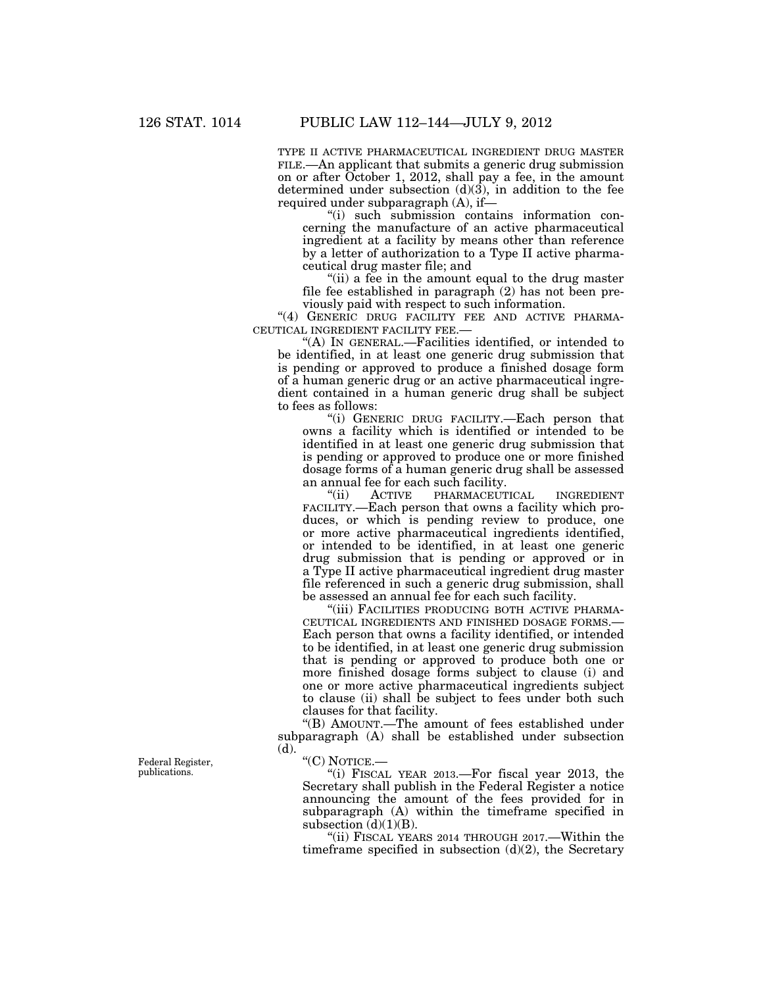TYPE II ACTIVE PHARMACEUTICAL INGREDIENT DRUG MASTER FILE.—An applicant that submits a generic drug submission on or after October 1, 2012, shall pay a fee, in the amount determined under subsection (d)(3), in addition to the fee required under subparagraph (A), if—

''(i) such submission contains information concerning the manufacture of an active pharmaceutical ingredient at a facility by means other than reference by a letter of authorization to a Type II active pharmaceutical drug master file; and

''(ii) a fee in the amount equal to the drug master file fee established in paragraph (2) has not been previously paid with respect to such information.

"(4) GENERIC DRUG FACILITY FEE AND ACTIVE PHARMA-CEUTICAL INGREDIENT FACILITY FEE.—

''(A) IN GENERAL.—Facilities identified, or intended to be identified, in at least one generic drug submission that is pending or approved to produce a finished dosage form of a human generic drug or an active pharmaceutical ingredient contained in a human generic drug shall be subject to fees as follows:

''(i) GENERIC DRUG FACILITY.—Each person that owns a facility which is identified or intended to be identified in at least one generic drug submission that is pending or approved to produce one or more finished dosage forms of a human generic drug shall be assessed an annual fee for each such facility.<br>
"(ii) ACTIVE PHARMACEUT

PHARMACEUTICAL INGREDIENT FACILITY.—Each person that owns a facility which produces, or which is pending review to produce, one or more active pharmaceutical ingredients identified, or intended to be identified, in at least one generic drug submission that is pending or approved or in a Type II active pharmaceutical ingredient drug master file referenced in such a generic drug submission, shall be assessed an annual fee for each such facility.

"(iii) FACILITIES PRODUCING BOTH ACTIVE PHARMA-CEUTICAL INGREDIENTS AND FINISHED DOSAGE FORMS.— Each person that owns a facility identified, or intended to be identified, in at least one generic drug submission that is pending or approved to produce both one or more finished dosage forms subject to clause (i) and one or more active pharmaceutical ingredients subject to clause (ii) shall be subject to fees under both such clauses for that facility.

''(B) AMOUNT.—The amount of fees established under subparagraph (A) shall be established under subsection (d).

''(C) NOTICE.—

''(i) FISCAL YEAR 2013.—For fiscal year 2013, the Secretary shall publish in the Federal Register a notice announcing the amount of the fees provided for in subparagraph (A) within the timeframe specified in subsection  $(d)(1)(B)$ .

"(ii) FISCAL YEARS 2014 THROUGH 2017.—Within the timeframe specified in subsection  $(d)(2)$ , the Secretary

Federal Register, publications.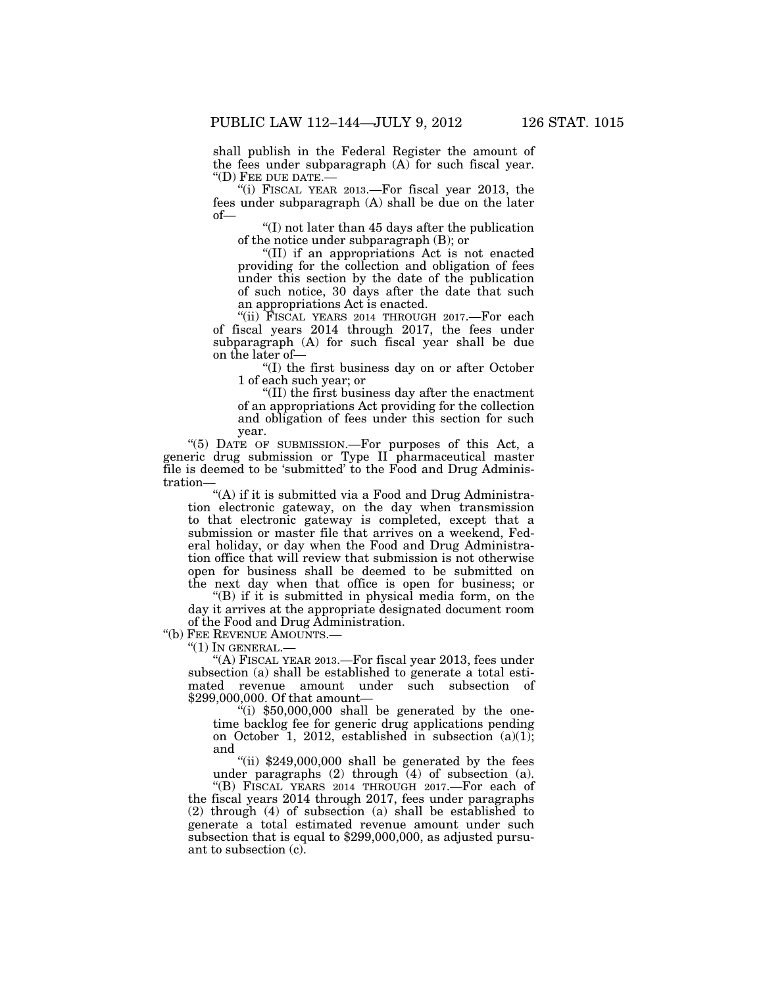shall publish in the Federal Register the amount of the fees under subparagraph (A) for such fiscal year. ''(D) FEE DUE DATE.—

"(i) FISCAL YEAR 2013.—For fiscal year  $2013$ , the fees under subparagraph (A) shall be due on the later of—

''(I) not later than 45 days after the publication of the notice under subparagraph (B); or

''(II) if an appropriations Act is not enacted providing for the collection and obligation of fees under this section by the date of the publication of such notice, 30 days after the date that such an appropriations Act is enacted.

"(ii) FISCAL YEARS 2014 THROUGH 2017.—For each of fiscal years 2014 through 2017, the fees under subparagraph (A) for such fiscal year shall be due on the later of—

''(I) the first business day on or after October 1 of each such year; or

''(II) the first business day after the enactment of an appropriations Act providing for the collection and obligation of fees under this section for such year.

''(5) DATE OF SUBMISSION.—For purposes of this Act, a generic drug submission or Type II pharmaceutical master file is deemed to be 'submitted' to the Food and Drug Administration—

"(A) if it is submitted via a Food and Drug Administration electronic gateway, on the day when transmission to that electronic gateway is completed, except that a submission or master file that arrives on a weekend, Federal holiday, or day when the Food and Drug Administration office that will review that submission is not otherwise open for business shall be deemed to be submitted on the next day when that office is open for business; or

''(B) if it is submitted in physical media form, on the day it arrives at the appropriate designated document room of the Food and Drug Administration.

''(b) FEE REVENUE AMOUNTS.—

 $"(1)$  In GENERAL.—

"(A) FISCAL YEAR 2013.—For fiscal year 2013, fees under subsection (a) shall be established to generate a total estimated revenue amount under such subsection of \$299,000,000. Of that amount—

"(i)  $$50,000,000$  shall be generated by the onetime backlog fee for generic drug applications pending on October 1, 2012, established in subsection (a)(1); and

"(ii)  $$249,000,000$  shall be generated by the fees under paragraphs (2) through (4) of subsection (a).

''(B) FISCAL YEARS 2014 THROUGH 2017.—For each of the fiscal years 2014 through 2017, fees under paragraphs (2) through (4) of subsection (a) shall be established to generate a total estimated revenue amount under such subsection that is equal to \$299,000,000, as adjusted pursuant to subsection (c).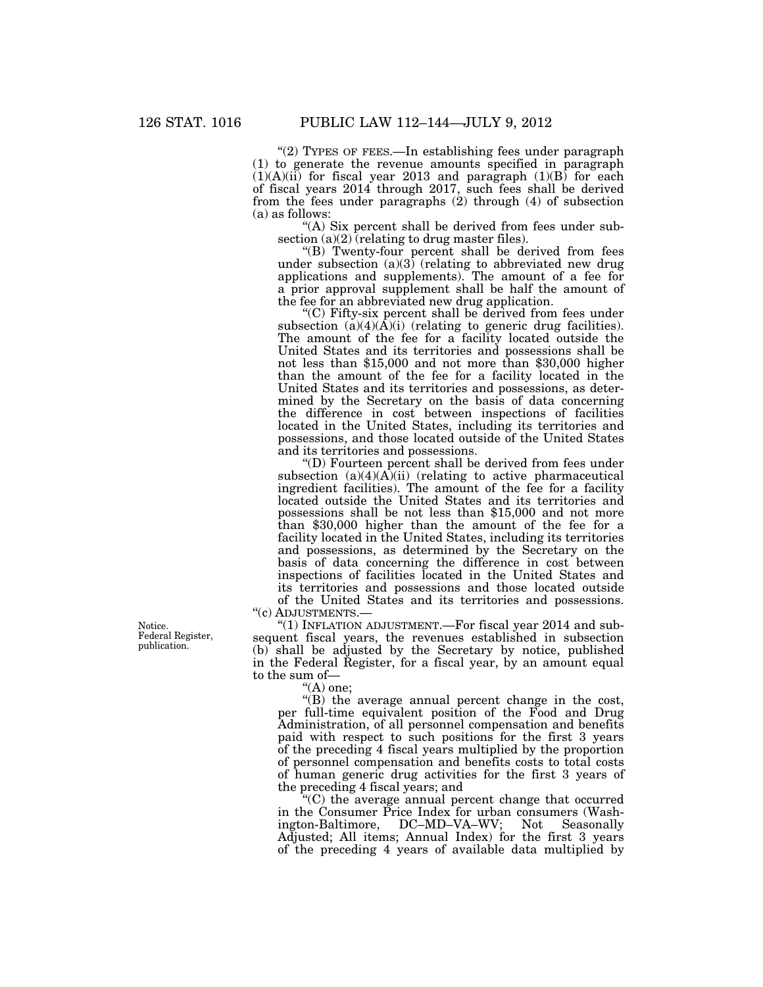"(2) TYPES OF FEES.—In establishing fees under paragraph (1) to generate the revenue amounts specified in paragraph  $(1)(A)(ii)$  for fiscal year 2013 and paragraph  $(1)(B)$  for each of fiscal years 2014 through 2017, such fees shall be derived from the fees under paragraphs (2) through (4) of subsection (a) as follows:

"(A) Six percent shall be derived from fees under subsection  $(a)(2)$  (relating to drug master files).

"(B) Twenty-four percent shall be derived from fees under subsection (a)(3) (relating to abbreviated new drug applications and supplements). The amount of a fee for a prior approval supplement shall be half the amount of the fee for an abbreviated new drug application.

''(C) Fifty-six percent shall be derived from fees under subsection  $(a)(4)(\overline{A})(i)$  (relating to generic drug facilities). The amount of the fee for a facility located outside the United States and its territories and possessions shall be not less than \$15,000 and not more than \$30,000 higher than the amount of the fee for a facility located in the United States and its territories and possessions, as determined by the Secretary on the basis of data concerning the difference in cost between inspections of facilities located in the United States, including its territories and possessions, and those located outside of the United States and its territories and possessions.

''(D) Fourteen percent shall be derived from fees under subsection  $(a)(4)(A)(ii)$  (relating to active pharmaceutical ingredient facilities). The amount of the fee for a facility located outside the United States and its territories and possessions shall be not less than \$15,000 and not more than \$30,000 higher than the amount of the fee for a facility located in the United States, including its territories and possessions, as determined by the Secretary on the basis of data concerning the difference in cost between inspections of facilities located in the United States and its territories and possessions and those located outside of the United States and its territories and possessions. ''(c) ADJUSTMENTS.—

''(1) INFLATION ADJUSTMENT.—For fiscal year 2014 and subsequent fiscal years, the revenues established in subsection (b) shall be adjusted by the Secretary by notice, published in the Federal Register, for a fiscal year, by an amount equal to the sum of—

 $<sup>4</sup>(A)$  one:</sup>

"(B) the average annual percent change in the cost, per full-time equivalent position of the Food and Drug Administration, of all personnel compensation and benefits paid with respect to such positions for the first 3 years of the preceding 4 fiscal years multiplied by the proportion of personnel compensation and benefits costs to total costs of human generic drug activities for the first 3 years of the preceding 4 fiscal years; and

''(C) the average annual percent change that occurred in the Consumer Price Index for urban consumers (Washington-Baltimore, DC–MD–VA–WV; Not Seasonally Adjusted; All items; Annual Index) for the first 3 years of the preceding 4 years of available data multiplied by

Notice. Federal Register, publication.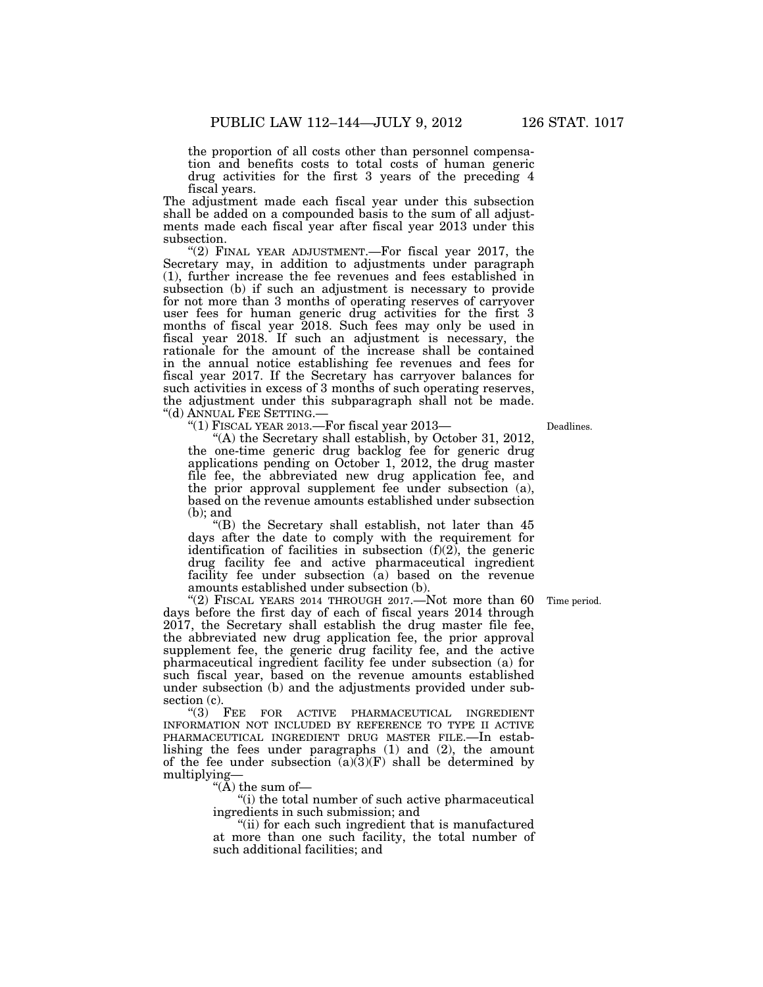the proportion of all costs other than personnel compensation and benefits costs to total costs of human generic drug activities for the first 3 years of the preceding 4 fiscal years.

The adjustment made each fiscal year under this subsection shall be added on a compounded basis to the sum of all adjustments made each fiscal year after fiscal year 2013 under this subsection.

"(2) FINAL YEAR ADJUSTMENT.—For fiscal year 2017, the Secretary may, in addition to adjustments under paragraph (1), further increase the fee revenues and fees established in subsection (b) if such an adjustment is necessary to provide for not more than 3 months of operating reserves of carryover user fees for human generic drug activities for the first 3 months of fiscal year 2018. Such fees may only be used in fiscal year 2018. If such an adjustment is necessary, the rationale for the amount of the increase shall be contained in the annual notice establishing fee revenues and fees for fiscal year 2017. If the Secretary has carryover balances for such activities in excess of 3 months of such operating reserves, the adjustment under this subparagraph shall not be made. ''(d) ANNUAL FEE SETTING.—

"(1) FISCAL YEAR 2013.—For fiscal year 2013-

"(A) the Secretary shall establish, by October 31, 2012, the one-time generic drug backlog fee for generic drug applications pending on October 1, 2012, the drug master file fee, the abbreviated new drug application fee, and the prior approval supplement fee under subsection (a), based on the revenue amounts established under subsection (b); and

''(B) the Secretary shall establish, not later than 45 days after the date to comply with the requirement for identification of facilities in subsection  $(f)(2)$ , the generic drug facility fee and active pharmaceutical ingredient facility fee under subsection (a) based on the revenue amounts established under subsection (b).

"(2) FISCAL YEARS 2014 THROUGH 2017.—Not more than  $60$ days before the first day of each of fiscal years 2014 through 2017, the Secretary shall establish the drug master file fee, the abbreviated new drug application fee, the prior approval supplement fee, the generic drug facility fee, and the active pharmaceutical ingredient facility fee under subsection (a) for such fiscal year, based on the revenue amounts established under subsection (b) and the adjustments provided under subsection  $(c)$ .

''(3) FEE FOR ACTIVE PHARMACEUTICAL INGREDIENT INFORMATION NOT INCLUDED BY REFERENCE TO TYPE II ACTIVE PHARMACEUTICAL INGREDIENT DRUG MASTER FILE.—In establishing the fees under paragraphs (1) and (2), the amount of the fee under subsection  $(a)(3)(F)$  shall be determined by multiplying—

"( $\bar{A}$ ) the sum of-

''(i) the total number of such active pharmaceutical ingredients in such submission; and

''(ii) for each such ingredient that is manufactured at more than one such facility, the total number of such additional facilities; and

Time period.

Deadlines.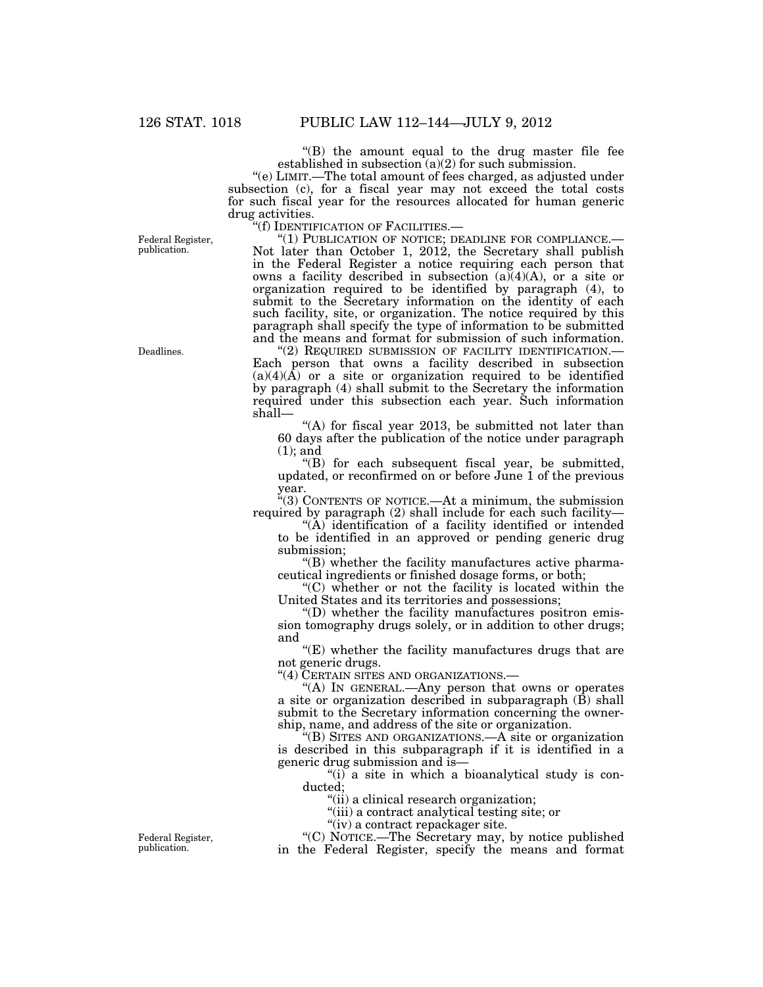''(B) the amount equal to the drug master file fee established in subsection  $(a)(2)$  for such submission.

''(e) LIMIT.—The total amount of fees charged, as adjusted under subsection (c), for a fiscal year may not exceed the total costs for such fiscal year for the resources allocated for human generic drug activities.<br>"(f) IDENTIFICATION OF FACILITIES.—

Federal Register, publication.

"(1) PUBLICATION OF NOTICE; DEADLINE FOR COMPLIANCE.— Not later than October 1, 2012, the Secretary shall publish in the Federal Register a notice requiring each person that owns a facility described in subsection (a)(4)(A), or a site or organization required to be identified by paragraph (4), to submit to the Secretary information on the identity of each such facility, site, or organization. The notice required by this paragraph shall specify the type of information to be submitted and the means and format for submission of such information. "(2) REQUIRED SUBMISSION OF FACILITY IDENTIFICATION.-

Each person that owns a facility described in subsection  $(a)(4)(\hat{A})$  or a site or organization required to be identified by paragraph (4) shall submit to the Secretary the information required under this subsection each year. Such information shall—

"(A) for fiscal year 2013, be submitted not later than 60 days after the publication of the notice under paragraph (1); and

''(B) for each subsequent fiscal year, be submitted, updated, or reconfirmed on or before June 1 of the previous year.

''(3) CONTENTS OF NOTICE.—At a minimum, the submission required by paragraph (2) shall include for each such facility—

"(A) identification of a facility identified or intended to be identified in an approved or pending generic drug submission;

''(B) whether the facility manufactures active pharmaceutical ingredients or finished dosage forms, or both;

''(C) whether or not the facility is located within the United States and its territories and possessions;

''(D) whether the facility manufactures positron emission tomography drugs solely, or in addition to other drugs; and

"(E) whether the facility manufactures drugs that are not generic drugs.

"(4) CERTAIN SITES AND ORGANIZATIONS.

"(A) IN GENERAL.—Any person that owns or operates a site or organization described in subparagraph  $(\bar{B})$  shall submit to the Secretary information concerning the ownership, name, and address of the site or organization.

''(B) SITES AND ORGANIZATIONS.—A site or organization is described in this subparagraph if it is identified in a generic drug submission and is—

"(i) a site in which a bioanalytical study is conducted;

''(ii) a clinical research organization;

''(iii) a contract analytical testing site; or

"(iv) a contract repackager site.

''(C) NOTICE.—The Secretary may, by notice published in the Federal Register, specify the means and format

Deadlines.

Federal Register, publication.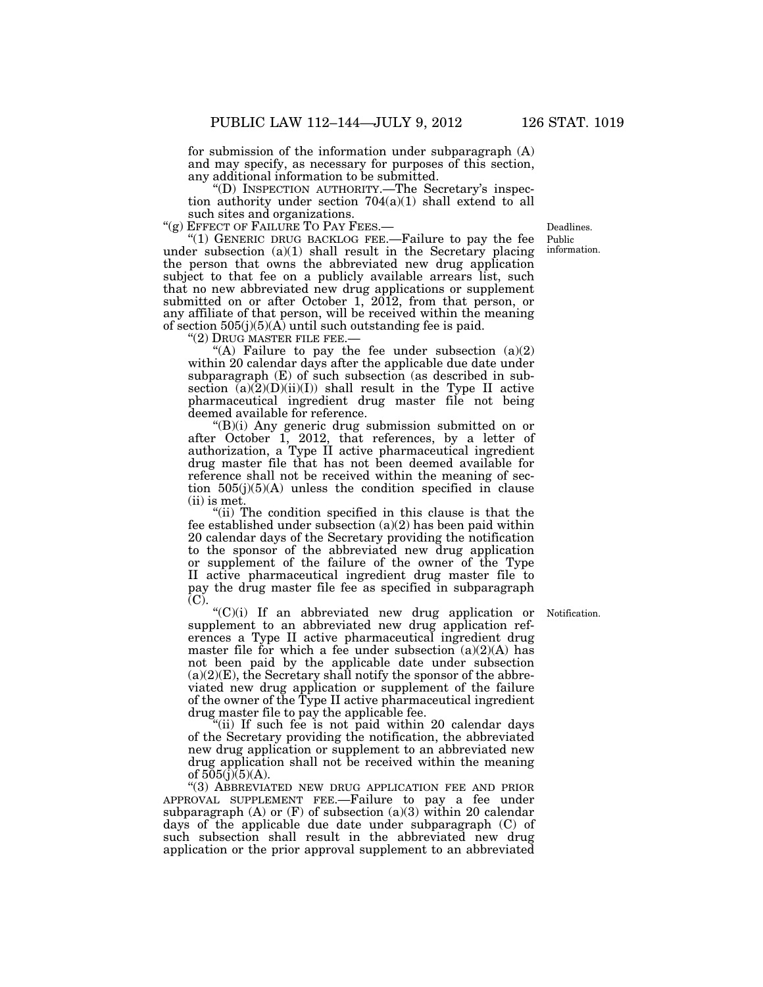for submission of the information under subparagraph (A) and may specify, as necessary for purposes of this section, any additional information to be submitted.

''(D) INSPECTION AUTHORITY.—The Secretary's inspection authority under section 704(a)(1) shall extend to all such sites and organizations.<br>"(g) EFFECT OF FAILURE TO PAY FEES.—

"(1) GENERIC DRUG BACKLOG FEE.—Failure to pay the fee under subsection  $(a)(1)$  shall result in the Secretary placing the person that owns the abbreviated new drug application subject to that fee on a publicly available arrears list, such that no new abbreviated new drug applications or supplement submitted on or after October 1,  $2012$ , from that person, or any affiliate of that person, will be received within the meaning of section  $505(j)(5)(A)$  until such outstanding fee is paid.<br>"(2) DRUG MASTER FILE FEE.—

"(A) Failure to pay the fee under subsection  $(a)(2)$ within 20 calendar days after the applicable due date under subparagraph (E) of such subsection (as described in subsection  $\tilde{a}(2)(D)(ii)(I))$  shall result in the Type II active pharmaceutical ingredient drug master file not being deemed available for reference.

''(B)(i) Any generic drug submission submitted on or after October 1, 2012, that references, by a letter of authorization, a Type II active pharmaceutical ingredient drug master file that has not been deemed available for reference shall not be received within the meaning of section 505(j)(5)(A) unless the condition specified in clause (ii) is met.

"(ii) The condition specified in this clause is that the fee established under subsection  $(a)(2)$  has been paid within 20 calendar days of the Secretary providing the notification to the sponsor of the abbreviated new drug application or supplement of the failure of the owner of the Type II active pharmaceutical ingredient drug master file to pay the drug master file fee as specified in subparagraph (C).

''(C)(i) If an abbreviated new drug application or supplement to an abbreviated new drug application references a Type II active pharmaceutical ingredient drug master file for which a fee under subsection  $(a)(2)(A)$  has not been paid by the applicable date under subsection  $(a)(2)(E)$ , the Secretary shall notify the sponsor of the abbreviated new drug application or supplement of the failure of the owner of the Type II active pharmaceutical ingredient drug master file to pay the applicable fee.

"(ii) If such fee is not paid within 20 calendar days of the Secretary providing the notification, the abbreviated new drug application or supplement to an abbreviated new drug application shall not be received within the meaning of  $505(j)(5)(A)$ .

''(3) ABBREVIATED NEW DRUG APPLICATION FEE AND PRIOR APPROVAL SUPPLEMENT FEE.—Failure to pay a fee under subparagraph (A) or  $(F)$  of subsection (a)(3) within 20 calendar days of the applicable due date under subparagraph (C) of such subsection shall result in the abbreviated new drug application or the prior approval supplement to an abbreviated

Notification.

Public information. Deadlines.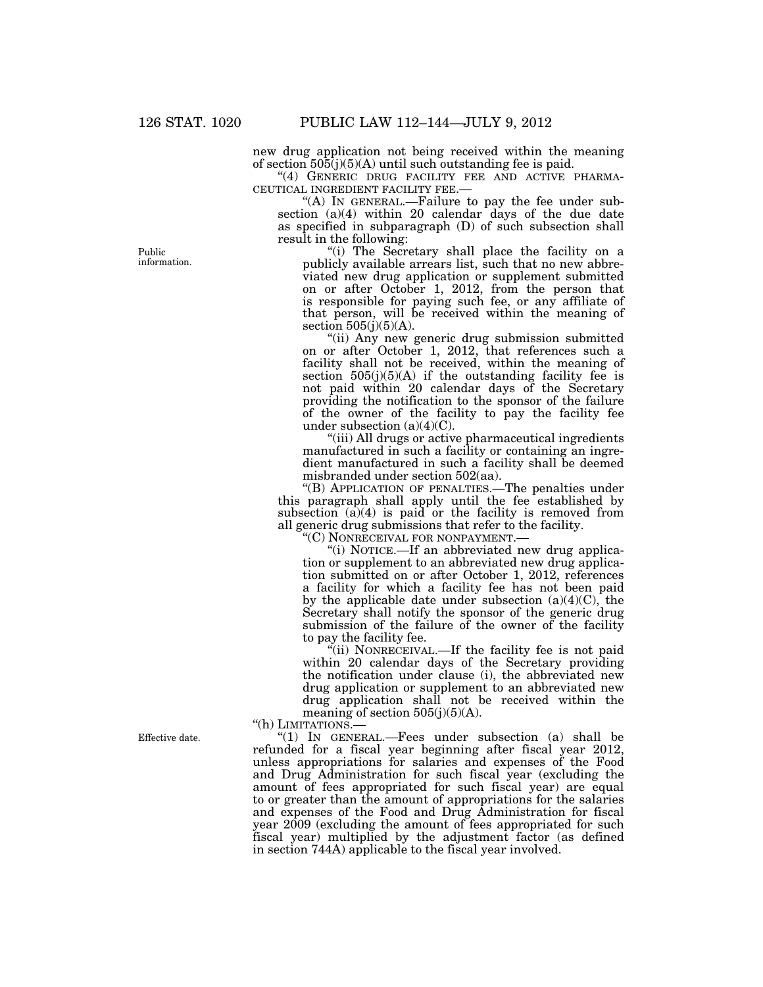new drug application not being received within the meaning of section  $505(j)(5)(A)$  until such outstanding fee is paid.

"(4) GENERIC DRUG FACILITY FEE AND ACTIVE PHARMA-CEUTICAL INGREDIENT FACILITY FEE.— ''(A) IN GENERAL.—Failure to pay the fee under sub-

section (a)(4) within 20 calendar days of the due date as specified in subparagraph (D) of such subsection shall result in the following:

"(i) The Secretary shall place the facility on a publicly available arrears list, such that no new abbreviated new drug application or supplement submitted on or after October 1, 2012, from the person that is responsible for paying such fee, or any affiliate of that person, will be received within the meaning of section  $505(i)(5)(A)$ .

"(ii) Any new generic drug submission submitted on or after October 1, 2012, that references such a facility shall not be received, within the meaning of section  $505(j)(5)(A)$  if the outstanding facility fee is not paid within 20 calendar days of the Secretary providing the notification to the sponsor of the failure of the owner of the facility to pay the facility fee under subsection (a)(4)(C).

''(iii) All drugs or active pharmaceutical ingredients manufactured in such a facility or containing an ingredient manufactured in such a facility shall be deemed misbranded under section 502(aa).

''(B) APPLICATION OF PENALTIES.—The penalties under this paragraph shall apply until the fee established by subsection  $(a)(4)$  is paid or the facility is removed from all generic drug submissions that refer to the facility.

''(C) NONRECEIVAL FOR NONPAYMENT.—

''(i) NOTICE.—If an abbreviated new drug application or supplement to an abbreviated new drug application submitted on or after October 1, 2012, references a facility for which a facility fee has not been paid by the applicable date under subsection  $(a)(4)(C)$ , the Secretary shall notify the sponsor of the generic drug submission of the failure of the owner of the facility to pay the facility fee.

"(ii) NONRECEIVAL.—If the facility fee is not paid within 20 calendar days of the Secretary providing the notification under clause (i), the abbreviated new drug application or supplement to an abbreviated new drug application shall not be received within the meaning of section  $505(j)(5)(A)$ .

''(h) LIMITATIONS.—

''(1) IN GENERAL.—Fees under subsection (a) shall be refunded for a fiscal year beginning after fiscal year 2012, unless appropriations for salaries and expenses of the Food and Drug Administration for such fiscal year (excluding the amount of fees appropriated for such fiscal year) are equal to or greater than the amount of appropriations for the salaries and expenses of the Food and Drug Administration for fiscal year 2009 (excluding the amount of fees appropriated for such fiscal year) multiplied by the adjustment factor (as defined in section 744A) applicable to the fiscal year involved.

Public information.

Effective date.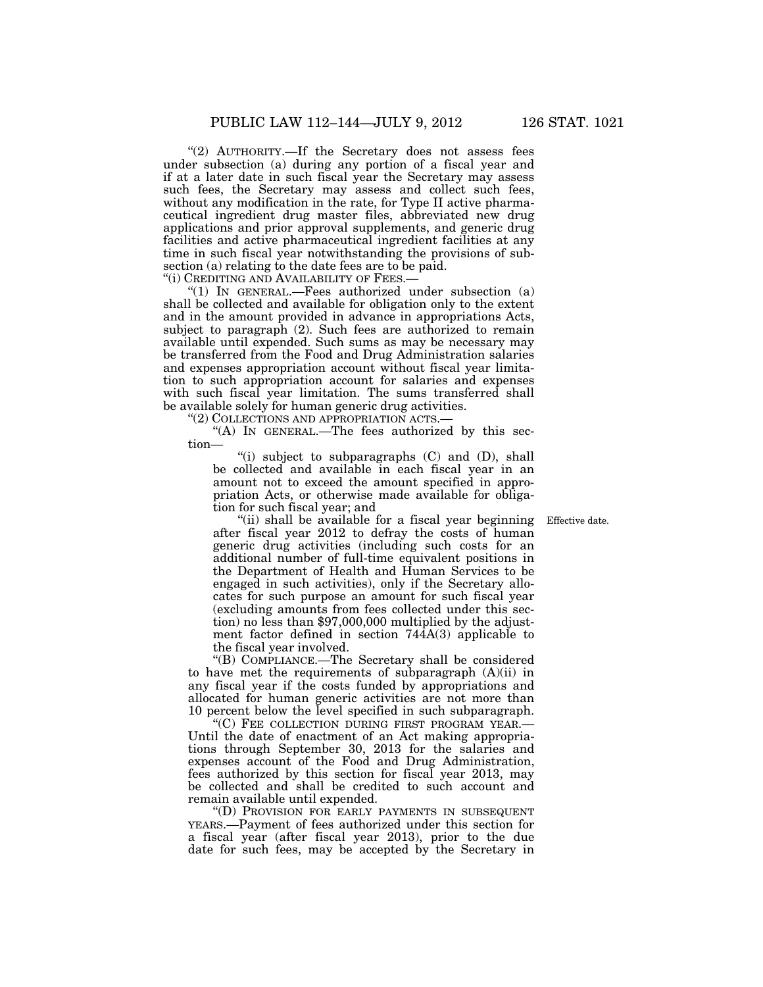"(2) AUTHORITY.—If the Secretary does not assess fees under subsection (a) during any portion of a fiscal year and if at a later date in such fiscal year the Secretary may assess such fees, the Secretary may assess and collect such fees, without any modification in the rate, for Type II active pharmaceutical ingredient drug master files, abbreviated new drug applications and prior approval supplements, and generic drug facilities and active pharmaceutical ingredient facilities at any time in such fiscal year notwithstanding the provisions of subsection (a) relating to the date fees are to be paid.

"(i) CREDITING AND AVAILABILITY OF FEES.-

" $(1)$  IN GENERAL.—Fees authorized under subsection  $(a)$ shall be collected and available for obligation only to the extent and in the amount provided in advance in appropriations Acts, subject to paragraph (2). Such fees are authorized to remain available until expended. Such sums as may be necessary may be transferred from the Food and Drug Administration salaries and expenses appropriation account without fiscal year limitation to such appropriation account for salaries and expenses with such fiscal year limitation. The sums transferred shall be available solely for human generic drug activities.

"(2) COLLECTIONS AND APPROPRIATION ACTS.-

" $(A)$  In GENERAL.—The fees authorized by this section—

"(i) subject to subparagraphs  $(C)$  and  $(D)$ , shall be collected and available in each fiscal year in an amount not to exceed the amount specified in appropriation Acts, or otherwise made available for obligation for such fiscal year; and

Effective date.

''(ii) shall be available for a fiscal year beginning after fiscal year 2012 to defray the costs of human generic drug activities (including such costs for an additional number of full-time equivalent positions in the Department of Health and Human Services to be engaged in such activities), only if the Secretary allocates for such purpose an amount for such fiscal year (excluding amounts from fees collected under this section) no less than \$97,000,000 multiplied by the adjustment factor defined in section 744A(3) applicable to the fiscal year involved.

''(B) COMPLIANCE.—The Secretary shall be considered to have met the requirements of subparagraph (A)(ii) in any fiscal year if the costs funded by appropriations and allocated for human generic activities are not more than 10 percent below the level specified in such subparagraph.

''(C) FEE COLLECTION DURING FIRST PROGRAM YEAR.— Until the date of enactment of an Act making appropriations through September 30, 2013 for the salaries and expenses account of the Food and Drug Administration, fees authorized by this section for fiscal year 2013, may be collected and shall be credited to such account and remain available until expended.

''(D) PROVISION FOR EARLY PAYMENTS IN SUBSEQUENT YEARS.—Payment of fees authorized under this section for a fiscal year (after fiscal year 2013), prior to the due date for such fees, may be accepted by the Secretary in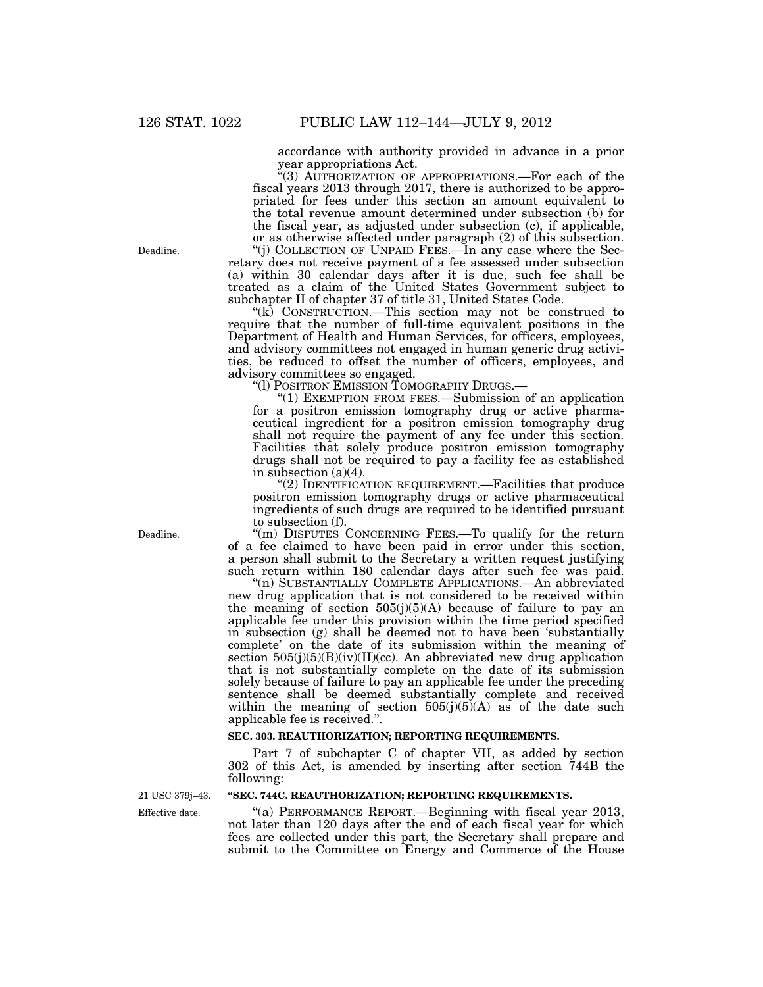accordance with authority provided in advance in a prior year appropriations Act.

''(3) AUTHORIZATION OF APPROPRIATIONS.—For each of the fiscal years 2013 through 2017, there is authorized to be appropriated for fees under this section an amount equivalent to the total revenue amount determined under subsection (b) for the fiscal year, as adjusted under subsection (c), if applicable, or as otherwise affected under paragraph (2) of this subsection.

''(j) COLLECTION OF UNPAID FEES.—In any case where the Secretary does not receive payment of a fee assessed under subsection (a) within 30 calendar days after it is due, such fee shall be treated as a claim of the United States Government subject to subchapter II of chapter 37 of title 31, United States Code.

''(k) CONSTRUCTION.—This section may not be construed to require that the number of full-time equivalent positions in the Department of Health and Human Services, for officers, employees, and advisory committees not engaged in human generic drug activities, be reduced to offset the number of officers, employees, and advisory committees so engaged.

" $(1)$  EXEMPTION FROM FEES.—Submission of an application for a positron emission tomography drug or active pharmaceutical ingredient for a positron emission tomography drug shall not require the payment of any fee under this section. Facilities that solely produce positron emission tomography drugs shall not be required to pay a facility fee as established in subsection (a)(4).

"(2) IDENTIFICATION REQUIREMENT.—Facilities that produce positron emission tomography drugs or active pharmaceutical ingredients of such drugs are required to be identified pursuant to subsection (f).

"(m) DISPUTES CONCERNING FEES.—To qualify for the return of a fee claimed to have been paid in error under this section, a person shall submit to the Secretary a written request justifying such return within 180 calendar days after such fee was paid.

''(n) SUBSTANTIALLY COMPLETE APPLICATIONS.—An abbreviated new drug application that is not considered to be received within the meaning of section  $505(j)(5)(A)$  because of failure to pay an applicable fee under this provision within the time period specified in subsection (g) shall be deemed not to have been 'substantially complete' on the date of its submission within the meaning of section  $505(j)(5)(B)(iv)(II)(cc)$ . An abbreviated new drug application that is not substantially complete on the date of its submission solely because of failure to pay an applicable fee under the preceding sentence shall be deemed substantially complete and received within the meaning of section  $505(j)(5)(A)$  as of the date such applicable fee is received.''.

## **SEC. 303. REAUTHORIZATION; REPORTING REQUIREMENTS.**

Part 7 of subchapter C of chapter VII, as added by section 302 of this Act, is amended by inserting after section 744B the following:

Effective date. 21 USC 379j–43.

# **''SEC. 744C. REAUTHORIZATION; REPORTING REQUIREMENTS.**

''(a) PERFORMANCE REPORT.—Beginning with fiscal year 2013, not later than 120 days after the end of each fiscal year for which fees are collected under this part, the Secretary shall prepare and submit to the Committee on Energy and Commerce of the House

Deadline.

Deadline.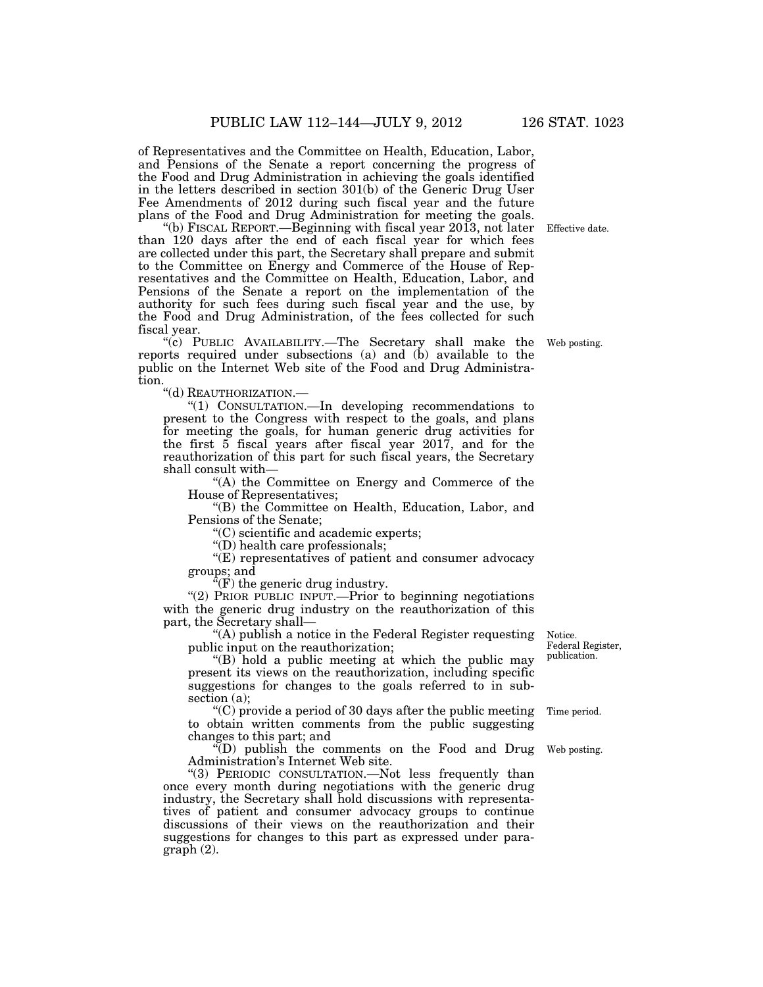of Representatives and the Committee on Health, Education, Labor, and Pensions of the Senate a report concerning the progress of the Food and Drug Administration in achieving the goals identified in the letters described in section 301(b) of the Generic Drug User Fee Amendments of 2012 during such fiscal year and the future plans of the Food and Drug Administration for meeting the goals.

''(b) FISCAL REPORT.—Beginning with fiscal year 2013, not later than 120 days after the end of each fiscal year for which fees are collected under this part, the Secretary shall prepare and submit to the Committee on Energy and Commerce of the House of Representatives and the Committee on Health, Education, Labor, and Pensions of the Senate a report on the implementation of the authority for such fees during such fiscal year and the use, by the Food and Drug Administration, of the fees collected for such fiscal year.

''(c) PUBLIC AVAILABILITY.—The Secretary shall make the reports required under subsections (a) and (b) available to the public on the Internet Web site of the Food and Drug Administration.

''(d) REAUTHORIZATION.—

''(1) CONSULTATION.—In developing recommendations to present to the Congress with respect to the goals, and plans for meeting the goals, for human generic drug activities for the first 5 fiscal years after fiscal year 2017, and for the reauthorization of this part for such fiscal years, the Secretary shall consult with—

''(A) the Committee on Energy and Commerce of the House of Representatives;

''(B) the Committee on Health, Education, Labor, and Pensions of the Senate;

''(C) scientific and academic experts;

''(D) health care professionals;

''(E) representatives of patient and consumer advocacy groups; and

 $\hat{f}(F)$  the generic drug industry.

"(2) PRIOR PUBLIC INPUT.—Prior to beginning negotiations with the generic drug industry on the reauthorization of this part, the Secretary shall—

''(A) publish a notice in the Federal Register requesting public input on the reauthorization;

''(B) hold a public meeting at which the public may present its views on the reauthorization, including specific suggestions for changes to the goals referred to in subsection (a);

''(C) provide a period of 30 days after the public meeting to obtain written comments from the public suggesting changes to this part; and

 $\sqrt[m]{(D)}$  publish the comments on the Food and Drug Administration's Internet Web site.

''(3) PERIODIC CONSULTATION.—Not less frequently than once every month during negotiations with the generic drug industry, the Secretary shall hold discussions with representatives of patient and consumer advocacy groups to continue discussions of their views on the reauthorization and their suggestions for changes to this part as expressed under paragraph (2).

Notice. Federal Register, publication.

Time period.

Web posting.

Web posting.

Effective date.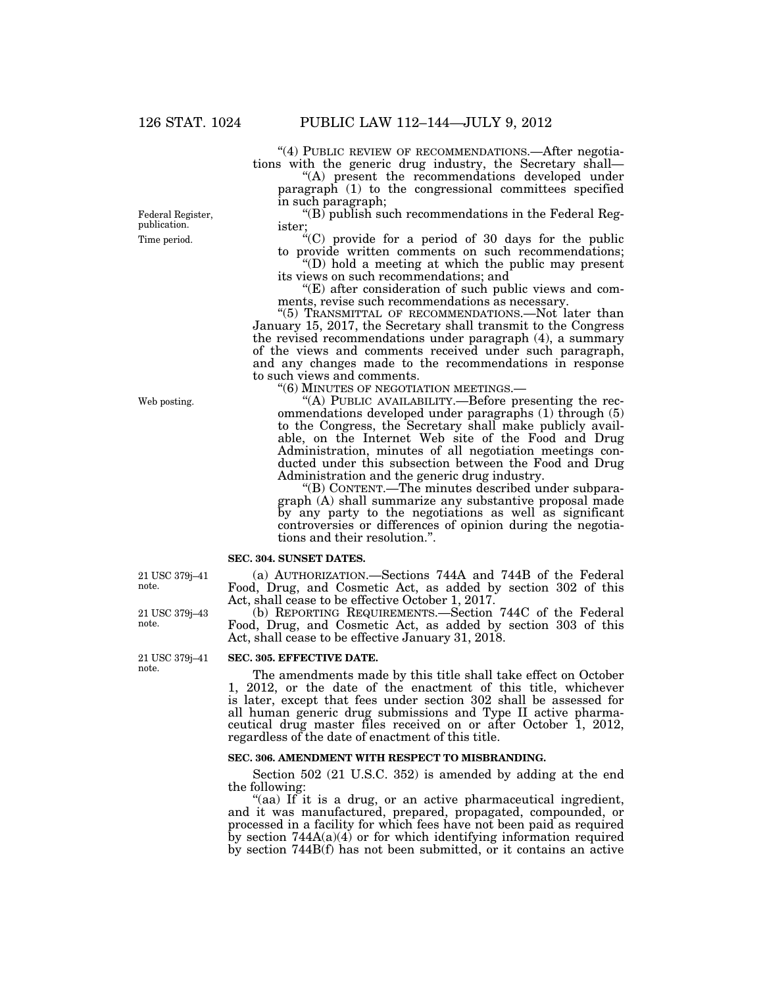"(4) PUBLIC REVIEW OF RECOMMENDATIONS.—After negotiations with the generic drug industry, the Secretary shall—

"(A) present the recommendations developed under paragraph (1) to the congressional committees specified in such paragraph;

" $(B)$  publish such recommendations in the Federal Register;

 $C^4(C)$  provide for a period of 30 days for the public to provide written comments on such recommendations;

''(D) hold a meeting at which the public may present its views on such recommendations; and

''(E) after consideration of such public views and comments, revise such recommendations as necessary.

"(5) TRANSMITTAL OF RECOMMENDATIONS.—Not later than January 15, 2017, the Secretary shall transmit to the Congress the revised recommendations under paragraph (4), a summary of the views and comments received under such paragraph, and any changes made to the recommendations in response to such views and comments.

''(6) MINUTES OF NEGOTIATION MEETINGS.—

''(A) PUBLIC AVAILABILITY.—Before presenting the recommendations developed under paragraphs (1) through (5) to the Congress, the Secretary shall make publicly available, on the Internet Web site of the Food and Drug Administration, minutes of all negotiation meetings conducted under this subsection between the Food and Drug Administration and the generic drug industry.

''(B) CONTENT.—The minutes described under subparagraph (A) shall summarize any substantive proposal made by any party to the negotiations as well as significant controversies or differences of opinion during the negotiations and their resolution.''.

#### **SEC. 304. SUNSET DATES.**

(a) AUTHORIZATION.—Sections 744A and 744B of the Federal Food, Drug, and Cosmetic Act, as added by section 302 of this Act, shall cease to be effective October 1, 2017.

(b) REPORTING REQUIREMENTS.—Section 744C of the Federal Food, Drug, and Cosmetic Act, as added by section 303 of this Act, shall cease to be effective January 31, 2018.

## **SEC. 305. EFFECTIVE DATE.**

The amendments made by this title shall take effect on October 1, 2012, or the date of the enactment of this title, whichever is later, except that fees under section 302 shall be assessed for all human generic drug submissions and Type II active pharmaceutical drug master files received on or after October 1, 2012, regardless of the date of enactment of this title.

### **SEC. 306. AMENDMENT WITH RESPECT TO MISBRANDING.**

Section 502 (21 U.S.C. 352) is amended by adding at the end the following:

"(aa) If it is a drug, or an active pharmaceutical ingredient, and it was manufactured, prepared, propagated, compounded, or processed in a facility for which fees have not been paid as required by section  $744A(a)(4)$  or for which identifying information required by section 744B(f) has not been submitted, or it contains an active

Time period.

Federal Register, publication.

Web posting.

21 USC 379j–41 note.

21 USC 379j–43 note.

21 USC 379j–41 note.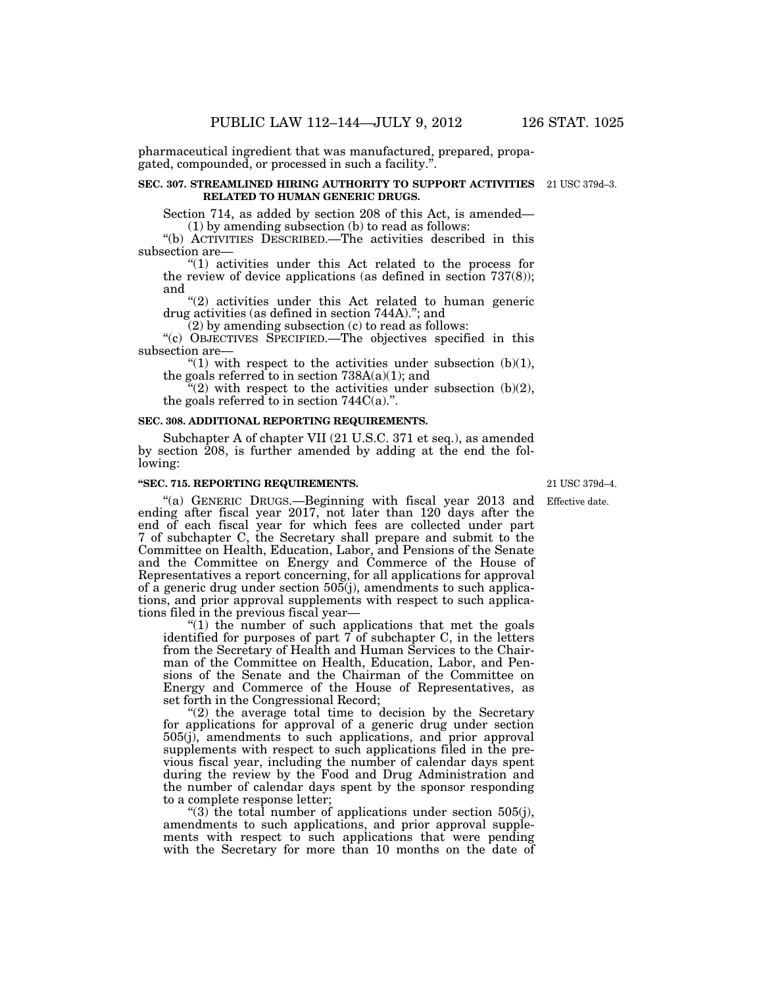pharmaceutical ingredient that was manufactured, prepared, propagated, compounded, or processed in such a facility.''.

#### **SEC. 307. STREAMLINED HIRING AUTHORITY TO SUPPORT ACTIVITIES**  21 USC 379d–3. **RELATED TO HUMAN GENERIC DRUGS.**

Section 714, as added by section 208 of this Act, is amended— (1) by amending subsection (b) to read as follows:

''(b) ACTIVITIES DESCRIBED.—The activities described in this subsection are—

''(1) activities under this Act related to the process for the review of device applications (as defined in section 737(8)); and

"(2) activities under this Act related to human generic drug activities (as defined in section 744A).''; and

 $(2)$  by amending subsection  $(c)$  to read as follows:

''(c) OBJECTIVES SPECIFIED.—The objectives specified in this subsection are—

"(1) with respect to the activities under subsection  $(b)(1)$ , the goals referred to in section  $738A(a)(1)$ ; and

 $(2)$  with respect to the activities under subsection (b)(2), the goals referred to in section  $744C(a)$ .".

#### **SEC. 308. ADDITIONAL REPORTING REQUIREMENTS.**

Subchapter A of chapter VII (21 U.S.C. 371 et seq.), as amended by section 208, is further amended by adding at the end the following:

#### **''SEC. 715. REPORTING REQUIREMENTS.**

''(a) GENERIC DRUGS.—Beginning with fiscal year 2013 and ending after fiscal year 2017, not later than 120 days after the end of each fiscal year for which fees are collected under part 7 of subchapter C, the Secretary shall prepare and submit to the Committee on Health, Education, Labor, and Pensions of the Senate and the Committee on Energy and Commerce of the House of Representatives a report concerning, for all applications for approval of a generic drug under section  $505(j)$ , amendments to such applications, and prior approval supplements with respect to such applications filed in the previous fiscal year—

" $(1)$  the number of such applications that met the goals identified for purposes of part 7 of subchapter C, in the letters from the Secretary of Health and Human Services to the Chairman of the Committee on Health, Education, Labor, and Pensions of the Senate and the Chairman of the Committee on Energy and Commerce of the House of Representatives, as set forth in the Congressional Record;

" $(2)$  the average total time to decision by the Secretary for applications for approval of a generic drug under section 505(j), amendments to such applications, and prior approval supplements with respect to such applications filed in the previous fiscal year, including the number of calendar days spent during the review by the Food and Drug Administration and the number of calendar days spent by the sponsor responding to a complete response letter;

"(3) the total number of applications under section  $505(i)$ , amendments to such applications, and prior approval supplements with respect to such applications that were pending with the Secretary for more than 10 months on the date of

21 USC 379d–4.

Effective date.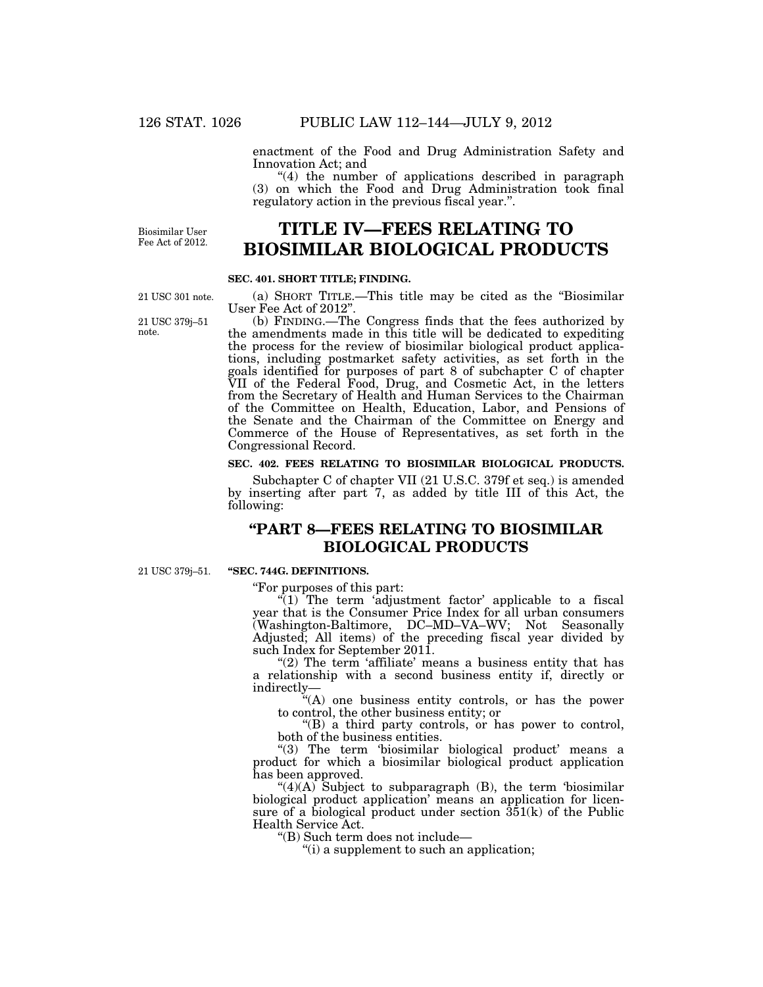enactment of the Food and Drug Administration Safety and Innovation Act; and

''(4) the number of applications described in paragraph (3) on which the Food and Drug Administration took final regulatory action in the previous fiscal year.''.

Biosimilar User Fee Act of 2012.

# **TITLE IV—FEES RELATING TO BIOSIMILAR BIOLOGICAL PRODUCTS**

## **SEC. 401. SHORT TITLE; FINDING.**

(a) SHORT TITLE.—This title may be cited as the ''Biosimilar User Fee Act of 2012''.

(b) FINDING.—The Congress finds that the fees authorized by the amendments made in this title will be dedicated to expediting the process for the review of biosimilar biological product applications, including postmarket safety activities, as set forth in the goals identified for purposes of part 8 of subchapter C of chapter VII of the Federal Food, Drug, and Cosmetic Act, in the letters from the Secretary of Health and Human Services to the Chairman of the Committee on Health, Education, Labor, and Pensions of the Senate and the Chairman of the Committee on Energy and Commerce of the House of Representatives, as set forth in the Congressional Record.

## **SEC. 402. FEES RELATING TO BIOSIMILAR BIOLOGICAL PRODUCTS.**

Subchapter C of chapter VII (21 U.S.C. 379f et seq.) is amended by inserting after part 7, as added by title III of this Act, the following:

# **''PART 8—FEES RELATING TO BIOSIMILAR BIOLOGICAL PRODUCTS**

21 USC 379j–51.

# **''SEC. 744G. DEFINITIONS.**

''For purposes of this part:

 $\sqrt{\ }$ (1) The term 'adjustment factor' applicable to a fiscal year that is the Consumer Price Index for all urban consumers (Washington-Baltimore, DC–MD–VA–WV; Not Seasonally Adjusted; All items) of the preceding fiscal year divided by such Index for September 2011.

" $(2)$  The term 'affiliate' means a business entity that has a relationship with a second business entity if, directly or indirectly—

''(A) one business entity controls, or has the power to control, the other business entity; or

''(B) a third party controls, or has power to control, both of the business entities.

"(3) The term 'biosimilar biological product' means a product for which a biosimilar biological product application has been approved.

" $(4)(A)$  Subject to subparagraph  $(B)$ , the term 'biosimilar' biological product application' means an application for licensure of a biological product under section  $351(k)$  of the Public Health Service Act.

''(B) Such term does not include—

''(i) a supplement to such an application;

21 USC 301 note.

21 USC 379j–51 note.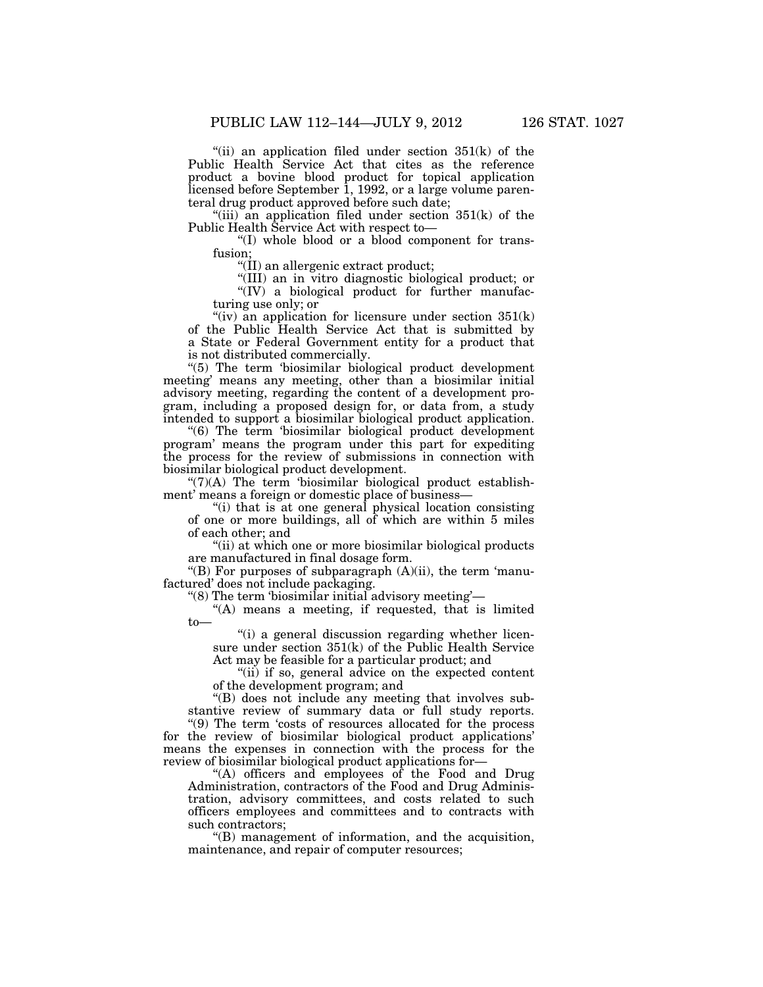"(ii) an application filed under section  $351(k)$  of the Public Health Service Act that cites as the reference product a bovine blood product for topical application licensed before September 1, 1992, or a large volume parenteral drug product approved before such date;

"(iii) an application filed under section  $351(k)$  of the Public Health Service Act with respect to-

''(I) whole blood or a blood component for transfusion;

''(II) an allergenic extract product;

''(III) an in vitro diagnostic biological product; or ''(IV) a biological product for further manufacturing use only; or

"(iv) an application for licensure under section  $351(k)$ of the Public Health Service Act that is submitted by a State or Federal Government entity for a product that is not distributed commercially.

''(5) The term 'biosimilar biological product development meeting' means any meeting, other than a biosimilar initial advisory meeting, regarding the content of a development program, including a proposed design for, or data from, a study intended to support a biosimilar biological product application.

''(6) The term 'biosimilar biological product development program' means the program under this part for expediting the process for the review of submissions in connection with biosimilar biological product development.

 $\degree$ (7)(A) The term 'biosimilar biological product establishment' means a foreign or domestic place of business—

''(i) that is at one general physical location consisting of one or more buildings, all of which are within 5 miles of each other; and

''(ii) at which one or more biosimilar biological products are manufactured in final dosage form.

"(B) For purposes of subparagraph (A)(ii), the term 'manufactured' does not include packaging.

''(8) The term 'biosimilar initial advisory meeting'—

"(A) means a meeting, if requested, that is limited to—

"(i) a general discussion regarding whether licensure under section 351(k) of the Public Health Service Act may be feasible for a particular product; and

"(ii) if so, general advice on the expected content of the development program; and

''(B) does not include any meeting that involves substantive review of summary data or full study reports.

''(9) The term 'costs of resources allocated for the process for the review of biosimilar biological product applications' means the expenses in connection with the process for the review of biosimilar biological product applications for—

"(A) officers and employees of the Food and Drug Administration, contractors of the Food and Drug Administration, advisory committees, and costs related to such officers employees and committees and to contracts with such contractors;

''(B) management of information, and the acquisition, maintenance, and repair of computer resources;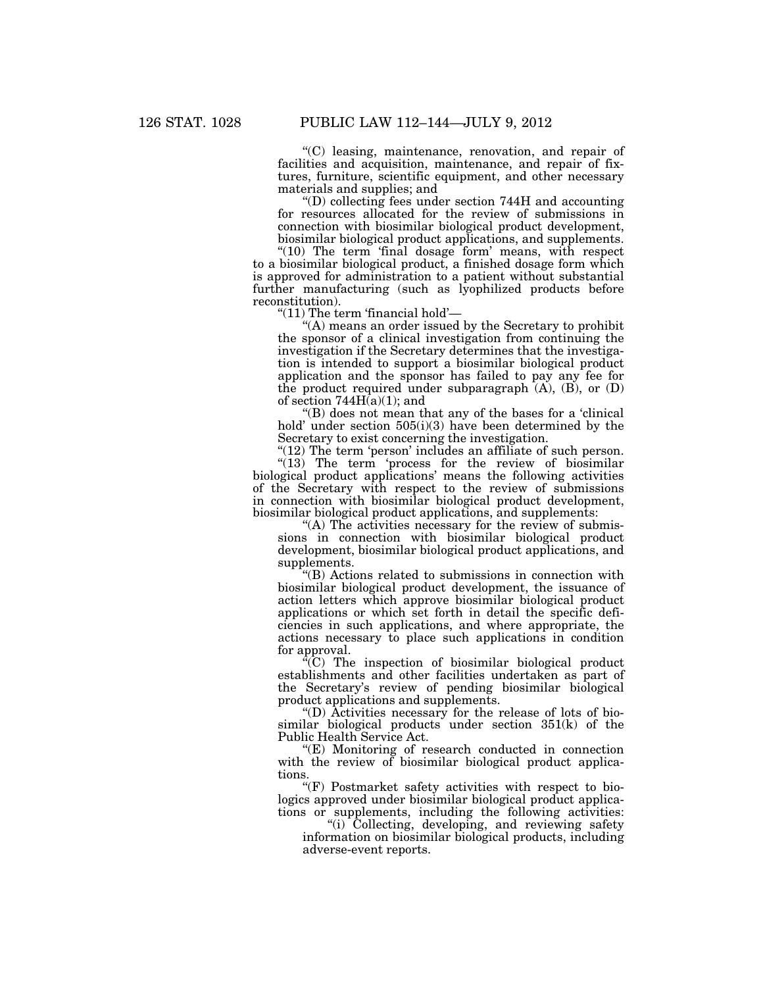''(C) leasing, maintenance, renovation, and repair of facilities and acquisition, maintenance, and repair of fixtures, furniture, scientific equipment, and other necessary materials and supplies; and

''(D) collecting fees under section 744H and accounting for resources allocated for the review of submissions in connection with biosimilar biological product development, biosimilar biological product applications, and supplements.

"(10) The term 'final dosage form' means, with respect to a biosimilar biological product, a finished dosage form which is approved for administration to a patient without substantial further manufacturing (such as lyophilized products before reconstitution).

''(11) The term 'financial hold'—

''(A) means an order issued by the Secretary to prohibit the sponsor of a clinical investigation from continuing the investigation if the Secretary determines that the investigation is intended to support a biosimilar biological product application and the sponsor has failed to pay any fee for the product required under subparagraph  $(A)$ ,  $(B)$ , or  $(D)$ of section  $744H(a)(1)$ ; and

''(B) does not mean that any of the bases for a 'clinical hold' under section 505(i)(3) have been determined by the Secretary to exist concerning the investigation.

"(12) The term 'person' includes an affiliate of such person. "(13) The term 'process for the review of biosimilar biological product applications' means the following activities of the Secretary with respect to the review of submissions in connection with biosimilar biological product development, biosimilar biological product applications, and supplements:

"(A) The activities necessary for the review of submissions in connection with biosimilar biological product development, biosimilar biological product applications, and supplements.

''(B) Actions related to submissions in connection with biosimilar biological product development, the issuance of action letters which approve biosimilar biological product applications or which set forth in detail the specific deficiencies in such applications, and where appropriate, the actions necessary to place such applications in condition for approval.

 $\sqrt[\text{i}]{C}$  The inspection of biosimilar biological product establishments and other facilities undertaken as part of the Secretary's review of pending biosimilar biological product applications and supplements.

''(D) Activities necessary for the release of lots of biosimilar biological products under section 351(k) of the Public Health Service Act.

''(E) Monitoring of research conducted in connection with the review of biosimilar biological product applications.

"(F) Postmarket safety activities with respect to biologics approved under biosimilar biological product applications or supplements, including the following activities:

"(i) Collecting, developing, and reviewing safety information on biosimilar biological products, including adverse-event reports.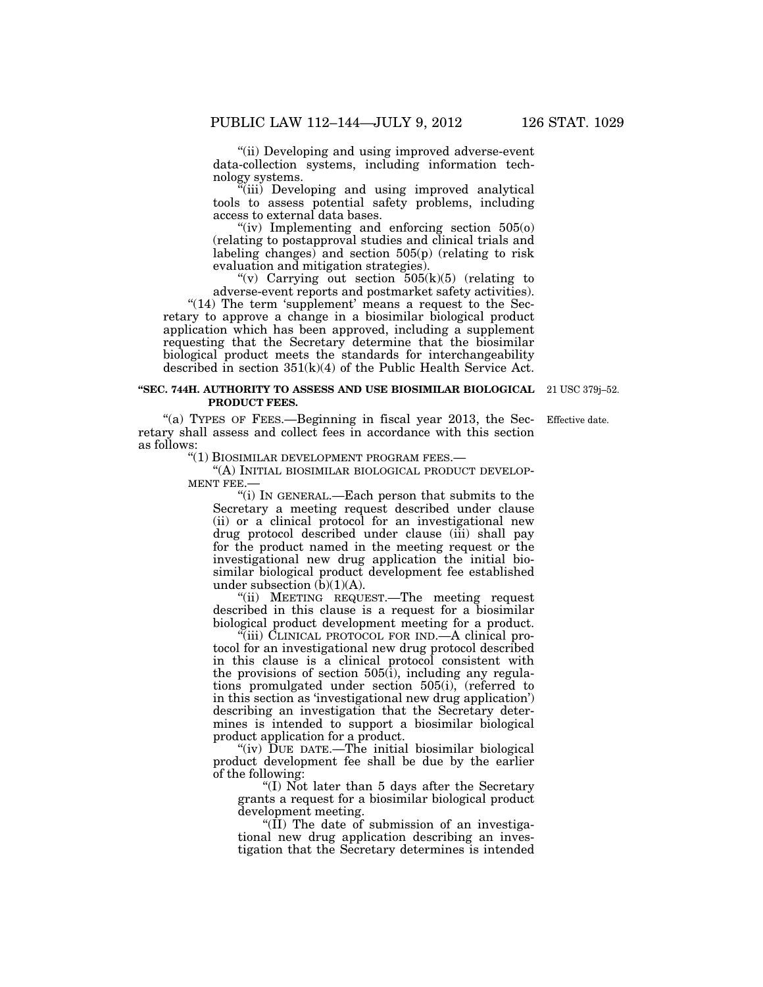"(ii) Developing and using improved adverse-event data-collection systems, including information technology systems.

"(iii) Developing and using improved analytical tools to assess potential safety problems, including access to external data bases.

"(iv) Implementing and enforcing section  $505(0)$ (relating to postapproval studies and clinical trials and labeling changes) and section 505(p) (relating to risk evaluation and mitigation strategies).

"(v) Carrying out section  $505(k)(5)$  (relating to adverse-event reports and postmarket safety activities).

" $(14)$  The term 'supplement' means a request to the Secretary to approve a change in a biosimilar biological product application which has been approved, including a supplement requesting that the Secretary determine that the biosimilar biological product meets the standards for interchangeability described in section 351(k)(4) of the Public Health Service Act.

#### **''SEC. 744H. AUTHORITY TO ASSESS AND USE BIOSIMILAR BIOLOGICAL**  21 USC 379j–52. **PRODUCT FEES.**

"(a) TYPES OF FEES.—Beginning in fiscal year  $2013$ , the Secretary shall assess and collect fees in accordance with this section as follows:

''(1) BIOSIMILAR DEVELOPMENT PROGRAM FEES.—

''(A) INITIAL BIOSIMILAR BIOLOGICAL PRODUCT DEVELOP-MENT FEE.—

''(i) IN GENERAL.—Each person that submits to the Secretary a meeting request described under clause (ii) or a clinical protocol for an investigational new drug protocol described under clause (iii) shall pay for the product named in the meeting request or the investigational new drug application the initial biosimilar biological product development fee established under subsection  $(\bar{b})(1)(A)$ .

"(ii) MEETING REQUEST.—The meeting request described in this clause is a request for a biosimilar biological product development meeting for a product.

''(iii) CLINICAL PROTOCOL FOR IND.—A clinical protocol for an investigational new drug protocol described in this clause is a clinical protocol consistent with the provisions of section  $505(i)$ , including any regulations promulgated under section 505(i), (referred to in this section as 'investigational new drug application') describing an investigation that the Secretary determines is intended to support a biosimilar biological product application for a product.

"(iv) DUE DATE.—The initial biosimilar biological product development fee shall be due by the earlier of the following:

''(I) Not later than 5 days after the Secretary grants a request for a biosimilar biological product development meeting.

" $(\overline{II})$  The date of submission of an investigational new drug application describing an investigation that the Secretary determines is intended

Effective date.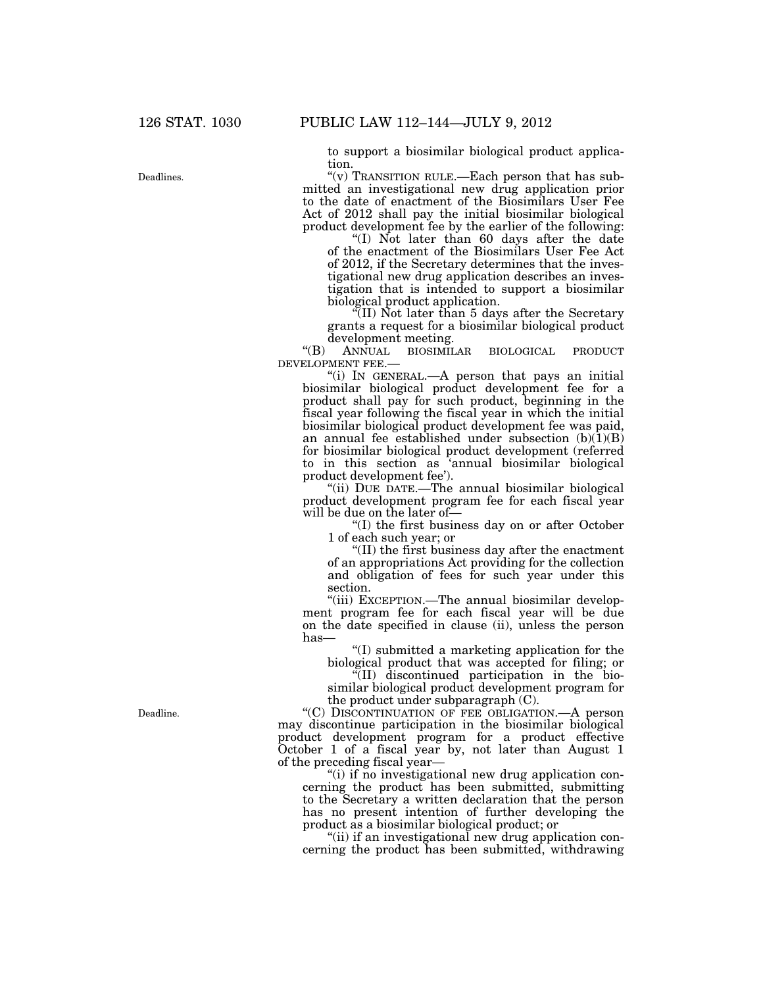to support a biosimilar biological product application.

''(v) TRANSITION RULE.—Each person that has submitted an investigational new drug application prior to the date of enactment of the Biosimilars User Fee Act of 2012 shall pay the initial biosimilar biological product development fee by the earlier of the following:

''(I) Not later than 60 days after the date of the enactment of the Biosimilars User Fee Act of 2012, if the Secretary determines that the investigational new drug application describes an investigation that is intended to support a biosimilar biological product application.

''(II) Not later than 5 days after the Secretary grants a request for a biosimilar biological product development meeting.

''(B) ANNUAL BIOSIMILAR BIOLOGICAL PRODUCT DEVELOPMENT FEE.—

''(i) IN GENERAL.—A person that pays an initial biosimilar biological product development fee for a product shall pay for such product, beginning in the fiscal year following the fiscal year in which the initial biosimilar biological product development fee was paid, an annual fee established under subsection  $(b)(1)(B)$ for biosimilar biological product development (referred to in this section as 'annual biosimilar biological product development fee').

"(ii) DUE DATE.—The annual biosimilar biological product development program fee for each fiscal year will be due on the later of—

''(I) the first business day on or after October 1 of each such year; or

''(II) the first business day after the enactment of an appropriations Act providing for the collection and obligation of fees for such year under this section.

''(iii) EXCEPTION.—The annual biosimilar development program fee for each fiscal year will be due on the date specified in clause (ii), unless the person has—

''(I) submitted a marketing application for the biological product that was accepted for filing; or

''(II) discontinued participation in the biosimilar biological product development program for the product under subparagraph (C).

''(C) DISCONTINUATION OF FEE OBLIGATION.—A person may discontinue participation in the biosimilar biological product development program for a product effective October 1 of a fiscal year by, not later than August 1 of the preceding fiscal year—

"(i) if no investigational new drug application concerning the product has been submitted, submitting to the Secretary a written declaration that the person has no present intention of further developing the product as a biosimilar biological product; or

''(ii) if an investigational new drug application concerning the product has been submitted, withdrawing

Deadline.

Deadlines.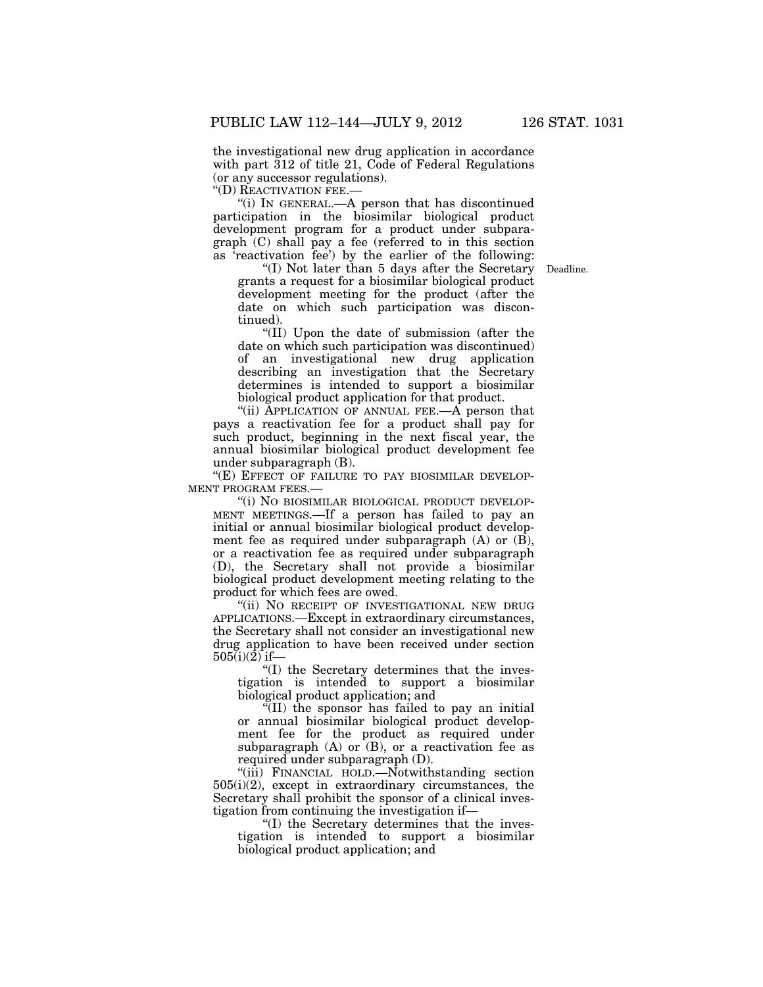the investigational new drug application in accordance with part 312 of title 21, Code of Federal Regulations (or any successor regulations).

''(D) REACTIVATION FEE.—

''(i) IN GENERAL.—A person that has discontinued participation in the biosimilar biological product development program for a product under subparagraph (C) shall pay a fee (referred to in this section as 'reactivation fee') by the earlier of the following:

Deadline.

''(I) Not later than 5 days after the Secretary grants a request for a biosimilar biological product development meeting for the product (after the date on which such participation was discontinued).

''(II) Upon the date of submission (after the date on which such participation was discontinued) of an investigational new drug application describing an investigation that the Secretary determines is intended to support a biosimilar biological product application for that product.

''(ii) APPLICATION OF ANNUAL FEE.—A person that pays a reactivation fee for a product shall pay for such product, beginning in the next fiscal year, the annual biosimilar biological product development fee under subparagraph (B).

"(E) EFFECT OF FAILURE TO PAY BIOSIMILAR DEVELOP-MENT PROGRAM FEES.—

"(i) NO BIOSIMILAR BIOLOGICAL PRODUCT DEVELOP-MENT MEETINGS.—If a person has failed to pay an initial or annual biosimilar biological product development fee as required under subparagraph  $(A)$  or  $(\overline{B})$ , or a reactivation fee as required under subparagraph (D), the Secretary shall not provide a biosimilar biological product development meeting relating to the product for which fees are owed.

"(ii) NO RECEIPT OF INVESTIGATIONAL NEW DRUG APPLICATIONS.—Except in extraordinary circumstances, the Secretary shall not consider an investigational new drug application to have been received under section  $505(i)(2)$  if-

''(I) the Secretary determines that the investigation is intended to support a biosimilar biological product application; and

 $\sqrt{\text{III}}$  the sponsor has failed to pay an initial or annual biosimilar biological product development fee for the product as required under subparagraph  $(A)$  or  $(B)$ , or a reactivation fee as required under subparagraph (D).

''(iii) FINANCIAL HOLD.—Notwithstanding section 505(i)(2), except in extraordinary circumstances, the Secretary shall prohibit the sponsor of a clinical investigation from continuing the investigation if—

''(I) the Secretary determines that the investigation is intended to support a biosimilar biological product application; and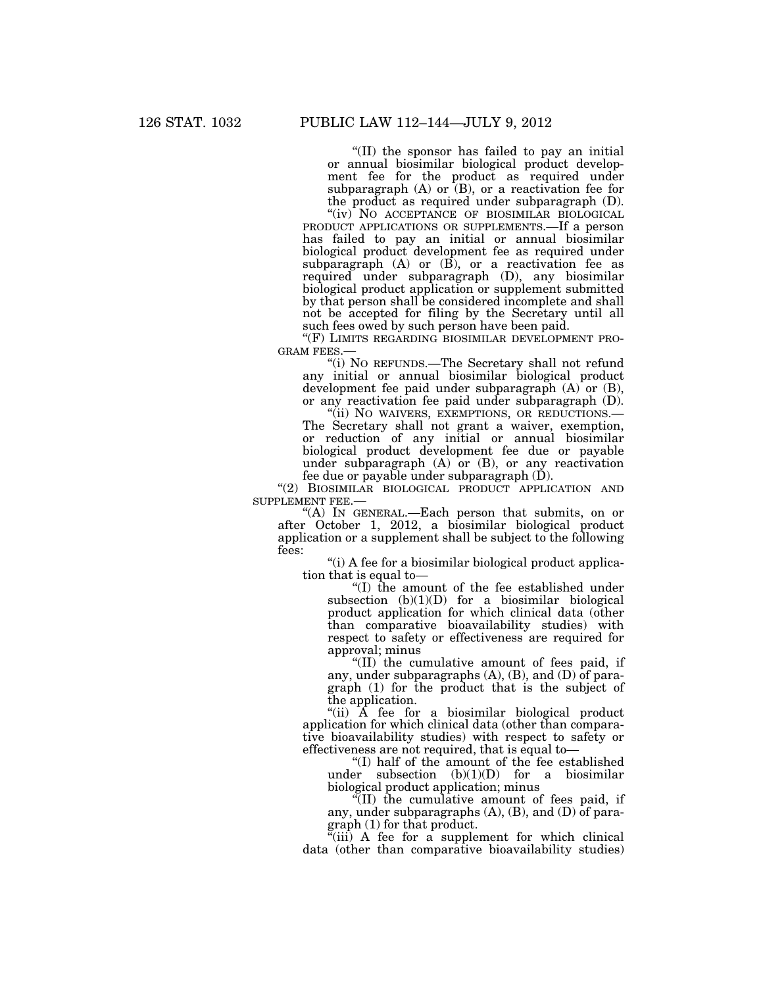''(II) the sponsor has failed to pay an initial or annual biosimilar biological product development fee for the product as required under subparagraph  $(A)$  or  $(B)$ , or a reactivation fee for the product as required under subparagraph (D).

"(iv) NO ACCEPTANCE OF BIOSIMILAR BIOLOGICAL PRODUCT APPLICATIONS OR SUPPLEMENTS.—If a person has failed to pay an initial or annual biosimilar biological product development fee as required under subparagraph  $(A)$  or  $(B)$ , or a reactivation fee as required under subparagraph (D), any biosimilar biological product application or supplement submitted by that person shall be considered incomplete and shall not be accepted for filing by the Secretary until all such fees owed by such person have been paid.

"(F) LIMITS REGARDING BIOSIMILAR DEVELOPMENT PRO-GRAM FEES.—

''(i) NO REFUNDS.—The Secretary shall not refund any initial or annual biosimilar biological product development fee paid under subparagraph (A) or (B), or any reactivation fee paid under subparagraph (D).

''(ii) NO WAIVERS, EXEMPTIONS, OR REDUCTIONS.— The Secretary shall not grant a waiver, exemption, or reduction of any initial or annual biosimilar biological product development fee due or payable under subparagraph  $(A)$  or  $(B)$ , or any reactivation fee due or payable under subparagraph (D).

"(2) BIOSIMILAR BIOLOGICAL PRODUCT APPLICATION AND SUPPLEMENT FEE.—

''(A) IN GENERAL.—Each person that submits, on or after October 1, 2012, a biosimilar biological product application or a supplement shall be subject to the following fees:

''(i) A fee for a biosimilar biological product application that is equal to—

''(I) the amount of the fee established under subsection  $(b)(1)(D)$  for a biosimilar biological product application for which clinical data (other than comparative bioavailability studies) with respect to safety or effectiveness are required for approval; minus

"(II) the cumulative amount of fees paid, if any, under subparagraphs (A), (B), and (D) of paragraph (1) for the product that is the subject of the application.

"(ii) A fee for a biosimilar biological product application for which clinical data (other than comparative bioavailability studies) with respect to safety or effectiveness are not required, that is equal to—

''(I) half of the amount of the fee established under subsection (b)(1)(D) for a biosimilar biological product application; minus

''(II) the cumulative amount of fees paid, if any, under subparagraphs (A), (B), and (D) of para- $\frac{\text{graph}(1)}{\text{for that product}}$ .

 $(iii)$  A fee for a supplement for which clinical data (other than comparative bioavailability studies)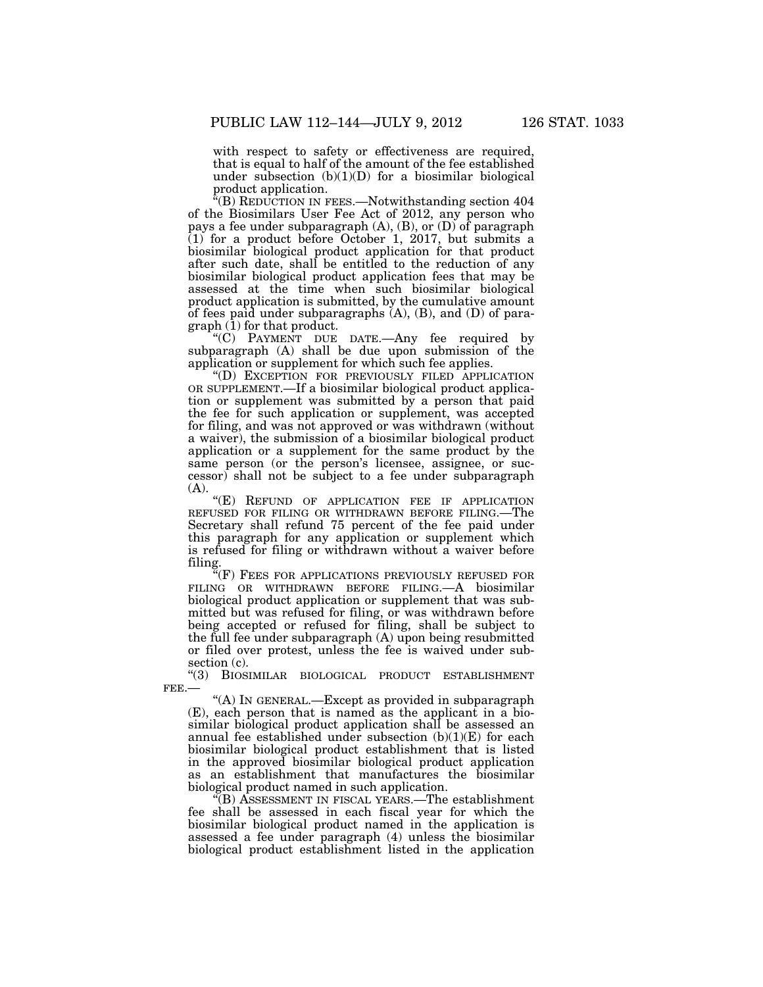with respect to safety or effectiveness are required, that is equal to half of the amount of the fee established under subsection  $(b)(1)(D)$  for a biosimilar biological product application.

''(B) REDUCTION IN FEES.—Notwithstanding section 404 of the Biosimilars User Fee Act of 2012, any person who pays a fee under subparagraph (A), (B), or (D) of paragraph  $(1)$  for a product before October 1, 2017, but submits a biosimilar biological product application for that product after such date, shall be entitled to the reduction of any biosimilar biological product application fees that may be assessed at the time when such biosimilar biological product application is submitted, by the cumulative amount of fees paid under subparagraphs (A), (B), and (D) of paragraph (1) for that product.

''(C) PAYMENT DUE DATE.—Any fee required by subparagraph (A) shall be due upon submission of the application or supplement for which such fee applies.

''(D) EXCEPTION FOR PREVIOUSLY FILED APPLICATION OR SUPPLEMENT.—If a biosimilar biological product application or supplement was submitted by a person that paid the fee for such application or supplement, was accepted for filing, and was not approved or was withdrawn (without a waiver), the submission of a biosimilar biological product application or a supplement for the same product by the same person (or the person's licensee, assignee, or successor) shall not be subject to a fee under subparagraph (A).

"(E) REFUND OF APPLICATION FEE IF APPLICATION REFUSED FOR FILING OR WITHDRAWN BEFORE FILING.—The Secretary shall refund 75 percent of the fee paid under this paragraph for any application or supplement which is refused for filing or withdrawn without a waiver before filing.

"(F) FEES FOR APPLICATIONS PREVIOUSLY REFUSED FOR FILING OR WITHDRAWN BEFORE FILING.—A biosimilar biological product application or supplement that was submitted but was refused for filing, or was withdrawn before being accepted or refused for filing, shall be subject to the full fee under subparagraph (A) upon being resubmitted or filed over protest, unless the fee is waived under subsection  $(c)$ .

''(3) BIOSIMILAR BIOLOGICAL PRODUCT ESTABLISHMENT FEE.—

''(A) IN GENERAL.—Except as provided in subparagraph (E), each person that is named as the applicant in a biosimilar biological product application shall be assessed an annual fee established under subsection  $(b)(1)(E)$  for each biosimilar biological product establishment that is listed in the approved biosimilar biological product application as an establishment that manufactures the biosimilar biological product named in such application.

''(B) ASSESSMENT IN FISCAL YEARS.—The establishment fee shall be assessed in each fiscal year for which the biosimilar biological product named in the application is assessed a fee under paragraph (4) unless the biosimilar biological product establishment listed in the application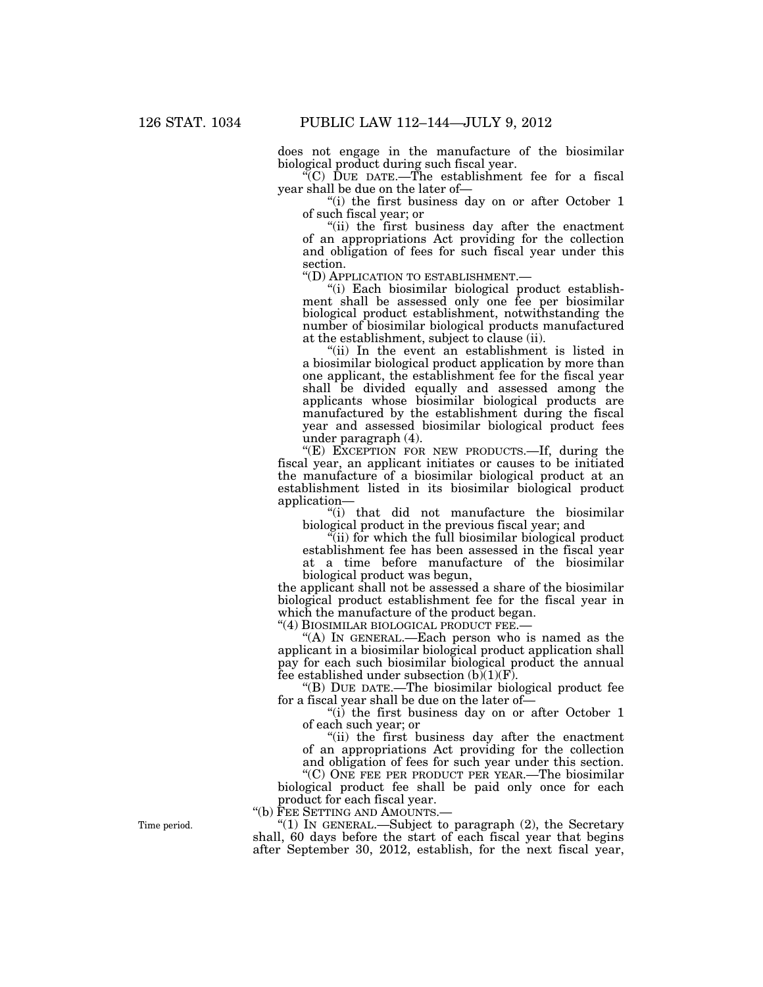does not engage in the manufacture of the biosimilar biological product during such fiscal year.

''(C) DUE DATE.—The establishment fee for a fiscal year shall be due on the later of—

''(i) the first business day on or after October 1 of such fiscal year; or

"(ii) the first business day after the enactment of an appropriations Act providing for the collection and obligation of fees for such fiscal year under this section.<br>"(D) APPLICATION TO ESTABLISHMENT.—

"(i) Each biosimilar biological product establishment shall be assessed only one fee per biosimilar biological product establishment, notwithstanding the number of biosimilar biological products manufactured at the establishment, subject to clause (ii).

''(ii) In the event an establishment is listed in a biosimilar biological product application by more than one applicant, the establishment fee for the fiscal year shall be divided equally and assessed among the applicants whose biosimilar biological products are manufactured by the establishment during the fiscal year and assessed biosimilar biological product fees under paragraph (4).

"(E) EXCEPTION FOR NEW PRODUCTS.—If, during the fiscal year, an applicant initiates or causes to be initiated the manufacture of a biosimilar biological product at an establishment listed in its biosimilar biological product application—

''(i) that did not manufacture the biosimilar biological product in the previous fiscal year; and

"(ii) for which the full biosimilar biological product establishment fee has been assessed in the fiscal year at a time before manufacture of the biosimilar biological product was begun,

the applicant shall not be assessed a share of the biosimilar biological product establishment fee for the fiscal year in which the manufacture of the product began.

"(4) BIOSIMILAR BIOLOGICAL PRODUCT FEE.-

''(A) IN GENERAL.—Each person who is named as the applicant in a biosimilar biological product application shall pay for each such biosimilar biological product the annual fee established under subsection  $(b)(1)(F)$ .

''(B) DUE DATE.—The biosimilar biological product fee for a fiscal year shall be due on the later of—

''(i) the first business day on or after October 1 of each such year; or

"(ii) the first business day after the enactment of an appropriations Act providing for the collection

and obligation of fees for such year under this section. "(C) ONE FEE PER PRODUCT PER YEAR.—The biosimilar

biological product fee shall be paid only once for each product for each fiscal year.

''(b) FEE SETTING AND AMOUNTS.—

"(1) IN GENERAL.—Subject to paragraph (2), the Secretary shall, 60 days before the start of each fiscal year that begins after September 30, 2012, establish, for the next fiscal year,

Time period.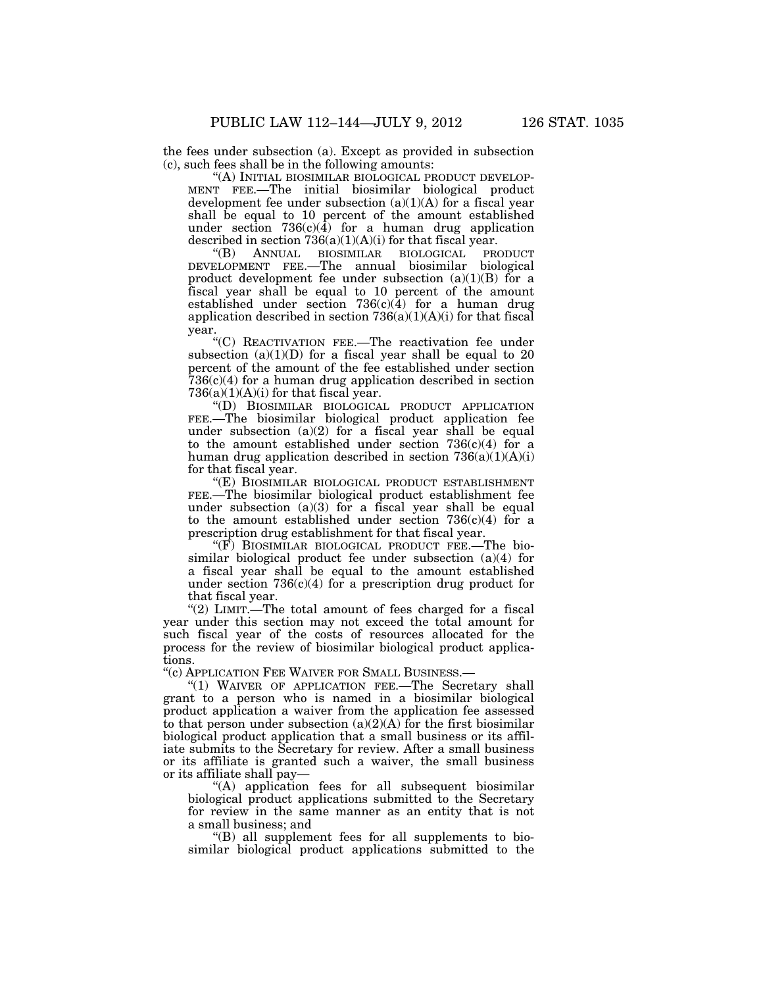the fees under subsection (a). Except as provided in subsection (c), such fees shall be in the following amounts:

''(A) INITIAL BIOSIMILAR BIOLOGICAL PRODUCT DEVELOP-MENT FEE.—The initial biosimilar biological product development fee under subsection  $(a)(1)(A)$  for a fiscal year shall be equal to 10 percent of the amount established under section  $736(c)(4)$  for a human drug application described in section  $736(a)(1)(A)(i)$  for that fiscal year.<br>"(B) ANNUAL BIOSIMILAR BIOLOGICAL PR

''(B) ANNUAL BIOSIMILAR BIOLOGICAL PRODUCT DEVELOPMENT FEE.—The annual biosimilar biological product development fee under subsection  $(a)(1)(B)$  for a fiscal year shall be equal to 10 percent of the amount established under section  $736(c)(4)$  for a human drug application described in section  $736(a)(1)(A)(i)$  for that fiscal year.

''(C) REACTIVATION FEE.—The reactivation fee under subsection  $(a)(1)(D)$  for a fiscal year shall be equal to 20 percent of the amount of the fee established under section 736(c)(4) for a human drug application described in section  $736(a)(1)(A)(i)$  for that fiscal year.

''(D) BIOSIMILAR BIOLOGICAL PRODUCT APPLICATION FEE.—The biosimilar biological product application fee under subsection  $(a)(2)$  for a fiscal year shall be equal to the amount established under section  $736(c)(4)$  for a human drug application described in section  $736(a)(1)(A)(i)$ for that fiscal year.

''(E) BIOSIMILAR BIOLOGICAL PRODUCT ESTABLISHMENT FEE.—The biosimilar biological product establishment fee under subsection  $(a)(3)$  for a fiscal year shall be equal to the amount established under section  $736(c)(4)$  for a prescription drug establishment for that fiscal year.

"(F) BIOSIMILAR BIOLOGICAL PRODUCT FEE.—The biosimilar biological product fee under subsection (a)(4) for a fiscal year shall be equal to the amount established under section  $736(c)(4)$  for a prescription drug product for that fiscal year.

''(2) LIMIT.—The total amount of fees charged for a fiscal year under this section may not exceed the total amount for such fiscal year of the costs of resources allocated for the process for the review of biosimilar biological product applications.

''(c) APPLICATION FEE WAIVER FOR SMALL BUSINESS.—

"(1) WAIVER OF APPLICATION FEE.-The Secretary shall grant to a person who is named in a biosimilar biological product application a waiver from the application fee assessed to that person under subsection  $(a)(2)(A)$  for the first biosimilar biological product application that a small business or its affiliate submits to the Secretary for review. After a small business or its affiliate is granted such a waiver, the small business or its affiliate shall pay—

''(A) application fees for all subsequent biosimilar biological product applications submitted to the Secretary for review in the same manner as an entity that is not a small business; and

 $'(B)$  all supplement fees for all supplements to biosimilar biological product applications submitted to the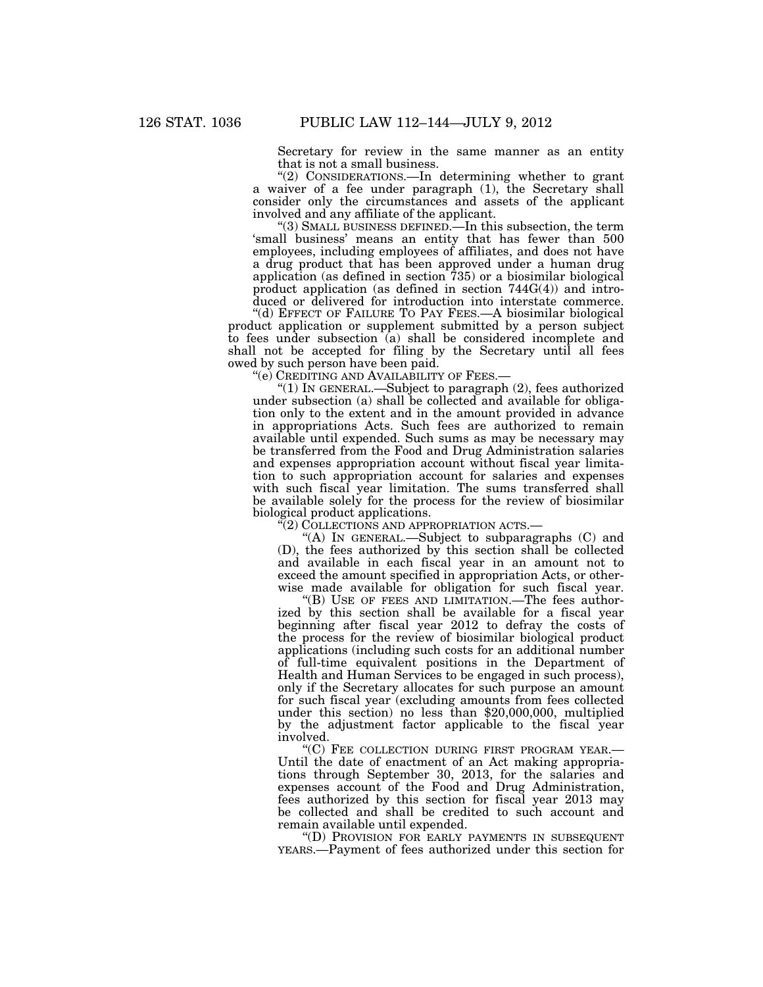Secretary for review in the same manner as an entity that is not a small business.

''(2) CONSIDERATIONS.—In determining whether to grant a waiver of a fee under paragraph (1), the Secretary shall consider only the circumstances and assets of the applicant involved and any affiliate of the applicant.

''(3) SMALL BUSINESS DEFINED.—In this subsection, the term 'small business' means an entity that has fewer than 500 employees, including employees of affiliates, and does not have a drug product that has been approved under a human drug application (as defined in section 735) or a biosimilar biological product application (as defined in section 744G(4)) and introduced or delivered for introduction into interstate commerce.

''(d) EFFECT OF FAILURE TO PAY FEES.—A biosimilar biological product application or supplement submitted by a person subject to fees under subsection (a) shall be considered incomplete and shall not be accepted for filing by the Secretary until all fees owed by such person have been paid.

"(e) CREDITING AND AVAILABILITY OF FEES.—

''(1) IN GENERAL.—Subject to paragraph (2), fees authorized under subsection (a) shall be collected and available for obligation only to the extent and in the amount provided in advance in appropriations Acts. Such fees are authorized to remain available until expended. Such sums as may be necessary may be transferred from the Food and Drug Administration salaries and expenses appropriation account without fiscal year limitation to such appropriation account for salaries and expenses with such fiscal year limitation. The sums transferred shall be available solely for the process for the review of biosimilar biological product applications.

''(2) COLLECTIONS AND APPROPRIATION ACTS.—

"(A) IN GENERAL.—Subject to subparagraphs  $(C)$  and (D), the fees authorized by this section shall be collected and available in each fiscal year in an amount not to exceed the amount specified in appropriation Acts, or otherwise made available for obligation for such fiscal year.

''(B) USE OF FEES AND LIMITATION.—The fees authorized by this section shall be available for a fiscal year beginning after fiscal year 2012 to defray the costs of the process for the review of biosimilar biological product applications (including such costs for an additional number of full-time equivalent positions in the Department of Health and Human Services to be engaged in such process), only if the Secretary allocates for such purpose an amount for such fiscal year (excluding amounts from fees collected under this section) no less than \$20,000,000, multiplied by the adjustment factor applicable to the fiscal year involved.

''(C) FEE COLLECTION DURING FIRST PROGRAM YEAR.— Until the date of enactment of an Act making appropriations through September 30, 2013, for the salaries and expenses account of the Food and Drug Administration, fees authorized by this section for fiscal year 2013 may be collected and shall be credited to such account and remain available until expended.

''(D) PROVISION FOR EARLY PAYMENTS IN SUBSEQUENT YEARS.—Payment of fees authorized under this section for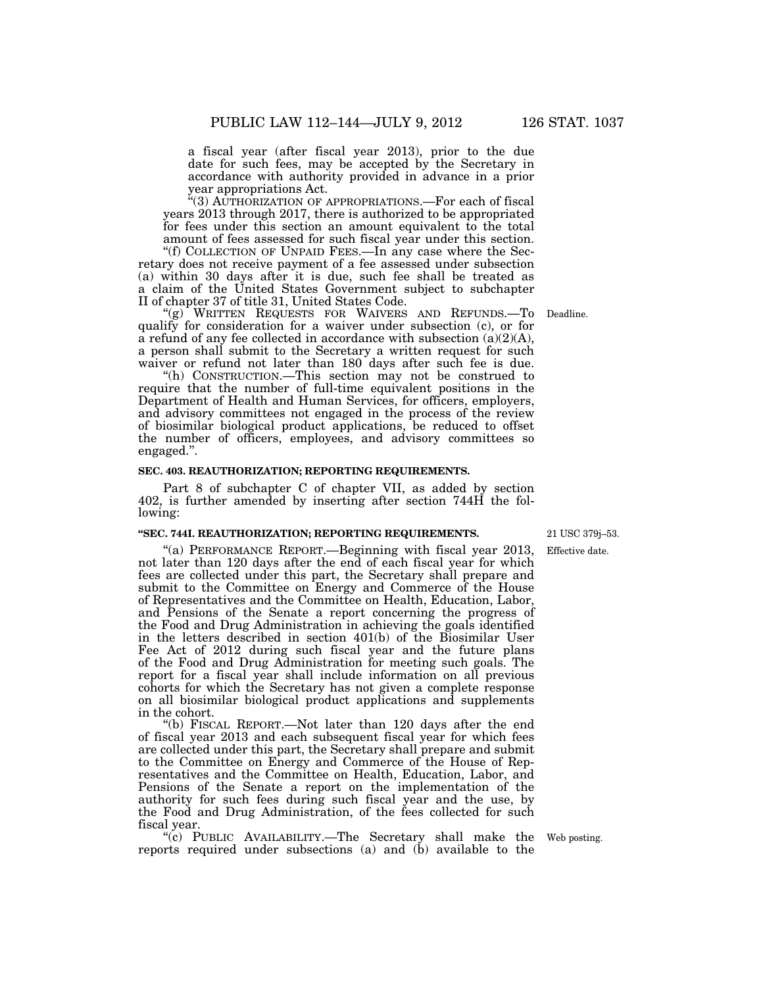a fiscal year (after fiscal year 2013), prior to the due date for such fees, may be accepted by the Secretary in accordance with authority provided in advance in a prior

year appropriations Act.

''(3) AUTHORIZATION OF APPROPRIATIONS.—For each of fiscal years 2013 through 2017, there is authorized to be appropriated for fees under this section an amount equivalent to the total amount of fees assessed for such fiscal year under this section.

''(f) COLLECTION OF UNPAID FEES.—In any case where the Secretary does not receive payment of a fee assessed under subsection (a) within 30 days after it is due, such fee shall be treated as a claim of the United States Government subject to subchapter II of chapter 37 of title 31, United States Code.

''(g) WRITTEN REQUESTS FOR WAIVERS AND REFUNDS.—To qualify for consideration for a waiver under subsection (c), or for a refund of any fee collected in accordance with subsection  $(a)(2)(A)$ , a person shall submit to the Secretary a written request for such waiver or refund not later than 180 days after such fee is due.

''(h) CONSTRUCTION.—This section may not be construed to require that the number of full-time equivalent positions in the Department of Health and Human Services, for officers, employers, and advisory committees not engaged in the process of the review of biosimilar biological product applications, be reduced to offset the number of officers, employees, and advisory committees so engaged.''.

## **SEC. 403. REAUTHORIZATION; REPORTING REQUIREMENTS.**

Part 8 of subchapter C of chapter VII, as added by section 402, is further amended by inserting after section 744H the following:

## **''SEC. 744I. REAUTHORIZATION; REPORTING REQUIREMENTS.**

''(a) PERFORMANCE REPORT.—Beginning with fiscal year 2013, not later than 120 days after the end of each fiscal year for which fees are collected under this part, the Secretary shall prepare and submit to the Committee on Energy and Commerce of the House of Representatives and the Committee on Health, Education, Labor, and Pensions of the Senate a report concerning the progress of the Food and Drug Administration in achieving the goals identified in the letters described in section 401(b) of the Biosimilar User Fee Act of 2012 during such fiscal year and the future plans of the Food and Drug Administration for meeting such goals. The report for a fiscal year shall include information on all previous cohorts for which the Secretary has not given a complete response on all biosimilar biological product applications and supplements in the cohort.

''(b) FISCAL REPORT.—Not later than 120 days after the end of fiscal year 2013 and each subsequent fiscal year for which fees are collected under this part, the Secretary shall prepare and submit to the Committee on Energy and Commerce of the House of Representatives and the Committee on Health, Education, Labor, and Pensions of the Senate a report on the implementation of the authority for such fees during such fiscal year and the use, by the Food and Drug Administration, of the fees collected for such fiscal year.

''(c) PUBLIC AVAILABILITY.—The Secretary shall make the reports required under subsections (a) and  $(b)$  available to the

Effective date. 21 USC 379j–53.

Deadline.

Web posting.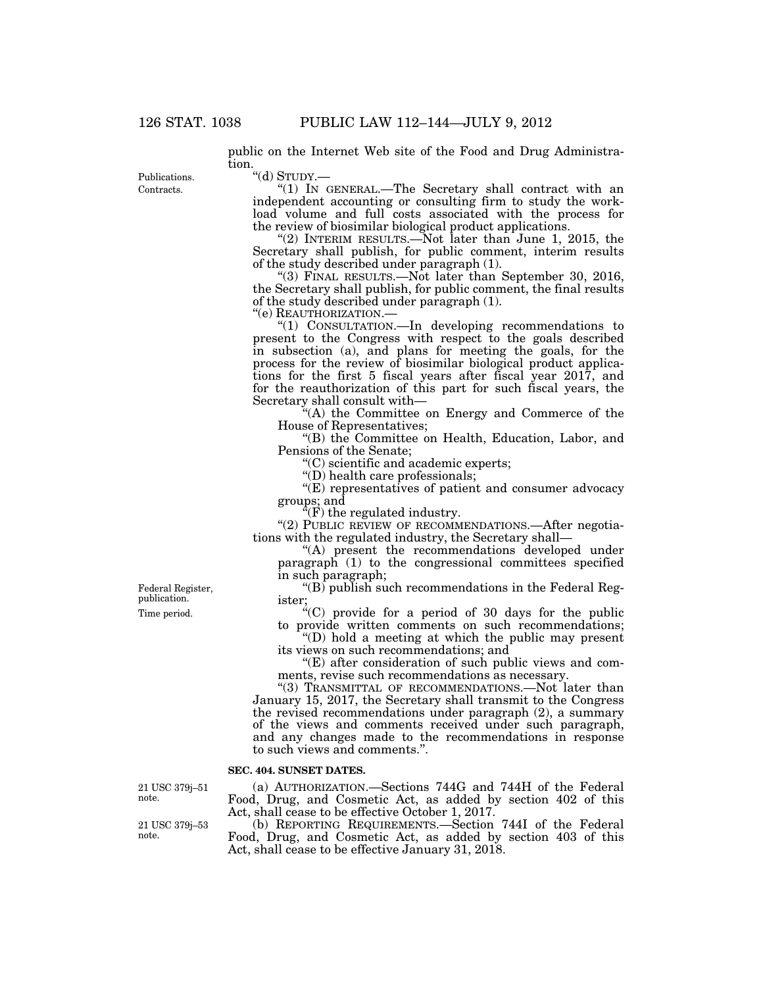public on the Internet Web site of the Food and Drug Administration.

Contracts. Publications. ''(d) STUDY.—

''(1) IN GENERAL.—The Secretary shall contract with an independent accounting or consulting firm to study the workload volume and full costs associated with the process for the review of biosimilar biological product applications.

"(2) INTERIM RESULTS.—Not later than June 1, 2015, the Secretary shall publish, for public comment, interim results of the study described under paragraph (1).

''(3) FINAL RESULTS.—Not later than September 30, 2016, the Secretary shall publish, for public comment, the final results of the study described under paragraph (1).

"(1) CONSULTATION.—In developing recommendations to present to the Congress with respect to the goals described in subsection (a), and plans for meeting the goals, for the process for the review of biosimilar biological product applications for the first 5 fiscal years after fiscal year 2017, and for the reauthorization of this part for such fiscal years, the Secretary shall consult with—

''(A) the Committee on Energy and Commerce of the House of Representatives;

''(B) the Committee on Health, Education, Labor, and Pensions of the Senate;

''(C) scientific and academic experts;

''(D) health care professionals;

"(E) representatives of patient and consumer advocacy" groups; and

 $\mathbf{F}(\mathbf{F})$  the regulated industry.

"(2) PUBLIC REVIEW OF RECOMMENDATIONS.—After negotiations with the regulated industry, the Secretary shall—

"(A) present the recommendations developed under paragraph (1) to the congressional committees specified in such paragraph;

" $(B)$  publish such recommendations in the Federal Register;

''(C) provide for a period of 30 days for the public to provide written comments on such recommendations;

''(D) hold a meeting at which the public may present its views on such recommendations; and

 $E$ ) after consideration of such public views and comments, revise such recommendations as necessary.

"(3) TRANSMITTAL OF RECOMMENDATIONS.—Not later than January 15, 2017, the Secretary shall transmit to the Congress the revised recommendations under paragraph (2), a summary of the views and comments received under such paragraph, and any changes made to the recommendations in response to such views and comments.''.

#### **SEC. 404. SUNSET DATES.**

21 USC 379j–51 note.

21 USC 379j–53 note.

(a) AUTHORIZATION.—Sections 744G and 744H of the Federal Food, Drug, and Cosmetic Act, as added by section 402 of this Act, shall cease to be effective October 1, 2017.

(b) REPORTING REQUIREMENTS.—Section 744I of the Federal Food, Drug, and Cosmetic Act, as added by section 403 of this Act, shall cease to be effective January 31, 2018.

Time period. Federal Register, publication.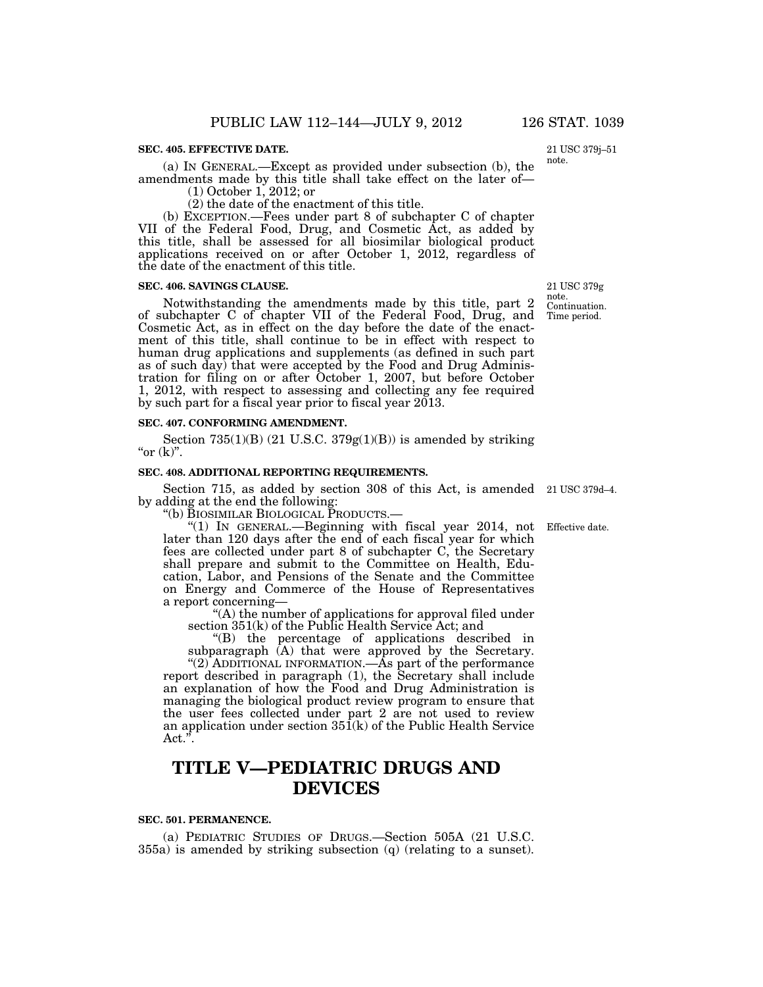## **SEC. 405. EFFECTIVE DATE.**

(a) IN GENERAL.—Except as provided under subsection (b), the amendments made by this title shall take effect on the later of—

(1) October 1, 2012; or

(2) the date of the enactment of this title.

(b) EXCEPTION.—Fees under part 8 of subchapter C of chapter VII of the Federal Food, Drug, and Cosmetic Act, as added by this title, shall be assessed for all biosimilar biological product applications received on or after October 1, 2012, regardless of the date of the enactment of this title.

## **SEC. 406. SAVINGS CLAUSE.**

Notwithstanding the amendments made by this title, part 2 of subchapter C of chapter VII of the Federal Food, Drug, and Cosmetic Act, as in effect on the day before the date of the enactment of this title, shall continue to be in effect with respect to human drug applications and supplements (as defined in such part as of such day) that were accepted by the Food and Drug Administration for filing on or after October 1, 2007, but before October 1, 2012, with respect to assessing and collecting any fee required by such part for a fiscal year prior to fiscal year 2013.

#### **SEC. 407. CONFORMING AMENDMENT.**

Section 735(1)(B) (21 U.S.C. 379 $g(1)(B)$ ) is amended by striking " $or (k)$ ".

## **SEC. 408. ADDITIONAL REPORTING REQUIREMENTS.**

Section 715, as added by section 308 of this Act, is amended 21 USC 379d–4. by adding at the end the following:<br>"(b) BIOSIMILAR BIOLOGICAL PRODUCTS.—

"(1) IN GENERAL.—Beginning with fiscal year 2014, not later than 120 days after the end of each fiscal year for which fees are collected under part 8 of subchapter C, the Secretary shall prepare and submit to the Committee on Health, Education, Labor, and Pensions of the Senate and the Committee on Energy and Commerce of the House of Representatives a report concerning—

''(A) the number of applications for approval filed under section 351(k) of the Public Health Service Act; and

''(B) the percentage of applications described in subparagraph (A) that were approved by the Secretary.

"(2) ADDITIONAL INFORMATION.—As part of the performance report described in paragraph (1), the Secretary shall include an explanation of how the Food and Drug Administration is managing the biological product review program to ensure that the user fees collected under part 2 are not used to review an application under section  $35\tilde{1}(k)$  of the Public Health Service  $Act.^{\tilde{r}}$ .

# **TITLE V—PEDIATRIC DRUGS AND DEVICES**

#### **SEC. 501. PERMANENCE.**

(a) PEDIATRIC STUDIES OF DRUGS.—Section 505A (21 U.S.C. 355a) is amended by striking subsection (q) (relating to a sunset).

Continuation. Time period. 21 USC 379g note.

Effective date.

21 USC 379j–51

note.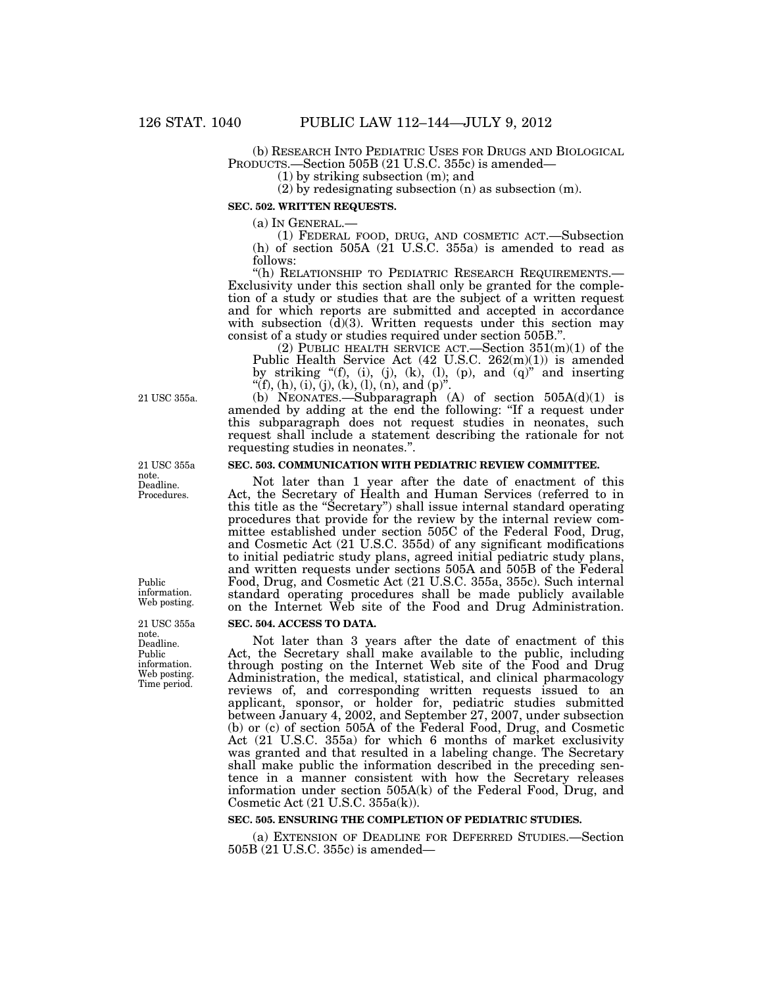(b) RESEARCH INTO PEDIATRIC USES FOR DRUGS AND BIOLOGICAL PRODUCTS.—Section 505B (21 U.S.C. 355c) is amended—

(1) by striking subsection (m); and

(2) by redesignating subsection (n) as subsection (m).

**SEC. 502. WRITTEN REQUESTS.** 

(a) IN GENERAL.— (1) FEDERAL FOOD, DRUG, AND COSMETIC ACT.—Subsection (h) of section 505A  $(21 \text{ U.S.C. } 355a)$  is amended to read as follows:<br>"(h) RELATIONSHIP TO PEDIATRIC RESEARCH REQUIREMENTS.—

Exclusivity under this section shall only be granted for the completion of a study or studies that are the subject of a written request and for which reports are submitted and accepted in accordance with subsection  $(d)(3)$ . Written requests under this section may consist of a study or studies required under section 505B.''.

(2) PUBLIC HEALTH SERVICE ACT.—Section  $351(m)(1)$  of the Public Health Service Act (42 U.S.C. 262(m)(1)) is amended by striking " $(f)$ ,  $(i)$ ,  $(j)$ ,  $(k)$ ,  $(l)$ ,  $(p)$ , and  $(q)$ " and inserting "(f), (h), (i), (j), (k), (l), (n), and (p)".

(b) NEONATES.—Subparagraph  $(A)$  of section  $505A(d)(1)$  is amended by adding at the end the following: ''If a request under this subparagraph does not request studies in neonates, such request shall include a statement describing the rationale for not requesting studies in neonates.''.

# **SEC. 503. COMMUNICATION WITH PEDIATRIC REVIEW COMMITTEE.**

Not later than 1 year after the date of enactment of this Act, the Secretary of Health and Human Services (referred to in this title as the ''Secretary'') shall issue internal standard operating procedures that provide for the review by the internal review committee established under section 505C of the Federal Food, Drug, and Cosmetic Act (21 U.S.C. 355d) of any significant modifications to initial pediatric study plans, agreed initial pediatric study plans, and written requests under sections 505A and 505B of the Federal Food, Drug, and Cosmetic Act (21 U.S.C. 355a, 355c). Such internal standard operating procedures shall be made publicly available on the Internet Web site of the Food and Drug Administration.

## **SEC. 504. ACCESS TO DATA.**

Not later than 3 years after the date of enactment of this Act, the Secretary shall make available to the public, including through posting on the Internet Web site of the Food and Drug Administration, the medical, statistical, and clinical pharmacology reviews of, and corresponding written requests issued to an applicant, sponsor, or holder for, pediatric studies submitted between January 4, 2002, and September 27, 2007, under subsection (b) or (c) of section 505A of the Federal Food, Drug, and Cosmetic Act (21 U.S.C. 355a) for which 6 months of market exclusivity was granted and that resulted in a labeling change. The Secretary shall make public the information described in the preceding sentence in a manner consistent with how the Secretary releases information under section 505A(k) of the Federal Food, Drug, and Cosmetic Act (21 U.S.C. 355a(k)).

#### **SEC. 505. ENSURING THE COMPLETION OF PEDIATRIC STUDIES.**

(a) EXTENSION OF DEADLINE FOR DEFERRED STUDIES.—Section 505B (21 U.S.C. 355c) is amended—

21 USC 355a.

Deadline. Procedures. 21 USC 355a note.

Public information. Web posting.

Deadline. Public information. Web posting. Time period. 21 USC 355a note.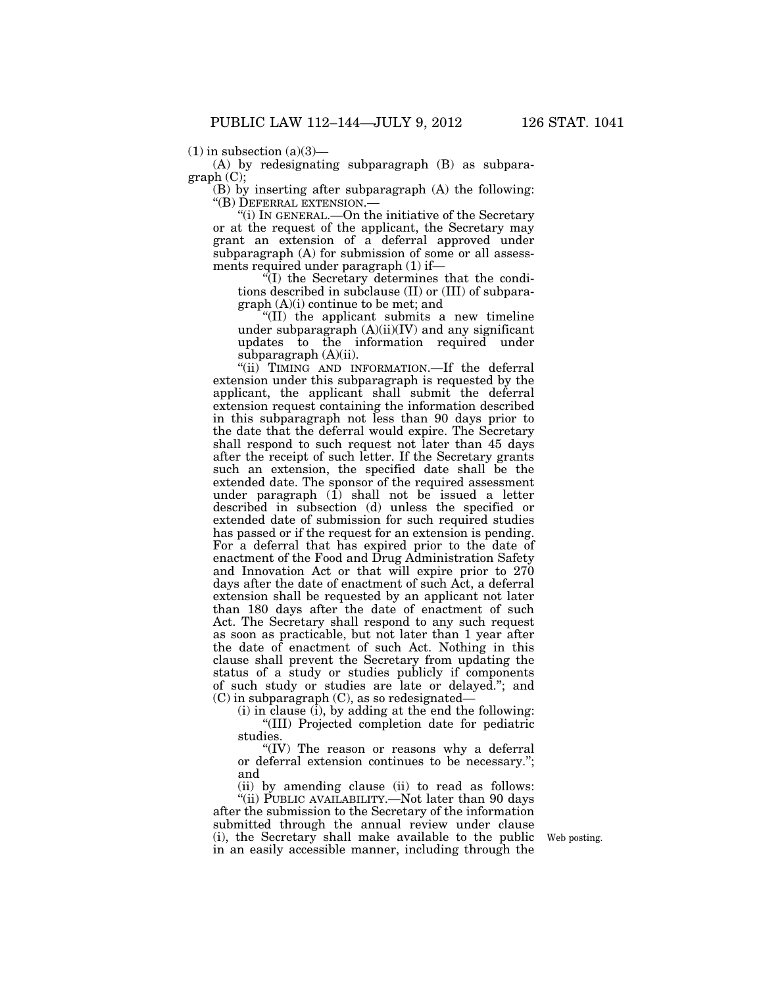$(1)$  in subsection  $(a)(3)$ —

(A) by redesignating subparagraph (B) as subpara $graph (C)$ :

(B) by inserting after subparagraph (A) the following: ''(B) DEFERRAL EXTENSION.—

''(i) IN GENERAL.—On the initiative of the Secretary or at the request of the applicant, the Secretary may grant an extension of a deferral approved under subparagraph (A) for submission of some or all assessments required under paragraph (1) if—

''(I) the Secretary determines that the conditions described in subclause (II) or (III) of subparagraph (A)(i) continue to be met; and

''(II) the applicant submits a new timeline under subparagraph  $(A)(ii)(IV)$  and any significant updates to the information required under subparagraph (A)(ii).

"(ii) TIMING AND INFORMATION.—If the deferral extension under this subparagraph is requested by the applicant, the applicant shall submit the deferral extension request containing the information described in this subparagraph not less than 90 days prior to the date that the deferral would expire. The Secretary shall respond to such request not later than 45 days after the receipt of such letter. If the Secretary grants such an extension, the specified date shall be the extended date. The sponsor of the required assessment under paragraph  $(1)$  shall not be issued a letter described in subsection (d) unless the specified or extended date of submission for such required studies has passed or if the request for an extension is pending. For a deferral that has expired prior to the date of enactment of the Food and Drug Administration Safety and Innovation Act or that will expire prior to 270 days after the date of enactment of such Act, a deferral extension shall be requested by an applicant not later than 180 days after the date of enactment of such Act. The Secretary shall respond to any such request as soon as practicable, but not later than 1 year after the date of enactment of such Act. Nothing in this clause shall prevent the Secretary from updating the status of a study or studies publicly if components of such study or studies are late or delayed.''; and (C) in subparagraph (C), as so redesignated—

(i) in clause (i), by adding at the end the following: ''(III) Projected completion date for pediatric studies.

"(IV) The reason or reasons why a deferral or deferral extension continues to be necessary.''; and

(ii) by amending clause (ii) to read as follows: "(ii) PUBLIC AVAILABILITY.—Not later than 90 days

after the submission to the Secretary of the information submitted through the annual review under clause (i), the Secretary shall make available to the public in an easily accessible manner, including through the

Web posting.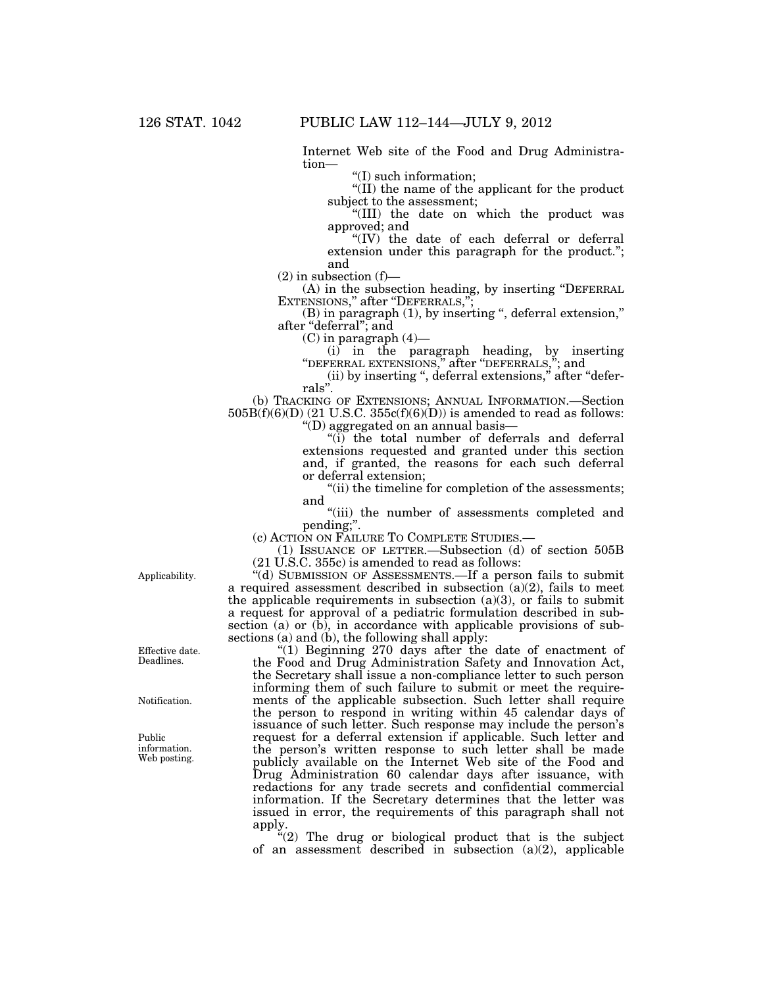Internet Web site of the Food and Drug Administration—

''(I) such information;

''(II) the name of the applicant for the product subject to the assessment;

''(III) the date on which the product was approved; and

''(IV) the date of each deferral or deferral extension under this paragraph for the product.''; and

 $(2)$  in subsection  $(f)$ —

(A) in the subsection heading, by inserting ''DEFERRAL EXTENSIONS," after "DEFERRALS,";

(B) in paragraph (1), by inserting ", deferral extension," after "deferral"; and

 $(C)$  in paragraph  $(4)$ —

(i) in the paragraph heading, by inserting "DEFERRAL EXTENSIONS," after "DEFERRALS,"; and

(ii) by inserting ", deferral extensions," after "deferrals''.

(b) TRACKING OF EXTENSIONS; ANNUAL INFORMATION.—Section  $505B(f)(6)(D)$  (21 U.S.C.  $355c(f)(6)(D)$ ) is amended to read as follows: ''(D) aggregated on an annual basis—

"(i) the total number of deferrals and deferral extensions requested and granted under this section and, if granted, the reasons for each such deferral or deferral extension;

"(ii) the timeline for completion of the assessments; and

"(iii) the number of assessments completed and pending;''.

(c) ACTION ON FAILURE TO COMPLETE STUDIES.—

(1) ISSUANCE OF LETTER.—Subsection (d) of section 505B (21 U.S.C. 355c) is amended to read as follows:

''(d) SUBMISSION OF ASSESSMENTS.—If a person fails to submit a required assessment described in subsection  $(a)(2)$ , fails to meet the applicable requirements in subsection  $(a)(3)$ , or fails to submit a request for approval of a pediatric formulation described in subsection (a) or (b), in accordance with applicable provisions of subsections  $(a)$  and  $(b)$ , the following shall apply:

"(1) Beginning 270 days after the date of enactment of the Food and Drug Administration Safety and Innovation Act, the Secretary shall issue a non-compliance letter to such person informing them of such failure to submit or meet the requirements of the applicable subsection. Such letter shall require the person to respond in writing within 45 calendar days of issuance of such letter. Such response may include the person's request for a deferral extension if applicable. Such letter and the person's written response to such letter shall be made publicly available on the Internet Web site of the Food and Drug Administration 60 calendar days after issuance, with redactions for any trade secrets and confidential commercial information. If the Secretary determines that the letter was issued in error, the requirements of this paragraph shall not apply.

" $(2)$  The drug or biological product that is the subject of an assessment described in subsection (a)(2), applicable

Applicability.

Effective date. Deadlines.

Notification.

Public information. Web posting.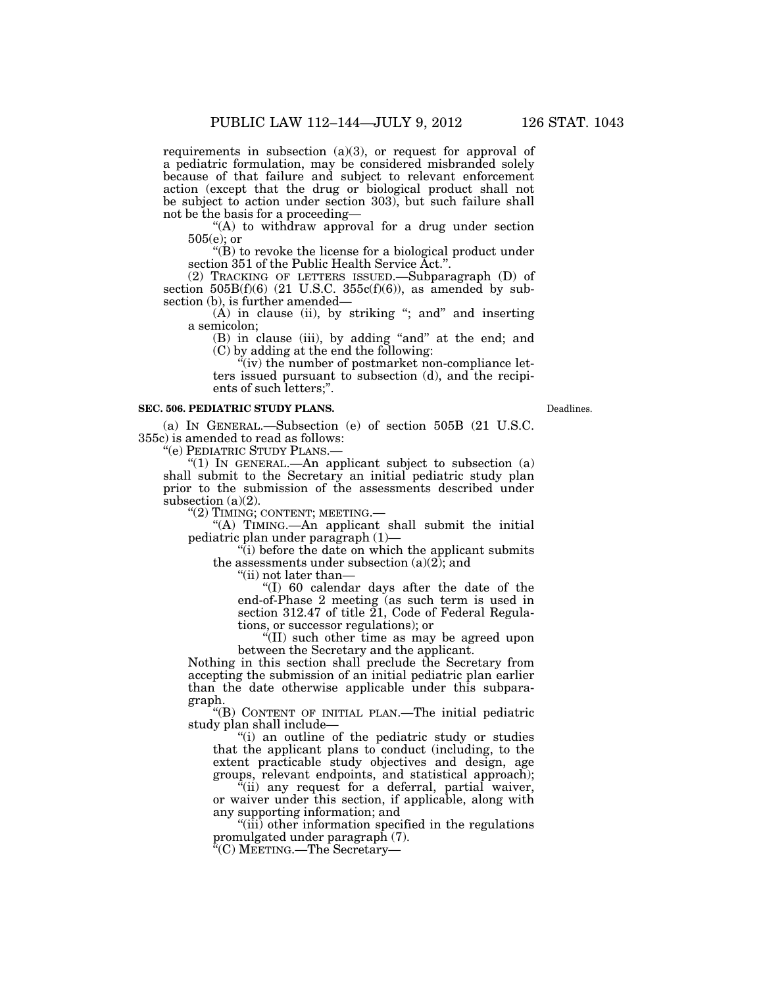requirements in subsection  $(a)(3)$ , or request for approval of a pediatric formulation, may be considered misbranded solely because of that failure and subject to relevant enforcement action (except that the drug or biological product shall not be subject to action under section 303), but such failure shall not be the basis for a proceeding—

''(A) to withdraw approval for a drug under section 505(e); or

 $\mathrm{``(B)}$  to revoke the license for a biological product under section 351 of the Public Health Service Act.''.

(2) TRACKING OF LETTERS ISSUED.—Subparagraph (D) of section  $505B(f)(6)$  (21 U.S.C.  $355c(f)(6)$ ), as amended by subsection (b), is further amended—

 $(A)$  in clause (ii), by striking "; and" and inserting a semicolon;

(B) in clause (iii), by adding ''and'' at the end; and (C) by adding at the end the following:

 $\ddot{``}(iv)$  the number of postmarket non-compliance letters issued pursuant to subsection (d), and the recipients of such letters;''.

#### **SEC. 506. PEDIATRIC STUDY PLANS.**

(a) IN GENERAL.—Subsection (e) of section 505B (21 U.S.C. 355c) is amended to read as follows:

''(e) PEDIATRIC STUDY PLANS.—

"(1) IN GENERAL.—An applicant subject to subsection  $(a)$ shall submit to the Secretary an initial pediatric study plan prior to the submission of the assessments described under subsection (a)(2).

''(2) TIMING; CONTENT; MEETING.—

''(A) TIMING.—An applicant shall submit the initial pediatric plan under paragraph (1)—

 $\mathcal{F}(i)$  before the date on which the applicant submits the assessments under subsection  $(a)(2)$ ; and

''(ii) not later than—

''(I) 60 calendar days after the date of the end-of-Phase 2 meeting (as such term is used in section 312.47 of title  $\tilde{21}$ , Code of Federal Regulations, or successor regulations); or

''(II) such other time as may be agreed upon between the Secretary and the applicant.

Nothing in this section shall preclude the Secretary from accepting the submission of an initial pediatric plan earlier than the date otherwise applicable under this subparagraph.

''(B) CONTENT OF INITIAL PLAN.—The initial pediatric study plan shall include—

''(i) an outline of the pediatric study or studies that the applicant plans to conduct (including, to the extent practicable study objectives and design, age groups, relevant endpoints, and statistical approach);

 $\alpha$ <sup>"(ii)</sup> any request for a deferral, partial waiver, or waiver under this section, if applicable, along with any supporting information; and

''(iii) other information specified in the regulations promulgated under paragraph (7).

(C) MEETING.—The Secretary—

Deadlines.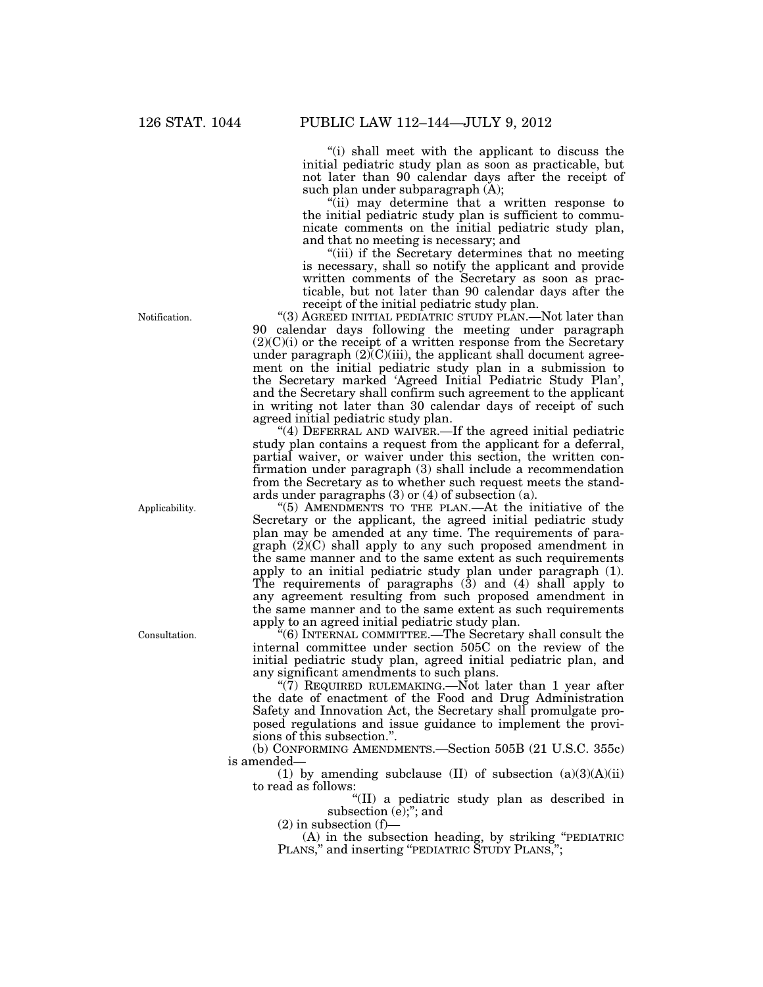''(i) shall meet with the applicant to discuss the initial pediatric study plan as soon as practicable, but not later than 90 calendar days after the receipt of such plan under subparagraph (A);

"(ii) may determine that a written response to the initial pediatric study plan is sufficient to communicate comments on the initial pediatric study plan, and that no meeting is necessary; and

"(iii) if the Secretary determines that no meeting is necessary, shall so notify the applicant and provide written comments of the Secretary as soon as practicable, but not later than 90 calendar days after the receipt of the initial pediatric study plan.

''(3) AGREED INITIAL PEDIATRIC STUDY PLAN.—Not later than 90 calendar days following the meeting under paragraph (2)(C)(i) or the receipt of a written response from the Secretary under paragraph  $(2)$  $(C)$  $(iii)$ , the applicant shall document agreement on the initial pediatric study plan in a submission to the Secretary marked 'Agreed Initial Pediatric Study Plan', and the Secretary shall confirm such agreement to the applicant in writing not later than 30 calendar days of receipt of such agreed initial pediatric study plan.

"(4) DEFERRAL AND WAIVER.—If the agreed initial pediatric study plan contains a request from the applicant for a deferral, partial waiver, or waiver under this section, the written confirmation under paragraph (3) shall include a recommendation from the Secretary as to whether such request meets the standards under paragraphs (3) or (4) of subsection (a).

''(5) AMENDMENTS TO THE PLAN.—At the initiative of the Secretary or the applicant, the agreed initial pediatric study plan may be amended at any time. The requirements of paragraph (2)(C) shall apply to any such proposed amendment in the same manner and to the same extent as such requirements apply to an initial pediatric study plan under paragraph (1). The requirements of paragraphs  $(3)$  and  $(4)$  shall apply to any agreement resulting from such proposed amendment in the same manner and to the same extent as such requirements apply to an agreed initial pediatric study plan.

''(6) INTERNAL COMMITTEE.—The Secretary shall consult the internal committee under section 505C on the review of the initial pediatric study plan, agreed initial pediatric plan, and any significant amendments to such plans.

"(7) REQUIRED RULEMAKING.—Not later than 1 year after the date of enactment of the Food and Drug Administration Safety and Innovation Act, the Secretary shall promulgate proposed regulations and issue guidance to implement the provisions of this subsection.''.

(b) CONFORMING AMENDMENTS.—Section 505B (21 U.S.C. 355c) is amended—

(1) by amending subclause (II) of subsection  $(a)(3)(A)(ii)$ to read as follows:

''(II) a pediatric study plan as described in subsection  $(e)$ ;"; and

 $(2)$  in subsection  $(f)$ —

(A) in the subsection heading, by striking ''PEDIATRIC PLANS," and inserting "PEDIATRIC STUDY PLANS,";

Notification.

Applicability.

Consultation.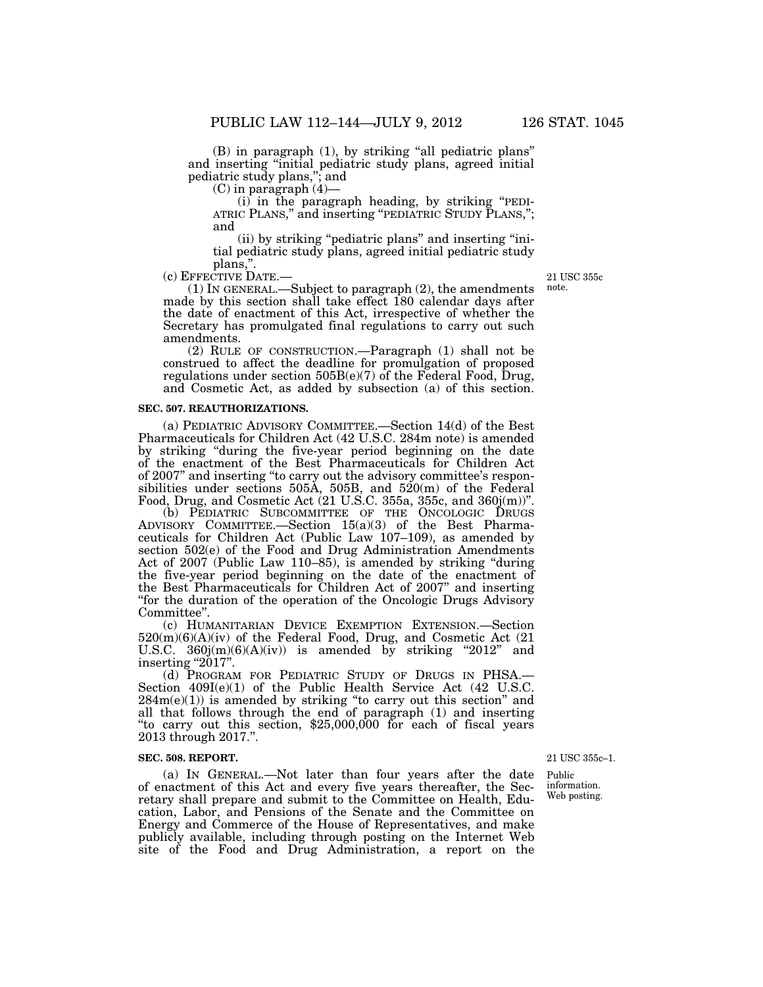(B) in paragraph (1), by striking ''all pediatric plans'' and inserting ''initial pediatric study plans, agreed initial pediatric study plans,''; and

(C) in paragraph (4)—

(i) in the paragraph heading, by striking ''PEDI- ATRIC PLANS,'' and inserting ''PEDIATRIC STUDY PLANS,''; and

(ii) by striking ''pediatric plans'' and inserting ''initial pediatric study plans, agreed initial pediatric study

plans,".<br>- c) EFFECTIVE DATE)

(1) IN GENERAL.—Subject to paragraph  $(2)$ , the amendments made by this section shall take effect 180 calendar days after the date of enactment of this Act, irrespective of whether the Secretary has promulgated final regulations to carry out such amendments.

(2) RULE OF CONSTRUCTION.—Paragraph (1) shall not be construed to affect the deadline for promulgation of proposed regulations under section  $505B(e)(7)$  of the Federal Food, Drug, and Cosmetic Act, as added by subsection (a) of this section.

#### **SEC. 507. REAUTHORIZATIONS.**

(a) PEDIATRIC ADVISORY COMMITTEE.—Section 14(d) of the Best Pharmaceuticals for Children Act (42 U.S.C. 284m note) is amended by striking ''during the five-year period beginning on the date of the enactment of the Best Pharmaceuticals for Children Act of 2007'' and inserting ''to carry out the advisory committee's responsibilities under sections 505A, 505B, and 520(m) of the Federal Food, Drug, and Cosmetic Act (21 U.S.C. 355a, 355c, and 360j(m))''.

(b) PEDIATRIC SUBCOMMITTEE OF THE ONCOLOGIC DRUGS ADVISORY COMMITTEE.—Section 15(a)(3) of the Best Pharmaceuticals for Children Act (Public Law 107–109), as amended by section 502(e) of the Food and Drug Administration Amendments Act of 2007 (Public Law 110–85), is amended by striking ''during the five-year period beginning on the date of the enactment of the Best Pharmaceuticals for Children Act of 2007'' and inserting ''for the duration of the operation of the Oncologic Drugs Advisory Committee''.

(c) HUMANITARIAN DEVICE EXEMPTION EXTENSION.—Section 520(m)(6)(A)(iv) of the Federal Food, Drug, and Cosmetic Act (21 U.S.C.  $360j(m)(6)(A)(iv)$  is amended by striking "2012" and inserting "2017".

(d) PROGRAM FOR PEDIATRIC STUDY OF DRUGS IN PHSA.— Section  $409I(e)(1)$  of the Public Health Service Act  $(42 \text{ U.S.C.})$  $284m(e)(1)$  is amended by striking "to carry out this section" and all that follows through the end of paragraph (1) and inserting ''to carry out this section, \$25,000,000 for each of fiscal years 2013 through 2017.''.

#### **SEC. 508. REPORT.**

(a) IN GENERAL.—Not later than four years after the date of enactment of this Act and every five years thereafter, the Secretary shall prepare and submit to the Committee on Health, Education, Labor, and Pensions of the Senate and the Committee on Energy and Commerce of the House of Representatives, and make publicly available, including through posting on the Internet Web site of the Food and Drug Administration, a report on the

21 USC 355c–1.

Public information. Web posting.

21 USC 355c note.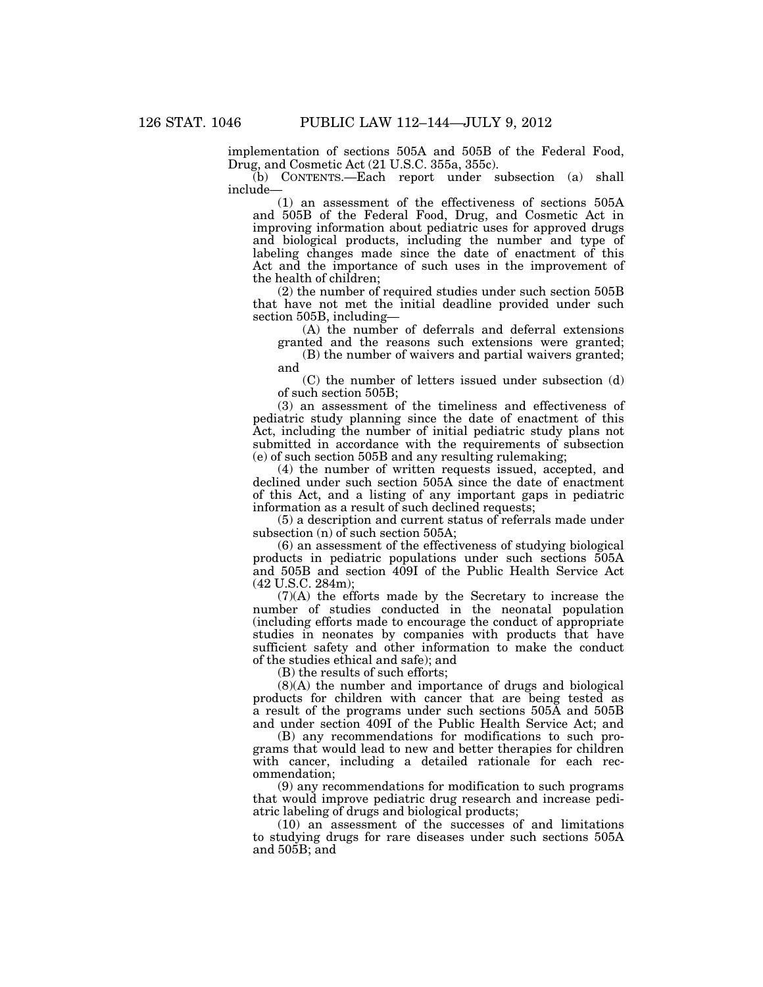implementation of sections 505A and 505B of the Federal Food, Drug, and Cosmetic Act (21 U.S.C. 355a, 355c).

(b) CONTENTS.—Each report under subsection (a) shall include—

(1) an assessment of the effectiveness of sections 505A and 505B of the Federal Food, Drug, and Cosmetic Act in improving information about pediatric uses for approved drugs and biological products, including the number and type of labeling changes made since the date of enactment of this Act and the importance of such uses in the improvement of the health of children;

(2) the number of required studies under such section 505B that have not met the initial deadline provided under such section 505B, including—

(A) the number of deferrals and deferral extensions granted and the reasons such extensions were granted;

(B) the number of waivers and partial waivers granted; and

(C) the number of letters issued under subsection (d) of such section 505B;

(3) an assessment of the timeliness and effectiveness of pediatric study planning since the date of enactment of this Act, including the number of initial pediatric study plans not submitted in accordance with the requirements of subsection (e) of such section 505B and any resulting rulemaking;

(4) the number of written requests issued, accepted, and declined under such section 505A since the date of enactment of this Act, and a listing of any important gaps in pediatric information as a result of such declined requests;

(5) a description and current status of referrals made under subsection (n) of such section 505A;

(6) an assessment of the effectiveness of studying biological products in pediatric populations under such sections 505A and 505B and section 409I of the Public Health Service Act (42 U.S.C. 284m);

(7)(A) the efforts made by the Secretary to increase the number of studies conducted in the neonatal population (including efforts made to encourage the conduct of appropriate studies in neonates by companies with products that have sufficient safety and other information to make the conduct of the studies ethical and safe); and

(B) the results of such efforts;

(8)(A) the number and importance of drugs and biological products for children with cancer that are being tested as a result of the programs under such sections 505A and 505B and under section 409I of the Public Health Service Act; and

(B) any recommendations for modifications to such programs that would lead to new and better therapies for children with cancer, including a detailed rationale for each recommendation;

(9) any recommendations for modification to such programs that would improve pediatric drug research and increase pediatric labeling of drugs and biological products;

(10) an assessment of the successes of and limitations to studying drugs for rare diseases under such sections 505A and 505B; and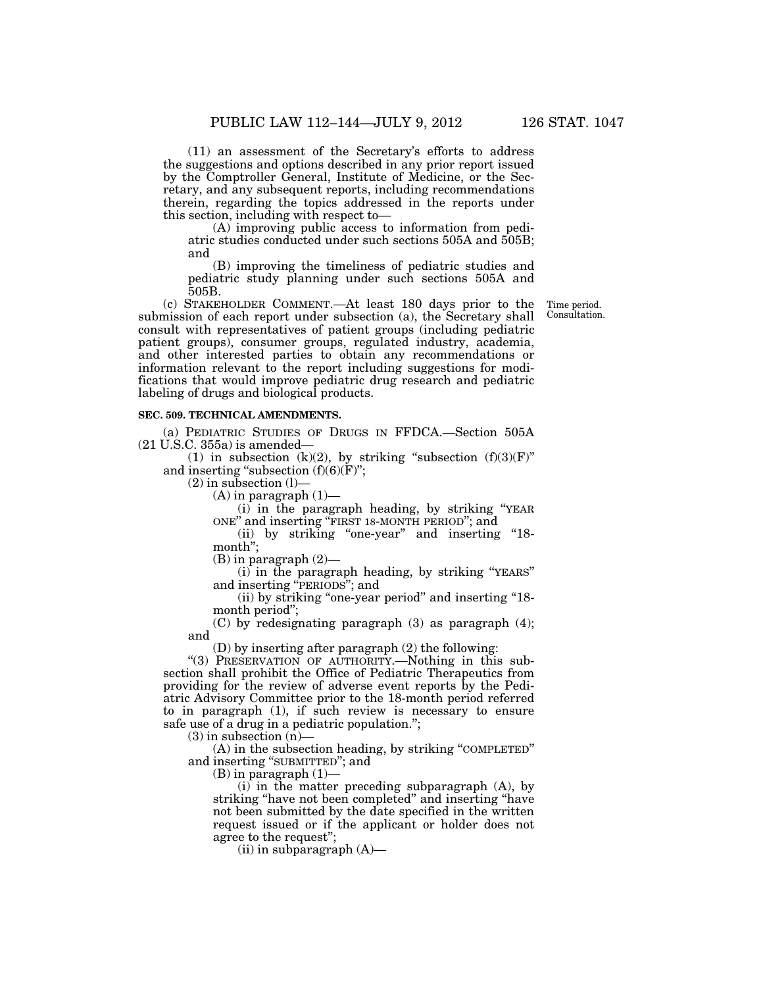(11) an assessment of the Secretary's efforts to address the suggestions and options described in any prior report issued by the Comptroller General, Institute of Medicine, or the Secretary, and any subsequent reports, including recommendations therein, regarding the topics addressed in the reports under this section, including with respect to—

(A) improving public access to information from pediatric studies conducted under such sections 505A and 505B; and

(B) improving the timeliness of pediatric studies and pediatric study planning under such sections 505A and 505B.

(c) STAKEHOLDER COMMENT.—At least 180 days prior to the submission of each report under subsection (a), the Secretary shall consult with representatives of patient groups (including pediatric patient groups), consumer groups, regulated industry, academia, and other interested parties to obtain any recommendations or information relevant to the report including suggestions for modifications that would improve pediatric drug research and pediatric labeling of drugs and biological products.

## **SEC. 509. TECHNICAL AMENDMENTS.**

(a) PEDIATRIC STUDIES OF DRUGS IN FFDCA.—Section 505A (21 U.S.C. 355a) is amended—

(1) in subsection (k)(2), by striking "subsection  $(f)(3)(F)$ " and inserting "subsection  $(f)(6)(F)$ ";

 $(2)$  in subsection  $(l)$ –

 $(A)$  in paragraph  $(1)$ —

(i) in the paragraph heading, by striking ''YEAR ONE'' and inserting ''FIRST 18-MONTH PERIOD''; and

(ii) by striking "one-year" and inserting "18month'';

 $(B)$  in paragraph  $(2)$ —

(i) in the paragraph heading, by striking ''YEARS'' and inserting ''PERIODS''; and

(ii) by striking ''one-year period'' and inserting ''18 month period'';

(C) by redesignating paragraph (3) as paragraph (4); and

(D) by inserting after paragraph (2) the following:

"(3) PRESERVATION OF AUTHORITY.—Nothing in this subsection shall prohibit the Office of Pediatric Therapeutics from providing for the review of adverse event reports by the Pediatric Advisory Committee prior to the 18-month period referred to in paragraph (1), if such review is necessary to ensure safe use of a drug in a pediatric population.'';

 $(3)$  in subsection  $(n)$ 

(A) in the subsection heading, by striking ''COMPLETED'' and inserting ''SUBMITTED''; and

(B) in paragraph (1)—

(i) in the matter preceding subparagraph (A), by striking ''have not been completed'' and inserting ''have not been submitted by the date specified in the written request issued or if the applicant or holder does not agree to the request'';

(ii) in subparagraph (A)—

Time period. Consultation.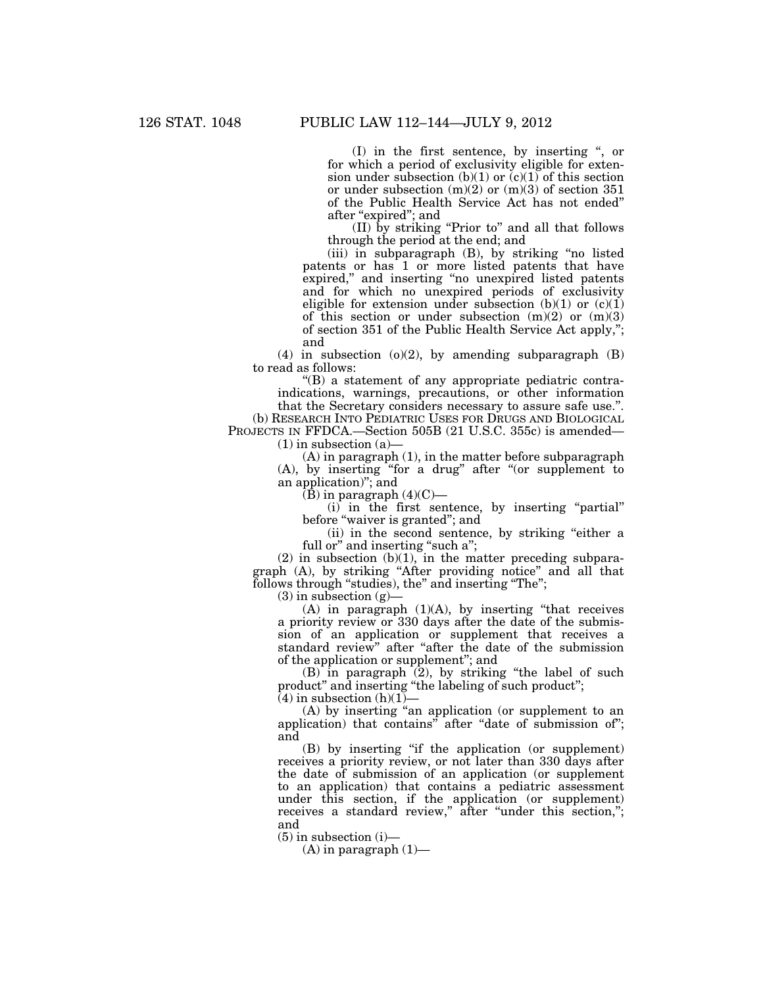(I) in the first sentence, by inserting '', or for which a period of exclusivity eligible for extension under subsection (b)(1) or  $(c)(1)$  of this section or under subsection  $(m)(2)$  or  $(m)(3)$  of section 351 of the Public Health Service Act has not ended'' after ''expired''; and

(II) by striking ''Prior to'' and all that follows through the period at the end; and

(iii) in subparagraph (B), by striking ''no listed patents or has 1 or more listed patents that have expired,'' and inserting ''no unexpired listed patents and for which no unexpired periods of exclusivity eligible for extension under subsection (b)(1) or  $(c)(1)$ of this section or under subsection  $(m)(2)$  or  $(m)(3)$ of section 351 of the Public Health Service Act apply,''; and

(4) in subsection  $(o)(2)$ , by amending subparagraph  $(B)$ to read as follows:

 $\mathrm{``(B)}$  a statement of any appropriate pediatric contraindications, warnings, precautions, or other information that the Secretary considers necessary to assure safe use.''.

(b) RESEARCH INTO PEDIATRIC USES FOR DRUGS AND BIOLOGICAL PROJECTS IN FFDCA.—Section 505B (21 U.S.C. 355c) is amended—

 $(1)$  in subsection  $(a)$ -

(A) in paragraph (1), in the matter before subparagraph (A), by inserting ''for a drug'' after ''(or supplement to an application)''; and

 $(\bar{B})$  in paragraph  $(4)(C)$ —

(i) in the first sentence, by inserting ''partial'' before "waiver is granted"; and

(ii) in the second sentence, by striking ''either a full or" and inserting "such a";

 $(2)$  in subsection  $(b)(1)$ , in the matter preceding subparagraph (A), by striking ''After providing notice'' and all that follows through "studies), the" and inserting "The";

 $(3)$  in subsection  $(g)$ 

 $(A)$  in paragraph  $(1)(A)$ , by inserting "that receives a priority review or 330 days after the date of the submission of an application or supplement that receives a standard review" after "after the date of the submission of the application or supplement''; and

 $(B)$  in paragraph  $(2)$ , by striking "the label of such product'' and inserting ''the labeling of such product'';

 $(4)$  in subsection  $(h)(1)$ —

(A) by inserting ''an application (or supplement to an application) that contains" after "date of submission of"; and

(B) by inserting ''if the application (or supplement) receives a priority review, or not later than 330 days after the date of submission of an application (or supplement to an application) that contains a pediatric assessment under this section, if the application (or supplement) receives a standard review," after "under this section,"; and

 $(5)$  in subsection  $(i)$ —

 $(A)$  in paragraph  $(1)$ —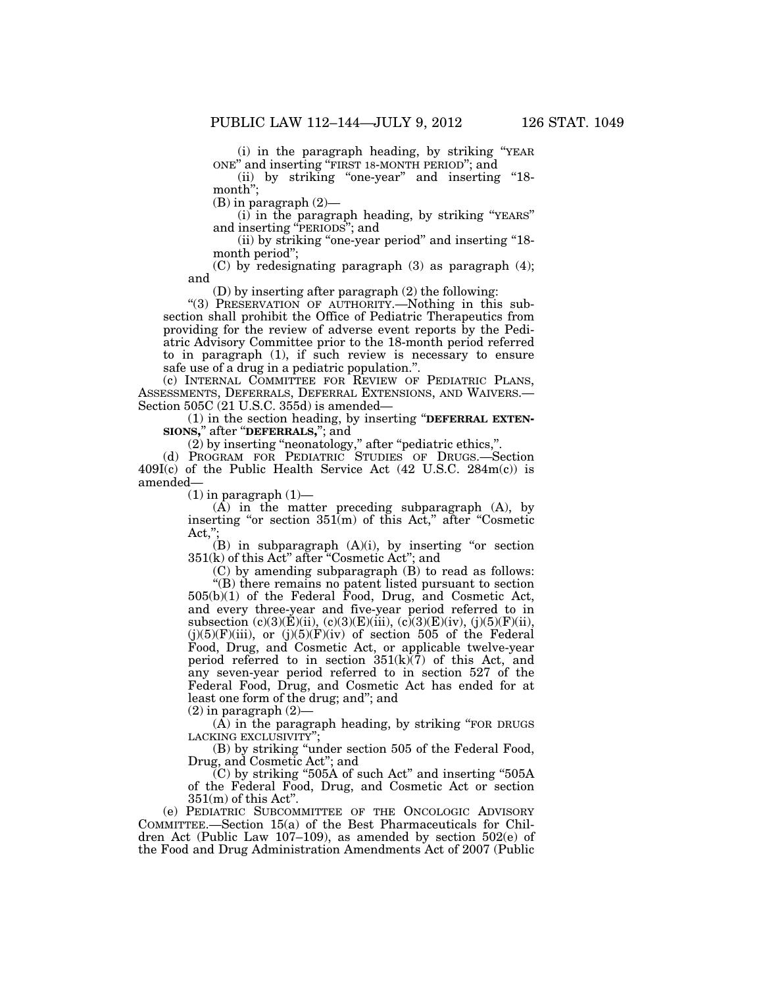(i) in the paragraph heading, by striking ''YEAR ONE'' and inserting ''FIRST 18-MONTH PERIOD''; and

(ii) by striking "one-year" and inserting "18month'';

(B) in paragraph (2)—

(i) in the paragraph heading, by striking ''YEARS'' and inserting ''PERIODS''; and

(ii) by striking "one-year period" and inserting "18month period'';

(C) by redesignating paragraph (3) as paragraph (4); and

(D) by inserting after paragraph (2) the following:

''(3) PRESERVATION OF AUTHORITY.—Nothing in this subsection shall prohibit the Office of Pediatric Therapeutics from providing for the review of adverse event reports by the Pediatric Advisory Committee prior to the 18-month period referred to in paragraph (1), if such review is necessary to ensure safe use of a drug in a pediatric population.''.

(c) INTERNAL COMMITTEE FOR REVIEW OF PEDIATRIC PLANS, ASSESSMENTS, DEFERRALS, DEFERRAL EXTENSIONS, AND WAIVERS.— Section 505C (21 U.S.C. 355d) is amended—

(1) in the section heading, by inserting ''**DEFERRAL EXTEN-SIONS,**'' after ''**DEFERRALS,**''; and

(2) by inserting "neonatology," after "pediatric ethics,".

(d) PROGRAM FOR PEDIATRIC STUDIES OF DRUGS.—Section  $409I(c)$  of the Public Health Service Act (42 U.S.C. 284m(c)) is amended—

 $(1)$  in paragraph  $(1)$ —

(A) in the matter preceding subparagraph (A), by inserting "or section  $351(m)$  of this Act," after "Cosmetic Act,'';

 $(B)$  in subparagraph  $(A)(i)$ , by inserting "or section 351(k) of this Act'' after ''Cosmetic Act''; and

(C) by amending subparagraph (B) to read as follows: ''(B) there remains no patent listed pursuant to section 505(b)(1) of the Federal Food, Drug, and Cosmetic Act, and every three-year and five-year period referred to in subsection (c)(3)(E)(ii), (c)(3)(E)(iii), (c)(3)(E)(iv), (j)(5)(F)(ii),  $(j)(5)(F)(iii)$ , or  $(j)(5)(F)(iv)$  of section 505 of the Federal Food, Drug, and Cosmetic Act, or applicable twelve-year period referred to in section  $351(k)(7)$  of this Act, and any seven-year period referred to in section 527 of the Federal Food, Drug, and Cosmetic Act has ended for at least one form of the drug; and''; and

 $(2)$  in paragraph  $(2)$ —

(A) in the paragraph heading, by striking ''FOR DRUGS LACKING EXCLUSIVITY'';

(B) by striking ''under section 505 of the Federal Food, Drug, and Cosmetic Act''; and

 $\widetilde{C}$ ) by striking "505A of such Act" and inserting "505A of the Federal Food, Drug, and Cosmetic Act or section  $351(m)$  of this Act".

(e) PEDIATRIC SUBCOMMITTEE OF THE ONCOLOGIC ADVISORY COMMITTEE.—Section 15(a) of the Best Pharmaceuticals for Children Act (Public Law 107–109), as amended by section 502(e) of the Food and Drug Administration Amendments Act of 2007 (Public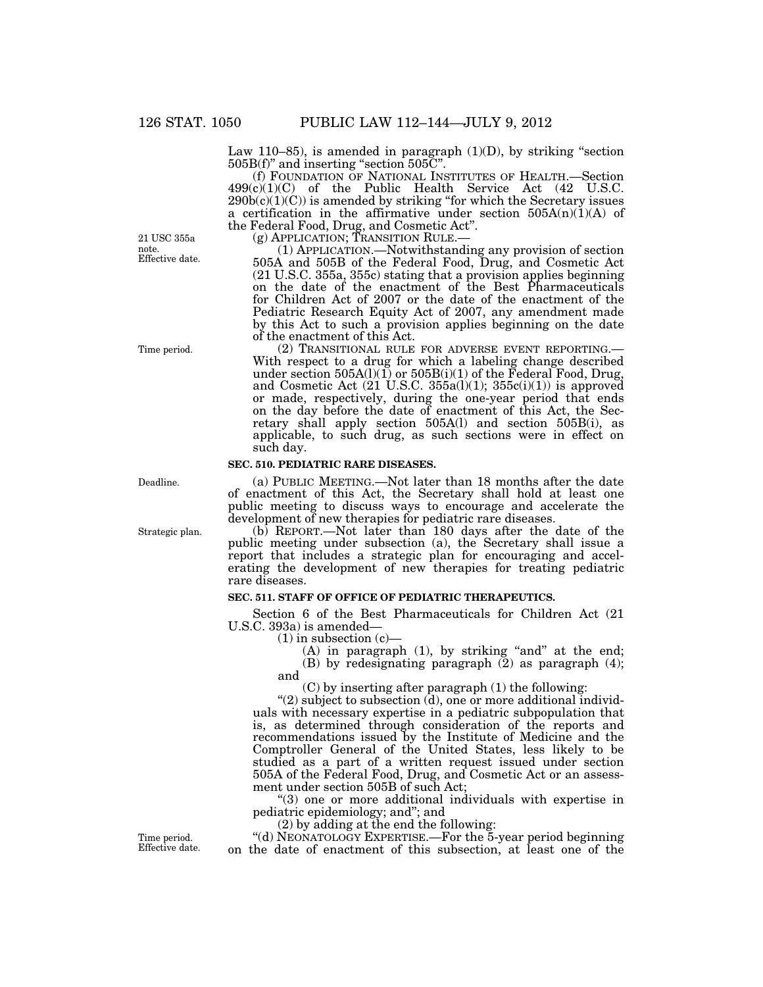Law 110–85), is amended in paragraph  $(1)(D)$ , by striking "section  $505B(f)$ " and inserting "section  $505C$ ".

(f) FOUNDATION OF NATIONAL INSTITUTES OF HEALTH.—Section 499(c)(1)(C) of the Public Health Service Act (42 U.S.C.  $290b(c)(1)(C)$  is amended by striking "for which the Secretary issues" a certification in the affirmative under section  $505A(n)(1)(A)$  of

the Federal Food, Drug, and Cosmetic Act''.

(g) APPLICATION; TRANSITION RULE.— (1) APPLICATION.—Notwithstanding any provision of section 505A and 505B of the Federal Food, Drug, and Cosmetic Act (21 U.S.C. 355a, 355c) stating that a provision applies beginning on the date of the enactment of the Best Pharmaceuticals for Children Act of 2007 or the date of the enactment of the Pediatric Research Equity Act of 2007, any amendment made by this Act to such a provision applies beginning on the date of the enactment of this Act.<br>
(2) TRANSITIONAL RULE FOR ADVERSE EVENT REPORTING.

(2) TRANSITIONAL RULE FOR ADVERSE EVENT REPORTING.— With respect to a drug for which a labeling change described under section 505A(l)(1) or 505B(i)(1) of the Federal Food, Drug, and Cosmetic Act  $(21 \text{ U.S.C. } 355a(1)(1); 355c(1)(1))$  is approved or made, respectively, during the one-year period that ends on the day before the date of enactment of this Act, the Secretary shall apply section 505A(l) and section 505B(i), as applicable, to such drug, as such sections were in effect on such day.

#### **SEC. 510. PEDIATRIC RARE DISEASES.**

(a) PUBLIC MEETING.—Not later than 18 months after the date of enactment of this Act, the Secretary shall hold at least one public meeting to discuss ways to encourage and accelerate the development of new therapies for pediatric rare diseases.

(b) REPORT.—Not later than 180 days after the date of the public meeting under subsection (a), the Secretary shall issue a report that includes a strategic plan for encouraging and accelerating the development of new therapies for treating pediatric rare diseases.

## **SEC. 511. STAFF OF OFFICE OF PEDIATRIC THERAPEUTICS.**

Section 6 of the Best Pharmaceuticals for Children Act (21 U.S.C. 393a) is amended—

 $(1)$  in subsection  $(c)$ 

 $(A)$  in paragraph  $(1)$ , by striking "and" at the end;  $(B)$  by redesignating paragraph  $(2)$  as paragraph  $(4)$ ; and

(C) by inserting after paragraph (1) the following:

" $(2)$  subject to subsection  $(d)$ , one or more additional individuals with necessary expertise in a pediatric subpopulation that is, as determined through consideration of the reports and recommendations issued by the Institute of Medicine and the Comptroller General of the United States, less likely to be studied as a part of a written request issued under section 505A of the Federal Food, Drug, and Cosmetic Act or an assessment under section 505B of such Act;

''(3) one or more additional individuals with expertise in pediatric epidemiology; and''; and

(2) by adding at the end the following:

''(d) NEONATOLOGY EXPERTISE.—For the 5-year period beginning on the date of enactment of this subsection, at least one of the

Effective date. 21 USC 355a note.

Time period.

Deadline.

Strategic plan.

Time period. Effective date.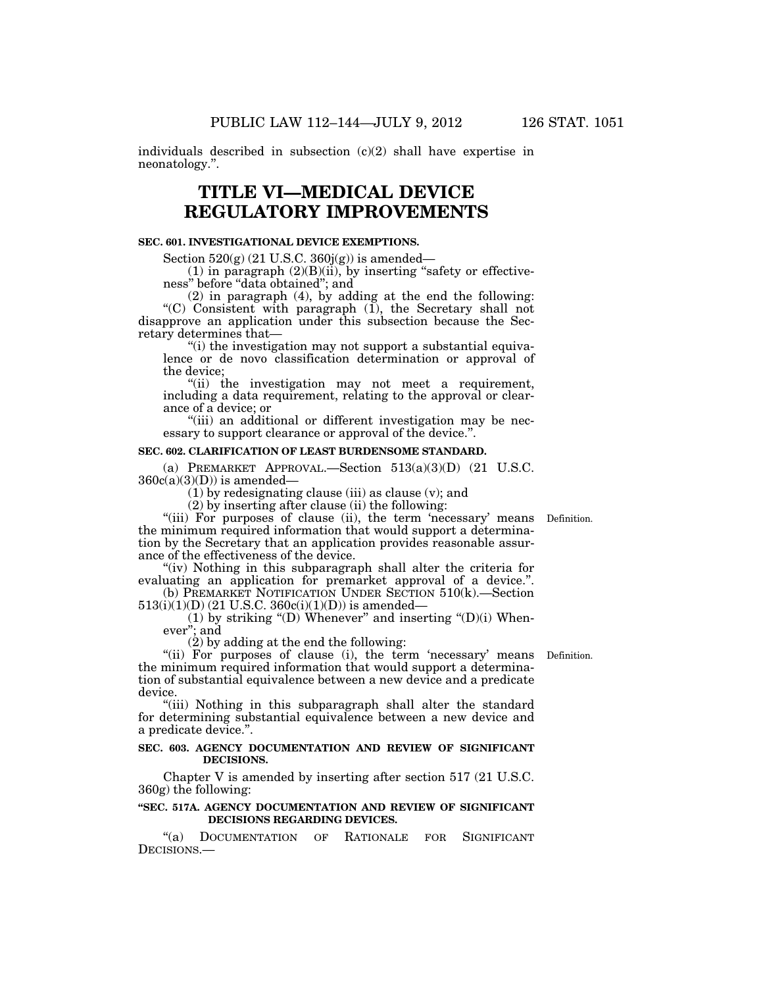individuals described in subsection (c)(2) shall have expertise in neonatology.''.

# **TITLE VI—MEDICAL DEVICE REGULATORY IMPROVEMENTS**

## **SEC. 601. INVESTIGATIONAL DEVICE EXEMPTIONS.**

Section  $520(g)$  (21 U.S.C.  $360j(g)$ ) is amended—

 $(1)$  in paragraph  $(2)(B)(ii)$ , by inserting "safety or effectiveness'' before ''data obtained''; and

(2) in paragraph (4), by adding at the end the following: "(C) Consistent with paragraph  $(1)$ , the Secretary shall not disapprove an application under this subsection because the Secretary determines that—

''(i) the investigation may not support a substantial equivalence or de novo classification determination or approval of the device;

"(ii) the investigation may not meet a requirement, including a data requirement, relating to the approval or clearance of a device; or

"(iii) an additional or different investigation may be necessary to support clearance or approval of the device.''.

## **SEC. 602. CLARIFICATION OF LEAST BURDENSOME STANDARD.**

(a) PREMARKET APPROVAL.—Section  $513(a)(3)(D)$  (21 U.S.C.  $360c(a)(3)(D)$ ) is amended—

 $(1)$  by redesignating clause (iii) as clause (v); and

(2) by inserting after clause (ii) the following:

"(iii) For purposes of clause (ii), the term 'necessary' means Definition. the minimum required information that would support a determination by the Secretary that an application provides reasonable assurance of the effectiveness of the device.

"(iv) Nothing in this subparagraph shall alter the criteria for evaluating an application for premarket approval of a device.''.

(b) PREMARKET NOTIFICATION UNDER SECTION 510(k).—Section  $513(i)(1)(D)$  (21 U.S.C. 360 $c(i)(1)(D)$ ) is amended—

(1) by striking "(D) Whenever" and inserting " $(D)(i)$  Whenever''; and

(2) by adding at the end the following:

"(ii) For purposes of clause (i), the term 'necessary' means Definition. the minimum required information that would support a determination of substantial equivalence between a new device and a predicate device.

"(iii) Nothing in this subparagraph shall alter the standard for determining substantial equivalence between a new device and a predicate device.''.

## **SEC. 603. AGENCY DOCUMENTATION AND REVIEW OF SIGNIFICANT DECISIONS.**

Chapter V is amended by inserting after section 517 (21 U.S.C. 360g) the following:

## **''SEC. 517A. AGENCY DOCUMENTATION AND REVIEW OF SIGNIFICANT DECISIONS REGARDING DEVICES.**

''(a) DOCUMENTATION OF RATIONALE FOR SIGNIFICANT DECISIONS.-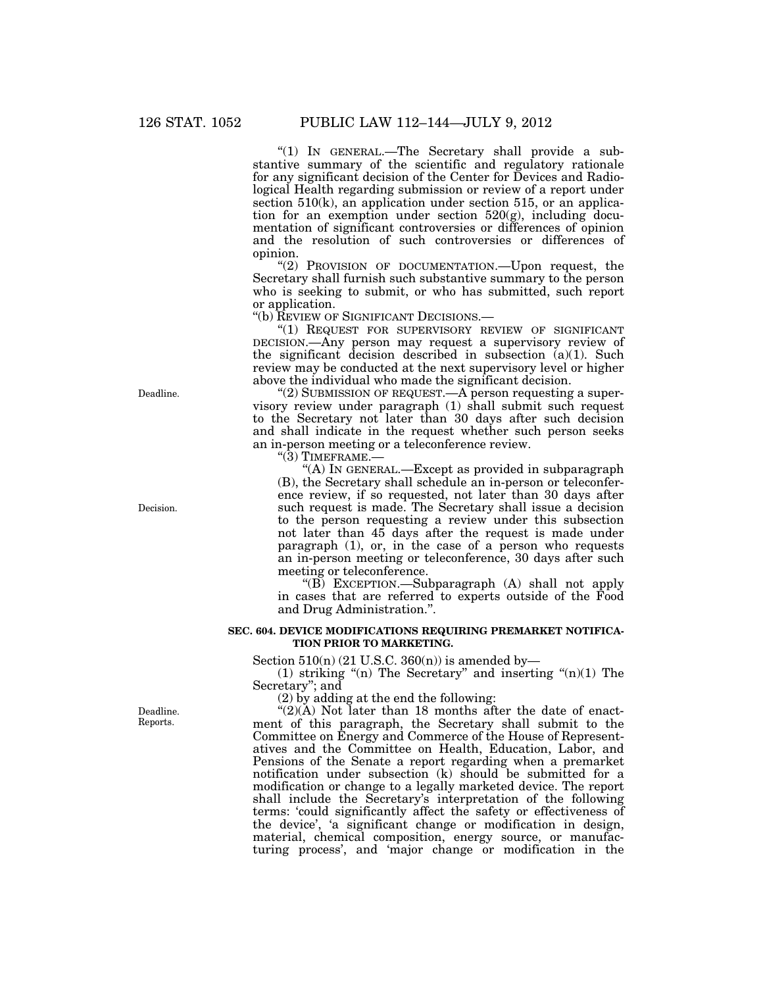"(1) IN GENERAL.—The Secretary shall provide a substantive summary of the scientific and regulatory rationale for any significant decision of the Center for Devices and Radiological Health regarding submission or review of a report under section 510(k), an application under section 515, or an application for an exemption under section  $520(g)$ , including documentation of significant controversies or differences of opinion and the resolution of such controversies or differences of opinion.

''(2) PROVISION OF DOCUMENTATION.—Upon request, the Secretary shall furnish such substantive summary to the person who is seeking to submit, or who has submitted, such report or application.

''(b) REVIEW OF SIGNIFICANT DECISIONS.—

"(1) REQUEST FOR SUPERVISORY REVIEW OF SIGNIFICANT DECISION.—Any person may request a supervisory review of the significant decision described in subsection (a)(1). Such review may be conducted at the next supervisory level or higher above the individual who made the significant decision.

"(2) SUBMISSION OF REQUEST.—A person requesting a supervisory review under paragraph (1) shall submit such request to the Secretary not later than 30 days after such decision and shall indicate in the request whether such person seeks an in-person meeting or a teleconference review.

 $\cdot$ (3) TIMEFRAME.-

''(A) IN GENERAL.—Except as provided in subparagraph (B), the Secretary shall schedule an in-person or teleconference review, if so requested, not later than 30 days after such request is made. The Secretary shall issue a decision to the person requesting a review under this subsection not later than 45 days after the request is made under paragraph (1), or, in the case of a person who requests an in-person meeting or teleconference, 30 days after such meeting or teleconference.

''(B) EXCEPTION.—Subparagraph (A) shall not apply in cases that are referred to experts outside of the Food and Drug Administration.''.

## **SEC. 604. DEVICE MODIFICATIONS REQUIRING PREMARKET NOTIFICA-TION PRIOR TO MARKETING.**

Section  $510(n)$  (21 U.S.C. 360(n)) is amended by-

(1) striking "(n) The Secretary" and inserting " $(n)(1)$  The Secretary''; and

(2) by adding at the end the following:

" $(2)(A)$  Not later than 18 months after the date of enactment of this paragraph, the Secretary shall submit to the Committee on Energy and Commerce of the House of Representatives and the Committee on Health, Education, Labor, and Pensions of the Senate a report regarding when a premarket notification under subsection (k) should be submitted for a modification or change to a legally marketed device. The report shall include the Secretary's interpretation of the following terms: 'could significantly affect the safety or effectiveness of the device', 'a significant change or modification in design, material, chemical composition, energy source, or manufacturing process', and 'major change or modification in the

Deadline.

Decision.

Deadline. Reports.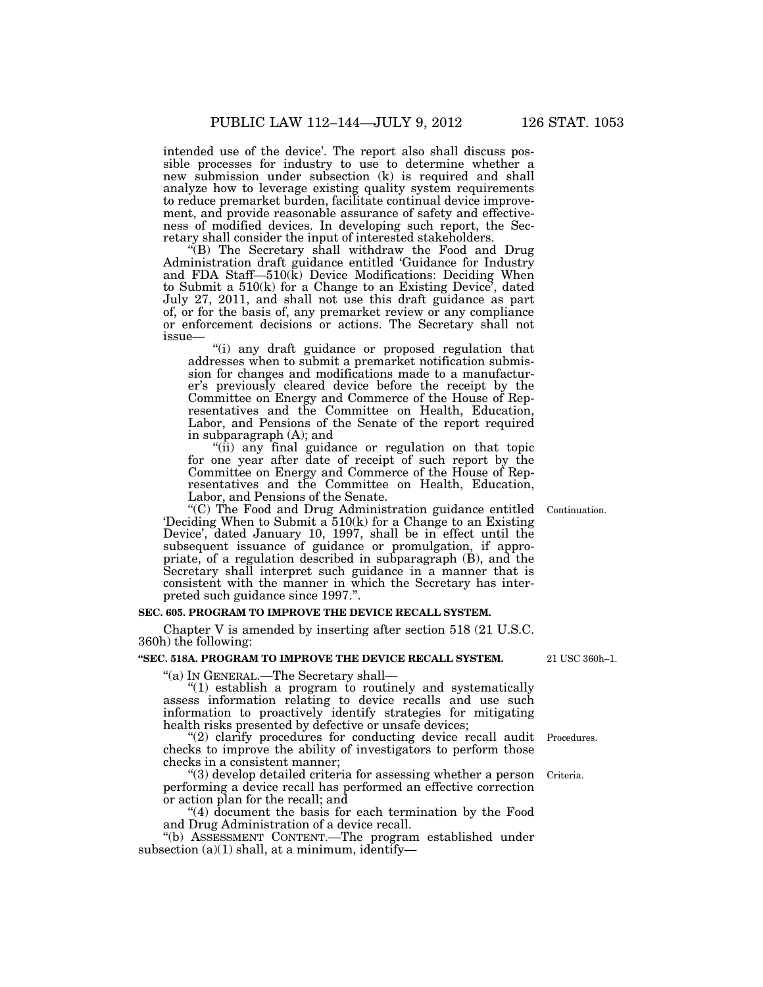intended use of the device'. The report also shall discuss possible processes for industry to use to determine whether a new submission under subsection (k) is required and shall analyze how to leverage existing quality system requirements to reduce premarket burden, facilitate continual device improvement, and provide reasonable assurance of safety and effectiveness of modified devices. In developing such report, the Secretary shall consider the input of interested stakeholders.

''(B) The Secretary shall withdraw the Food and Drug Administration draft guidance entitled 'Guidance for Industry and FDA Staff—510(k) Device Modifications: Deciding When to Submit a 510(k) for a Change to an Existing Device', dated July 27, 2011, and shall not use this draft guidance as part of, or for the basis of, any premarket review or any compliance or enforcement decisions or actions. The Secretary shall not issue—

''(i) any draft guidance or proposed regulation that addresses when to submit a premarket notification submission for changes and modifications made to a manufacturer's previously cleared device before the receipt by the Committee on Energy and Commerce of the House of Representatives and the Committee on Health, Education, Labor, and Pensions of the Senate of the report required in subparagraph (A); and

"(ii) any final guidance or regulation on that topic for one year after date of receipt of such report by the Committee on Energy and Commerce of the House of Representatives and the Committee on Health, Education, Labor, and Pensions of the Senate.

''(C) The Food and Drug Administration guidance entitled 'Deciding When to Submit a 510(k) for a Change to an Existing Device', dated January 10, 1997, shall be in effect until the subsequent issuance of guidance or promulgation, if appropriate, of a regulation described in subparagraph (B), and the Secretary shall interpret such guidance in a manner that is consistent with the manner in which the Secretary has interpreted such guidance since 1997.''.

#### **SEC. 605. PROGRAM TO IMPROVE THE DEVICE RECALL SYSTEM.**

Chapter V is amended by inserting after section 518 (21 U.S.C. 360h) the following:

# **''SEC. 518A. PROGRAM TO IMPROVE THE DEVICE RECALL SYSTEM.**

''(a) IN GENERAL.—The Secretary shall—

''(1) establish a program to routinely and systematically assess information relating to device recalls and use such information to proactively identify strategies for mitigating health risks presented by defective or unsafe devices;

"(2) clarify procedures for conducting device recall audit Procedures. checks to improve the ability of investigators to perform those checks in a consistent manner;

''(3) develop detailed criteria for assessing whether a person performing a device recall has performed an effective correction or action plan for the recall; and Criteria.

''(4) document the basis for each termination by the Food and Drug Administration of a device recall.

''(b) ASSESSMENT CONTENT.—The program established under subsection  $(a)(1)$  shall, at a minimum, identify—

21 USC 360h–1.

Continuation.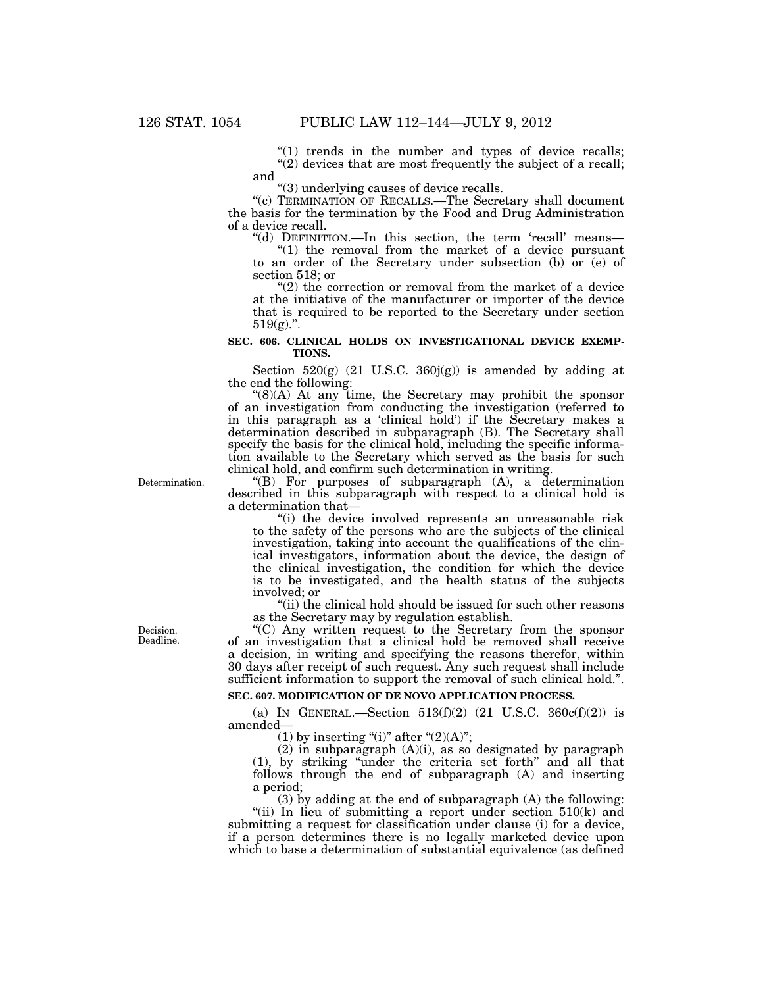" $(1)$  trends in the number and types of device recalls;  $'(2)$  devices that are most frequently the subject of a recall; and

''(3) underlying causes of device recalls.

''(c) TERMINATION OF RECALLS.—The Secretary shall document the basis for the termination by the Food and Drug Administration of a device recall.

"(d) DEFINITION.—In this section, the term 'recall' means— ''(1) the removal from the market of a device pursuant

to an order of the Secretary under subsection (b) or (e) of section 518; or

"(2) the correction or removal from the market of a device at the initiative of the manufacturer or importer of the device that is required to be reported to the Secretary under section  $519(g)$ .

## **SEC. 606. CLINICAL HOLDS ON INVESTIGATIONAL DEVICE EXEMP-TIONS.**

Section  $520(g)$  (21 U.S.C.  $360j(g)$ ) is amended by adding at the end the following:

" $(8)(A)$  At any time, the Secretary may prohibit the sponsor of an investigation from conducting the investigation (referred to in this paragraph as a 'clinical hold') if the Secretary makes a determination described in subparagraph (B). The Secretary shall specify the basis for the clinical hold, including the specific information available to the Secretary which served as the basis for such clinical hold, and confirm such determination in writing.

''(B) For purposes of subparagraph (A), a determination described in this subparagraph with respect to a clinical hold is a determination that—

"(i) the device involved represents an unreasonable risk to the safety of the persons who are the subjects of the clinical investigation, taking into account the qualifications of the clinical investigators, information about the device, the design of the clinical investigation, the condition for which the device is to be investigated, and the health status of the subjects involved; or

''(ii) the clinical hold should be issued for such other reasons as the Secretary may by regulation establish.

''(C) Any written request to the Secretary from the sponsor of an investigation that a clinical hold be removed shall receive a decision, in writing and specifying the reasons therefor, within 30 days after receipt of such request. Any such request shall include sufficient information to support the removal of such clinical hold.''.

# **SEC. 607. MODIFICATION OF DE NOVO APPLICATION PROCESS.**

(a) IN GENERAL.—Section  $513(f)(2)$  (21 U.S.C.  $360c(f)(2)$ ) is amended—

(1) by inserting "(i)" after " $(2)(A)$ ";

 $(2)$  in subparagraph  $(A)(i)$ , as so designated by paragraph (1), by striking ''under the criteria set forth'' and all that follows through the end of subparagraph (A) and inserting a period;

(3) by adding at the end of subparagraph (A) the following: "(ii) In lieu of submitting a report under section  $510(k)$  and submitting a request for classification under clause (i) for a device, if a person determines there is no legally marketed device upon which to base a determination of substantial equivalence (as defined

Decision. Deadline.

Determination.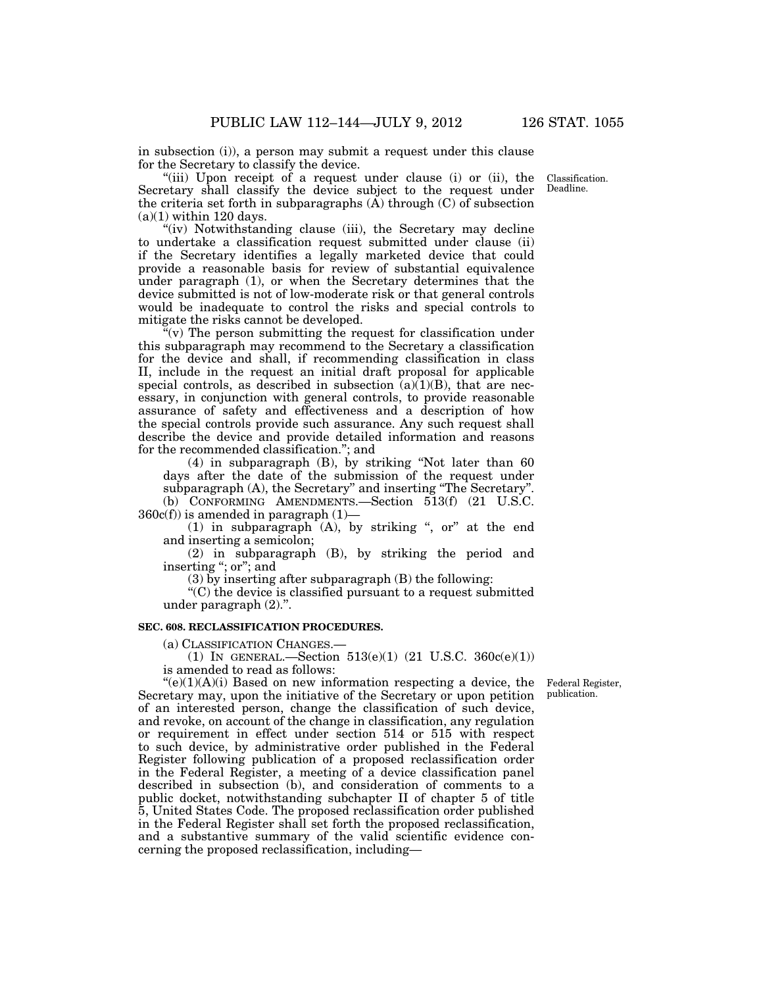in subsection (i)), a person may submit a request under this clause for the Secretary to classify the device.

"(iii) Upon receipt of a request under clause (i) or (ii), the Secretary shall classify the device subject to the request under the criteria set forth in subparagraphs  $(A)$  through  $(C)$  of subsection  $(a)(1)$  within 120 days.

''(iv) Notwithstanding clause (iii), the Secretary may decline to undertake a classification request submitted under clause (ii) if the Secretary identifies a legally marketed device that could provide a reasonable basis for review of substantial equivalence under paragraph (1), or when the Secretary determines that the device submitted is not of low-moderate risk or that general controls would be inadequate to control the risks and special controls to mitigate the risks cannot be developed.

 $(v)$  The person submitting the request for classification under this subparagraph may recommend to the Secretary a classification for the device and shall, if recommending classification in class II, include in the request an initial draft proposal for applicable special controls, as described in subsection  $(a)(1)(B)$ , that are necessary, in conjunction with general controls, to provide reasonable assurance of safety and effectiveness and a description of how the special controls provide such assurance. Any such request shall describe the device and provide detailed information and reasons for the recommended classification.''; and

(4) in subparagraph (B), by striking ''Not later than 60 days after the date of the submission of the request under subparagraph (A), the Secretary" and inserting "The Secretary".

(b) CONFORMING AMENDMENTS.—Section 513(f) (21 U.S.C.  $360c(f)$ ) is amended in paragraph  $(1)$ —

(1) in subparagraph  $(A)$ , by striking ", or" at the end and inserting a semicolon;

(2) in subparagraph (B), by striking the period and inserting ''; or''; and

(3) by inserting after subparagraph (B) the following:

''(C) the device is classified pursuant to a request submitted under paragraph (2).''.

# **SEC. 608. RECLASSIFICATION PROCEDURES.**

(a) CLASSIFICATION CHANGES.—

(1) IN GENERAL.—Section 513(e)(1) (21 U.S.C. 360c(e)(1)) is amended to read as follows:

> Federal Register, publication.

 $(e)(1)(A)(i)$  Based on new information respecting a device, the Secretary may, upon the initiative of the Secretary or upon petition of an interested person, change the classification of such device, and revoke, on account of the change in classification, any regulation or requirement in effect under section 514 or 515 with respect to such device, by administrative order published in the Federal Register following publication of a proposed reclassification order in the Federal Register, a meeting of a device classification panel described in subsection (b), and consideration of comments to a public docket, notwithstanding subchapter II of chapter 5 of title 5, United States Code. The proposed reclassification order published in the Federal Register shall set forth the proposed reclassification, and a substantive summary of the valid scientific evidence concerning the proposed reclassification, including—

Classification. Deadline.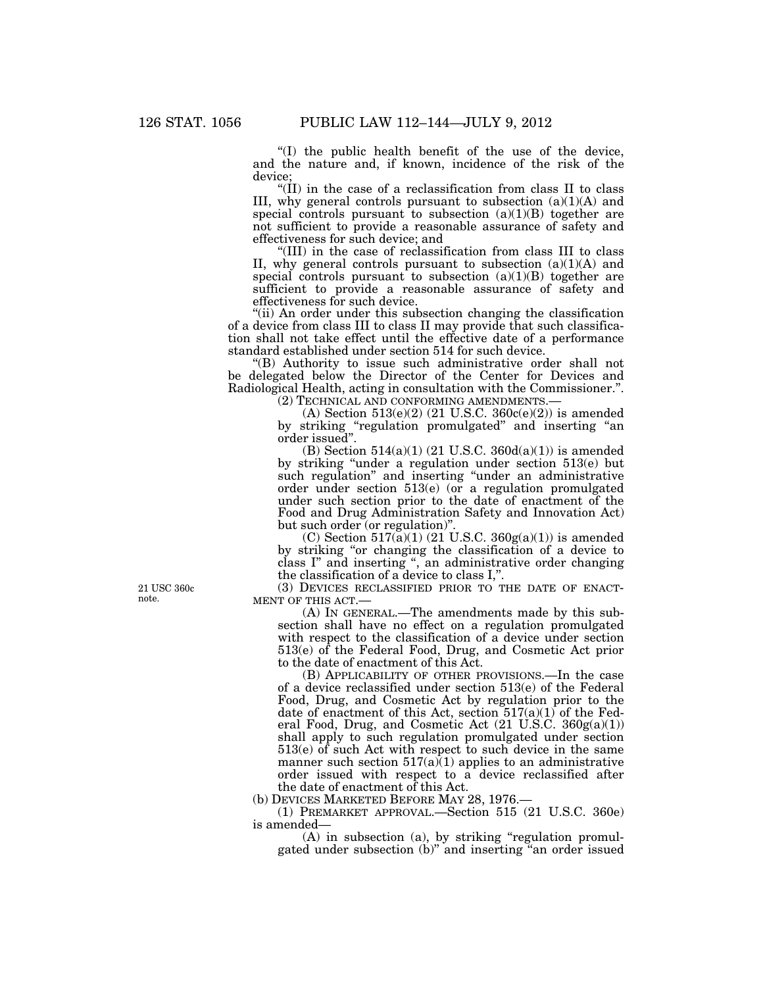''(I) the public health benefit of the use of the device, and the nature and, if known, incidence of the risk of the device;

''(II) in the case of a reclassification from class II to class III, why general controls pursuant to subsection (a)(1)(A) and special controls pursuant to subsection  $(a)(1)(B)$  together are not sufficient to provide a reasonable assurance of safety and effectiveness for such device; and

''(III) in the case of reclassification from class III to class II, why general controls pursuant to subsection  $(a)(1)(A)$  and special controls pursuant to subsection  $(a)(1)(B)$  together are sufficient to provide a reasonable assurance of safety and effectiveness for such device.

''(ii) An order under this subsection changing the classification of a device from class III to class II may provide that such classification shall not take effect until the effective date of a performance standard established under section 514 for such device.

''(B) Authority to issue such administrative order shall not be delegated below the Director of the Center for Devices and Radiological Health, acting in consultation with the Commissioner.''.

(2) TECHNICAL AND CONFORMING AMENDMENTS.—

(A) Section  $513(e)(2)$  (21 U.S.C.  $360c(e)(2)$ ) is amended by striking ''regulation promulgated'' and inserting ''an order issued''.

(B) Section  $514(a)(1)$  (21 U.S.C. 360d(a)(1)) is amended by striking ''under a regulation under section 513(e) but such regulation" and inserting "under an administrative order under section 513(e) (or a regulation promulgated under such section prior to the date of enactment of the Food and Drug Administration Safety and Innovation Act) but such order (or regulation)".

(C) Section  $517(a)(1)$  (21 U.S.C.  $360g(a)(1)$ ) is amended by striking ''or changing the classification of a device to class I'' and inserting '', an administrative order changing the classification of a device to class I,''.

(3) DEVICES RECLASSIFIED PRIOR TO THE DATE OF ENACT-MENT OF THIS ACT.—

(A) IN GENERAL.—The amendments made by this subsection shall have no effect on a regulation promulgated with respect to the classification of a device under section 513(e) of the Federal Food, Drug, and Cosmetic Act prior to the date of enactment of this Act.

(B) APPLICABILITY OF OTHER PROVISIONS.—In the case of a device reclassified under section 513(e) of the Federal Food, Drug, and Cosmetic Act by regulation prior to the date of enactment of this Act, section  $517(a)(1)$  of the Federal Food, Drug, and Cosmetic Act (21 U.S.C. 360g(a)(1)) shall apply to such regulation promulgated under section 513(e) of such Act with respect to such device in the same manner such section  $517(a)(1)$  applies to an administrative order issued with respect to a device reclassified after the date of enactment of this Act.

(b) DEVICES MARKETED BEFORE MAY 28, 1976.—

(1) PREMARKET APPROVAL.—Section 515 (21 U.S.C. 360e) is amended—

 $(A)$  in subsection  $(a)$ , by striking "regulation promulgated under subsection (b)'' and inserting ''an order issued

21 USC 360c note.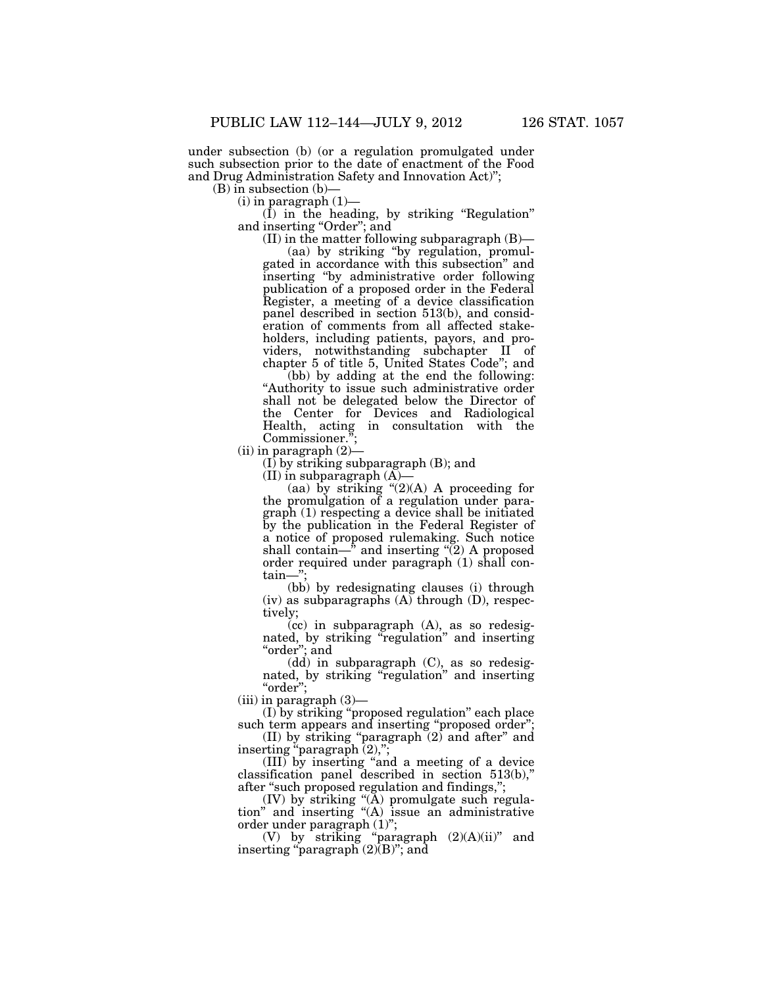under subsection (b) (or a regulation promulgated under such subsection prior to the date of enactment of the Food and Drug Administration Safety and Innovation Act)'';

(B) in subsection (b)—

 $(i)$  in paragraph  $(1)$ —

 $(\overline{I})$  in the heading, by striking "Regulation" and inserting "Order"; and

(II) in the matter following subparagraph (B)—

(aa) by striking ''by regulation, promulgated in accordance with this subsection'' and inserting ''by administrative order following publication of a proposed order in the Federal Register, a meeting of a device classification panel described in section 513(b), and consideration of comments from all affected stakeholders, including patients, payors, and providers, notwithstanding subchapter II of chapter 5 of title 5, United States Code''; and

(bb) by adding at the end the following: "Authority to issue such administrative order shall not be delegated below the Director of the Center for Devices and Radiological Health, acting in consultation with the Commissioner. Commissioner.'

(ii) in paragraph (2)—

(I) by striking subparagraph (B); and

(II) in subparagraph  $(A)$ 

(aa) by striking  $"(2)(A)$  A proceeding for the promulgation of a regulation under paragraph (1) respecting a device shall be initiated by the publication in the Federal Register of a notice of proposed rulemaking. Such notice shall contain— $\phi$  and inserting "(2) A proposed order required under paragraph (1) shall contain—"

(bb) by redesignating clauses (i) through (iv) as subparagraphs (A) through (D), respectively;

(cc) in subparagraph (A), as so redesignated, by striking "regulation" and inserting ''order''; and

(dd) in subparagraph (C), as so redesignated, by striking "regulation" and inserting ''order'';

 $(iii)$  in paragraph  $(3)$ —

(I) by striking ''proposed regulation'' each place such term appears and inserting "proposed order";

(II) by striking "paragraph  $(2)$  and after" and inserting "paragraph  $(2)$ ,";

(III) by inserting ''and a meeting of a device classification panel described in section 513(b),'' after "such proposed regulation and findings,";

(IV) by striking ''(A) promulgate such regulation'' and inserting ''(A) issue an administrative order under paragraph (1)'';

(V) by striking "paragraph  $(2)(A)(ii)$ " and inserting "paragraph (2)(B)"; and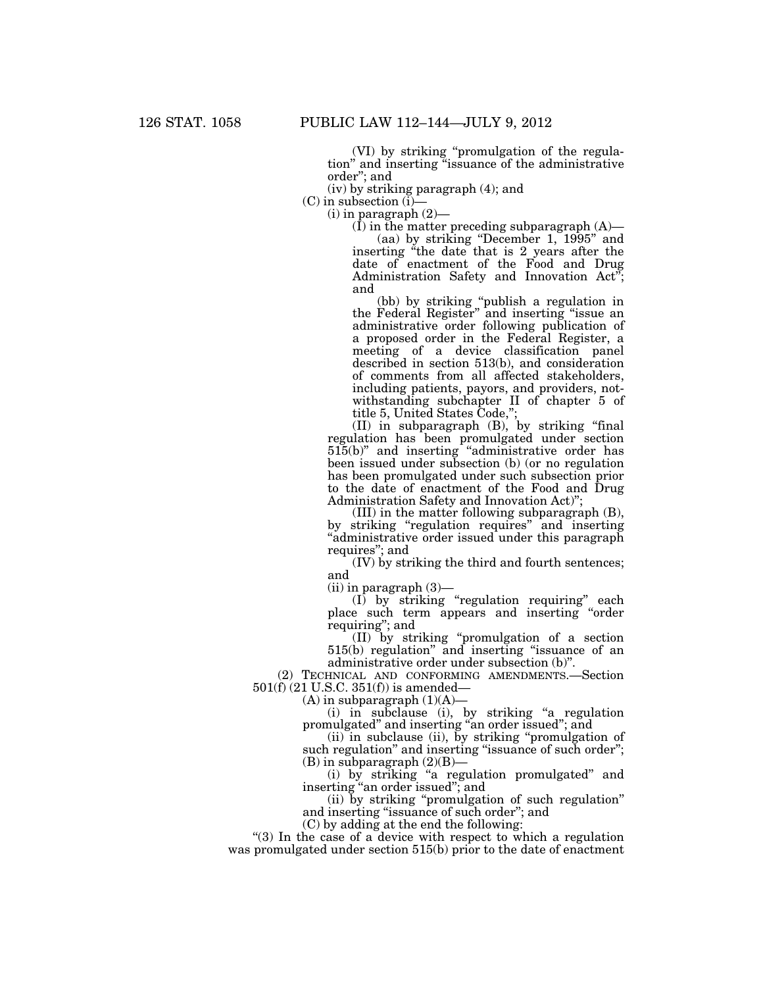(VI) by striking ''promulgation of the regulation'' and inserting ''issuance of the administrative order''; and

(iv) by striking paragraph (4); and

 $(C)$  in subsection  $(i)$ -

 $(i)$  in paragraph  $(2)$ —

 $(I)$  in the matter preceding subparagraph  $(A)$ — (aa) by striking ''December 1, 1995'' and inserting "the date that is 2 years after the date of enactment of the Food and Drug Administration Safety and Innovation Act''; and

(bb) by striking ''publish a regulation in the Federal Register'' and inserting ''issue an administrative order following publication of a proposed order in the Federal Register, a meeting of a device classification panel described in section 513(b), and consideration of comments from all affected stakeholders, including patients, payors, and providers, notwithstanding subchapter II of chapter 5 of title 5, United States Code,'';

(II) in subparagraph (B), by striking ''final regulation has been promulgated under section 515(b)'' and inserting ''administrative order has been issued under subsection (b) (or no regulation has been promulgated under such subsection prior to the date of enactment of the Food and Drug Administration Safety and Innovation Act)'';

(III) in the matter following subparagraph (B), by striking "regulation requires" and inserting ''administrative order issued under this paragraph requires''; and

(IV) by striking the third and fourth sentences; and

 $(ii)$  in paragraph  $(3)$ —

(I) by striking ''regulation requiring'' each place such term appears and inserting ''order requiring''; and

(II) by striking ''promulgation of a section 515(b) regulation'' and inserting ''issuance of an administrative order under subsection (b)''.

(2) TECHNICAL AND CONFORMING AMENDMENTS.—Section 501(f) (21 U.S.C. 351(f)) is amended—

 $(A)$  in subparagraph  $(1)(A)$ —

(i) in subclause (i), by striking "a regulation promulgated'' and inserting ''an order issued''; and

(ii) in subclause (ii), by striking ''promulgation of such regulation" and inserting "issuance of such order";  $(B)$  in subparagraph  $(2)(B)$ 

(i) by striking ''a regulation promulgated'' and inserting ''an order issued''; and

(ii) by striking ''promulgation of such regulation'' and inserting ''issuance of such order''; and

(C) by adding at the end the following:

"(3) In the case of a device with respect to which a regulation was promulgated under section 515(b) prior to the date of enactment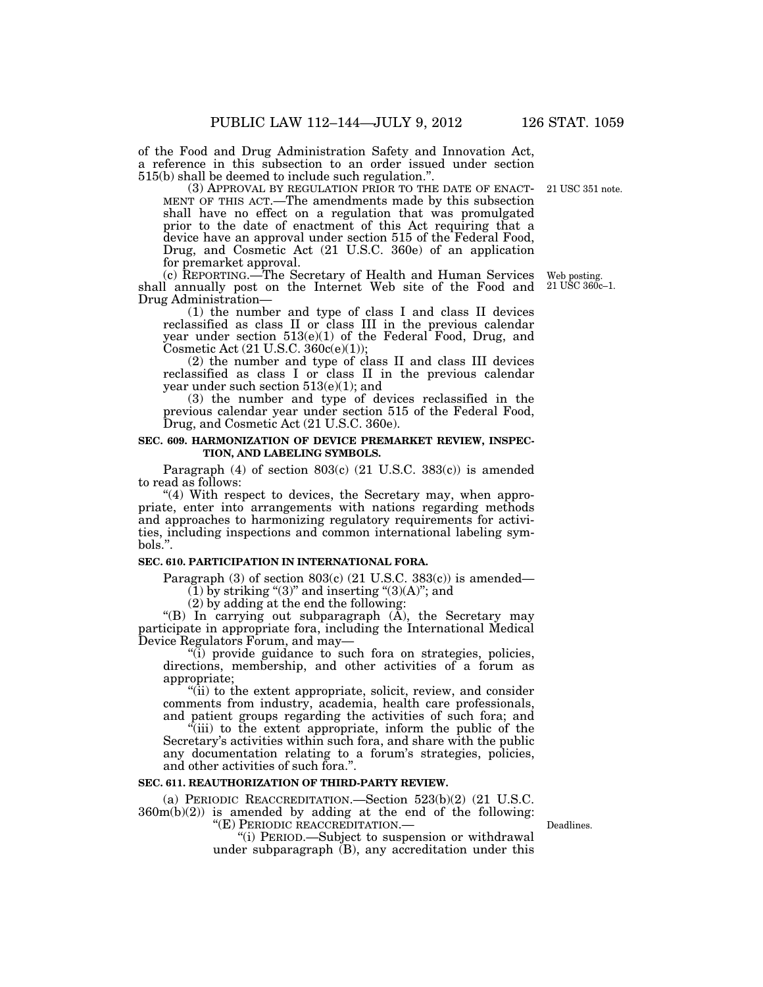of the Food and Drug Administration Safety and Innovation Act, a reference in this subsection to an order issued under section 515(b) shall be deemed to include such regulation.''.

MENT OF THIS ACT.—The amendments made by this subsection shall have no effect on a regulation that was promulgated prior to the date of enactment of this Act requiring that a device have an approval under section 515 of the Federal Food, Drug, and Cosmetic Act (21 U.S.C. 360e) of an application for premarket approval. 21 USC 351 note.

(c) REPORTING.—The Secretary of Health and Human Services shall annually post on the Internet Web site of the Food and Drug Administration—

(1) the number and type of class I and class II devices reclassified as class II or class III in the previous calendar year under section  $513(e)(1)$  of the Federal Food, Drug, and Cosmetic Act (21 U.S.C. 360c(e)(1));

(2) the number and type of class II and class III devices reclassified as class I or class II in the previous calendar year under such section 513(e)(1); and

(3) the number and type of devices reclassified in the previous calendar year under section 515 of the Federal Food, Drug, and Cosmetic Act (21 U.S.C. 360e).

## **SEC. 609. HARMONIZATION OF DEVICE PREMARKET REVIEW, INSPEC-TION, AND LABELING SYMBOLS.**

Paragraph  $(4)$  of section  $803(c)$   $(21 \text{ U.S.C. } 383(c))$  is amended to read as follows:

"(4) With respect to devices, the Secretary may, when appropriate, enter into arrangements with nations regarding methods and approaches to harmonizing regulatory requirements for activities, including inspections and common international labeling sym- $\text{hols}$ <sup>"</sup>.

## **SEC. 610. PARTICIPATION IN INTERNATIONAL FORA.**

Paragraph (3) of section  $803(c)$  (21 U.S.C. 383(c)) is amended—

 $(1)$  by striking "(3)" and inserting "(3)(A)"; and

(2) by adding at the end the following:

"(B) In carrying out subparagraph  $(\tilde{A})$ , the Secretary may participate in appropriate fora, including the International Medical Device Regulators Forum, and may—

''(i) provide guidance to such fora on strategies, policies, directions, membership, and other activities of a forum as appropriate;

''(ii) to the extent appropriate, solicit, review, and consider comments from industry, academia, health care professionals, and patient groups regarding the activities of such fora; and

(iii) to the extent appropriate, inform the public of the Secretary's activities within such fora, and share with the public any documentation relating to a forum's strategies, policies, and other activities of such fora.''.

#### **SEC. 611. REAUTHORIZATION OF THIRD-PARTY REVIEW.**

(a) PERIODIC REACCREDITATION.—Section 523(b)(2) (21 U.S.C.  $360m(b)(2)$  is amended by adding at the end of the following: "(E) PERIODIC REACCREDITATION.—

"(i) PERIOD.—Subject to suspension or withdrawal under subparagraph  $(B)$ , any accreditation under this

Deadlines.

Web posting. 21 USC 360c–1.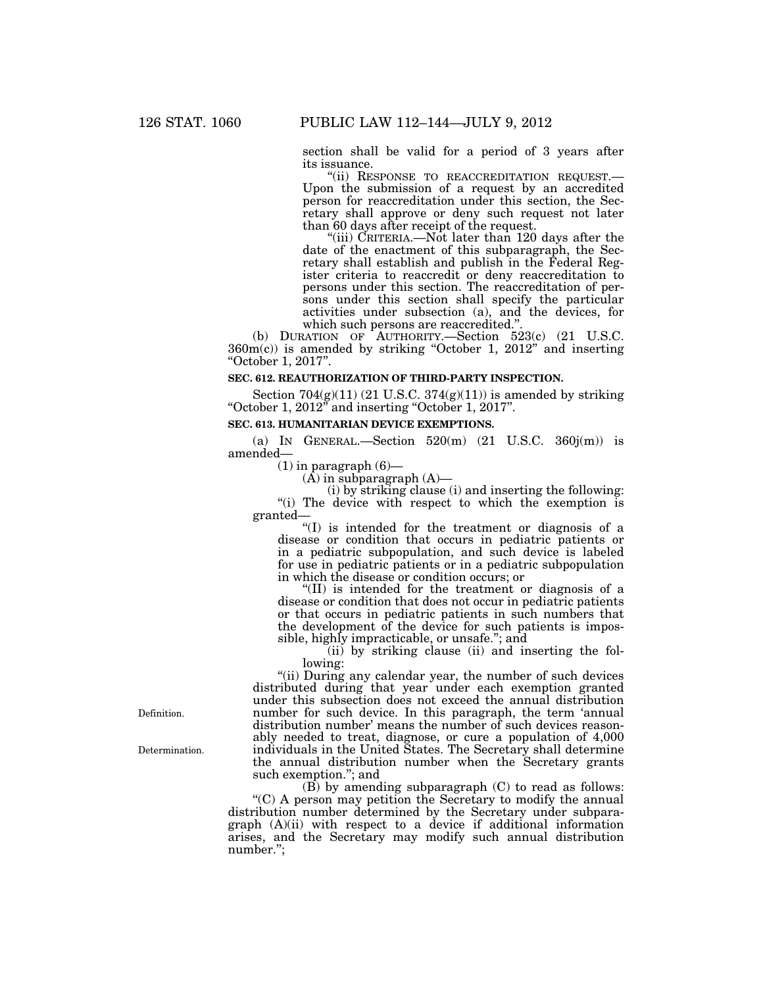section shall be valid for a period of 3 years after its issuance.<br>"(ii) RESPONSE TO REACCREDITATION REQUEST.-

Upon the submission of a request by an accredited person for reaccreditation under this section, the Secretary shall approve or deny such request not later than 60 days after receipt of the request.

"(iii) CRITERIA.—Not later than 120 days after the date of the enactment of this subparagraph, the Secretary shall establish and publish in the Federal Register criteria to reaccredit or deny reaccreditation to persons under this section. The reaccreditation of persons under this section shall specify the particular activities under subsection (a), and the devices, for which such persons are reaccredited.''.

(b) DURATION OF AUTHORITY.—Section 523(c) (21 U.S.C. 360m(c)) is amended by striking ''October 1, 2012'' and inserting ''October 1, 2017''.

## **SEC. 612. REAUTHORIZATION OF THIRD-PARTY INSPECTION.**

Section  $704(g)(11)$  (21 U.S.C.  $374(g)(11)$ ) is amended by striking ''October 1, 2012'' and inserting ''October 1, 2017''.

## **SEC. 613. HUMANITARIAN DEVICE EXEMPTIONS.**

(a) IN GENERAL.—Section  $520(m)$  (21 U.S.C.  $360j(m)$ ) is amended—

 $(1)$  in paragraph  $(6)$ —

 $(A)$  in subparagraph  $(A)$ —

(i) by striking clause (i) and inserting the following:

''(i) The device with respect to which the exemption is granted—

''(I) is intended for the treatment or diagnosis of a disease or condition that occurs in pediatric patients or in a pediatric subpopulation, and such device is labeled for use in pediatric patients or in a pediatric subpopulation in which the disease or condition occurs; or

''(II) is intended for the treatment or diagnosis of a disease or condition that does not occur in pediatric patients or that occurs in pediatric patients in such numbers that the development of the device for such patients is impossible, highly impracticable, or unsafe.''; and

(ii) by striking clause (ii) and inserting the following:

"(ii) During any calendar year, the number of such devices distributed during that year under each exemption granted under this subsection does not exceed the annual distribution number for such device. In this paragraph, the term 'annual distribution number' means the number of such devices reasonably needed to treat, diagnose, or cure a population of 4,000 individuals in the United States. The Secretary shall determine the annual distribution number when the Secretary grants such exemption.''; and

 $(B)$  by amending subparagraph  $(C)$  to read as follows:  $(C)$  A person may petition the Secretary to modify the annual distribution number determined by the Secretary under subparagraph (A)(ii) with respect to a device if additional information arises, and the Secretary may modify such annual distribution number.'';

Definition.

Determination.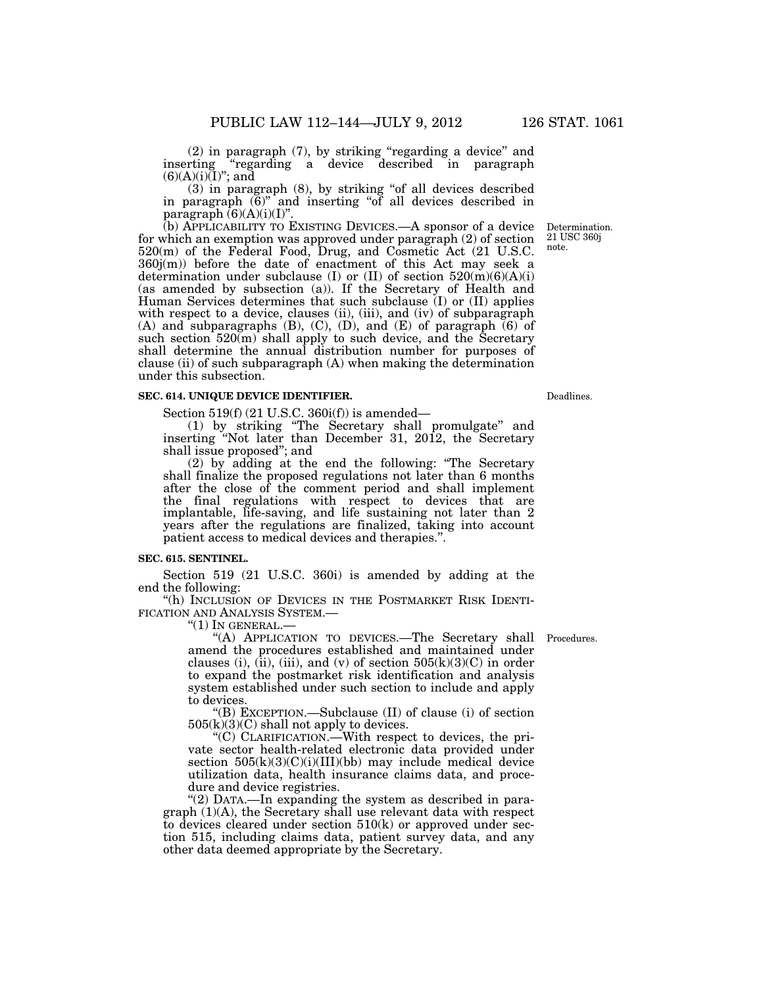(2) in paragraph (7), by striking ''regarding a device'' and inserting ''regarding a device described in paragraph  $(6)(A)(i)\overline{(I)}$ ; and

(3) in paragraph (8), by striking ''of all devices described in paragraph (6)'' and inserting ''of all devices described in paragraph  $(6)(A)(i)(I)$ ".

(b) APPLICABILITY TO EXISTING DEVICES.—A sponsor of a device for which an exemption was approved under paragraph (2) of section 520(m) of the Federal Food, Drug, and Cosmetic Act (21 U.S.C. 360j(m)) before the date of enactment of this Act may seek a determination under subclause (I) or (II) of section  $520(m)(6)(A)(i)$ (as amended by subsection (a)). If the Secretary of Health and Human Services determines that such subclause (I) or (II) applies with respect to a device, clauses (ii), (iii), and (iv) of subparagraph (A) and subparagraphs (B), (C), (D), and (E) of paragraph  $(6)$  of such section 520(m) shall apply to such device, and the Secretary shall determine the annual distribution number for purposes of clause (ii) of such subparagraph (A) when making the determination under this subsection.

## **SEC. 614. UNIQUE DEVICE IDENTIFIER.**

Section 519(f) (21 U.S.C. 360i(f)) is amended—

(1) by striking ''The Secretary shall promulgate'' and inserting ''Not later than December 31, 2012, the Secretary shall issue proposed''; and

(2) by adding at the end the following: ''The Secretary shall finalize the proposed regulations not later than 6 months after the close of the comment period and shall implement the final regulations with respect to devices that are implantable, life-saving, and life sustaining not later than 2 years after the regulations are finalized, taking into account patient access to medical devices and therapies.''.

#### **SEC. 615. SENTINEL.**

Section 519 (21 U.S.C. 360i) is amended by adding at the end the following:

''(h) INCLUSION OF DEVICES IN THE POSTMARKET RISK IDENTI-FICATION AND ANALYSIS SYSTEM.—

" $(1)$  In GENERAL. $-$ 

"(A) APPLICATION TO DEVICES.—The Secretary shall Procedures. amend the procedures established and maintained under clauses (i), (ii), (iii), and (v) of section  $505(k)(3)(C)$  in order to expand the postmarket risk identification and analysis system established under such section to include and apply to devices.

''(B) EXCEPTION.—Subclause (II) of clause (i) of section  $505(k)(3)(C)$  shall not apply to devices.

''(C) CLARIFICATION.—With respect to devices, the private sector health-related electronic data provided under section  $505(k)(3)(C)(i)(III)(bb)$  may include medical device utilization data, health insurance claims data, and procedure and device registries.

"(2) DATA.—In expanding the system as described in paragraph (1)(A), the Secretary shall use relevant data with respect to devices cleared under section  $510(k)$  or approved under section 515, including claims data, patient survey data, and any other data deemed appropriate by the Secretary.

Determination. 21 USC 360j note.

Deadlines.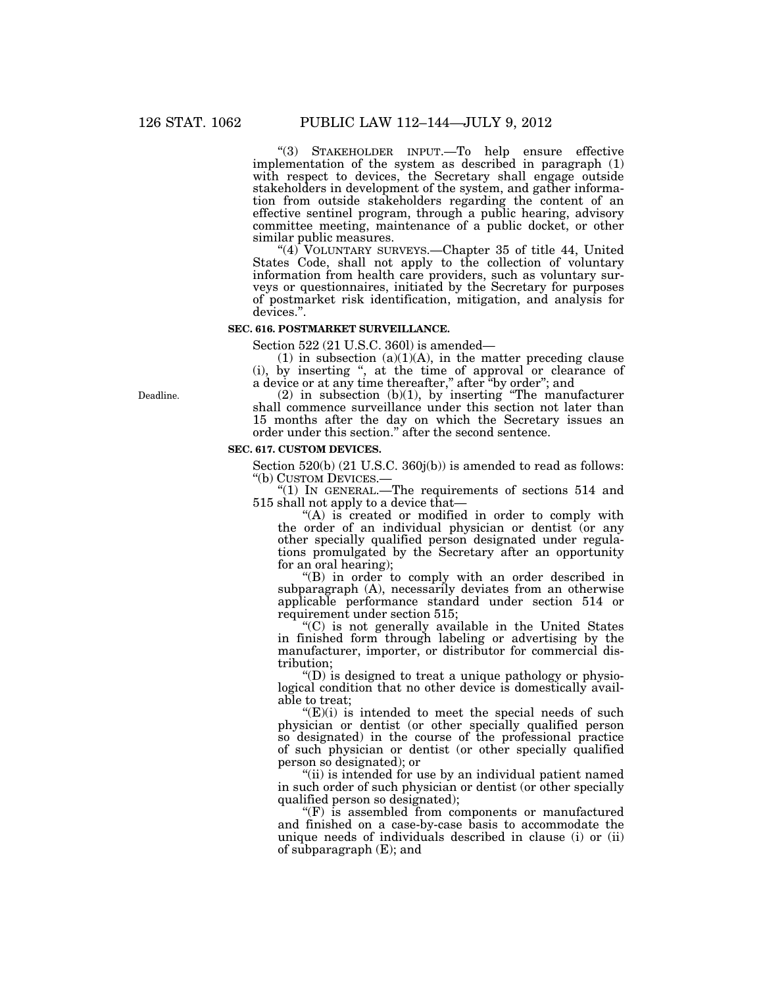''(3) STAKEHOLDER INPUT.—To help ensure effective implementation of the system as described in paragraph (1) with respect to devices, the Secretary shall engage outside stakeholders in development of the system, and gather information from outside stakeholders regarding the content of an effective sentinel program, through a public hearing, advisory committee meeting, maintenance of a public docket, or other similar public measures.

"(4) VOLUNTARY SURVEYS.—Chapter 35 of title 44, United States Code, shall not apply to the collection of voluntary information from health care providers, such as voluntary surveys or questionnaires, initiated by the Secretary for purposes of postmarket risk identification, mitigation, and analysis for devices.''.

## **SEC. 616. POSTMARKET SURVEILLANCE.**

Section 522 (21 U.S.C. 360l) is amended—

 $(1)$  in subsection  $(a)(1)(A)$ , in the matter preceding clause (i), by inserting '', at the time of approval or clearance of a device or at any time thereafter,'' after ''by order''; and

 $(2)$  in subsection  $(b)(1)$ , by inserting "The manufacturer shall commence surveillance under this section not later than 15 months after the day on which the Secretary issues an order under this section.'' after the second sentence.

#### **SEC. 617. CUSTOM DEVICES.**

Section 520(b) (21 U.S.C. 360j(b)) is amended to read as follows:

''(b) CUSTOM DEVICES.— ''(1) IN GENERAL.—The requirements of sections 514 and 515 shall not apply to a device that—

"(A) is created or modified in order to comply with the order of an individual physician or dentist (or any other specially qualified person designated under regulations promulgated by the Secretary after an opportunity for an oral hearing);

"(B) in order to comply with an order described in subparagraph (A), necessarily deviates from an otherwise applicable performance standard under section 514 or requirement under section 515;

''(C) is not generally available in the United States in finished form through labeling or advertising by the manufacturer, importer, or distributor for commercial distribution;

 $\mathrm{``(D)}$  is designed to treat a unique pathology or physiological condition that no other device is domestically available to treat;

 $E(E)(i)$  is intended to meet the special needs of such physician or dentist (or other specially qualified person so designated) in the course of the professional practice of such physician or dentist (or other specially qualified person so designated); or

"(ii) is intended for use by an individual patient named in such order of such physician or dentist (or other specially qualified person so designated);

 $f(F)$  is assembled from components or manufactured and finished on a case-by-case basis to accommodate the unique needs of individuals described in clause (i) or (ii) of subparagraph (E); and

Deadline.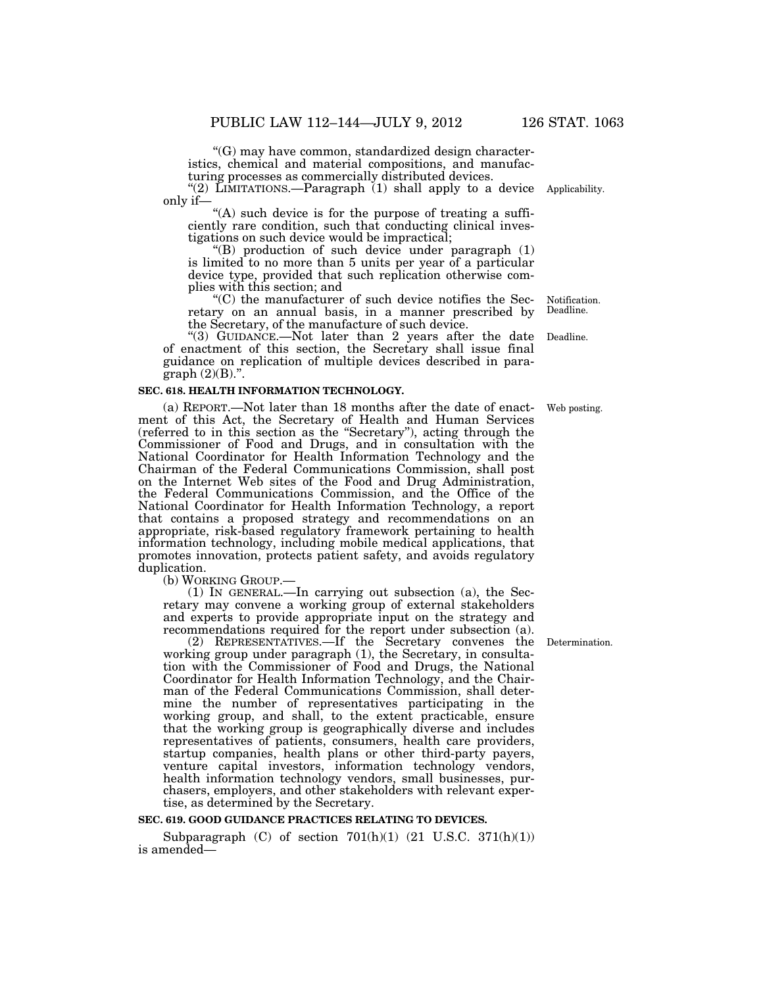''(G) may have common, standardized design characteristics, chemical and material compositions, and manufacturing processes as commercially distributed devices.

"(2) LIMITATIONS.—Paragraph (1) shall apply to a device Applicability. only if—

"(A) such device is for the purpose of treating a sufficiently rare condition, such that conducting clinical investigations on such device would be impractical;

''(B) production of such device under paragraph (1) is limited to no more than 5 units per year of a particular device type, provided that such replication otherwise complies with this section; and

''(C) the manufacturer of such device notifies the Secretary on an annual basis, in a manner prescribed by the Secretary, of the manufacture of such device.

"(3) GUIDANCE.—Not later than 2 years after the date of enactment of this section, the Secretary shall issue final guidance on replication of multiple devices described in paragraph (2)(B).''.

## **SEC. 618. HEALTH INFORMATION TECHNOLOGY.**

(a) REPORT.—Not later than 18 months after the date of enactment of this Act, the Secretary of Health and Human Services (referred to in this section as the ''Secretary''), acting through the Commissioner of Food and Drugs, and in consultation with the National Coordinator for Health Information Technology and the Chairman of the Federal Communications Commission, shall post on the Internet Web sites of the Food and Drug Administration, the Federal Communications Commission, and the Office of the National Coordinator for Health Information Technology, a report that contains a proposed strategy and recommendations on an appropriate, risk-based regulatory framework pertaining to health information technology, including mobile medical applications, that promotes innovation, protects patient safety, and avoids regulatory duplication.

(b) WORKING GROUP.—<br>(1) IN GENERAL.—In carrying out subsection (a), the Secretary may convene a working group of external stakeholders and experts to provide appropriate input on the strategy and recommendations required for the report under subsection (a).

(2) REPRESENTATIVES.—If the Secretary convenes the working group under paragraph (1), the Secretary, in consultation with the Commissioner of Food and Drugs, the National Coordinator for Health Information Technology, and the Chairman of the Federal Communications Commission, shall determine the number of representatives participating in the working group, and shall, to the extent practicable, ensure that the working group is geographically diverse and includes representatives of patients, consumers, health care providers, startup companies, health plans or other third-party payers, venture capital investors, information technology vendors, health information technology vendors, small businesses, purchasers, employers, and other stakeholders with relevant expertise, as determined by the Secretary.

#### **SEC. 619. GOOD GUIDANCE PRACTICES RELATING TO DEVICES.**

Subparagraph  $(C)$  of section  $701(h)(1)$   $(21 \text{ U.S.C. } 371(h)(1))$ is amended—

**Determination** 

Notification. Deadline.

Deadline.

Web posting.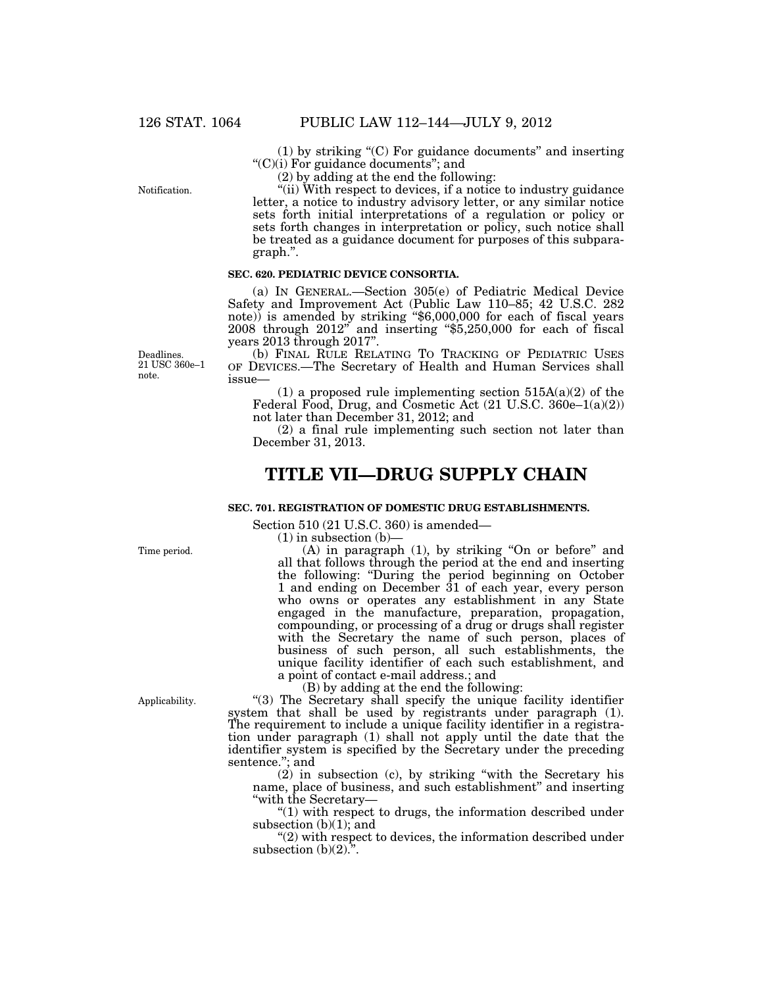Notification.

(1) by striking ''(C) For guidance documents'' and inserting ''(C)(i) For guidance documents''; and

(2) by adding at the end the following:

''(ii) With respect to devices, if a notice to industry guidance letter, a notice to industry advisory letter, or any similar notice sets forth initial interpretations of a regulation or policy or sets forth changes in interpretation or policy, such notice shall be treated as a guidance document for purposes of this subparagraph.''.

## **SEC. 620. PEDIATRIC DEVICE CONSORTIA.**

(a) IN GENERAL.—Section 305(e) of Pediatric Medical Device Safety and Improvement Act (Public Law 110–85; 42 U.S.C. 282 note)) is amended by striking "\$6,000,000 for each of fiscal years 2008 through 2012'' and inserting ''\$5,250,000 for each of fiscal years 2013 through 2017''.

(b) FINAL RULE RELATING TO TRACKING OF PEDIATRIC USES OF DEVICES.—The Secretary of Health and Human Services shall issue—

(1) a proposed rule implementing section  $515A(a)(2)$  of the Federal Food, Drug, and Cosmetic Act  $(21 \text{ U.S.C. } 360e-1(a)(2))$ not later than December 31, 2012; and

(2) a final rule implementing such section not later than December 31, 2013.

# **TITLE VII—DRUG SUPPLY CHAIN**

## **SEC. 701. REGISTRATION OF DOMESTIC DRUG ESTABLISHMENTS.**

Section 510 (21 U.S.C. 360) is amended—

 $(1)$  in subsection  $(b)$ –

(A) in paragraph (1), by striking ''On or before'' and all that follows through the period at the end and inserting the following: ''During the period beginning on October 1 and ending on December 31 of each year, every person who owns or operates any establishment in any State engaged in the manufacture, preparation, propagation, compounding, or processing of a drug or drugs shall register with the Secretary the name of such person, places of business of such person, all such establishments, the unique facility identifier of each such establishment, and a point of contact e-mail address.; and

(B) by adding at the end the following:

"(3) The Secretary shall specify the unique facility identifier system that shall be used by registrants under paragraph (1). The requirement to include a unique facility identifier in a registration under paragraph (1) shall not apply until the date that the identifier system is specified by the Secretary under the preceding sentence.''; and

(2) in subsection (c), by striking ''with the Secretary his name, place of business, and such establishment'' and inserting ''with the Secretary—

 $''(1)$  with respect to drugs, the information described under subsection (b)(1); and

"(2) with respect to devices, the information described under subsection  $(b)(2)$ .".

Deadlines. 21 USC 360e–1 note.

Time period.

Applicability.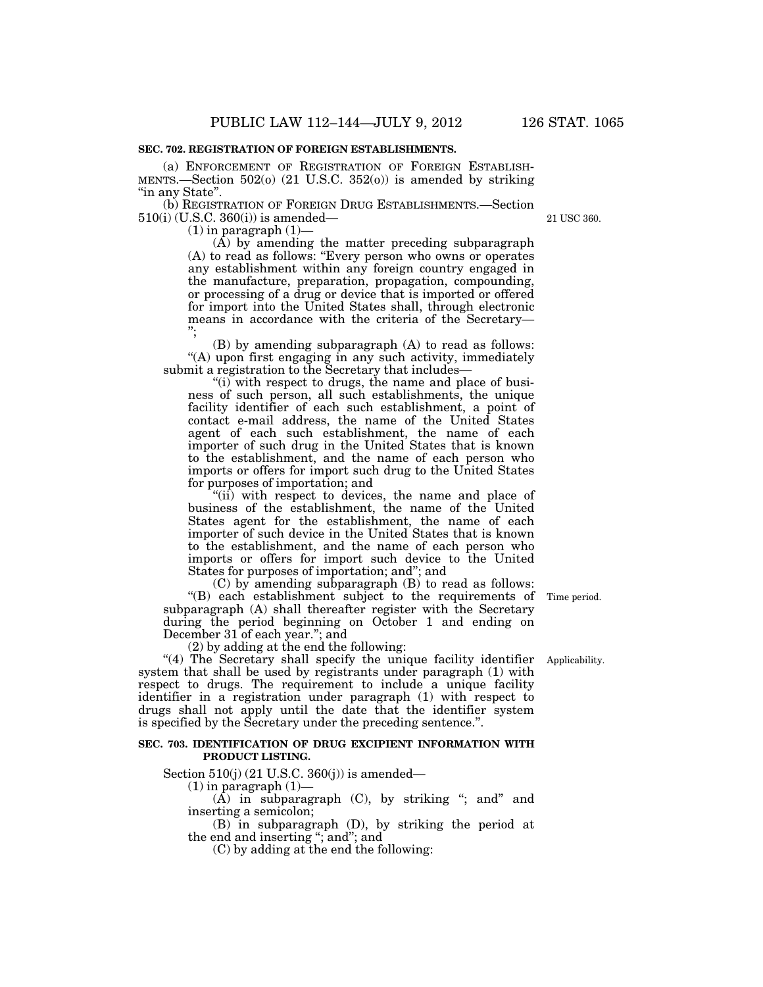#### **SEC. 702. REGISTRATION OF FOREIGN ESTABLISHMENTS.**

(a) ENFORCEMENT OF REGISTRATION OF FOREIGN ESTABLISH-MENTS.—Section 502(o) (21 U.S.C. 352(o)) is amended by striking "in any State".

(b) REGISTRATION OF FOREIGN DRUG ESTABLISHMENTS.—Section 510(i) (U.S.C. 360(i)) is amended—

 $(1)$  in paragraph  $(1)$ —

(A) by amending the matter preceding subparagraph (A) to read as follows: ''Every person who owns or operates any establishment within any foreign country engaged in the manufacture, preparation, propagation, compounding, or processing of a drug or device that is imported or offered for import into the United States shall, through electronic means in accordance with the criteria of the Secretary— '';

(B) by amending subparagraph (A) to read as follows: ''(A) upon first engaging in any such activity, immediately submit a registration to the Secretary that includes—

"(i) with respect to drugs, the name and place of business of such person, all such establishments, the unique facility identifier of each such establishment, a point of contact e-mail address, the name of the United States agent of each such establishment, the name of each importer of such drug in the United States that is known to the establishment, and the name of each person who imports or offers for import such drug to the United States for purposes of importation; and

"(ii) with respect to devices, the name and place of business of the establishment, the name of the United States agent for the establishment, the name of each importer of such device in the United States that is known to the establishment, and the name of each person who imports or offers for import such device to the United States for purposes of importation; and''; and

(C) by amending subparagraph (B) to read as follows:  $f(B)$  each establishment subject to the requirements of Time period. subparagraph (A) shall thereafter register with the Secretary during the period beginning on October 1 and ending on December 31 of each year.''; and

(2) by adding at the end the following:

"(4) The Secretary shall specify the unique facility identifier system that shall be used by registrants under paragraph (1) with respect to drugs. The requirement to include a unique facility identifier in a registration under paragraph (1) with respect to drugs shall not apply until the date that the identifier system is specified by the Secretary under the preceding sentence.''.

#### **SEC. 703. IDENTIFICATION OF DRUG EXCIPIENT INFORMATION WITH PRODUCT LISTING.**

Section 510(j) (21 U.S.C. 360(j)) is amended—

 $(1)$  in paragraph  $(1)$ —

 $(A)$  in subparagraph  $(C)$ , by striking "; and" and inserting a semicolon;

(B) in subparagraph (D), by striking the period at the end and inserting "; and"; and

(C) by adding at the end the following:

Applicability.

21 USC 360.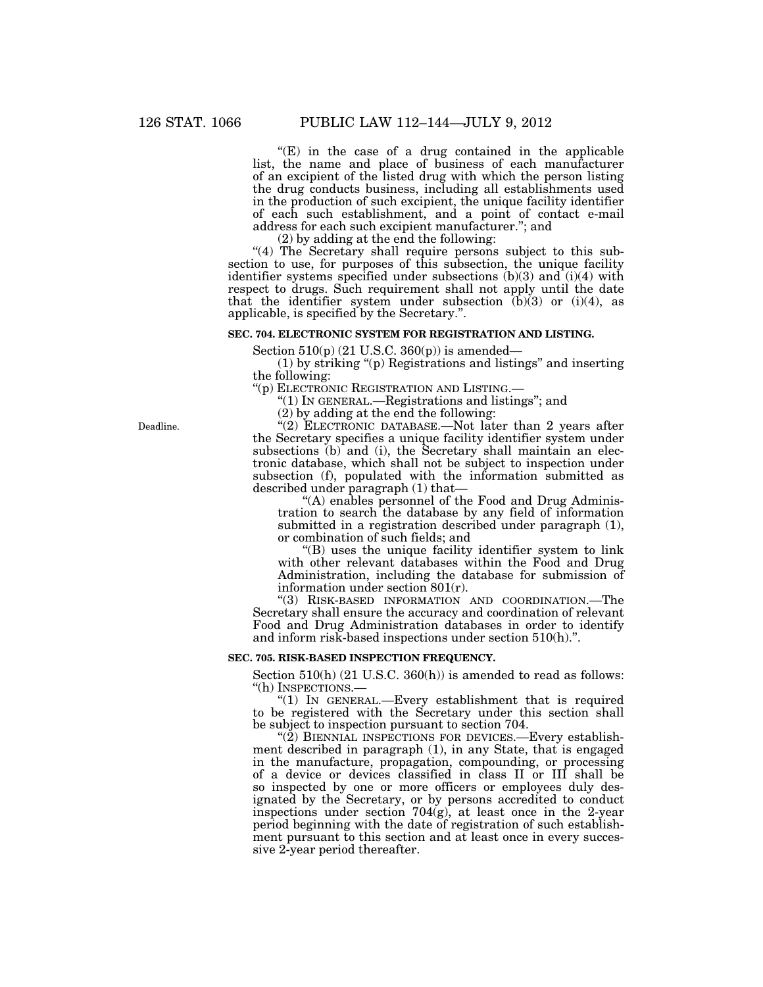$E(E)$  in the case of a drug contained in the applicable list, the name and place of business of each manufacturer of an excipient of the listed drug with which the person listing the drug conducts business, including all establishments used in the production of such excipient, the unique facility identifier of each such establishment, and a point of contact e-mail address for each such excipient manufacturer.''; and

(2) by adding at the end the following:

"(4) The Secretary shall require persons subject to this subsection to use, for purposes of this subsection, the unique facility identifier systems specified under subsections (b)(3) and (i)(4) with respect to drugs. Such requirement shall not apply until the date that the identifier system under subsection  $(b)(3)$  or  $(i)(4)$ , as applicable, is specified by the Secretary.''.

# **SEC. 704. ELECTRONIC SYSTEM FOR REGISTRATION AND LISTING.**

Section  $510(p)$  (21 U.S.C. 360(p)) is amended—

(1) by striking ''(p) Registrations and listings'' and inserting the following:

''(p) ELECTRONIC REGISTRATION AND LISTING.—

''(1) IN GENERAL.—Registrations and listings''; and

(2) by adding at the end the following:

"(2) ELECTRONIC DATABASE.—Not later than 2 years after the Secretary specifies a unique facility identifier system under subsections (b) and (i), the Secretary shall maintain an electronic database, which shall not be subject to inspection under subsection (f), populated with the information submitted as described under paragraph (1) that—

"(A) enables personnel of the Food and Drug Administration to search the database by any field of information submitted in a registration described under paragraph (1), or combination of such fields; and

''(B) uses the unique facility identifier system to link with other relevant databases within the Food and Drug Administration, including the database for submission of information under section 801(r).

''(3) RISK-BASED INFORMATION AND COORDINATION.—The Secretary shall ensure the accuracy and coordination of relevant Food and Drug Administration databases in order to identify and inform risk-based inspections under section 510(h).''.

# **SEC. 705. RISK-BASED INSPECTION FREQUENCY.**

Section 510(h) (21 U.S.C. 360(h)) is amended to read as follows: ''(h) INSPECTIONS.—

" $(1)$  In GENERAL.—Every establishment that is required to be registered with the Secretary under this section shall be subject to inspection pursuant to section 704.

" $(2)$  BIENNIAL INSPECTIONS FOR DEVICES.—Every establishment described in paragraph (1), in any State, that is engaged in the manufacture, propagation, compounding, or processing of a device or devices classified in class II or III shall be so inspected by one or more officers or employees duly designated by the Secretary, or by persons accredited to conduct inspections under section  $704(g)$ , at least once in the 2-year period beginning with the date of registration of such establishment pursuant to this section and at least once in every successive 2-year period thereafter.

Deadline.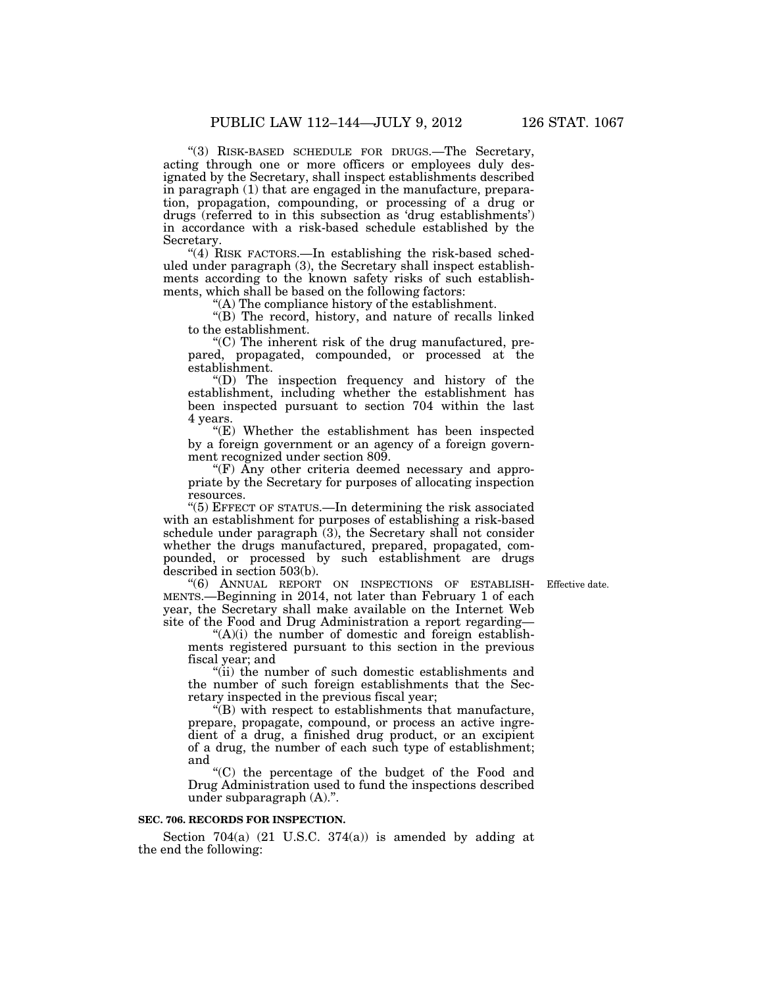''(3) RISK-BASED SCHEDULE FOR DRUGS.—The Secretary, acting through one or more officers or employees duly designated by the Secretary, shall inspect establishments described in paragraph (1) that are engaged in the manufacture, preparation, propagation, compounding, or processing of a drug or drugs (referred to in this subsection as 'drug establishments') in accordance with a risk-based schedule established by the Secretary.

"(4) RISK FACTORS.—In establishing the risk-based scheduled under paragraph (3), the Secretary shall inspect establishments according to the known safety risks of such establishments, which shall be based on the following factors:

''(A) The compliance history of the establishment.

''(B) The record, history, and nature of recalls linked to the establishment.

''(C) The inherent risk of the drug manufactured, prepared, propagated, compounded, or processed at the establishment.

''(D) The inspection frequency and history of the establishment, including whether the establishment has been inspected pursuant to section 704 within the last 4 years.

''(E) Whether the establishment has been inspected by a foreign government or an agency of a foreign government recognized under section 809.

''(F) Any other criteria deemed necessary and appropriate by the Secretary for purposes of allocating inspection resources.

''(5) EFFECT OF STATUS.—In determining the risk associated with an establishment for purposes of establishing a risk-based schedule under paragraph  $(3)$ , the Secretary shall not consider whether the drugs manufactured, prepared, propagated, compounded, or processed by such establishment are drugs described in section 503(b).

Effective date.

''(6) ANNUAL REPORT ON INSPECTIONS OF ESTABLISH-MENTS.—Beginning in 2014, not later than February 1 of each year, the Secretary shall make available on the Internet Web site of the Food and Drug Administration a report regarding—

 $(A)(i)$  the number of domestic and foreign establishments registered pursuant to this section in the previous fiscal year; and

''(ii) the number of such domestic establishments and the number of such foreign establishments that the Secretary inspected in the previous fiscal year;

''(B) with respect to establishments that manufacture, prepare, propagate, compound, or process an active ingredient of a drug, a finished drug product, or an excipient of a drug, the number of each such type of establishment; and

''(C) the percentage of the budget of the Food and Drug Administration used to fund the inspections described under subparagraph (A).''.

# **SEC. 706. RECORDS FOR INSPECTION.**

Section  $704(a)$   $(21 \text{ U.S.C. } 374(a))$  is amended by adding at the end the following: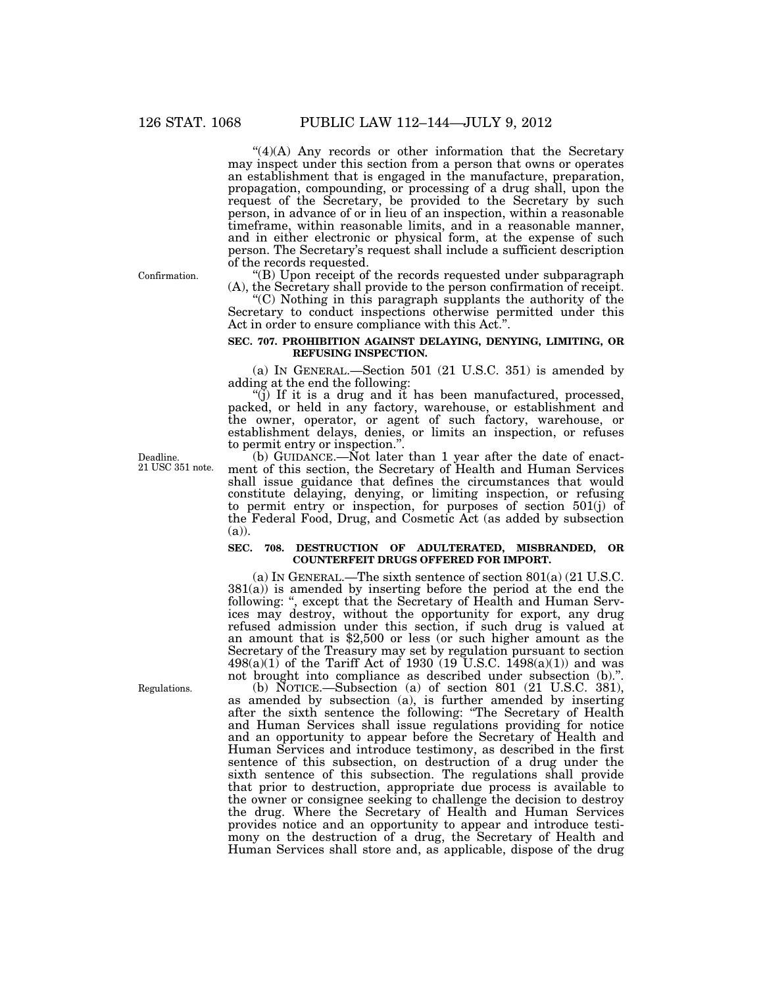$\mathcal{L}(4)(A)$  Any records or other information that the Secretary may inspect under this section from a person that owns or operates an establishment that is engaged in the manufacture, preparation, propagation, compounding, or processing of a drug shall, upon the request of the Secretary, be provided to the Secretary by such person, in advance of or in lieu of an inspection, within a reasonable timeframe, within reasonable limits, and in a reasonable manner, and in either electronic or physical form, at the expense of such person. The Secretary's request shall include a sufficient description of the records requested.

''(B) Upon receipt of the records requested under subparagraph (A), the Secretary shall provide to the person confirmation of receipt.

''(C) Nothing in this paragraph supplants the authority of the Secretary to conduct inspections otherwise permitted under this Act in order to ensure compliance with this Act.''.

### **SEC. 707. PROHIBITION AGAINST DELAYING, DENYING, LIMITING, OR REFUSING INSPECTION.**

(a) IN GENERAL.—Section 501 (21 U.S.C. 351) is amended by adding at the end the following:

 $'(\overline{j})$  If it is a drug and it has been manufactured, processed, packed, or held in any factory, warehouse, or establishment and the owner, operator, or agent of such factory, warehouse, or establishment delays, denies, or limits an inspection, or refuses to permit entry or inspection.''.

(b) GUIDANCE.—Not later than 1 year after the date of enactment of this section, the Secretary of Health and Human Services shall issue guidance that defines the circumstances that would constitute delaying, denying, or limiting inspection, or refusing to permit entry or inspection, for purposes of section 501(j) of the Federal Food, Drug, and Cosmetic Act (as added by subsection (a)).

### **SEC. 708. DESTRUCTION OF ADULTERATED, MISBRANDED, OR COUNTERFEIT DRUGS OFFERED FOR IMPORT.**

(a) IN GENERAL.—The sixth sentence of section 801(a) (21 U.S.C. 381(a)) is amended by inserting before the period at the end the following: ", except that the Secretary of Health and Human Services may destroy, without the opportunity for export, any drug refused admission under this section, if such drug is valued at an amount that is \$2,500 or less (or such higher amount as the Secretary of the Treasury may set by regulation pursuant to section  $498(a)(1)$  of the Tariff Act of 1930 (19 U.S.C. 1498(a)(1)) and was not brought into compliance as described under subsection (b).".

(b) NOTICE.—Subsection (a) of section 801 (21 U.S.C. 381), as amended by subsection (a), is further amended by inserting after the sixth sentence the following: ''The Secretary of Health and Human Services shall issue regulations providing for notice and an opportunity to appear before the Secretary of Health and Human Services and introduce testimony, as described in the first sentence of this subsection, on destruction of a drug under the sixth sentence of this subsection. The regulations shall provide that prior to destruction, appropriate due process is available to the owner or consignee seeking to challenge the decision to destroy the drug. Where the Secretary of Health and Human Services provides notice and an opportunity to appear and introduce testimony on the destruction of a drug, the Secretary of Health and Human Services shall store and, as applicable, dispose of the drug

Confirmation.

Deadline. 21 USC 351 note.

Regulations.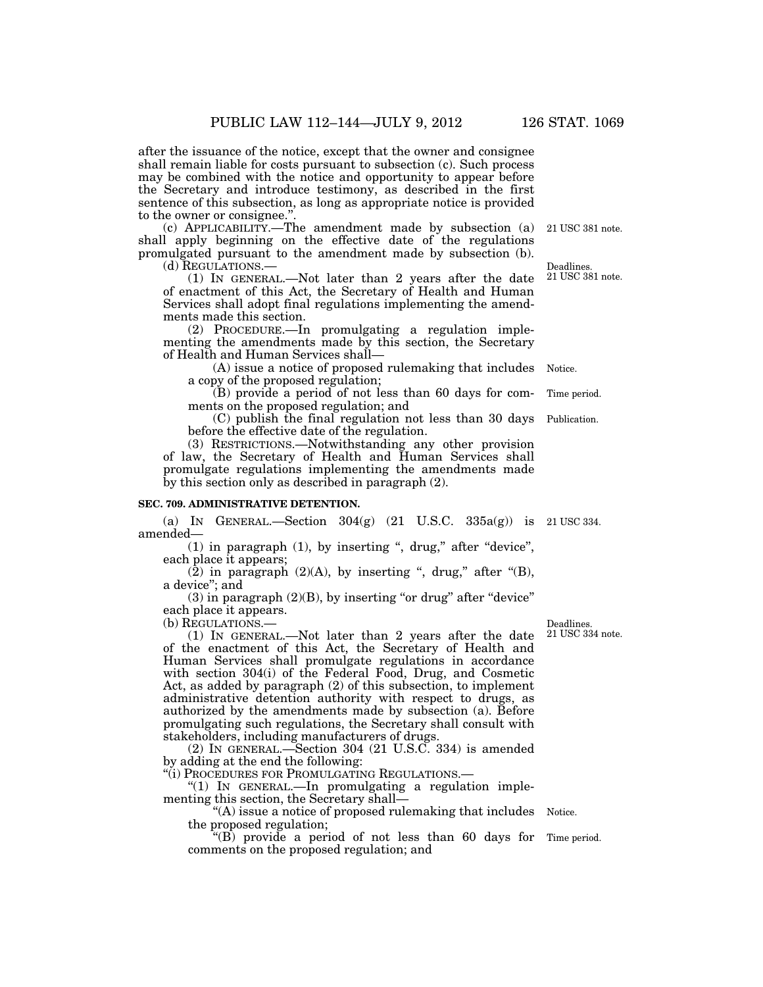after the issuance of the notice, except that the owner and consignee shall remain liable for costs pursuant to subsection (c). Such process may be combined with the notice and opportunity to appear before the Secretary and introduce testimony, as described in the first sentence of this subsection, as long as appropriate notice is provided to the owner or consignee."

(c) APPLICABILITY.—The amendment made by subsection (a) shall apply beginning on the effective date of the regulations promulgated pursuant to the amendment made by subsection (b).

(d) REGULATIONS.—

(1) IN GENERAL.—Not later than 2 years after the date of enactment of this Act, the Secretary of Health and Human Services shall adopt final regulations implementing the amendments made this section.

(2) PROCEDURE.—In promulgating a regulation implementing the amendments made by this section, the Secretary of Health and Human Services shall—

(A) issue a notice of proposed rulemaking that includes a copy of the proposed regulation; Notice.

(B) provide a period of not less than 60 days for comments on the proposed regulation; and

(C) publish the final regulation not less than 30 days before the effective date of the regulation.

(3) RESTRICTIONS.—Notwithstanding any other provision of law, the Secretary of Health and Human Services shall promulgate regulations implementing the amendments made by this section only as described in paragraph (2).

### **SEC. 709. ADMINISTRATIVE DETENTION.**

(a) IN GENERAL.—Section  $304(g)$  (21 U.S.C.  $335a(g)$ ) is 21 USC 334. amended—

 $(1)$  in paragraph  $(1)$ , by inserting ", drug," after "device", each place it appears;

(2) in paragraph  $(2)(A)$ , by inserting ", drug," after "(B), a device''; and

 $(3)$  in paragraph  $(2)(B)$ , by inserting "or drug" after "device" each place it appears.

(b) REGULATIONS.—

(1) IN GENERAL.—Not later than 2 years after the date of the enactment of this Act, the Secretary of Health and Human Services shall promulgate regulations in accordance with section 304(i) of the Federal Food, Drug, and Cosmetic Act, as added by paragraph (2) of this subsection, to implement administrative detention authority with respect to drugs, as authorized by the amendments made by subsection (a). Before promulgating such regulations, the Secretary shall consult with stakeholders, including manufacturers of drugs.

(2) IN GENERAL.—Section 304 (21 U.S.C. 334) is amended by adding at the end the following:

''(i) PROCEDURES FOR PROMULGATING REGULATIONS.—

''(1) IN GENERAL.—In promulgating a regulation implementing this section, the Secretary shall—

"(A) issue a notice of proposed rulemaking that includes Notice. the proposed regulation;

 $f(B)$  provide a period of not less than 60 days for Time period. comments on the proposed regulation; and

Deadlines. 21 USC 334 note.

21 USC 381 note.

Deadlines. 21 USC 381 note.

Time period.

Publication.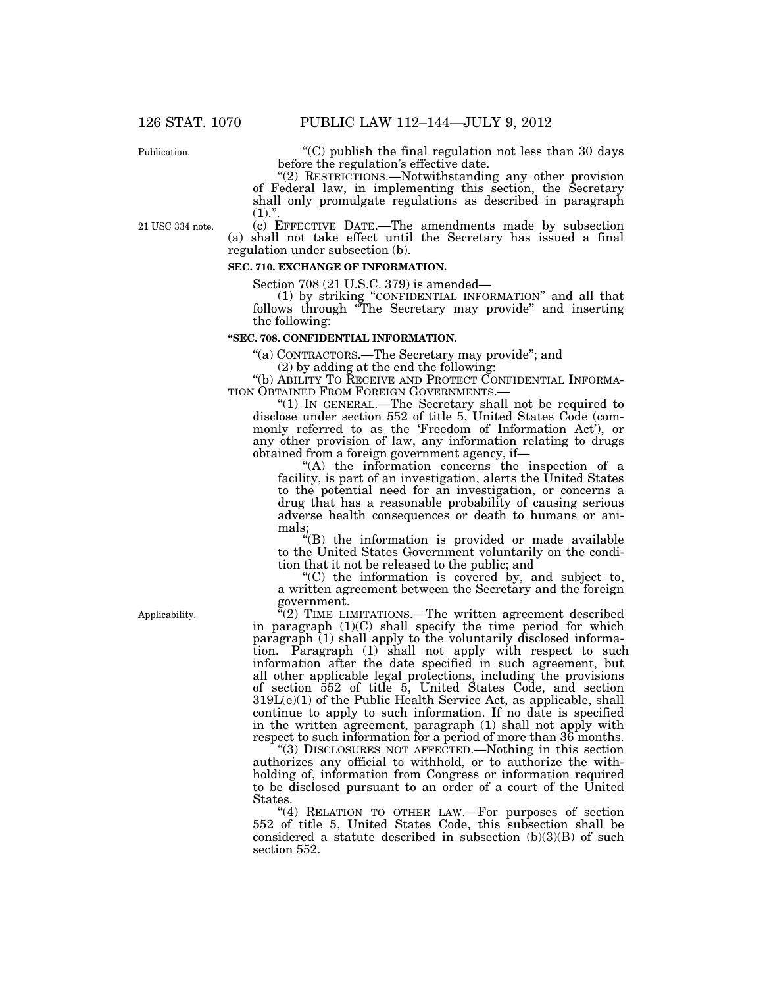Publication.

''(C) publish the final regulation not less than 30 days before the regulation's effective date.

"(2) RESTRICTIONS.—Notwithstanding any other provision of Federal law, in implementing this section, the Secretary shall only promulgate regulations as described in paragraph  $(1).$ ".

21 USC 334 note.

(c) EFFECTIVE DATE.—The amendments made by subsection (a) shall not take effect until the Secretary has issued a final regulation under subsection (b).

# **SEC. 710. EXCHANGE OF INFORMATION.**

Section 708 (21 U.S.C. 379) is amended—

(1) by striking ''CONFIDENTIAL INFORMATION'' and all that follows through ''The Secretary may provide'' and inserting the following:

#### **''SEC. 708. CONFIDENTIAL INFORMATION.**

''(a) CONTRACTORS.—The Secretary may provide''; and

(2) by adding at the end the following:

''(b) ABILITY TO RECEIVE AND PROTECT CONFIDENTIAL INFORMA-

" $(1)$  In GENERAL.—The Secretary shall not be required to disclose under section 552 of title 5, United States Code (commonly referred to as the 'Freedom of Information Act'), or any other provision of law, any information relating to drugs obtained from a foreign government agency, if—

''(A) the information concerns the inspection of a facility, is part of an investigation, alerts the United States to the potential need for an investigation, or concerns a drug that has a reasonable probability of causing serious adverse health consequences or death to humans or animals;

''(B) the information is provided or made available to the United States Government voluntarily on the condition that it not be released to the public; and

''(C) the information is covered by, and subject to, a written agreement between the Secretary and the foreign government.

 $\sqrt{2}$ ) TIME LIMITATIONS.—The written agreement described in paragraph  $(1)(C)$  shall specify the time period for which paragraph (1) shall apply to the voluntarily disclosed information. Paragraph (1) shall not apply with respect to such information after the date specified in such agreement, but all other applicable legal protections, including the provisions of section 552 of title 5, United States Code, and section  $319L(e)(1)$  of the Public Health Service Act, as applicable, shall continue to apply to such information. If no date is specified in the written agreement, paragraph (1) shall not apply with respect to such information for a period of more than 36 months.

''(3) DISCLOSURES NOT AFFECTED.—Nothing in this section authorizes any official to withhold, or to authorize the withholding of, information from Congress or information required to be disclosed pursuant to an order of a court of the United States.

"(4) RELATION TO OTHER LAW.—For purposes of section 552 of title 5, United States Code, this subsection shall be considered a statute described in subsection (b)(3)(B) of such section 552.

Applicability.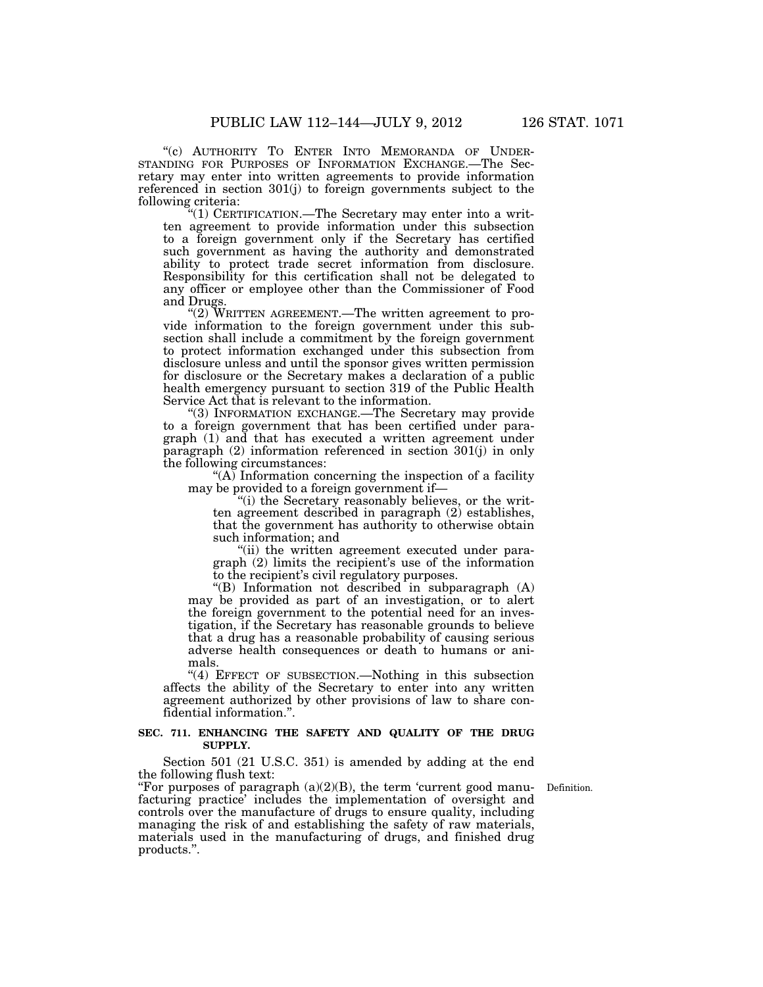"(c) AUTHORITY TO ENTER INTO MEMORANDA OF UNDER-STANDING FOR PURPOSES OF INFORMATION EXCHANGE.—The Secretary may enter into written agreements to provide information referenced in section 301(j) to foreign governments subject to the following criteria:

''(1) CERTIFICATION.—The Secretary may enter into a written agreement to provide information under this subsection to a foreign government only if the Secretary has certified such government as having the authority and demonstrated ability to protect trade secret information from disclosure. Responsibility for this certification shall not be delegated to any officer or employee other than the Commissioner of Food and Drugs.

"(2) WRITTEN AGREEMENT.—The written agreement to provide information to the foreign government under this subsection shall include a commitment by the foreign government to protect information exchanged under this subsection from disclosure unless and until the sponsor gives written permission for disclosure or the Secretary makes a declaration of a public health emergency pursuant to section 319 of the Public Health Service Act that is relevant to the information.

''(3) INFORMATION EXCHANGE.—The Secretary may provide to a foreign government that has been certified under paragraph (1) and that has executed a written agreement under paragraph (2) information referenced in section 301(j) in only the following circumstances:

''(A) Information concerning the inspection of a facility may be provided to a foreign government if—

"(i) the Secretary reasonably believes, or the written agreement described in paragraph (2) establishes, that the government has authority to otherwise obtain such information; and

''(ii) the written agreement executed under paragraph (2) limits the recipient's use of the information to the recipient's civil regulatory purposes.

''(B) Information not described in subparagraph (A) may be provided as part of an investigation, or to alert the foreign government to the potential need for an investigation, if the Secretary has reasonable grounds to believe that a drug has a reasonable probability of causing serious adverse health consequences or death to humans or animals.

"(4) EFFECT OF SUBSECTION.—Nothing in this subsection affects the ability of the Secretary to enter into any written agreement authorized by other provisions of law to share confidential information.''.

### **SEC. 711. ENHANCING THE SAFETY AND QUALITY OF THE DRUG SUPPLY.**

Section 501 (21 U.S.C. 351) is amended by adding at the end the following flush text:

Definition.

"For purposes of paragraph  $(a)(2)(B)$ , the term 'current good manufacturing practice' includes the implementation of oversight and controls over the manufacture of drugs to ensure quality, including managing the risk of and establishing the safety of raw materials, materials used in the manufacturing of drugs, and finished drug products.''.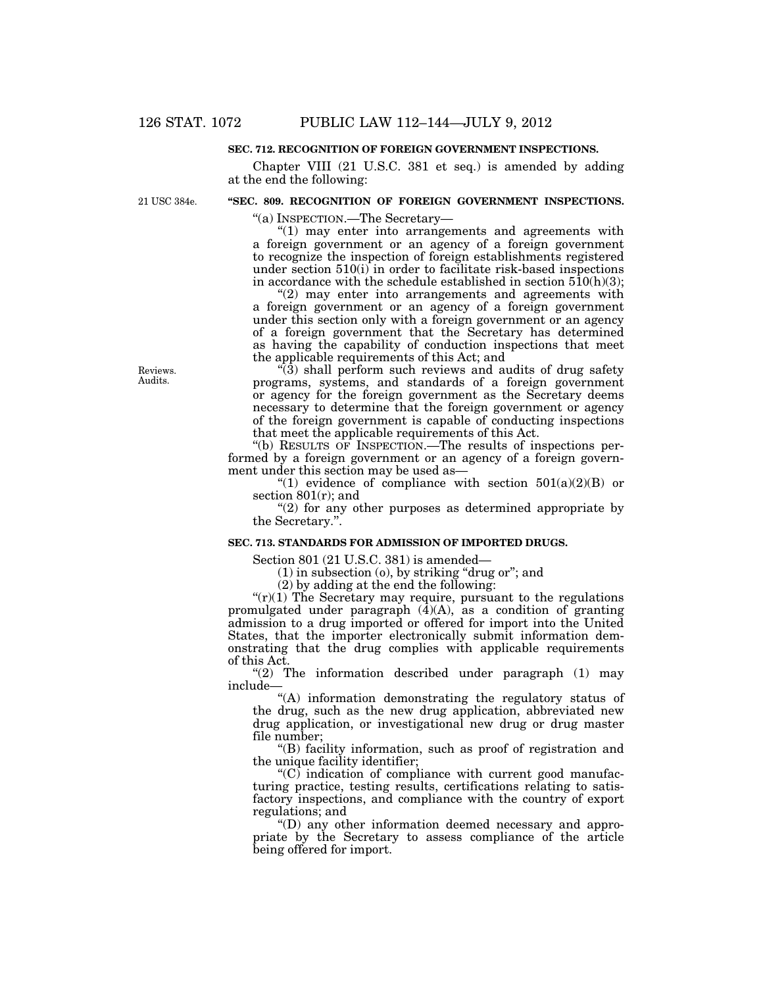### **SEC. 712. RECOGNITION OF FOREIGN GOVERNMENT INSPECTIONS.**

Chapter VIII (21 U.S.C. 381 et seq.) is amended by adding at the end the following:

21 USC 384e.

# **''SEC. 809. RECOGNITION OF FOREIGN GOVERNMENT INSPECTIONS.**

''(a) INSPECTION.—The Secretary—

 $''(1)$  may enter into arrangements and agreements with a foreign government or an agency of a foreign government to recognize the inspection of foreign establishments registered under section 510(i) in order to facilitate risk-based inspections in accordance with the schedule established in section  $510(h)(3)$ ;

 $''(2)$  may enter into arrangements and agreements with a foreign government or an agency of a foreign government under this section only with a foreign government or an agency of a foreign government that the Secretary has determined as having the capability of conduction inspections that meet the applicable requirements of this Act; and

 $\hat{f}(\hat{3})$  shall perform such reviews and audits of drug safety programs, systems, and standards of a foreign government or agency for the foreign government as the Secretary deems necessary to determine that the foreign government or agency of the foreign government is capable of conducting inspections that meet the applicable requirements of this Act.

''(b) RESULTS OF INSPECTION.—The results of inspections performed by a foreign government or an agency of a foreign government under this section may be used as—

"(1) evidence of compliance with section  $501(a)(2)(B)$  or section 801(r); and

 $''(2)$  for any other purposes as determined appropriate by the Secretary.''.

### **SEC. 713. STANDARDS FOR ADMISSION OF IMPORTED DRUGS.**

Section 801 (21 U.S.C. 381) is amended—

(1) in subsection (o), by striking ''drug or''; and

(2) by adding at the end the following:

" $(r)(1)$  The Secretary may require, pursuant to the regulations promulgated under paragraph (4)(A), as a condition of granting admission to a drug imported or offered for import into the United States, that the importer electronically submit information demonstrating that the drug complies with applicable requirements of this Act.

" $(2)$  The information described under paragraph  $(1)$  may include—

''(A) information demonstrating the regulatory status of the drug, such as the new drug application, abbreviated new drug application, or investigational new drug or drug master file number;

''(B) facility information, such as proof of registration and the unique facility identifier;

 $(C)$  indication of compliance with current good manufacturing practice, testing results, certifications relating to satisfactory inspections, and compliance with the country of export regulations; and

''(D) any other information deemed necessary and appropriate by the Secretary to assess compliance of the article being offered for import.

Reviews. Audits.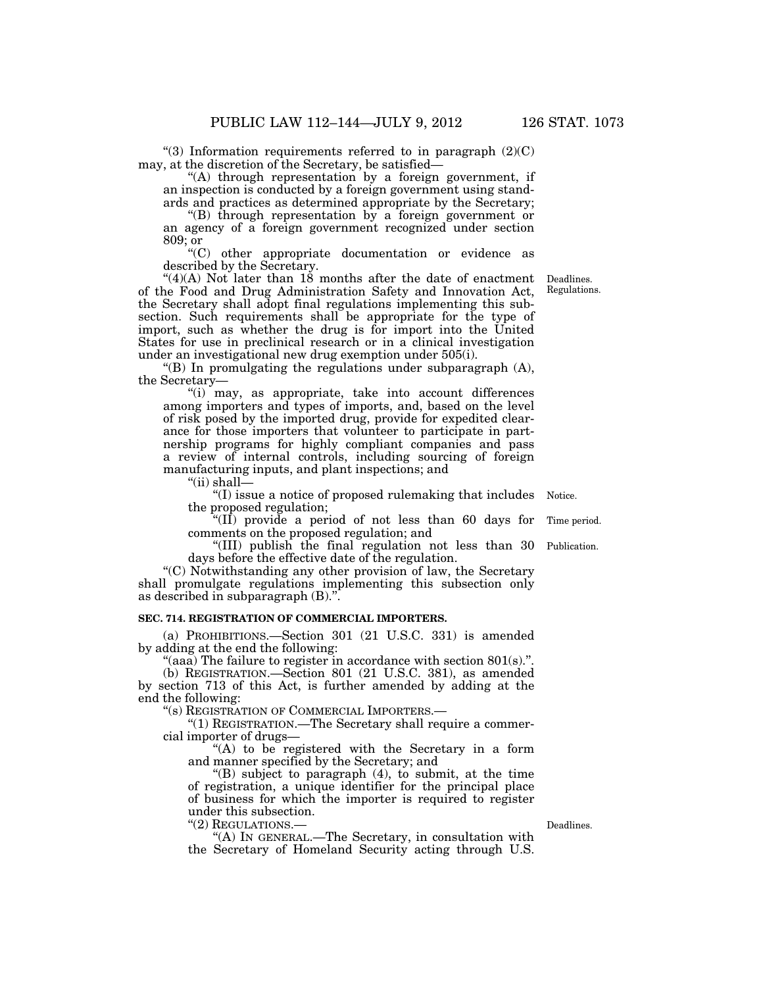"(3) Information requirements referred to in paragraph  $(2)(C)$ may, at the discretion of the Secretary, be satisfied—

''(A) through representation by a foreign government, if an inspection is conducted by a foreign government using standards and practices as determined appropriate by the Secretary;

''(B) through representation by a foreign government or an agency of a foreign government recognized under section 809; or

''(C) other appropriate documentation or evidence as described by the Secretary.

" $(4)(A)$  Not later than 18 months after the date of enactment of the Food and Drug Administration Safety and Innovation Act, the Secretary shall adopt final regulations implementing this subsection. Such requirements shall be appropriate for the type of import, such as whether the drug is for import into the United States for use in preclinical research or in a clinical investigation under an investigational new drug exemption under 505(i).

"(B) In promulgating the regulations under subparagraph  $(A)$ , the Secretary—

"(i) may, as appropriate, take into account differences among importers and types of imports, and, based on the level of risk posed by the imported drug, provide for expedited clearance for those importers that volunteer to participate in partnership programs for highly compliant companies and pass a review of internal controls, including sourcing of foreign manufacturing inputs, and plant inspections; and

''(ii) shall—

''(I) issue a notice of proposed rulemaking that includes Notice. the proposed regulation;

''(II) provide a period of not less than 60 days for comments on the proposed regulation; and

''(III) publish the final regulation not less than 30 days before the effective date of the regulation.

"(C) Notwithstanding any other provision of law, the Secretary shall promulgate regulations implementing this subsection only as described in subparagraph (B).''.

### **SEC. 714. REGISTRATION OF COMMERCIAL IMPORTERS.**

(a) PROHIBITIONS.—Section 301 (21 U.S.C. 331) is amended by adding at the end the following:

"(aaa) The failure to register in accordance with section  $801(s)$ .".

(b) REGISTRATION.—Section 801 (21 U.S.C. 381), as amended by section 713 of this Act, is further amended by adding at the end the following:

''(s) REGISTRATION OF COMMERCIAL IMPORTERS.—

 $^{\circ}(1)$  REGISTRATION.—The Secretary shall require a commercial importer of drugs—

''(A) to be registered with the Secretary in a form and manner specified by the Secretary; and

''(B) subject to paragraph (4), to submit, at the time of registration, a unique identifier for the principal place of business for which the importer is required to register under this subsection.

''(2) REGULATIONS.—

''(A) IN GENERAL.—The Secretary, in consultation with the Secretary of Homeland Security acting through U.S.

Deadlines.

Time period.

Publication.

Deadlines. Regulations.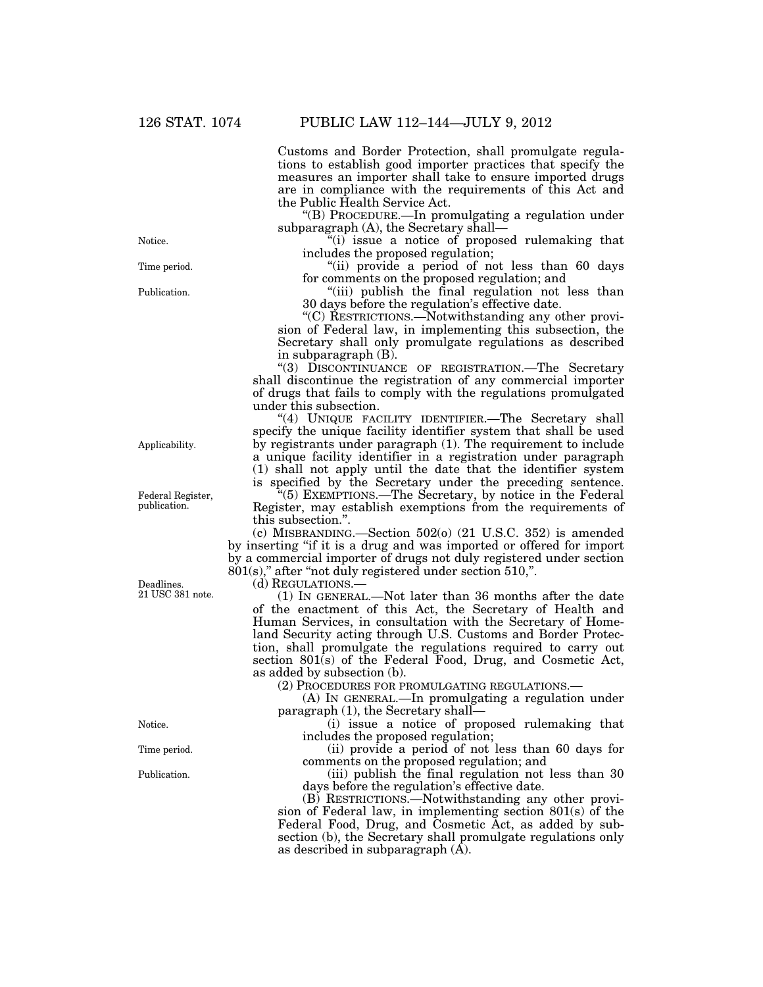Customs and Border Protection, shall promulgate regulations to establish good importer practices that specify the measures an importer shall take to ensure imported drugs are in compliance with the requirements of this Act and the Public Health Service Act.

''(B) PROCEDURE.—In promulgating a regulation under subparagraph (A), the Secretary shall—

 $f'(i)$  issue a notice of proposed rulemaking that includes the proposed regulation;

''(ii) provide a period of not less than 60 days for comments on the proposed regulation; and

"(iii) publish the final regulation not less than 30 days before the regulation's effective date.

''(C) RESTRICTIONS.—Notwithstanding any other provision of Federal law, in implementing this subsection, the Secretary shall only promulgate regulations as described in subparagraph (B).

''(3) DISCONTINUANCE OF REGISTRATION.—The Secretary shall discontinue the registration of any commercial importer of drugs that fails to comply with the regulations promulgated under this subsection.

"(4) UNIQUE FACILITY IDENTIFIER.—The Secretary shall specify the unique facility identifier system that shall be used by registrants under paragraph (1). The requirement to include a unique facility identifier in a registration under paragraph (1) shall not apply until the date that the identifier system is specified by the Secretary under the preceding sentence.

''(5) EXEMPTIONS.—The Secretary, by notice in the Federal Register, may establish exemptions from the requirements of this subsection.''.

(c) MISBRANDING.—Section 502(o) (21 U.S.C. 352) is amended by inserting ''if it is a drug and was imported or offered for import by a commercial importer of drugs not duly registered under section 801(s),'' after ''not duly registered under section 510,''.

(d) REGULATIONS.—

(1) IN GENERAL.—Not later than 36 months after the date of the enactment of this Act, the Secretary of Health and Human Services, in consultation with the Secretary of Homeland Security acting through U.S. Customs and Border Protection, shall promulgate the regulations required to carry out section 801(s) of the Federal Food, Drug, and Cosmetic Act, as added by subsection (b).

(2) PROCEDURES FOR PROMULGATING REGULATIONS.—

(A) IN GENERAL.—In promulgating a regulation under paragraph (1), the Secretary shall—

(i) issue a notice of proposed rulemaking that includes the proposed regulation;

(ii) provide a period of not less than 60 days for comments on the proposed regulation; and

(iii) publish the final regulation not less than 30 days before the regulation's effective date.

(B) RESTRICTIONS.—Notwithstanding any other provision of Federal law, in implementing section 801(s) of the Federal Food, Drug, and Cosmetic Act, as added by subsection (b), the Secretary shall promulgate regulations only as described in subparagraph  $(\overline{A})$ .

Notice.

Time period.

Publication.

Applicability.

Federal Register, publication.

Deadlines. 21 USC 381 note.

Notice.

Time period.

Publication.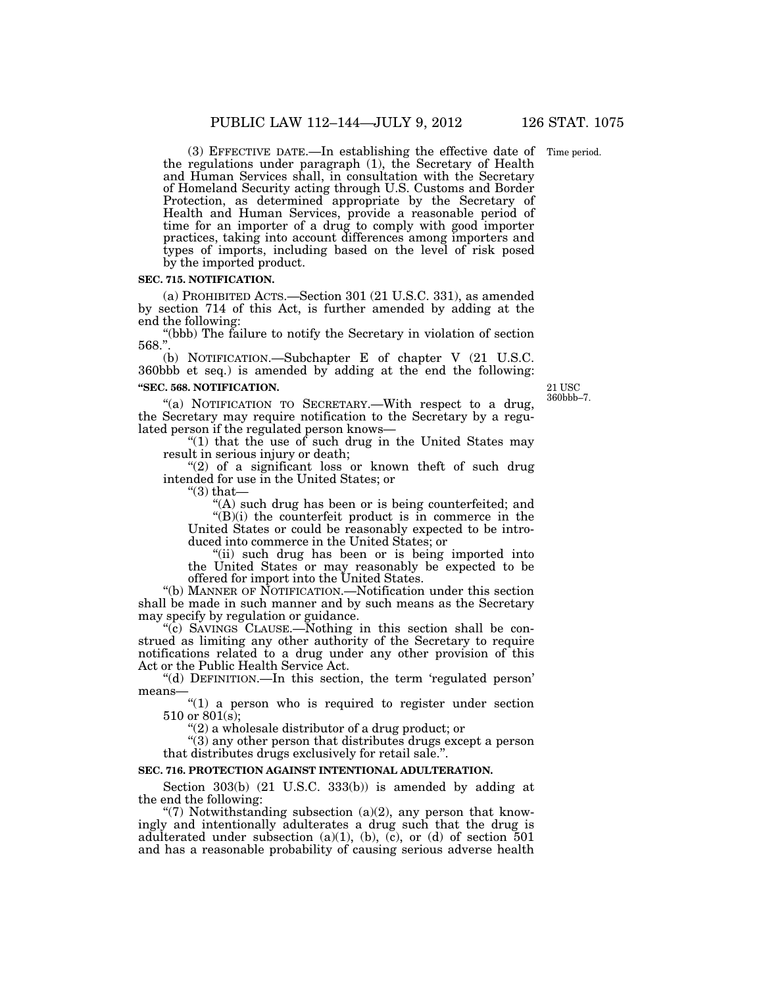Time period.

(3) EFFECTIVE DATE.—In establishing the effective date of the regulations under paragraph (1), the Secretary of Health and Human Services shall, in consultation with the Secretary of Homeland Security acting through U.S. Customs and Border Protection, as determined appropriate by the Secretary of Health and Human Services, provide a reasonable period of time for an importer of a drug to comply with good importer practices, taking into account differences among importers and types of imports, including based on the level of risk posed by the imported product.

### **SEC. 715. NOTIFICATION.**

(a) PROHIBITED ACTS.—Section 301 (21 U.S.C. 331), as amended by section 714 of this Act, is further amended by adding at the end the following:

''(bbb) The failure to notify the Secretary in violation of section 568.''.

(b) NOTIFICATION.—Subchapter E of chapter V (21 U.S.C. 360bbb et seq.) is amended by adding at the end the following: **''SEC. 568. NOTIFICATION.** 

"(a) NOTIFICATION TO SECRETARY.—With respect to a drug, the Secretary may require notification to the Secretary by a regulated person if the regulated person knows—

" $(1)$  that the use of such drug in the United States may result in serious injury or death;

"(2) of a significant loss or known theft of such drug intended for use in the United States; or

" $(3)$  that-

''(A) such drug has been or is being counterfeited; and  $\sqrt{\frac{f(B)}{i}}$  the counterfeit product is in commerce in the

United States or could be reasonably expected to be introduced into commerce in the United States; or

"(ii) such drug has been or is being imported into the United States or may reasonably be expected to be offered for import into the United States.

''(b) MANNER OF NOTIFICATION.—Notification under this section shall be made in such manner and by such means as the Secretary may specify by regulation or guidance.

''(c) SAVINGS CLAUSE.—Nothing in this section shall be construed as limiting any other authority of the Secretary to require notifications related to a drug under any other provision of this Act or the Public Health Service Act.

''(d) DEFINITION.—In this section, the term 'regulated person' means—

" $(1)$  a person who is required to register under section 510 or  $801(s)$ ;

''(2) a wholesale distributor of a drug product; or

''(3) any other person that distributes drugs except a person that distributes drugs exclusively for retail sale.''.

### **SEC. 716. PROTECTION AGAINST INTENTIONAL ADULTERATION.**

Section 303(b) (21 U.S.C. 333(b)) is amended by adding at the end the following:

"(7) Notwithstanding subsection  $(a)(2)$ , any person that knowingly and intentionally adulterates a drug such that the drug is adulterated under subsection (a)(1), (b),  $(c)$ , or (d) of section 501 and has a reasonable probability of causing serious adverse health

21 USC 360bbb–7.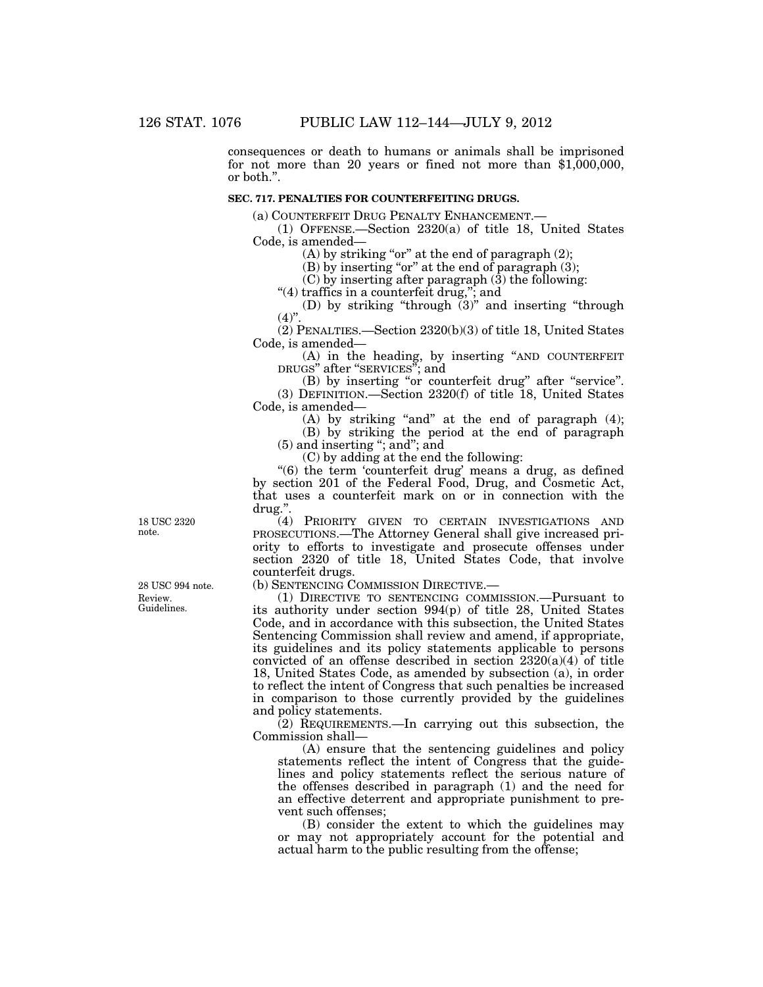consequences or death to humans or animals shall be imprisoned for not more than 20 years or fined not more than \$1,000,000, or both.''.

### **SEC. 717. PENALTIES FOR COUNTERFEITING DRUGS.**

(a) COUNTERFEIT DRUG PENALTY ENHANCEMENT.—

(1) OFFENSE.—Section 2320(a) of title 18, United States Code, is amended—

(A) by striking "or" at the end of paragraph  $(2)$ ;

(B) by inserting "or" at the end of paragraph  $(3)$ ;

 $(C)$  by inserting after paragraph  $(3)$  the following:

"(4) traffics in a counterfeit drug,"; and

(D) by striking "through  $(3)$ " and inserting "through  $(4)$ ".

(2) PENALTIES.—Section 2320(b)(3) of title 18, United States Code, is amended—

(A) in the heading, by inserting ''AND COUNTERFEIT DRUGS" after "SERVICES"; and

(B) by inserting "or counterfeit drug" after "service". (3) DEFINITION.—Section 2320(f) of title 18, United States Code, is amended—

(A) by striking "and" at the end of paragraph  $(4)$ ;

(B) by striking the period at the end of paragraph

(5) and inserting ''; and''; and

(C) by adding at the end the following:

''(6) the term 'counterfeit drug' means a drug, as defined by section 201 of the Federal Food, Drug, and Cosmetic Act, that uses a counterfeit mark on or in connection with the drug.''.

(4) PRIORITY GIVEN TO CERTAIN INVESTIGATIONS AND PROSECUTIONS.—The Attorney General shall give increased priority to efforts to investigate and prosecute offenses under section 2320 of title 18, United States Code, that involve counterfeit drugs.

(b) SENTENCING COMMISSION DIRECTIVE.—

(1) DIRECTIVE TO SENTENCING COMMISSION.—Pursuant to its authority under section 994(p) of title 28, United States Code, and in accordance with this subsection, the United States Sentencing Commission shall review and amend, if appropriate, its guidelines and its policy statements applicable to persons convicted of an offense described in section  $2320(a)(4)$  of title 18, United States Code, as amended by subsection (a), in order to reflect the intent of Congress that such penalties be increased in comparison to those currently provided by the guidelines and policy statements.

(2) REQUIREMENTS.—In carrying out this subsection, the Commission shall—

(A) ensure that the sentencing guidelines and policy statements reflect the intent of Congress that the guidelines and policy statements reflect the serious nature of the offenses described in paragraph (1) and the need for an effective deterrent and appropriate punishment to prevent such offenses;

(B) consider the extent to which the guidelines may or may not appropriately account for the potential and actual harm to the public resulting from the offense;

18 USC 2320 note.

Review. Guidelines. 28 USC 994 note.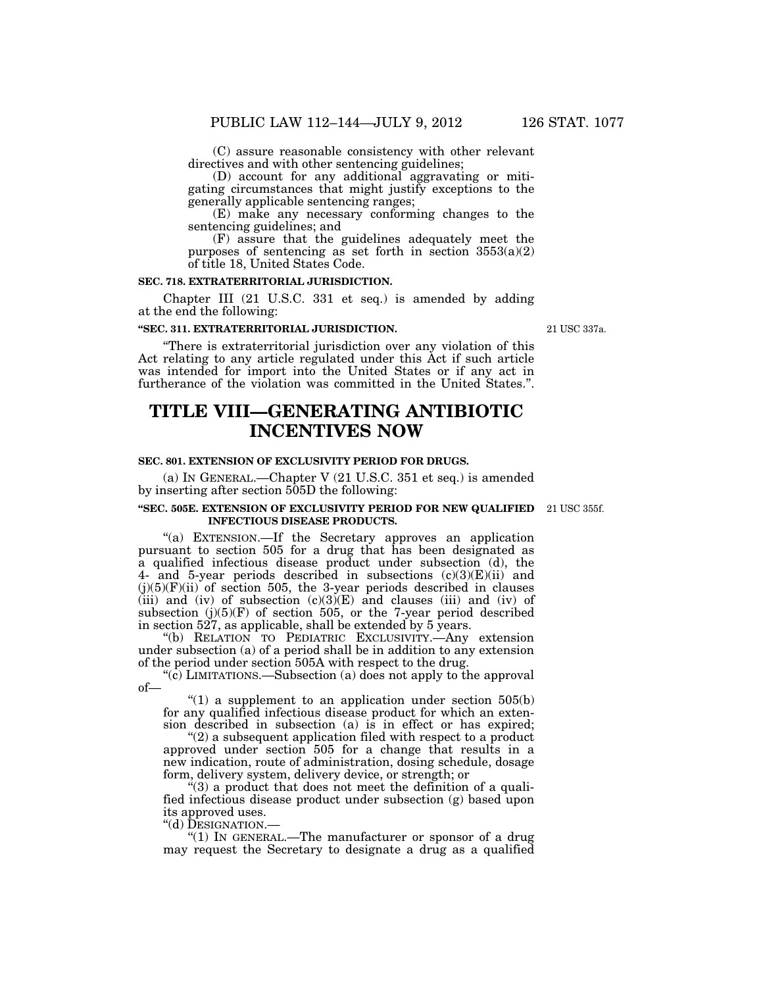(C) assure reasonable consistency with other relevant directives and with other sentencing guidelines;

(D) account for any additional aggravating or mitigating circumstances that might justify exceptions to the generally applicable sentencing ranges;

(E) make any necessary conforming changes to the sentencing guidelines; and

(F) assure that the guidelines adequately meet the purposes of sentencing as set forth in section  $3553(a)(2)$ of title 18, United States Code.

### **SEC. 718. EXTRATERRITORIAL JURISDICTION.**

Chapter III (21 U.S.C. 331 et seq.) is amended by adding at the end the following:

#### **''SEC. 311. EXTRATERRITORIAL JURISDICTION.**

''There is extraterritorial jurisdiction over any violation of this Act relating to any article regulated under this Act if such article was intended for import into the United States or if any act in furtherance of the violation was committed in the United States.''.

# **TITLE VIII—GENERATING ANTIBIOTIC INCENTIVES NOW**

### **SEC. 801. EXTENSION OF EXCLUSIVITY PERIOD FOR DRUGS.**

(a) IN GENERAL.—Chapter V (21 U.S.C. 351 et seq.) is amended by inserting after section 505D the following:

#### **''SEC. 505E. EXTENSION OF EXCLUSIVITY PERIOD FOR NEW QUALIFIED**  21 USC 355f. **INFECTIOUS DISEASE PRODUCTS.**

"(a) EXTENSION.—If the Secretary approves an application pursuant to section 505 for a drug that has been designated as a qualified infectious disease product under subsection (d), the 4- and 5-year periods described in subsections  $(c)(3)(E)(ii)$  and  $(j)(5)(F)(ii)$  of section 505, the 3-year periods described in clauses (iii) and (iv) of subsection  $(c)(3)(E)$  and clauses (iii) and (iv) of subsection  $(j)(5)(F)$  of section 505, or the 7-year period described in section 527, as applicable, shall be extended by 5 years.

''(b) RELATION TO PEDIATRIC EXCLUSIVITY.—Any extension under subsection (a) of a period shall be in addition to any extension of the period under section 505A with respect to the drug.

"(c) LIMITATIONS.—Subsection (a) does not apply to the approval of—

" $(1)$  a supplement to an application under section  $505(b)$ for any qualified infectious disease product for which an extension described in subsection (a) is in effect or has expired;

 $''(2)$  a subsequent application filed with respect to a product approved under section 505 for a change that results in a new indication, route of administration, dosing schedule, dosage form, delivery system, delivery device, or strength; or

''(3) a product that does not meet the definition of a qualified infectious disease product under subsection (g) based upon its approved uses.<br>"(d) DESIGNATION.—

" $(1)$  In GENERAL.—The manufacturer or sponsor of a drug may request the Secretary to designate a drug as a qualified

21 USC 337a.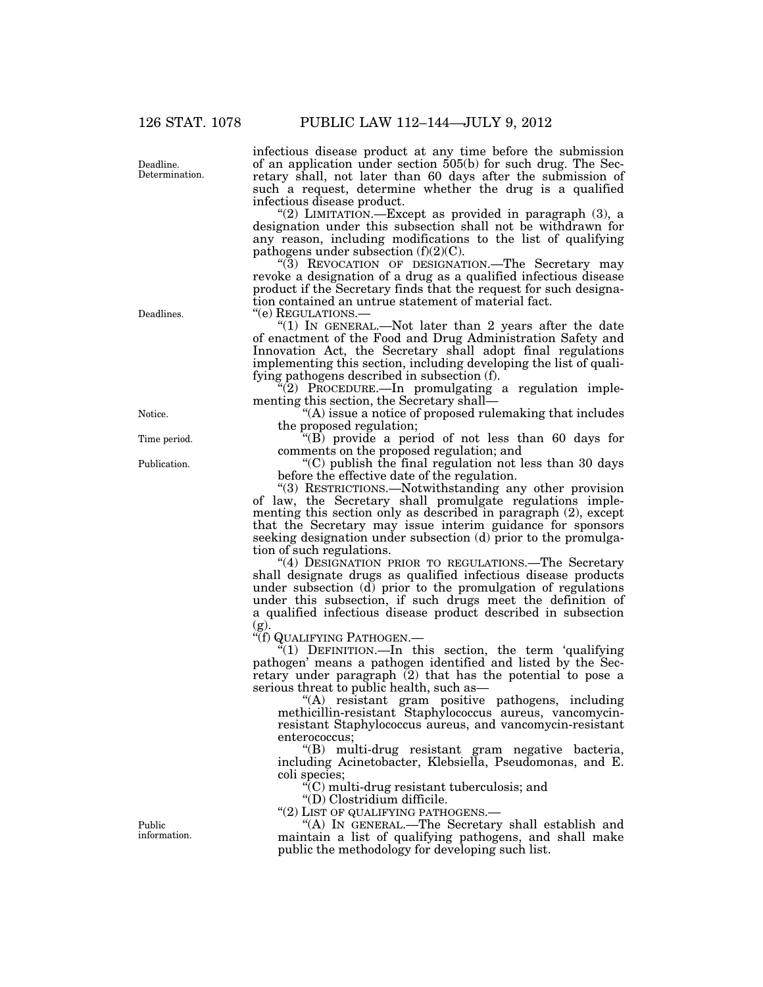Deadline. Determination. infectious disease product at any time before the submission of an application under section 505(b) for such drug. The Secretary shall, not later than 60 days after the submission of such a request, determine whether the drug is a qualified infectious disease product.

"(2) LIMITATION.—Except as provided in paragraph  $(3)$ , a designation under this subsection shall not be withdrawn for any reason, including modifications to the list of qualifying pathogens under subsection (f)(2)(C).

''(3) REVOCATION OF DESIGNATION.—The Secretary may revoke a designation of a drug as a qualified infectious disease product if the Secretary finds that the request for such designation contained an untrue statement of material fact.<br>"(e) REGULATIONS.—

"(1) IN GENERAL.—Not later than 2 years after the date of enactment of the Food and Drug Administration Safety and Innovation Act, the Secretary shall adopt final regulations implementing this section, including developing the list of qualifying pathogens described in subsection (f).

(2) PROCEDURE.—In promulgating a regulation implementing this section, the Secretary shall—

''(A) issue a notice of proposed rulemaking that includes the proposed regulation;

''(B) provide a period of not less than 60 days for comments on the proposed regulation; and

''(C) publish the final regulation not less than 30 days before the effective date of the regulation.

''(3) RESTRICTIONS.—Notwithstanding any other provision of law, the Secretary shall promulgate regulations implementing this section only as described in paragraph (2), except that the Secretary may issue interim guidance for sponsors seeking designation under subsection (d) prior to the promulgation of such regulations.

"(4) DESIGNATION PRIOR TO REGULATIONS.—The Secretary shall designate drugs as qualified infectious disease products under subsection  $(d)$  prior to the promulgation of regulations under this subsection, if such drugs meet the definition of a qualified infectious disease product described in subsection (g).

''(f) QUALIFYING PATHOGEN.—

''(1) DEFINITION.—In this section, the term 'qualifying pathogen' means a pathogen identified and listed by the Secretary under paragraph (2) that has the potential to pose a serious threat to public health, such as—

''(A) resistant gram positive pathogens, including methicillin-resistant Staphylococcus aureus, vancomycinresistant Staphylococcus aureus, and vancomycin-resistant enterococcus;

''(B) multi-drug resistant gram negative bacteria, including Acinetobacter, Klebsiella, Pseudomonas, and E. coli species;

''(C) multi-drug resistant tuberculosis; and

''(D) Clostridium difficile.

"(2) LIST OF QUALIFYING PATHOGENS.-

''(A) IN GENERAL.—The Secretary shall establish and maintain a list of qualifying pathogens, and shall make public the methodology for developing such list.

Deadlines.

Notice.

Time period.

Publication.

Public information.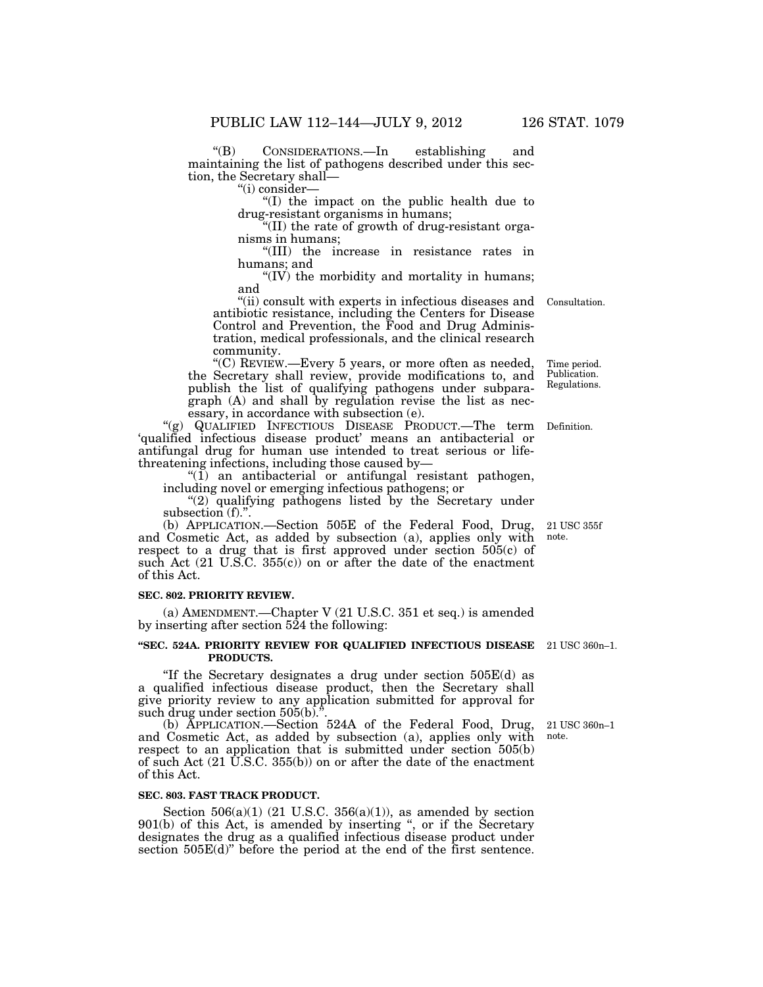''(B) CONSIDERATIONS.—In establishing and maintaining the list of pathogens described under this section, the Secretary shall—

''(i) consider—

''(I) the impact on the public health due to drug-resistant organisms in humans;

''(II) the rate of growth of drug-resistant organisms in humans;

''(III) the increase in resistance rates in humans; and

''(IV) the morbidity and mortality in humans; and

"(ii) consult with experts in infectious diseases and antibiotic resistance, including the Centers for Disease Control and Prevention, the Food and Drug Administration, medical professionals, and the clinical research community.

''(C) REVIEW.—Every 5 years, or more often as needed, the Secretary shall review, provide modifications to, and publish the list of qualifying pathogens under subparagraph (A) and shall by regulation revise the list as necessary, in accordance with subsection (e).

"(g) QUALIFIED INFECTIOUS DISEASE PRODUCT.—The term 'qualified infectious disease product' means an antibacterial or antifungal drug for human use intended to treat serious or lifethreatening infections, including those caused by— Definition.

 $''(1)$  an antibacterial or antifungal resistant pathogen, including novel or emerging infectious pathogens; or

"(2) qualifying pathogens listed by the Secretary under subsection (f).".

(b) APPLICATION.—Section 505E of the Federal Food, Drug, and Cosmetic Act, as added by subsection (a), applies only with respect to a drug that is first approved under section 505(c) of such Act  $(21 \text{ U.S.C. } 355(c))$  on or after the date of the enactment of this Act.

### **SEC. 802. PRIORITY REVIEW.**

(a) AMENDMENT.—Chapter V (21 U.S.C. 351 et seq.) is amended by inserting after section  $524$  the following:

#### **''SEC. 524A. PRIORITY REVIEW FOR QUALIFIED INFECTIOUS DISEASE**  21 USC 360n–1. **PRODUCTS.**

"If the Secretary designates a drug under section  $505E(d)$  as a qualified infectious disease product, then the Secretary shall give priority review to any application submitted for approval for such drug under section  $505(b)$ .".

(b) APPLICATION.—Section 524A of the Federal Food, Drug, and Cosmetic Act, as added by subsection (a), applies only with respect to an application that is submitted under section 505(b) of such Act (21 U.S.C. 355(b)) on or after the date of the enactment of this Act.

#### **SEC. 803. FAST TRACK PRODUCT.**

Section  $506(a)(1)$  (21 U.S.C.  $356(a)(1)$ ), as amended by section 901(b) of this Act, is amended by inserting '', or if the Secretary designates the drug as a qualified infectious disease product under section 505E(d)'' before the period at the end of the first sentence.

21 USC 355f note.

21 USC 360n–1 note.

Time period. Publication. Regulations.

Consultation.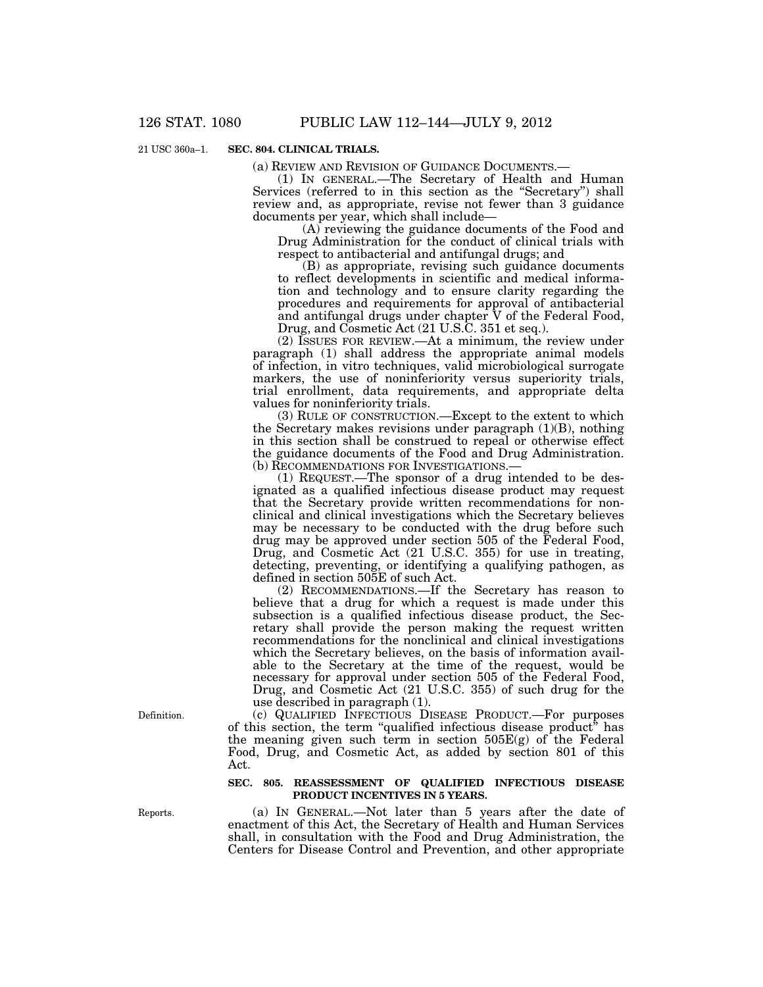21 USC 360a–1.

### **SEC. 804. CLINICAL TRIALS.**

(a) REVIEW AND REVISION OF GUIDANCE DOCUMENTS.—

(1) IN GENERAL.—The Secretary of Health and Human Services (referred to in this section as the "Secretary") shall review and, as appropriate, revise not fewer than 3 guidance documents per year, which shall include—

(A) reviewing the guidance documents of the Food and Drug Administration for the conduct of clinical trials with respect to antibacterial and antifungal drugs; and

(B) as appropriate, revising such guidance documents to reflect developments in scientific and medical information and technology and to ensure clarity regarding the procedures and requirements for approval of antibacterial and antifungal drugs under chapter V of the Federal Food, Drug, and Cosmetic Act (21 U.S.C. 351 et seq.).

(2) ISSUES FOR REVIEW.—At a minimum, the review under paragraph (1) shall address the appropriate animal models of infection, in vitro techniques, valid microbiological surrogate markers, the use of noninferiority versus superiority trials, trial enrollment, data requirements, and appropriate delta values for noninferiority trials.

(3) RULE OF CONSTRUCTION.—Except to the extent to which the Secretary makes revisions under paragraph (1)(B), nothing in this section shall be construed to repeal or otherwise effect the guidance documents of the Food and Drug Administration. (b) RECOMMENDATIONS FOR INVESTIGATIONS.—

(1) REQUEST.—The sponsor of a drug intended to be designated as a qualified infectious disease product may request that the Secretary provide written recommendations for nonclinical and clinical investigations which the Secretary believes may be necessary to be conducted with the drug before such drug may be approved under section 505 of the Federal Food, Drug, and Cosmetic Act (21 U.S.C. 355) for use in treating, detecting, preventing, or identifying a qualifying pathogen, as defined in section 505E of such Act.

(2) RECOMMENDATIONS.—If the Secretary has reason to believe that a drug for which a request is made under this subsection is a qualified infectious disease product, the Secretary shall provide the person making the request written recommendations for the nonclinical and clinical investigations which the Secretary believes, on the basis of information available to the Secretary at the time of the request, would be necessary for approval under section 505 of the Federal Food, Drug, and Cosmetic Act (21 U.S.C. 355) of such drug for the use described in paragraph (1).

(c) QUALIFIED INFECTIOUS DISEASE PRODUCT.—For purposes of this section, the term ''qualified infectious disease product'' has the meaning given such term in section 505E(g) of the Federal Food, Drug, and Cosmetic Act, as added by section 801 of this Act.

### **SEC. 805. REASSESSMENT OF QUALIFIED INFECTIOUS DISEASE PRODUCT INCENTIVES IN 5 YEARS.**

(a) IN GENERAL.—Not later than 5 years after the date of enactment of this Act, the Secretary of Health and Human Services shall, in consultation with the Food and Drug Administration, the Centers for Disease Control and Prevention, and other appropriate

Definition.

Reports.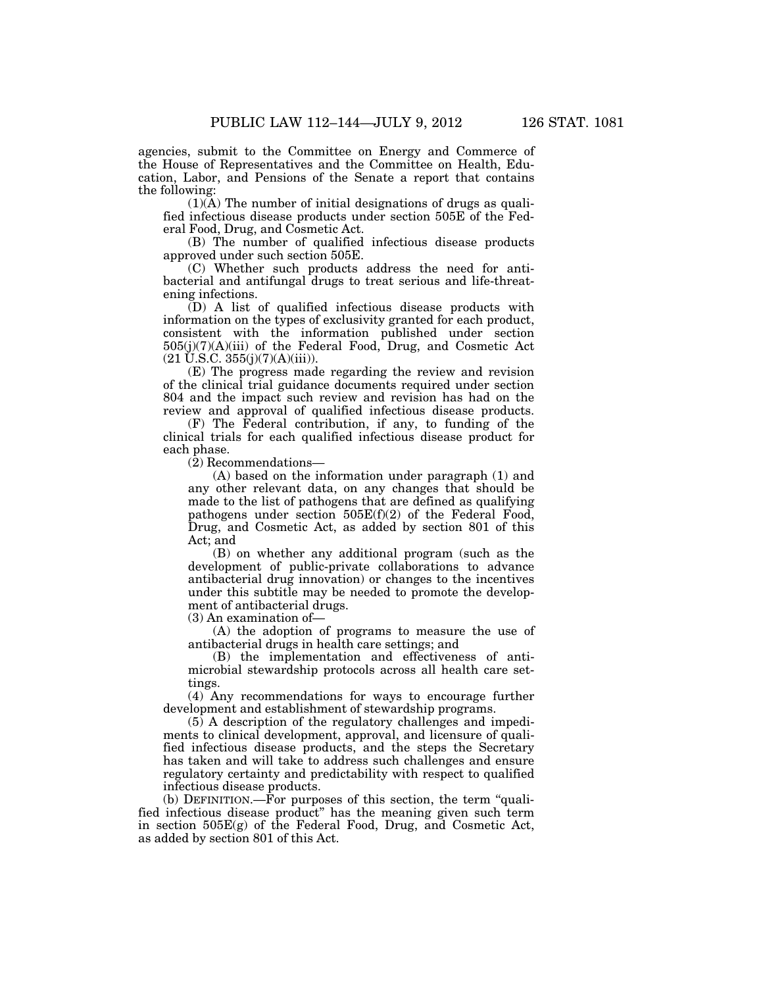agencies, submit to the Committee on Energy and Commerce of the House of Representatives and the Committee on Health, Education, Labor, and Pensions of the Senate a report that contains the following:

 $(1)(\overline{A})$  The number of initial designations of drugs as qualified infectious disease products under section 505E of the Federal Food, Drug, and Cosmetic Act.

(B) The number of qualified infectious disease products approved under such section 505E.

(C) Whether such products address the need for antibacterial and antifungal drugs to treat serious and life-threatening infections.

(D) A list of qualified infectious disease products with information on the types of exclusivity granted for each product, consistent with the information published under section 505(j)(7)(A)(iii) of the Federal Food, Drug, and Cosmetic Act  $(21 \text{ U.S.C. } 355(j)(7)(\text{A})(iii)).$ 

(E) The progress made regarding the review and revision of the clinical trial guidance documents required under section 804 and the impact such review and revision has had on the review and approval of qualified infectious disease products.

(F) The Federal contribution, if any, to funding of the clinical trials for each qualified infectious disease product for each phase.

(2) Recommendations—

(A) based on the information under paragraph (1) and any other relevant data, on any changes that should be made to the list of pathogens that are defined as qualifying pathogens under section 505E(f)(2) of the Federal Food, Drug, and Cosmetic Act, as added by section 801 of this Act; and

(B) on whether any additional program (such as the development of public-private collaborations to advance antibacterial drug innovation) or changes to the incentives under this subtitle may be needed to promote the development of antibacterial drugs.

(3) An examination of—

(A) the adoption of programs to measure the use of antibacterial drugs in health care settings; and

(B) the implementation and effectiveness of antimicrobial stewardship protocols across all health care settings.

(4) Any recommendations for ways to encourage further development and establishment of stewardship programs.

(5) A description of the regulatory challenges and impediments to clinical development, approval, and licensure of qualified infectious disease products, and the steps the Secretary has taken and will take to address such challenges and ensure regulatory certainty and predictability with respect to qualified infectious disease products.

(b) DEFINITION.—For purposes of this section, the term ''qualified infectious disease product'' has the meaning given such term in section 505E(g) of the Federal Food, Drug, and Cosmetic Act, as added by section 801 of this Act.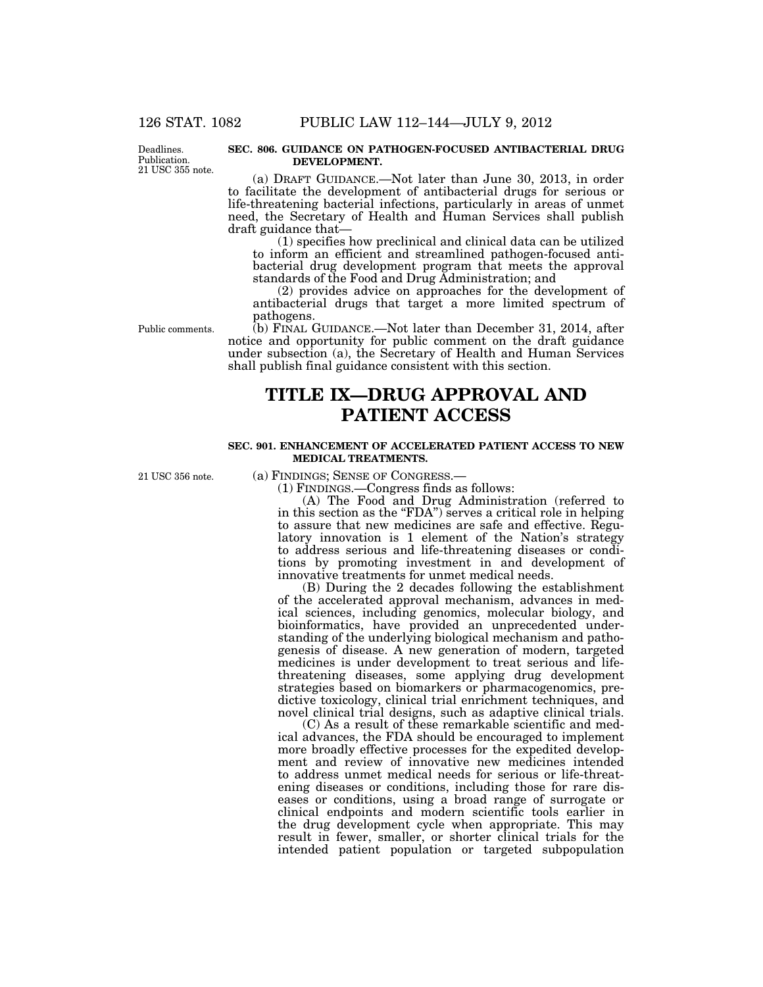Deadlines. Publication. 21 USC 355 note.

#### **SEC. 806. GUIDANCE ON PATHOGEN-FOCUSED ANTIBACTERIAL DRUG DEVELOPMENT.**

(a) DRAFT GUIDANCE.—Not later than June 30, 2013, in order to facilitate the development of antibacterial drugs for serious or life-threatening bacterial infections, particularly in areas of unmet need, the Secretary of Health and Human Services shall publish draft guidance that—

(1) specifies how preclinical and clinical data can be utilized to inform an efficient and streamlined pathogen-focused antibacterial drug development program that meets the approval standards of the Food and Drug Administration; and

(2) provides advice on approaches for the development of antibacterial drugs that target a more limited spectrum of pathogens.

Public comments.

(b) FINAL GUIDANCE.—Not later than December 31, 2014, after notice and opportunity for public comment on the draft guidance under subsection (a), the Secretary of Health and Human Services shall publish final guidance consistent with this section.

# **TITLE IX—DRUG APPROVAL AND PATIENT ACCESS**

### **SEC. 901. ENHANCEMENT OF ACCELERATED PATIENT ACCESS TO NEW MEDICAL TREATMENTS.**

21 USC 356 note.

(a) FINDINGS; SENSE OF CONGRESS.—

(1) FINDINGS.—Congress finds as follows:

(A) The Food and Drug Administration (referred to in this section as the "FDA") serves a critical role in helping to assure that new medicines are safe and effective. Regulatory innovation is 1 element of the Nation's strategy to address serious and life-threatening diseases or conditions by promoting investment in and development of innovative treatments for unmet medical needs.

(B) During the 2 decades following the establishment of the accelerated approval mechanism, advances in medical sciences, including genomics, molecular biology, and bioinformatics, have provided an unprecedented understanding of the underlying biological mechanism and pathogenesis of disease. A new generation of modern, targeted medicines is under development to treat serious and lifethreatening diseases, some applying drug development strategies based on biomarkers or pharmacogenomics, predictive toxicology, clinical trial enrichment techniques, and novel clinical trial designs, such as adaptive clinical trials.

(C) As a result of these remarkable scientific and medical advances, the FDA should be encouraged to implement more broadly effective processes for the expedited development and review of innovative new medicines intended to address unmet medical needs for serious or life-threatening diseases or conditions, including those for rare diseases or conditions, using a broad range of surrogate or clinical endpoints and modern scientific tools earlier in the drug development cycle when appropriate. This may result in fewer, smaller, or shorter clinical trials for the intended patient population or targeted subpopulation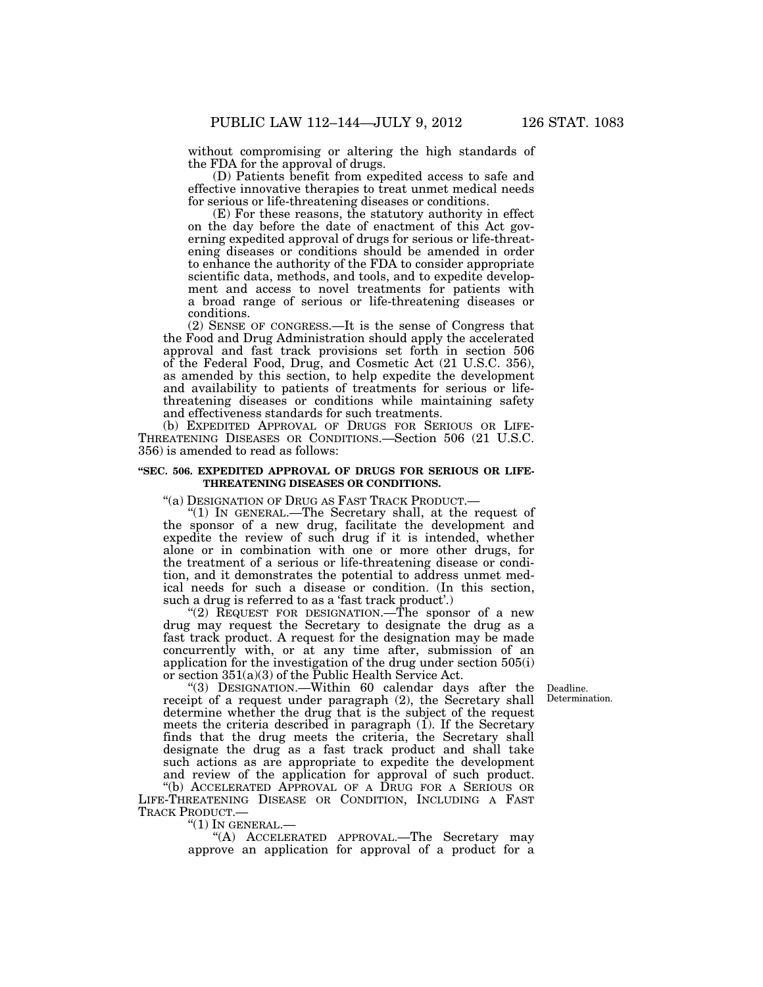without compromising or altering the high standards of the FDA for the approval of drugs.

(D) Patients benefit from expedited access to safe and effective innovative therapies to treat unmet medical needs for serious or life-threatening diseases or conditions.

(E) For these reasons, the statutory authority in effect on the day before the date of enactment of this Act governing expedited approval of drugs for serious or life-threatening diseases or conditions should be amended in order to enhance the authority of the FDA to consider appropriate scientific data, methods, and tools, and to expedite development and access to novel treatments for patients with a broad range of serious or life-threatening diseases or conditions.

(2) SENSE OF CONGRESS.—It is the sense of Congress that the Food and Drug Administration should apply the accelerated approval and fast track provisions set forth in section 506 of the Federal Food, Drug, and Cosmetic Act (21 U.S.C. 356), as amended by this section, to help expedite the development and availability to patients of treatments for serious or lifethreatening diseases or conditions while maintaining safety and effectiveness standards for such treatments.

(b) EXPEDITED APPROVAL OF DRUGS FOR SERIOUS OR LIFE-THREATENING DISEASES OR CONDITIONS.—Section 506 (21 U.S.C. 356) is amended to read as follows:

### **''SEC. 506. EXPEDITED APPROVAL OF DRUGS FOR SERIOUS OR LIFE-THREATENING DISEASES OR CONDITIONS.**

"(a) DESIGNATION OF DRUG AS FAST TRACK PRODUCT.—

''(1) IN GENERAL.—The Secretary shall, at the request of the sponsor of a new drug, facilitate the development and expedite the review of such drug if it is intended, whether alone or in combination with one or more other drugs, for the treatment of a serious or life-threatening disease or condition, and it demonstrates the potential to address unmet medical needs for such a disease or condition. (In this section, such a drug is referred to as a 'fast track product'.)

''(2) REQUEST FOR DESIGNATION.—The sponsor of a new drug may request the Secretary to designate the drug as a fast track product. A request for the designation may be made concurrently with, or at any time after, submission of an application for the investigation of the drug under section 505(i) or section 351(a)(3) of the Public Health Service Act.

> Deadline. Determination.

''(3) DESIGNATION.—Within 60 calendar days after the receipt of a request under paragraph (2), the Secretary shall determine whether the drug that is the subject of the request meets the criteria described in paragraph (1). If the Secretary finds that the drug meets the criteria, the Secretary shall designate the drug as a fast track product and shall take such actions as are appropriate to expedite the development and review of the application for approval of such product. ''(b) ACCELERATED APPROVAL OF A DRUG FOR A SERIOUS OR

LIFE-THREATENING DISEASE OR CONDITION, INCLUDING A FAST TRACK PRODUCT.—

''(1) IN GENERAL.— ''(A) ACCELERATED APPROVAL.—The Secretary may approve an application for approval of a product for a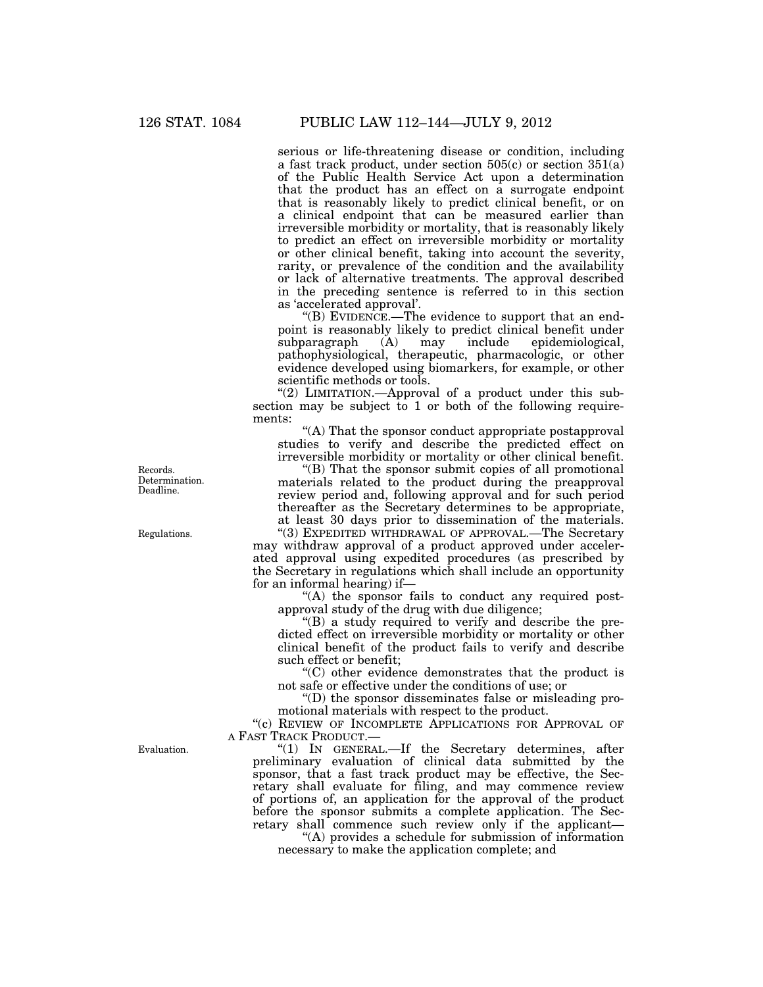serious or life-threatening disease or condition, including a fast track product, under section  $505(c)$  or section  $351(a)$ of the Public Health Service Act upon a determination that the product has an effect on a surrogate endpoint that is reasonably likely to predict clinical benefit, or on a clinical endpoint that can be measured earlier than irreversible morbidity or mortality, that is reasonably likely to predict an effect on irreversible morbidity or mortality or other clinical benefit, taking into account the severity, rarity, or prevalence of the condition and the availability or lack of alternative treatments. The approval described in the preceding sentence is referred to in this section as 'accelerated approval'.

" $(B)$  EVIDENCE.—The evidence to support that an endpoint is reasonably likely to predict clinical benefit under subparagraph (A) may include epidemiological, pathophysiological, therapeutic, pharmacologic, or other evidence developed using biomarkers, for example, or other scientific methods or tools.

"(2) LIMITATION.—Approval of a product under this subsection may be subject to 1 or both of the following requirements:

''(A) That the sponsor conduct appropriate postapproval studies to verify and describe the predicted effect on irreversible morbidity or mortality or other clinical benefit.

''(B) That the sponsor submit copies of all promotional materials related to the product during the preapproval review period and, following approval and for such period thereafter as the Secretary determines to be appropriate, at least 30 days prior to dissemination of the materials. ''(3) EXPEDITED WITHDRAWAL OF APPROVAL.—The Secretary

may withdraw approval of a product approved under accelerated approval using expedited procedures (as prescribed by the Secretary in regulations which shall include an opportunity for an informal hearing) if—

"(A) the sponsor fails to conduct any required postapproval study of the drug with due diligence;

''(B) a study required to verify and describe the predicted effect on irreversible morbidity or mortality or other clinical benefit of the product fails to verify and describe such effect or benefit;

 $(C)$  other evidence demonstrates that the product is not safe or effective under the conditions of use; or

''(D) the sponsor disseminates false or misleading promotional materials with respect to the product.

"(c) REVIEW OF INCOMPLETE APPLICATIONS FOR APPROVAL OF A FAST TRACK PRODUCT.—

''(1) IN GENERAL.—If the Secretary determines, after preliminary evaluation of clinical data submitted by the sponsor, that a fast track product may be effective, the Secretary shall evaluate for filing, and may commence review of portions of, an application for the approval of the product before the sponsor submits a complete application. The Secretary shall commence such review only if the applicant—

''(A) provides a schedule for submission of information necessary to make the application complete; and

Records. Determination. Deadline.

Regulations.

Evaluation.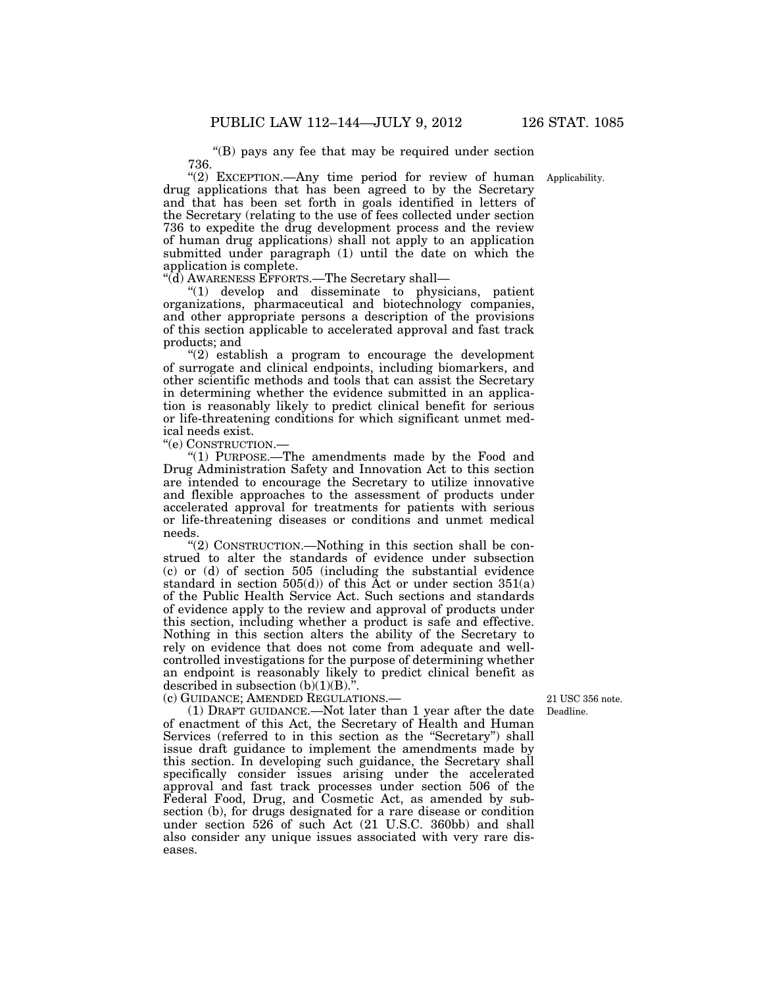''(B) pays any fee that may be required under section 736.

"(2) EXCEPTION.—Any time period for review of human Applicability. drug applications that has been agreed to by the Secretary and that has been set forth in goals identified in letters of the Secretary (relating to the use of fees collected under section 736 to expedite the drug development process and the review of human drug applications) shall not apply to an application submitted under paragraph (1) until the date on which the application is complete.

''(d) AWARENESS EFFORTS.—The Secretary shall—

''(1) develop and disseminate to physicians, patient organizations, pharmaceutical and biotechnology companies, and other appropriate persons a description of the provisions of this section applicable to accelerated approval and fast track products; and

 $(2)$  establish a program to encourage the development of surrogate and clinical endpoints, including biomarkers, and other scientific methods and tools that can assist the Secretary in determining whether the evidence submitted in an application is reasonably likely to predict clinical benefit for serious or life-threatening conditions for which significant unmet medical needs exist.

''(e) CONSTRUCTION.—

''(1) PURPOSE.—The amendments made by the Food and Drug Administration Safety and Innovation Act to this section are intended to encourage the Secretary to utilize innovative and flexible approaches to the assessment of products under accelerated approval for treatments for patients with serious or life-threatening diseases or conditions and unmet medical needs.

''(2) CONSTRUCTION.—Nothing in this section shall be construed to alter the standards of evidence under subsection (c) or (d) of section 505 (including the substantial evidence standard in section  $505(d)$  of this Act or under section  $351(a)$ of the Public Health Service Act. Such sections and standards of evidence apply to the review and approval of products under this section, including whether a product is safe and effective. Nothing in this section alters the ability of the Secretary to rely on evidence that does not come from adequate and wellcontrolled investigations for the purpose of determining whether an endpoint is reasonably likely to predict clinical benefit as described in subsection  $(b)(1)(B)$ .".

(c) GUIDANCE; AMENDED REGULATIONS.—

(1) DRAFT GUIDANCE.—Not later than 1 year after the date of enactment of this Act, the Secretary of Health and Human Services (referred to in this section as the "Secretary") shall issue draft guidance to implement the amendments made by this section. In developing such guidance, the Secretary shall specifically consider issues arising under the accelerated approval and fast track processes under section 506 of the Federal Food, Drug, and Cosmetic Act, as amended by subsection (b), for drugs designated for a rare disease or condition under section 526 of such Act (21 U.S.C. 360bb) and shall also consider any unique issues associated with very rare diseases.

Deadline. 21 USC 356 note.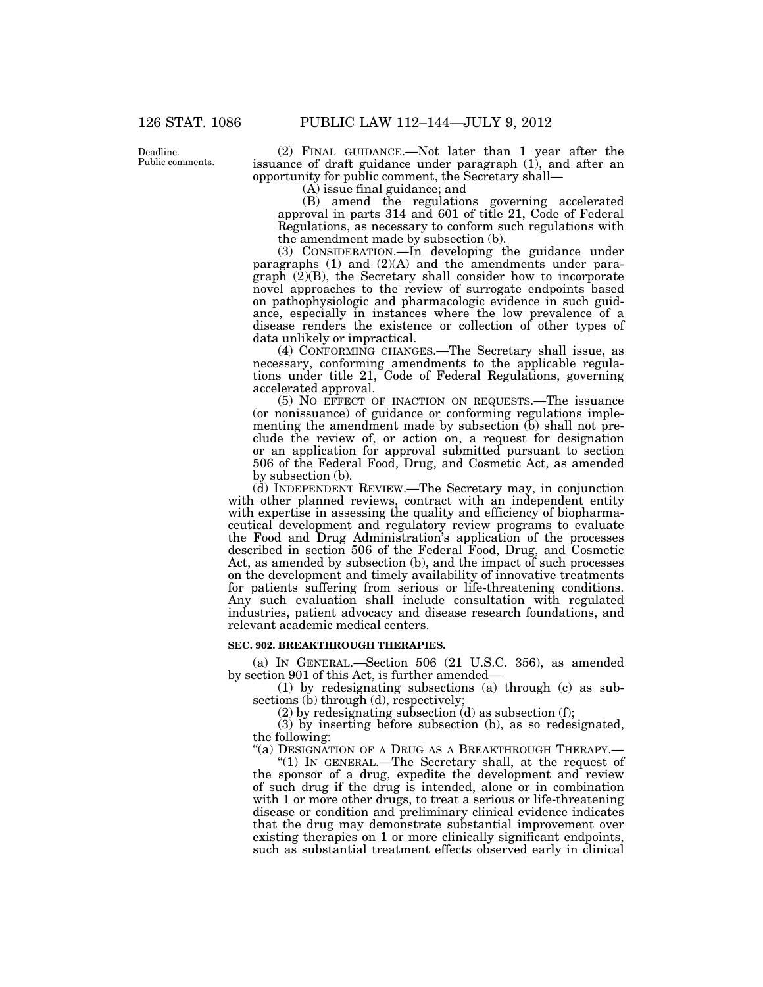Deadline. Public comments.

(2) FINAL GUIDANCE.—Not later than 1 year after the issuance of draft guidance under paragraph (1), and after an opportunity for public comment, the Secretary shall—

(A) issue final guidance; and

(B) amend the regulations governing accelerated approval in parts 314 and 601 of title 21, Code of Federal Regulations, as necessary to conform such regulations with the amendment made by subsection (b).

(3) CONSIDERATION.—In developing the guidance under paragraphs (1) and (2)(A) and the amendments under para $graph$   $(\overline{2})(B)$ , the Secretary shall consider how to incorporate novel approaches to the review of surrogate endpoints based on pathophysiologic and pharmacologic evidence in such guidance, especially in instances where the low prevalence of a disease renders the existence or collection of other types of data unlikely or impractical.

(4) CONFORMING CHANGES.—The Secretary shall issue, as necessary, conforming amendments to the applicable regulations under title 21, Code of Federal Regulations, governing accelerated approval.

(5) NO EFFECT OF INACTION ON REQUESTS.—The issuance (or nonissuance) of guidance or conforming regulations implementing the amendment made by subsection  $(b)$  shall not preclude the review of, or action on, a request for designation or an application for approval submitted pursuant to section 506 of the Federal Food, Drug, and Cosmetic Act, as amended by subsection (b).

(d) INDEPENDENT REVIEW.—The Secretary may, in conjunction with other planned reviews, contract with an independent entity with expertise in assessing the quality and efficiency of biopharmaceutical development and regulatory review programs to evaluate the Food and Drug Administration's application of the processes described in section 506 of the Federal Food, Drug, and Cosmetic Act, as amended by subsection (b), and the impact of such processes on the development and timely availability of innovative treatments for patients suffering from serious or life-threatening conditions. Any such evaluation shall include consultation with regulated industries, patient advocacy and disease research foundations, and relevant academic medical centers.

#### **SEC. 902. BREAKTHROUGH THERAPIES.**

(a) IN GENERAL.—Section 506 (21 U.S.C. 356), as amended by section 901 of this Act, is further amended—

(1) by redesignating subsections (a) through (c) as subsections (b) through (d), respectively;

(2) by redesignating subsection (d) as subsection (f);

(3) by inserting before subsection (b), as so redesignated, the following:

"(a) DESIGNATION OF A DRUG AS A BREAKTHROUGH THERAPY.-

''(1) IN GENERAL.—The Secretary shall, at the request of the sponsor of a drug, expedite the development and review of such drug if the drug is intended, alone or in combination with 1 or more other drugs, to treat a serious or life-threatening disease or condition and preliminary clinical evidence indicates that the drug may demonstrate substantial improvement over existing therapies on 1 or more clinically significant endpoints, such as substantial treatment effects observed early in clinical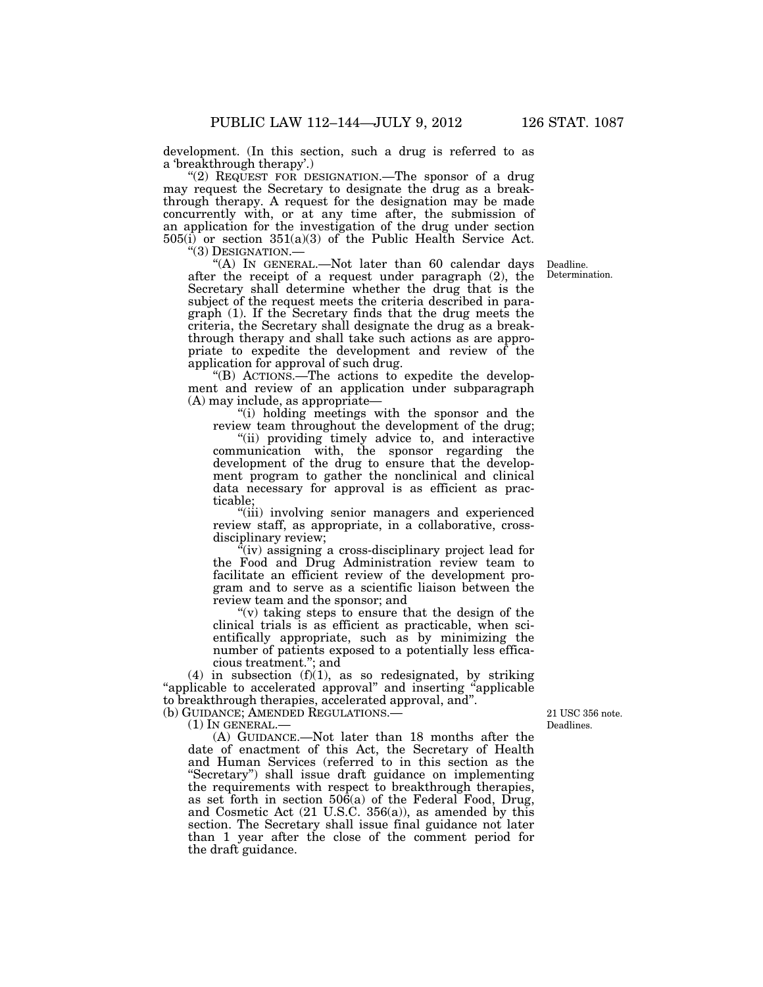development. (In this section, such a drug is referred to as a 'breakthrough therapy'.)

" $(2)$  REQUEST FOR DESIGNATION.—The sponsor of a drug may request the Secretary to designate the drug as a breakthrough therapy. A request for the designation may be made concurrently with, or at any time after, the submission of an application for the investigation of the drug under section  $505(i)$  or section  $351(a)(3)$  of the Public Health Service Act.<br>"(3) DESIGNATION.—

"(A) In GENERAL.—Not later than 60 calendar days after the receipt of a request under paragraph (2), the Secretary shall determine whether the drug that is the subject of the request meets the criteria described in paragraph (1). If the Secretary finds that the drug meets the criteria, the Secretary shall designate the drug as a breakthrough therapy and shall take such actions as are appropriate to expedite the development and review of the application for approval of such drug.

''(B) ACTIONS.—The actions to expedite the development and review of an application under subparagraph (A) may include, as appropriate—

''(i) holding meetings with the sponsor and the review team throughout the development of the drug;

"(ii) providing timely advice to, and interactive communication with, the sponsor regarding the development of the drug to ensure that the development program to gather the nonclinical and clinical data necessary for approval is as efficient as practicable;

''(iii) involving senior managers and experienced review staff, as appropriate, in a collaborative, crossdisciplinary review;

 $\alpha$ <sup>"(iv)</sup> assigning a cross-disciplinary project lead for the Food and Drug Administration review team to facilitate an efficient review of the development program and to serve as a scientific liaison between the review team and the sponsor; and

" $(v)$  taking steps to ensure that the design of the clinical trials is as efficient as practicable, when scientifically appropriate, such as by minimizing the number of patients exposed to a potentially less efficacious treatment.''; and

(4) in subsection  $(f)(1)$ , as so redesignated, by striking "applicable to accelerated approval" and inserting "applicable" to breakthrough therapies, accelerated approval, and''. (b) GUIDANCE; AMENDED REGULATIONS.—

(1) IN GENERAL.—

(A) GUIDANCE.—Not later than 18 months after the date of enactment of this Act, the Secretary of Health and Human Services (referred to in this section as the ''Secretary'') shall issue draft guidance on implementing the requirements with respect to breakthrough therapies, as set forth in section 506(a) of the Federal Food, Drug, and Cosmetic Act (21 U.S.C. 356(a)), as amended by this section. The Secretary shall issue final guidance not later than 1 year after the close of the comment period for the draft guidance.

Deadlines. 21 USC 356 note.

Deadline. Determination.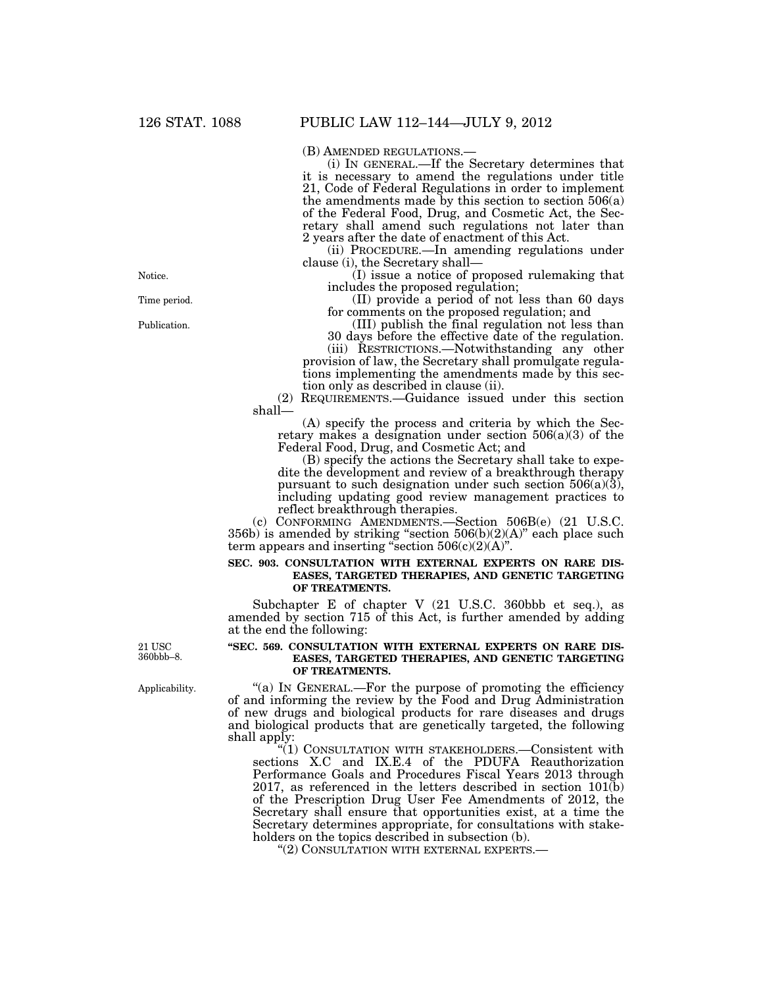(B) AMENDED REGULATIONS.— (i) IN GENERAL.—If the Secretary determines that it is necessary to amend the regulations under title 21, Code of Federal Regulations in order to implement the amendments made by this section to section  $506(a)$ of the Federal Food, Drug, and Cosmetic Act, the Secretary shall amend such regulations not later than 2 years after the date of enactment of this Act.

(ii) PROCEDURE.—In amending regulations under clause (i), the Secretary shall—

(I) issue a notice of proposed rulemaking that includes the proposed regulation;

(II) provide a period of not less than 60 days for comments on the proposed regulation; and

(III) publish the final regulation not less than 30 days before the effective date of the regulation.

(iii) RESTRICTIONS.—Notwithstanding any other provision of law, the Secretary shall promulgate regulations implementing the amendments made by this section only as described in clause (ii).

(2) REQUIREMENTS.—Guidance issued under this section shall—

(A) specify the process and criteria by which the Secretary makes a designation under section 506(a)(3) of the Federal Food, Drug, and Cosmetic Act; and

(B) specify the actions the Secretary shall take to expedite the development and review of a breakthrough therapy pursuant to such designation under such section  $506(a)(3)$ , including updating good review management practices to reflect breakthrough therapies.

(c) CONFORMING AMENDMENTS.—Section 506B(e) (21 U.S.C. 356b) is amended by striking "section 506(b)(2)(A)" each place such term appears and inserting "section  $506(c)(2)(A)$ ".

#### **SEC. 903. CONSULTATION WITH EXTERNAL EXPERTS ON RARE DIS-EASES, TARGETED THERAPIES, AND GENETIC TARGETING OF TREATMENTS.**

Subchapter E of chapter V (21 U.S.C. 360bbb et seq.), as amended by section 715 of this Act, is further amended by adding at the end the following:

21 USC 360bbb–8.

Applicability.

#### **''SEC. 569. CONSULTATION WITH EXTERNAL EXPERTS ON RARE DIS-EASES, TARGETED THERAPIES, AND GENETIC TARGETING OF TREATMENTS.**

"(a) In GENERAL.—For the purpose of promoting the efficiency of and informing the review by the Food and Drug Administration of new drugs and biological products for rare diseases and drugs and biological products that are genetically targeted, the following shall apply:

''(1) CONSULTATION WITH STAKEHOLDERS.—Consistent with sections X.C and IX.E.4 of the PDUFA Reauthorization Performance Goals and Procedures Fiscal Years 2013 through 2017, as referenced in the letters described in section  $101(b)$ of the Prescription Drug User Fee Amendments of 2012, the Secretary shall ensure that opportunities exist, at a time the Secretary determines appropriate, for consultations with stakeholders on the topics described in subsection (b).

''(2) CONSULTATION WITH EXTERNAL EXPERTS.—

Time period. Notice.

Publication.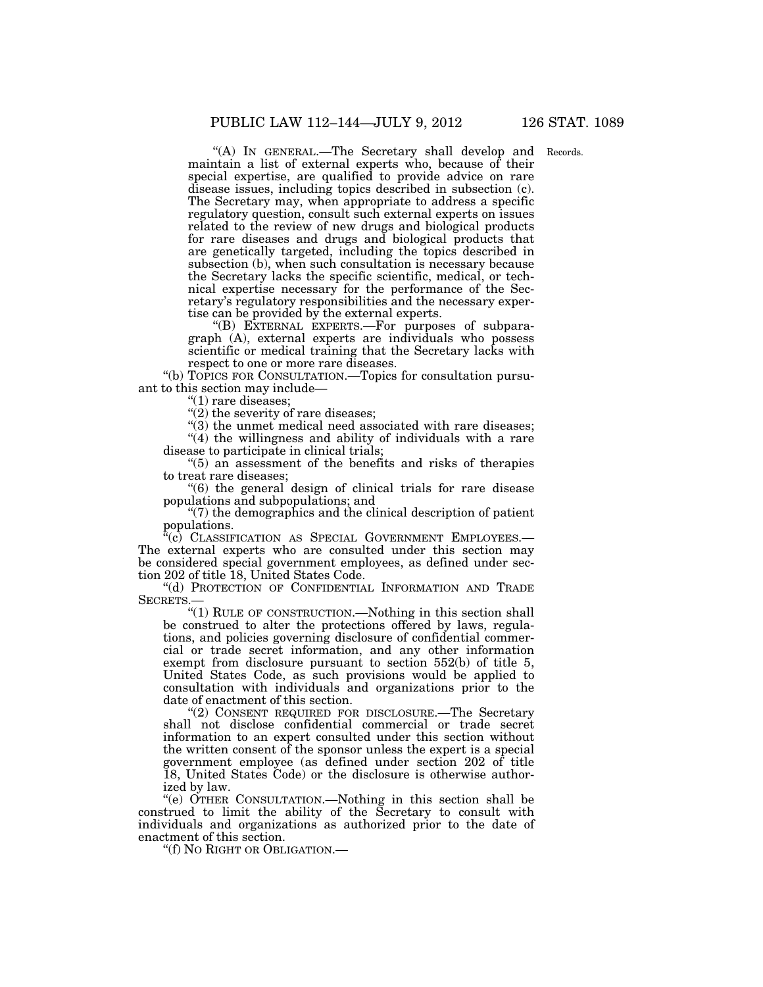"(A) In GENERAL.—The Secretary shall develop and Records. maintain a list of external experts who, because of their special expertise, are qualified to provide advice on rare disease issues, including topics described in subsection (c). The Secretary may, when appropriate to address a specific regulatory question, consult such external experts on issues related to the review of new drugs and biological products for rare diseases and drugs and biological products that are genetically targeted, including the topics described in subsection (b), when such consultation is necessary because the Secretary lacks the specific scientific, medical, or technical expertise necessary for the performance of the Secretary's regulatory responsibilities and the necessary expertise can be provided by the external experts.

''(B) EXTERNAL EXPERTS.—For purposes of subparagraph (A), external experts are individuals who possess scientific or medical training that the Secretary lacks with respect to one or more rare diseases.

''(b) TOPICS FOR CONSULTATION.—Topics for consultation pursuant to this section may include—

''(1) rare diseases;

 $'(2)$  the severity of rare diseases;

 $'(3)$  the unmet medical need associated with rare diseases;  $'(4)$  the willingness and ability of individuals with a rare disease to participate in clinical trials;

''(5) an assessment of the benefits and risks of therapies to treat rare diseases;

''(6) the general design of clinical trials for rare disease populations and subpopulations; and

 $\degree$ (7) the demographics and the clinical description of patient populations.

 $\mathcal{C}(\tilde{c})$  CLASSIFICATION AS SPECIAL GOVERNMENT EMPLOYEES. The external experts who are consulted under this section may be considered special government employees, as defined under section 202 of title 18, United States Code.

''(d) PROTECTION OF CONFIDENTIAL INFORMATION AND TRADE SECRETS.

''(1) RULE OF CONSTRUCTION.—Nothing in this section shall be construed to alter the protections offered by laws, regulations, and policies governing disclosure of confidential commercial or trade secret information, and any other information exempt from disclosure pursuant to section 552(b) of title 5, United States Code, as such provisions would be applied to consultation with individuals and organizations prior to the date of enactment of this section.

''(2) CONSENT REQUIRED FOR DISCLOSURE.—The Secretary shall not disclose confidential commercial or trade secret information to an expert consulted under this section without the written consent of the sponsor unless the expert is a special government employee (as defined under section 202 of title 18, United States Code) or the disclosure is otherwise authorized by law.

''(e) OTHER CONSULTATION.—Nothing in this section shall be construed to limit the ability of the Secretary to consult with individuals and organizations as authorized prior to the date of enactment of this section.

''(f) NO RIGHT OR OBLIGATION.—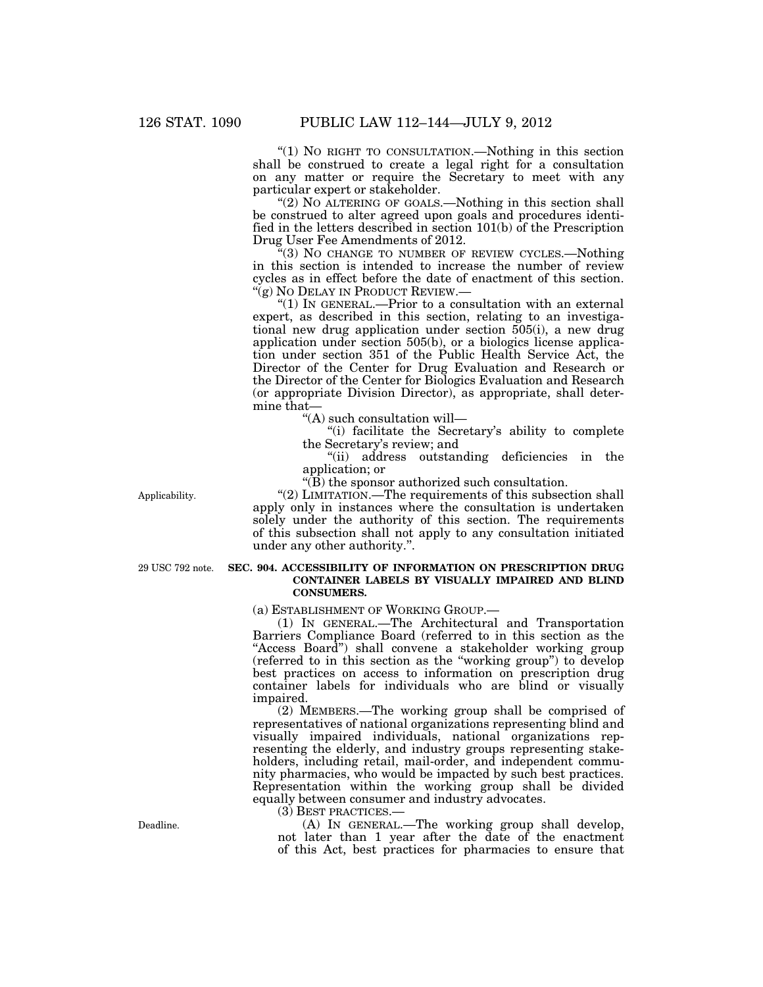"(1) No RIGHT TO CONSULTATION.—Nothing in this section shall be construed to create a legal right for a consultation on any matter or require the Secretary to meet with any particular expert or stakeholder.

''(2) NO ALTERING OF GOALS.—Nothing in this section shall be construed to alter agreed upon goals and procedures identified in the letters described in section 101(b) of the Prescription Drug User Fee Amendments of 2012.

 $f(3)$  No CHANGE TO NUMBER OF REVIEW CYCLES.—Nothing in this section is intended to increase the number of review cycles as in effect before the date of enactment of this section. "(g) NO DELAY IN PRODUCT REVIEW.—

''(1) IN GENERAL.—Prior to a consultation with an external expert, as described in this section, relating to an investigational new drug application under section 505(i), a new drug application under section 505(b), or a biologics license application under section 351 of the Public Health Service Act, the Director of the Center for Drug Evaluation and Research or the Director of the Center for Biologics Evaluation and Research (or appropriate Division Director), as appropriate, shall determine that—

''(A) such consultation will—

"(i) facilitate the Secretary's ability to complete the Secretary's review; and

''(ii) address outstanding deficiencies in the application; or

 $\sqrt{\text{B}}$ ) the sponsor authorized such consultation.

''(2) LIMITATION.—The requirements of this subsection shall apply only in instances where the consultation is undertaken solely under the authority of this section. The requirements of this subsection shall not apply to any consultation initiated under any other authority.''.

29 USC 792 note.

Applicability.

# **SEC. 904. ACCESSIBILITY OF INFORMATION ON PRESCRIPTION DRUG CONTAINER LABELS BY VISUALLY IMPAIRED AND BLIND CONSUMERS.**

(a) ESTABLISHMENT OF WORKING GROUP.—

(1) IN GENERAL.—The Architectural and Transportation Barriers Compliance Board (referred to in this section as the "Access Board") shall convene a stakeholder working group (referred to in this section as the ''working group'') to develop best practices on access to information on prescription drug container labels for individuals who are blind or visually impaired.

(2) MEMBERS.—The working group shall be comprised of representatives of national organizations representing blind and visually impaired individuals, national organizations representing the elderly, and industry groups representing stakeholders, including retail, mail-order, and independent community pharmacies, who would be impacted by such best practices. Representation within the working group shall be divided equally between consumer and industry advocates.

(3) BEST PRACTICES.—

(A) IN GENERAL.—The working group shall develop, not later than 1 year after the date of the enactment of this Act, best practices for pharmacies to ensure that

Deadline.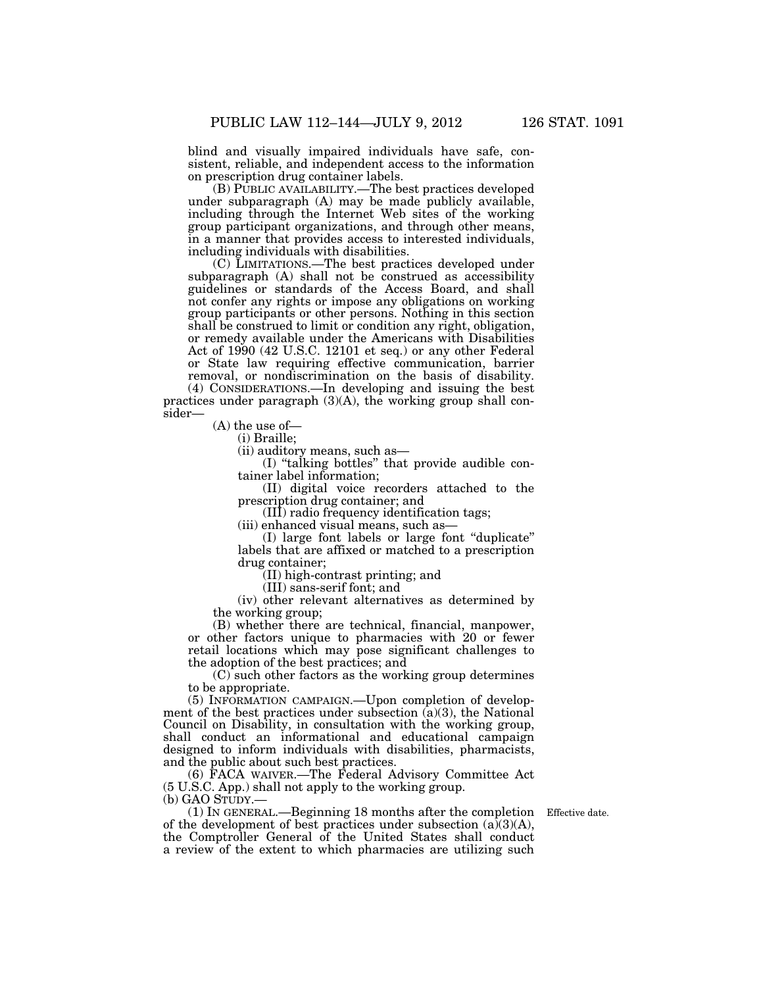blind and visually impaired individuals have safe, consistent, reliable, and independent access to the information on prescription drug container labels.

(B) PUBLIC AVAILABILITY.—The best practices developed under subparagraph (A) may be made publicly available, including through the Internet Web sites of the working group participant organizations, and through other means, in a manner that provides access to interested individuals, including individuals with disabilities.

(C) LIMITATIONS.—The best practices developed under subparagraph (A) shall not be construed as accessibility guidelines or standards of the Access Board, and shall not confer any rights or impose any obligations on working group participants or other persons. Nothing in this section shall be construed to limit or condition any right, obligation, or remedy available under the Americans with Disabilities Act of 1990 (42 U.S.C. 12101 et seq.) or any other Federal or State law requiring effective communication, barrier

removal, or nondiscrimination on the basis of disability. (4) CONSIDERATIONS.—In developing and issuing the best practices under paragraph  $(3)(A)$ , the working group shall consider—

(A) the use of—

(i) Braille;

(ii) auditory means, such as—

(I) ''talking bottles'' that provide audible container label information;

(II) digital voice recorders attached to the prescription drug container; and

(III) radio frequency identification tags;

(iii) enhanced visual means, such as—

(I) large font labels or large font ''duplicate'' labels that are affixed or matched to a prescription drug container;

(II) high-contrast printing; and

(III) sans-serif font; and

(iv) other relevant alternatives as determined by the working group;

(B) whether there are technical, financial, manpower, or other factors unique to pharmacies with 20 or fewer retail locations which may pose significant challenges to the adoption of the best practices; and

(C) such other factors as the working group determines to be appropriate.

(5) INFORMATION CAMPAIGN.—Upon completion of development of the best practices under subsection  $(a)(3)$ , the National Council on Disability, in consultation with the working group, shall conduct an informational and educational campaign designed to inform individuals with disabilities, pharmacists, and the public about such best practices.

(6) FACA WAIVER.—The Federal Advisory Committee Act (5 U.S.C. App.) shall not apply to the working group. (b) GAO STUDY.—

(1) IN GENERAL.—Beginning 18 months after the completion Effective date. of the development of best practices under subsection  $(a)(3)(A)$ , the Comptroller General of the United States shall conduct a review of the extent to which pharmacies are utilizing such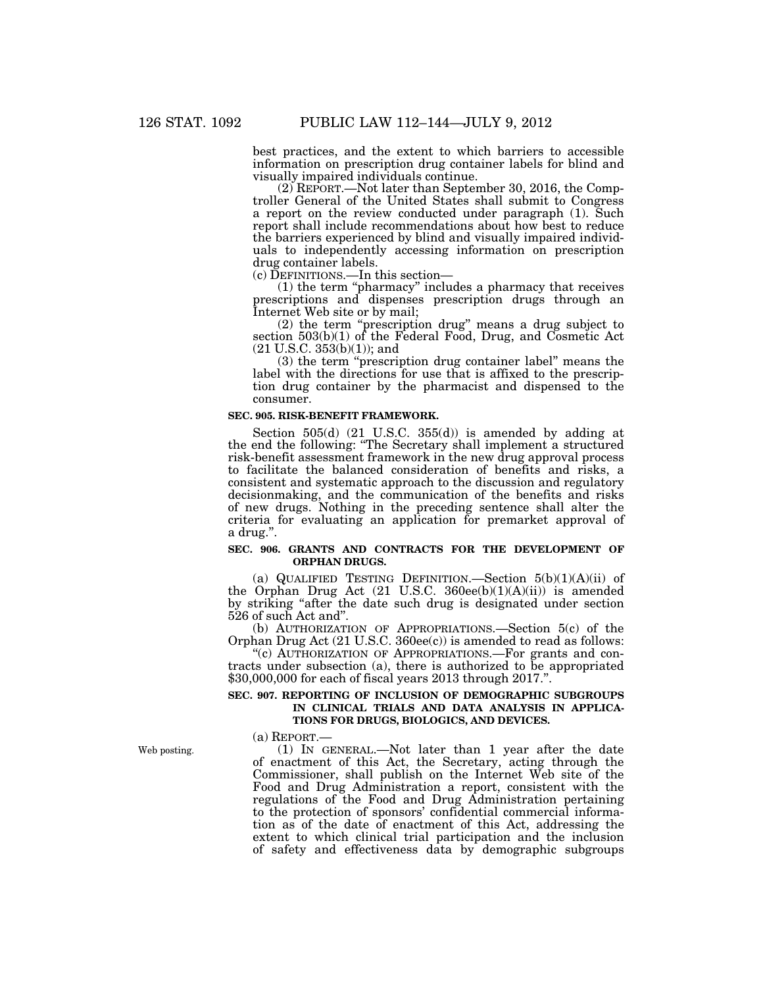best practices, and the extent to which barriers to accessible information on prescription drug container labels for blind and visually impaired individuals continue.

(2) REPORT.—Not later than September 30, 2016, the Comptroller General of the United States shall submit to Congress a report on the review conducted under paragraph (1). Such report shall include recommendations about how best to reduce the barriers experienced by blind and visually impaired individuals to independently accessing information on prescription drug container labels.

(c) DEFINITIONS.—In this section—

(1) the term ''pharmacy'' includes a pharmacy that receives prescriptions and dispenses prescription drugs through an Internet Web site or by mail;

(2) the term ''prescription drug'' means a drug subject to section  $503(b)(1)$  of the Federal Food, Drug, and Cosmetic Act (21 U.S.C. 353(b)(1)); and

(3) the term ''prescription drug container label'' means the label with the directions for use that is affixed to the prescription drug container by the pharmacist and dispensed to the consumer.

#### **SEC. 905. RISK-BENEFIT FRAMEWORK.**

Section 505(d) (21 U.S.C. 355(d)) is amended by adding at the end the following: ''The Secretary shall implement a structured risk-benefit assessment framework in the new drug approval process to facilitate the balanced consideration of benefits and risks, a consistent and systematic approach to the discussion and regulatory decisionmaking, and the communication of the benefits and risks of new drugs. Nothing in the preceding sentence shall alter the criteria for evaluating an application for premarket approval of a drug.''.

### **SEC. 906. GRANTS AND CONTRACTS FOR THE DEVELOPMENT OF ORPHAN DRUGS.**

(a) QUALIFIED TESTING DEFINITION.—Section  $5(b)(1)(A)(ii)$  of the Orphan Drug Act (21 U.S.C. 360ee(b)(1)(A)(ii)) is amended by striking ''after the date such drug is designated under section 526 of such Act and''.

(b) AUTHORIZATION OF APPROPRIATIONS.—Section 5(c) of the Orphan Drug Act (21 U.S.C. 360ee(c)) is amended to read as follows:

''(c) AUTHORIZATION OF APPROPRIATIONS.—For grants and contracts under subsection (a), there is authorized to be appropriated \$30,000,000 for each of fiscal years 2013 through 2017.''.

### **SEC. 907. REPORTING OF INCLUSION OF DEMOGRAPHIC SUBGROUPS IN CLINICAL TRIALS AND DATA ANALYSIS IN APPLICA-TIONS FOR DRUGS, BIOLOGICS, AND DEVICES.**

(a) REPORT.—

(1) IN GENERAL.—Not later than 1 year after the date of enactment of this Act, the Secretary, acting through the Commissioner, shall publish on the Internet Web site of the Food and Drug Administration a report, consistent with the regulations of the Food and Drug Administration pertaining to the protection of sponsors' confidential commercial information as of the date of enactment of this Act, addressing the extent to which clinical trial participation and the inclusion of safety and effectiveness data by demographic subgroups

Web posting.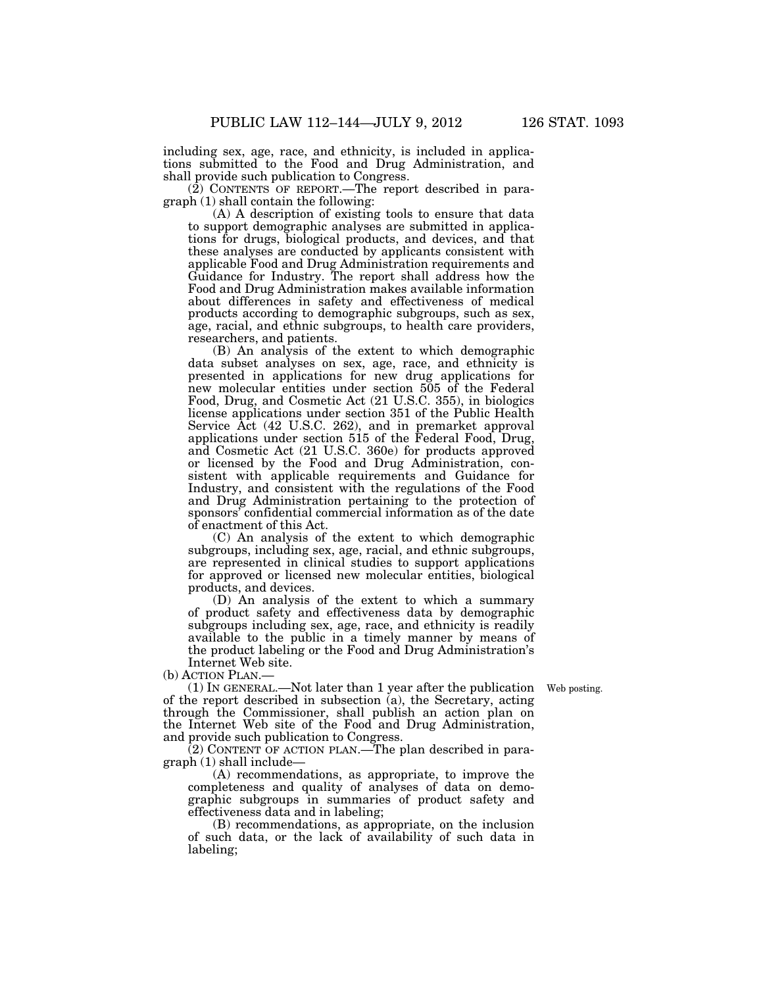including sex, age, race, and ethnicity, is included in applications submitted to the Food and Drug Administration, and shall provide such publication to Congress.

(2) CONTENTS OF REPORT.—The report described in paragraph (1) shall contain the following:

(A) A description of existing tools to ensure that data to support demographic analyses are submitted in applications for drugs, biological products, and devices, and that these analyses are conducted by applicants consistent with applicable Food and Drug Administration requirements and Guidance for Industry. The report shall address how the Food and Drug Administration makes available information about differences in safety and effectiveness of medical products according to demographic subgroups, such as sex, age, racial, and ethnic subgroups, to health care providers, researchers, and patients.

(B) An analysis of the extent to which demographic data subset analyses on sex, age, race, and ethnicity is presented in applications for new drug applications for new molecular entities under section 505 of the Federal Food, Drug, and Cosmetic Act (21 U.S.C. 355), in biologics license applications under section 351 of the Public Health Service Act (42 U.S.C. 262), and in premarket approval applications under section 515 of the Federal Food, Drug, and Cosmetic Act (21 U.S.C. 360e) for products approved or licensed by the Food and Drug Administration, consistent with applicable requirements and Guidance for Industry, and consistent with the regulations of the Food and Drug Administration pertaining to the protection of sponsors' confidential commercial information as of the date of enactment of this Act.

(C) An analysis of the extent to which demographic subgroups, including sex, age, racial, and ethnic subgroups, are represented in clinical studies to support applications for approved or licensed new molecular entities, biological products, and devices.

(D) An analysis of the extent to which a summary of product safety and effectiveness data by demographic subgroups including sex, age, race, and ethnicity is readily available to the public in a timely manner by means of the product labeling or the Food and Drug Administration's Internet Web site.

(b) ACTION PLAN.—

Web posting.

(1) IN GENERAL.—Not later than 1 year after the publication of the report described in subsection (a), the Secretary, acting through the Commissioner, shall publish an action plan on the Internet Web site of the Food and Drug Administration, and provide such publication to Congress.

(2) CONTENT OF ACTION PLAN.—The plan described in paragraph (1) shall include—

(A) recommendations, as appropriate, to improve the completeness and quality of analyses of data on demographic subgroups in summaries of product safety and effectiveness data and in labeling;

(B) recommendations, as appropriate, on the inclusion of such data, or the lack of availability of such data in labeling;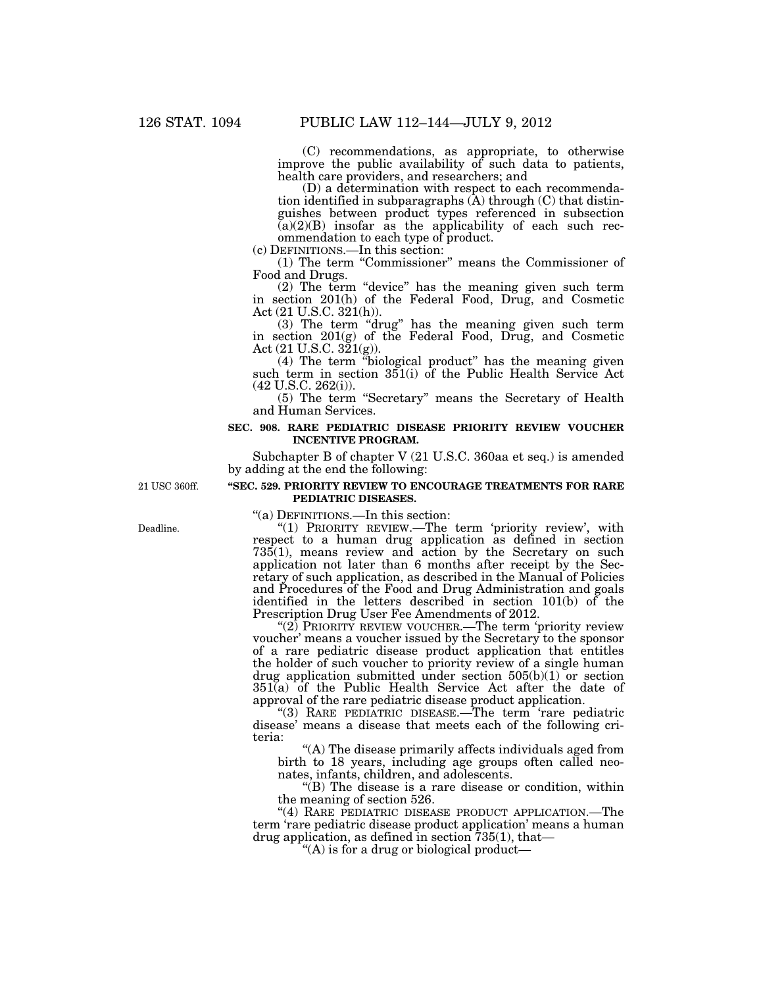(C) recommendations, as appropriate, to otherwise improve the public availability of such data to patients, health care providers, and researchers; and

(D) a determination with respect to each recommendation identified in subparagraphs  $(A)$  through  $(C)$  that distinguishes between product types referenced in subsection  $(a)(2)(B)$  insofar as the applicability of each such recommendation to each type of product.

(c) DEFINITIONS.—In this section:

(1) The term ''Commissioner'' means the Commissioner of Food and Drugs.

(2) The term ''device'' has the meaning given such term in section 201(h) of the Federal Food, Drug, and Cosmetic Act (21 U.S.C. 321(h)).

(3) The term ''drug'' has the meaning given such term in section 201(g) of the Federal Food, Drug, and Cosmetic Act  $(21 \text{ U.S.C. } 321 \text{ (g)}).$ 

(4) The term ''biological product'' has the meaning given such term in section 351(i) of the Public Health Service Act (42 U.S.C. 262(i)).

(5) The term ''Secretary'' means the Secretary of Health and Human Services.

### **SEC. 908. RARE PEDIATRIC DISEASE PRIORITY REVIEW VOUCHER INCENTIVE PROGRAM.**

Subchapter B of chapter V (21 U.S.C. 360aa et seq.) is amended by adding at the end the following:

21 USC 360ff.

# **''SEC. 529. PRIORITY REVIEW TO ENCOURAGE TREATMENTS FOR RARE PEDIATRIC DISEASES.**

''(a) DEFINITIONS.—In this section:

"(1) PRIORITY REVIEW.—The term 'priority review', with respect to a human drug application as defined in section 735(1), means review and action by the Secretary on such application not later than 6 months after receipt by the Secretary of such application, as described in the Manual of Policies and Procedures of the Food and Drug Administration and goals identified in the letters described in section 101(b) of the Prescription Drug User Fee Amendments of 2012.

"(2) PRIORITY REVIEW VOUCHER.—The term 'priority review voucher' means a voucher issued by the Secretary to the sponsor of a rare pediatric disease product application that entitles the holder of such voucher to priority review of a single human drug application submitted under section  $505(b)(1)$  or section  $351(a)$  of the Public Health Service Act after the date of approval of the rare pediatric disease product application.

''(3) RARE PEDIATRIC DISEASE.—The term 'rare pediatric disease' means a disease that meets each of the following criteria:

''(A) The disease primarily affects individuals aged from birth to 18 years, including age groups often called neonates, infants, children, and adolescents.

''(B) The disease is a rare disease or condition, within the meaning of section 526.

"(4) RARE PEDIATRIC DISEASE PRODUCT APPLICATION.—The term 'rare pediatric disease product application' means a human drug application, as defined in section  $735(1)$ , that—

"(A) is for a drug or biological product—

Deadline.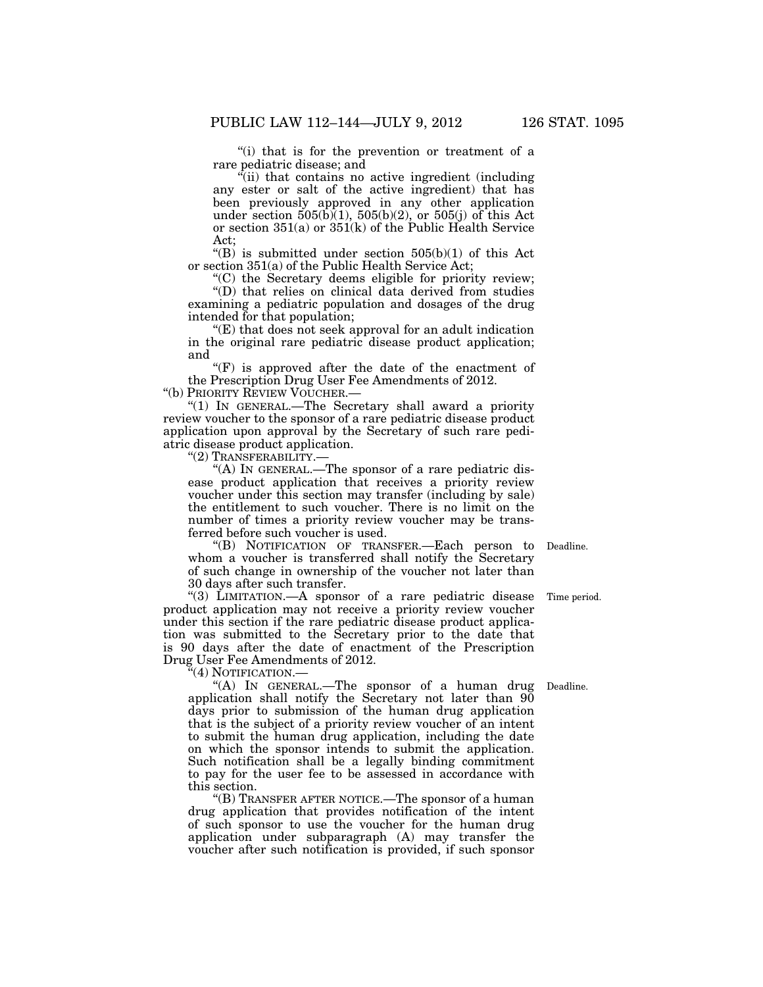"(i) that is for the prevention or treatment of a rare pediatric disease; and

''(ii) that contains no active ingredient (including any ester or salt of the active ingredient) that has been previously approved in any other application under section  $505(b)(1)$ ,  $505(b)(2)$ , or  $505(j)$  of this Act or section  $351(a)$  or  $351(k)$  of the Public Health Service Act;

" $(B)$  is submitted under section 505 $(b)(1)$  of this Act or section 351(a) of the Public Health Service Act;

''(C) the Secretary deems eligible for priority review; ''(D) that relies on clinical data derived from studies examining a pediatric population and dosages of the drug intended for that population;

 $E(E)$  that does not seek approval for an adult indication in the original rare pediatric disease product application; and

"(F) is approved after the date of the enactment of the Prescription Drug User Fee Amendments of 2012. ''(b) PRIORITY REVIEW VOUCHER.—

''(1) IN GENERAL.—The Secretary shall award a priority review voucher to the sponsor of a rare pediatric disease product application upon approval by the Secretary of such rare pediatric disease product application.

''(2) TRANSFERABILITY.—

"(A) IN GENERAL.—The sponsor of a rare pediatric disease product application that receives a priority review voucher under this section may transfer (including by sale) the entitlement to such voucher. There is no limit on the number of times a priority review voucher may be transferred before such voucher is used.

''(B) NOTIFICATION OF TRANSFER.—Each person to Deadline. whom a voucher is transferred shall notify the Secretary of such change in ownership of the voucher not later than 30 days after such transfer.

"(3) LIMITATION.—A sponsor of a rare pediatric disease product application may not receive a priority review voucher under this section if the rare pediatric disease product application was submitted to the Secretary prior to the date that is 90 days after the date of enactment of the Prescription Drug User Fee Amendments of 2012.

'(4) NOTIFICATION.—

"(A) In GENERAL.—The sponsor of a human drug application shall notify the Secretary not later than  $90$ days prior to submission of the human drug application that is the subject of a priority review voucher of an intent to submit the human drug application, including the date on which the sponsor intends to submit the application. Such notification shall be a legally binding commitment to pay for the user fee to be assessed in accordance with this section.

''(B) TRANSFER AFTER NOTICE.—The sponsor of a human drug application that provides notification of the intent of such sponsor to use the voucher for the human drug application under subparagraph (A) may transfer the voucher after such notification is provided, if such sponsor

Time period.

Deadline.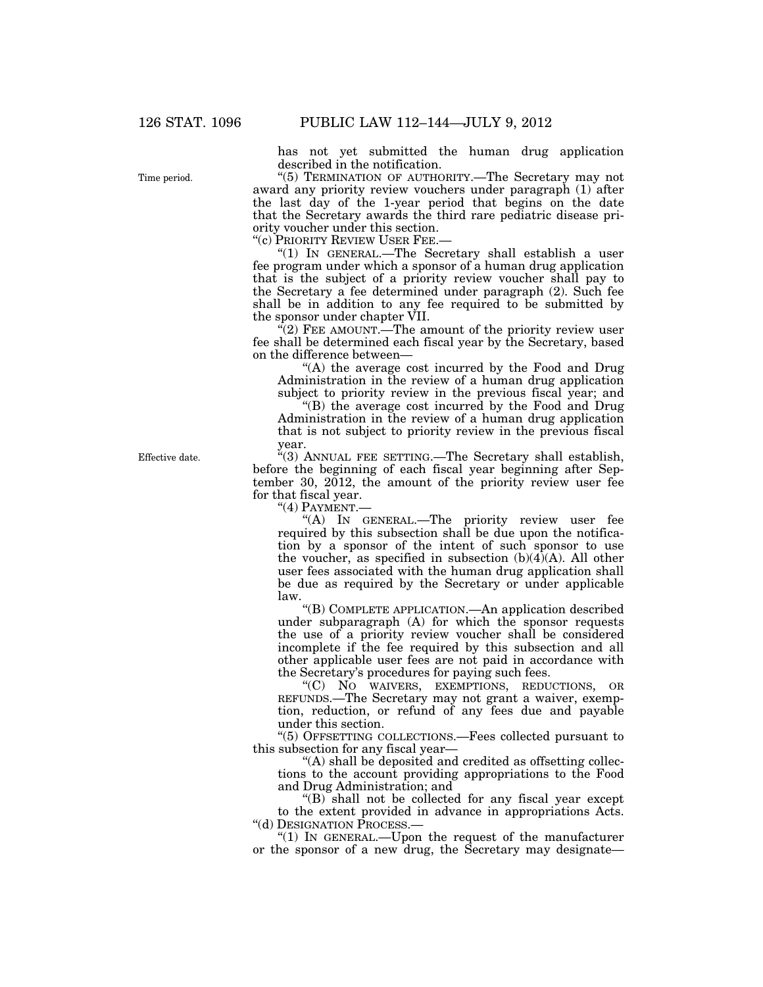has not yet submitted the human drug application described in the notification.

''(5) TERMINATION OF AUTHORITY.—The Secretary may not award any priority review vouchers under paragraph (1) after the last day of the 1-year period that begins on the date that the Secretary awards the third rare pediatric disease priority voucher under this section.

''(c) PRIORITY REVIEW USER FEE.—

''(1) IN GENERAL.—The Secretary shall establish a user fee program under which a sponsor of a human drug application that is the subject of a priority review voucher shall pay to the Secretary a fee determined under paragraph (2). Such fee shall be in addition to any fee required to be submitted by the sponsor under chapter VII.

 $\sqrt{2}$ ) FEE AMOUNT.—The amount of the priority review user fee shall be determined each fiscal year by the Secretary, based on the difference between—

''(A) the average cost incurred by the Food and Drug Administration in the review of a human drug application subject to priority review in the previous fiscal year; and

''(B) the average cost incurred by the Food and Drug Administration in the review of a human drug application that is not subject to priority review in the previous fiscal year.

''(3) ANNUAL FEE SETTING.—The Secretary shall establish, before the beginning of each fiscal year beginning after September 30, 2012, the amount of the priority review user fee for that fiscal year.

''(4) PAYMENT.—

''(A) IN GENERAL.—The priority review user fee required by this subsection shall be due upon the notification by a sponsor of the intent of such sponsor to use the voucher, as specified in subsection  $(b)(4)(A)$ . All other user fees associated with the human drug application shall be due as required by the Secretary or under applicable law.

''(B) COMPLETE APPLICATION.—An application described under subparagraph (A) for which the sponsor requests the use of a priority review voucher shall be considered incomplete if the fee required by this subsection and all other applicable user fees are not paid in accordance with the Secretary's procedures for paying such fees.

''(C) NO WAIVERS, EXEMPTIONS, REDUCTIONS, OR REFUNDS.—The Secretary may not grant a waiver, exemption, reduction, or refund of any fees due and payable under this section.

''(5) OFFSETTING COLLECTIONS.—Fees collected pursuant to this subsection for any fiscal year—

''(A) shall be deposited and credited as offsetting collections to the account providing appropriations to the Food and Drug Administration; and

''(B) shall not be collected for any fiscal year except to the extent provided in advance in appropriations Acts. ''(d) DESIGNATION PROCESS.—

''(1) IN GENERAL.—Upon the request of the manufacturer or the sponsor of a new drug, the Secretary may designate—

Time period.

Effective date.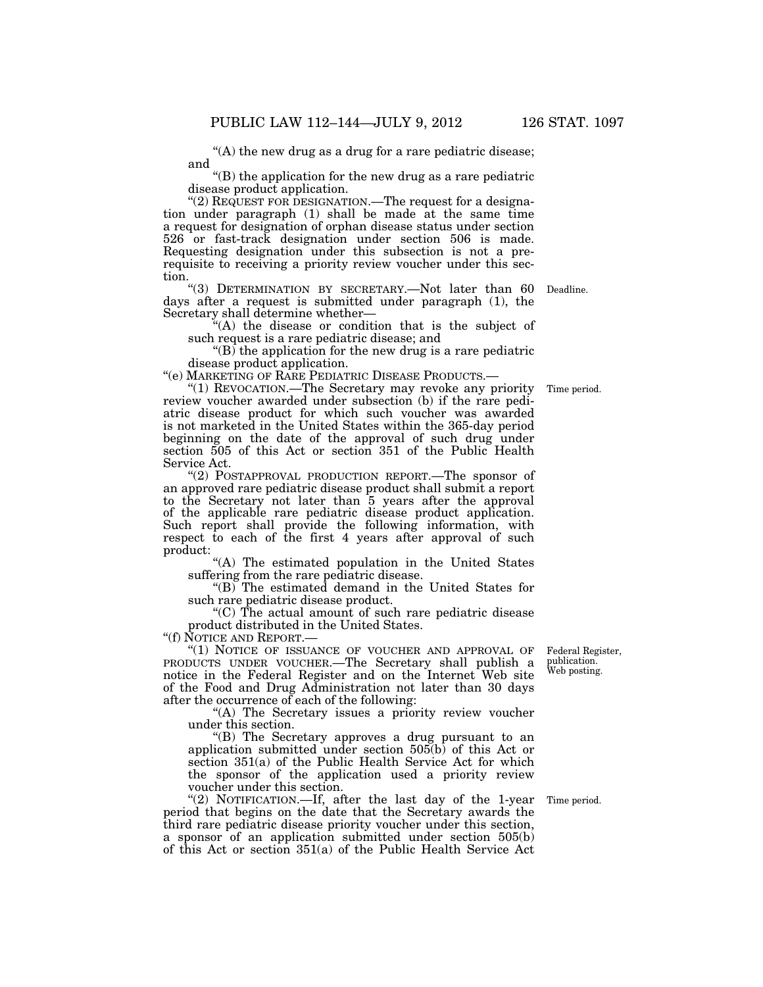''(A) the new drug as a drug for a rare pediatric disease; and

''(B) the application for the new drug as a rare pediatric disease product application.

"(2) REQUEST FOR DESIGNATION.—The request for a designation under paragraph (1) shall be made at the same time a request for designation of orphan disease status under section 526 or fast-track designation under section 506 is made. Requesting designation under this subsection is not a prerequisite to receiving a priority review voucher under this section.

''(3) DETERMINATION BY SECRETARY.—Not later than 60 days after a request is submitted under paragraph (1), the Secretary shall determine whether—

''(A) the disease or condition that is the subject of such request is a rare pediatric disease; and

 $\mathcal{F}(B)$  the application for the new drug is a rare pediatric disease product application.

''(e) MARKETING OF RARE PEDIATRIC DISEASE PRODUCTS.—

''(1) REVOCATION.—The Secretary may revoke any priority review voucher awarded under subsection (b) if the rare pediatric disease product for which such voucher was awarded is not marketed in the United States within the 365-day period beginning on the date of the approval of such drug under section 505 of this Act or section 351 of the Public Health Service Act.

"(2) POSTAPPROVAL PRODUCTION REPORT.—The sponsor of an approved rare pediatric disease product shall submit a report to the Secretary not later than 5 years after the approval of the applicable rare pediatric disease product application. Such report shall provide the following information, with respect to each of the first 4 years after approval of such product:

"(A) The estimated population in the United States suffering from the rare pediatric disease.

"(B) The estimated demand in the United States for such rare pediatric disease product.

''(C) The actual amount of such rare pediatric disease product distributed in the United States.

''(f) NOTICE AND REPORT.—

"(1) NOTICE OF ISSUANCE OF VOUCHER AND APPROVAL OF PRODUCTS UNDER VOUCHER.—The Secretary shall publish a notice in the Federal Register and on the Internet Web site of the Food and Drug Administration not later than 30 days after the occurrence of each of the following:

"(A) The Secretary issues a priority review voucher under this section.

''(B) The Secretary approves a drug pursuant to an application submitted under section 505(b) of this Act or section 351(a) of the Public Health Service Act for which the sponsor of the application used a priority review voucher under this section.

"(2) NOTIFICATION.—If, after the last day of the 1-year period that begins on the date that the Secretary awards the third rare pediatric disease priority voucher under this section, a sponsor of an application submitted under section 505(b) of this Act or section 351(a) of the Public Health Service Act

Time period.

Federal Register, publication. Web posting.

Time period.

Deadline.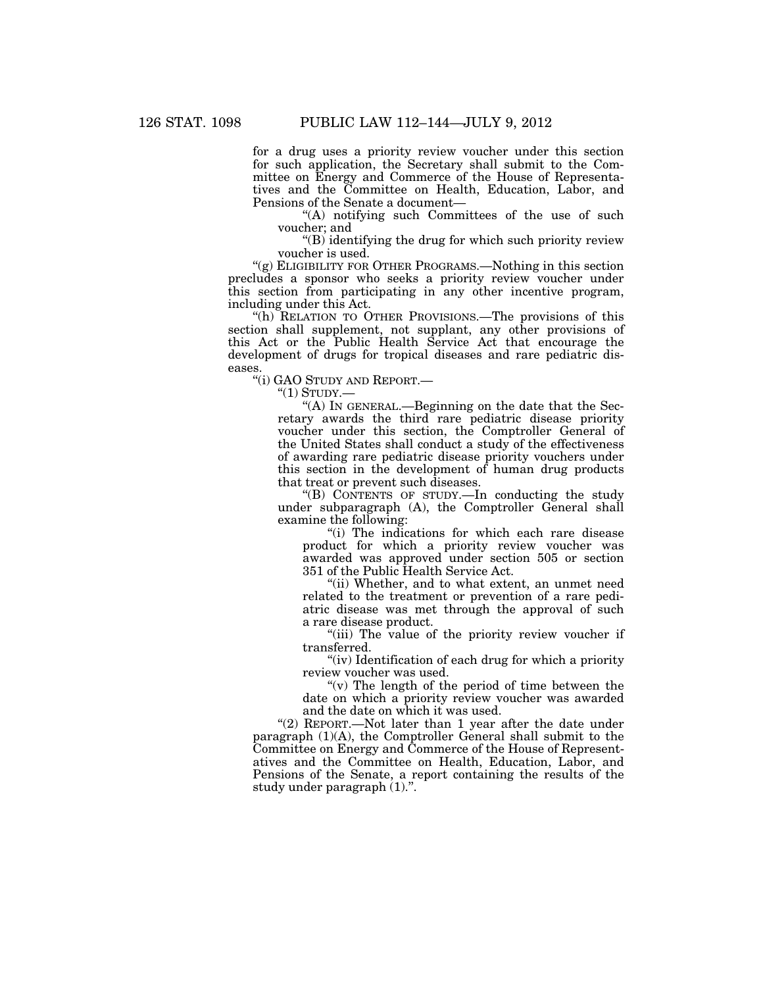for a drug uses a priority review voucher under this section for such application, the Secretary shall submit to the Committee on Energy and Commerce of the House of Representatives and the Committee on Health, Education, Labor, and Pensions of the Senate a document—

''(A) notifying such Committees of the use of such voucher; and

 $\mathrm{``(B)}$  identifying the drug for which such priority review voucher is used.

"(g) ELIGIBILITY FOR OTHER PROGRAMS.—Nothing in this section precludes a sponsor who seeks a priority review voucher under this section from participating in any other incentive program, including under this Act.

"(h) RELATION TO OTHER PROVISIONS.—The provisions of this section shall supplement, not supplant, any other provisions of this Act or the Public Health Service Act that encourage the development of drugs for tropical diseases and rare pediatric diseases.

''(i) GAO STUDY AND REPORT.—

 $"(1)$  STUDY.—

''(A) IN GENERAL.—Beginning on the date that the Secretary awards the third rare pediatric disease priority voucher under this section, the Comptroller General of the United States shall conduct a study of the effectiveness of awarding rare pediatric disease priority vouchers under this section in the development of human drug products that treat or prevent such diseases.

''(B) CONTENTS OF STUDY.—In conducting the study under subparagraph (A), the Comptroller General shall examine the following:

''(i) The indications for which each rare disease product for which a priority review voucher was awarded was approved under section 505 or section 351 of the Public Health Service Act.

"(ii) Whether, and to what extent, an unmet need related to the treatment or prevention of a rare pediatric disease was met through the approval of such a rare disease product.

"(iii) The value of the priority review voucher if transferred.

"(iv) Identification of each drug for which a priority" review voucher was used.

" $(v)$  The length of the period of time between the date on which a priority review voucher was awarded and the date on which it was used.

''(2) REPORT.—Not later than 1 year after the date under paragraph (1)(A), the Comptroller General shall submit to the Committee on Energy and Commerce of the House of Representatives and the Committee on Health, Education, Labor, and Pensions of the Senate, a report containing the results of the study under paragraph (1).''.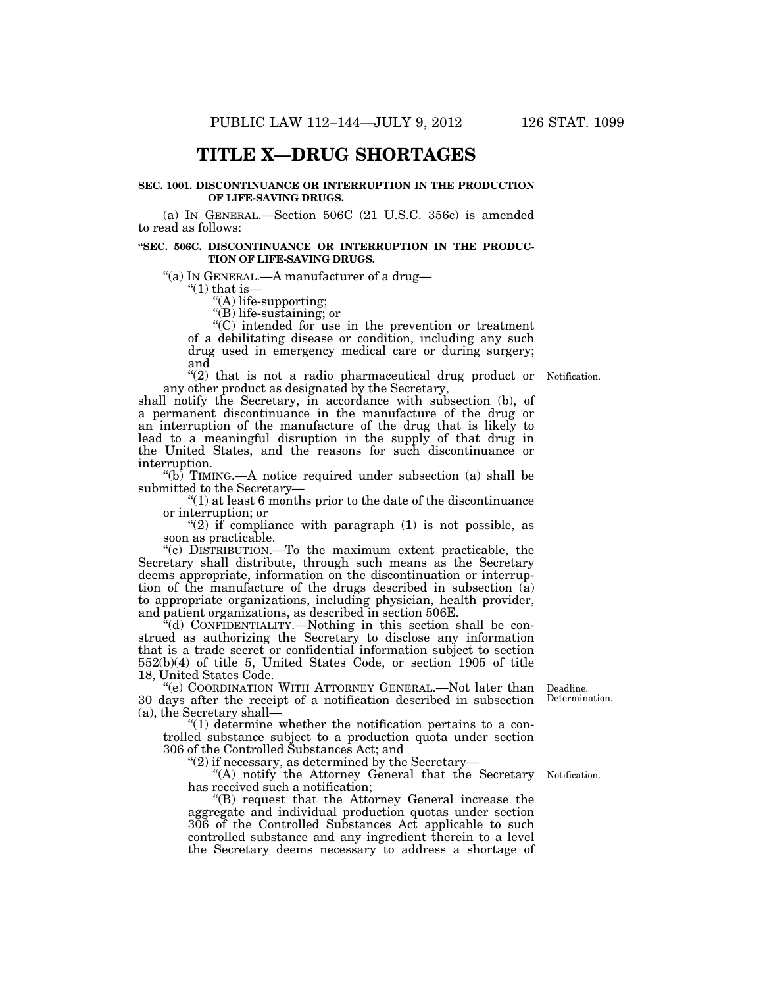# **TITLE X—DRUG SHORTAGES**

### **SEC. 1001. DISCONTINUANCE OR INTERRUPTION IN THE PRODUCTION OF LIFE-SAVING DRUGS.**

(a) IN GENERAL.—Section 506C (21 U.S.C. 356c) is amended to read as follows:

#### **''SEC. 506C. DISCONTINUANCE OR INTERRUPTION IN THE PRODUC-TION OF LIFE-SAVING DRUGS.**

''(a) IN GENERAL.—A manufacturer of a drug—

 $\degree$ (1) that is–

"(A) life-supporting;

''(B) life-sustaining; or

''(C) intended for use in the prevention or treatment of a debilitating disease or condition, including any such drug used in emergency medical care or during surgery; and

"(2) that is not a radio pharmaceutical drug product or Notification. any other product as designated by the Secretary,

shall notify the Secretary, in accordance with subsection (b), of a permanent discontinuance in the manufacture of the drug or an interruption of the manufacture of the drug that is likely to lead to a meaningful disruption in the supply of that drug in the United States, and the reasons for such discontinuance or interruption.

''(b) TIMING.—A notice required under subsection (a) shall be submitted to the Secretary—

 $''(1)$  at least 6 months prior to the date of the discontinuance or interruption; or

" $(2)$  if compliance with paragraph  $(1)$  is not possible, as soon as practicable.

''(c) DISTRIBUTION.—To the maximum extent practicable, the Secretary shall distribute, through such means as the Secretary deems appropriate, information on the discontinuation or interruption of the manufacture of the drugs described in subsection (a) to appropriate organizations, including physician, health provider, and patient organizations, as described in section 506E.

 $\mathcal{H}(d)$  CONFIDENTIALITY.—Nothing in this section shall be construed as authorizing the Secretary to disclose any information that is a trade secret or confidential information subject to section 552(b)(4) of title 5, United States Code, or section 1905 of title 18, United States Code.

"(e) COORDINATION WITH ATTORNEY GENERAL.—Not later than Deadline. 30 days after the receipt of a notification described in subsection (a), the Secretary shall—

" $(1)$  determine whether the notification pertains to a controlled substance subject to a production quota under section 306 of the Controlled Substances Act; and

" $(2)$  if necessary, as determined by the Secretary-

"(A) notify the Attorney General that the Secretary Notification. has received such a notification;

''(B) request that the Attorney General increase the aggregate and individual production quotas under section 306 of the Controlled Substances Act applicable to such controlled substance and any ingredient therein to a level the Secretary deems necessary to address a shortage of

Determination.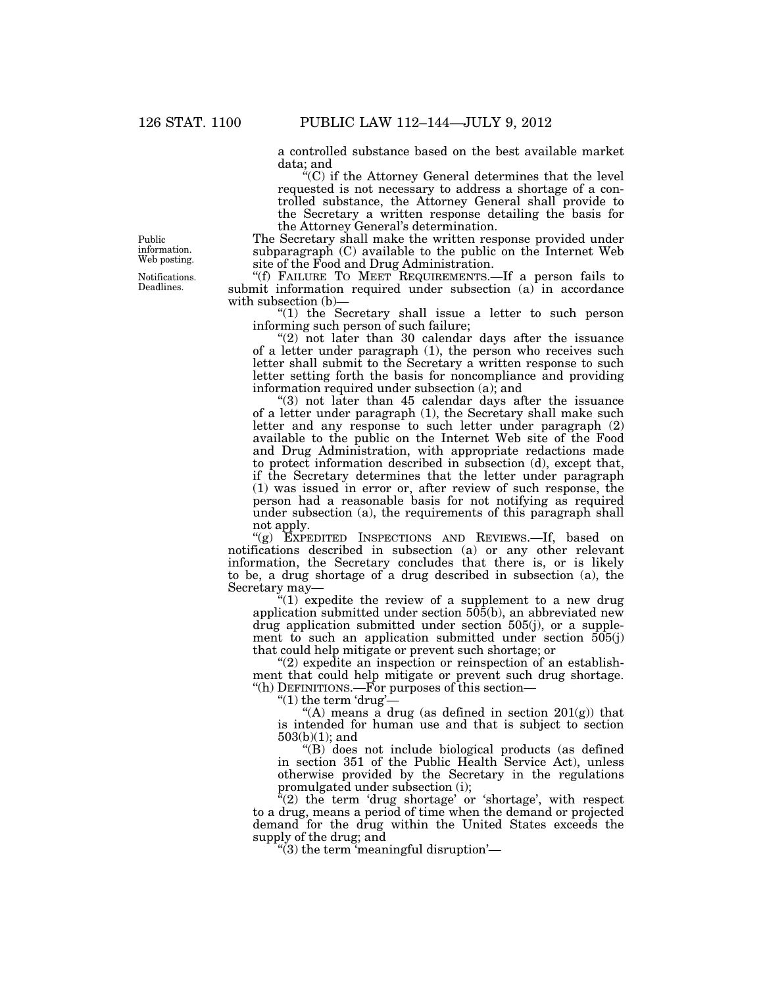a controlled substance based on the best available market data; and

 $C^{\prime\prime}(C)$  if the Attorney General determines that the level requested is not necessary to address a shortage of a controlled substance, the Attorney General shall provide to the Secretary a written response detailing the basis for the Attorney General's determination.

The Secretary shall make the written response provided under subparagraph (C) available to the public on the Internet Web site of the Food and Drug Administration.

"(f) FAILURE TO MEET REQUIREMENTS.—If a person fails to submit information required under subsection (a) in accordance with subsection (b)—

"(1) the Secretary shall issue a letter to such person informing such person of such failure;

" $(2)$  not later than 30 calendar days after the issuance of a letter under paragraph (1), the person who receives such letter shall submit to the Secretary a written response to such letter setting forth the basis for noncompliance and providing information required under subsection (a); and

 $(3)$  not later than 45 calendar days after the issuance of a letter under paragraph (1), the Secretary shall make such letter and any response to such letter under paragraph (2) available to the public on the Internet Web site of the Food and Drug Administration, with appropriate redactions made to protect information described in subsection (d), except that, if the Secretary determines that the letter under paragraph (1) was issued in error or, after review of such response, the person had a reasonable basis for not notifying as required under subsection (a), the requirements of this paragraph shall not apply.

"(g) EXPEDITED INSPECTIONS AND REVIEWS.—If, based on notifications described in subsection (a) or any other relevant information, the Secretary concludes that there is, or is likely to be, a drug shortage of a drug described in subsection (a), the Secretary may—

 $t''(1)$  expedite the review of a supplement to a new drug application submitted under section 505(b), an abbreviated new drug application submitted under section 505(j), or a supplement to such an application submitted under section 505(j) that could help mitigate or prevent such shortage; or

 $"(2)$  expedite an inspection or reinspection of an establishment that could help mitigate or prevent such drug shortage. ''(h) DEFINITIONS.—For purposes of this section—

" $(1)$  the term 'drug'-

"(A) means a drug (as defined in section  $201(g)$ ) that is intended for human use and that is subject to section 503(b)(1); and

''(B) does not include biological products (as defined in section 351 of the Public Health Service Act), unless otherwise provided by the Secretary in the regulations promulgated under subsection (i);

" $(2)$  the term 'drug shortage' or 'shortage', with respect to a drug, means a period of time when the demand or projected demand for the drug within the United States exceeds the supply of the drug; and

 $\degree$ (3) the term 'meaningful disruption'—

Public information. Web posting.

Notifications. Deadlines.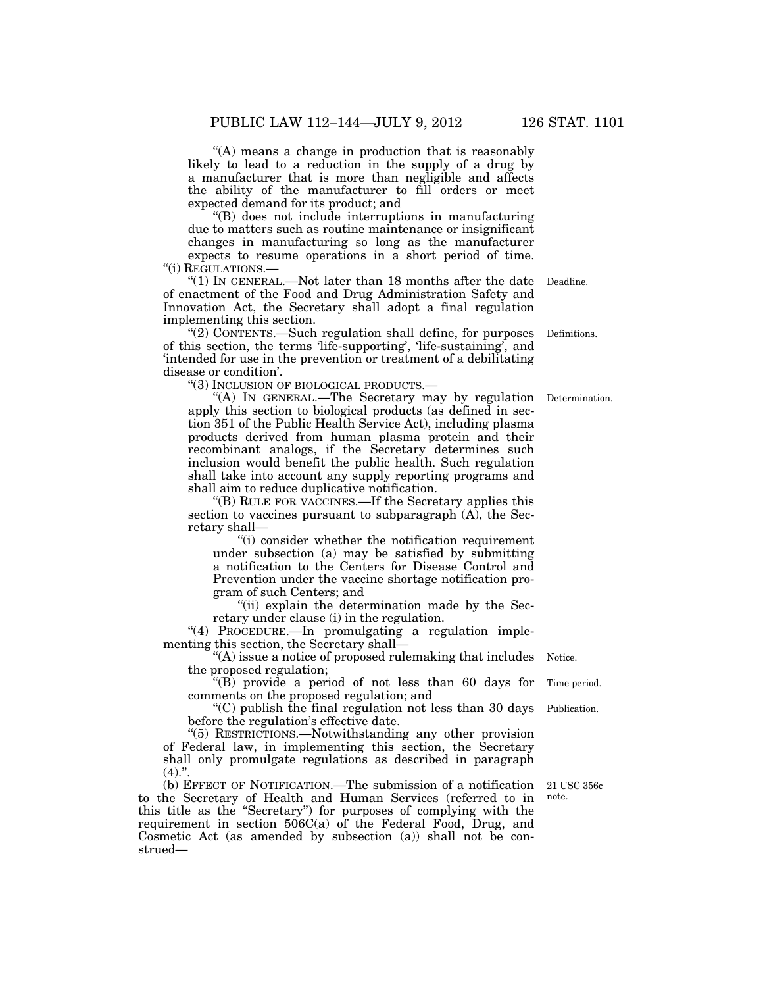''(A) means a change in production that is reasonably likely to lead to a reduction in the supply of a drug by a manufacturer that is more than negligible and affects the ability of the manufacturer to fill orders or meet expected demand for its product; and

''(B) does not include interruptions in manufacturing due to matters such as routine maintenance or insignificant changes in manufacturing so long as the manufacturer

expects to resume operations in a short period of time. "(i) REGULATIONS.-

''(1) IN GENERAL.—Not later than 18 months after the date Deadline. of enactment of the Food and Drug Administration Safety and Innovation Act, the Secretary shall adopt a final regulation implementing this section.

''(2) CONTENTS.—Such regulation shall define, for purposes of this section, the terms 'life-supporting', 'life-sustaining', and 'intended for use in the prevention or treatment of a debilitating disease or condition'.

''(3) INCLUSION OF BIOLOGICAL PRODUCTS.—

''(A) IN GENERAL.—The Secretary may by regulation apply this section to biological products (as defined in section 351 of the Public Health Service Act), including plasma products derived from human plasma protein and their recombinant analogs, if the Secretary determines such inclusion would benefit the public health. Such regulation shall take into account any supply reporting programs and shall aim to reduce duplicative notification.

''(B) RULE FOR VACCINES.—If the Secretary applies this section to vaccines pursuant to subparagraph (A), the Secretary shall—

"(i) consider whether the notification requirement under subsection (a) may be satisfied by submitting a notification to the Centers for Disease Control and Prevention under the vaccine shortage notification program of such Centers; and

"(ii) explain the determination made by the Secretary under clause (i) in the regulation.

"(4) PROCEDURE.—In promulgating a regulation implementing this section, the Secretary shall—

''(A) issue a notice of proposed rulemaking that includes the proposed regulation; Notice.

''(B) provide a period of not less than 60 days for comments on the proposed regulation; and

''(C) publish the final regulation not less than 30 days before the regulation's effective date. Publication.

''(5) RESTRICTIONS.—Notwithstanding any other provision of Federal law, in implementing this section, the Secretary shall only promulgate regulations as described in paragraph  $(4)$ .".

(b) EFFECT OF NOTIFICATION.—The submission of a notification 21 USC 356c to the Secretary of Health and Human Services (referred to in this title as the ''Secretary'') for purposes of complying with the requirement in section  $506C(a)$  of the Federal Food, Drug, and Cosmetic Act (as amended by subsection (a)) shall not be construed—

note.

Time period.

Determination.

Definitions.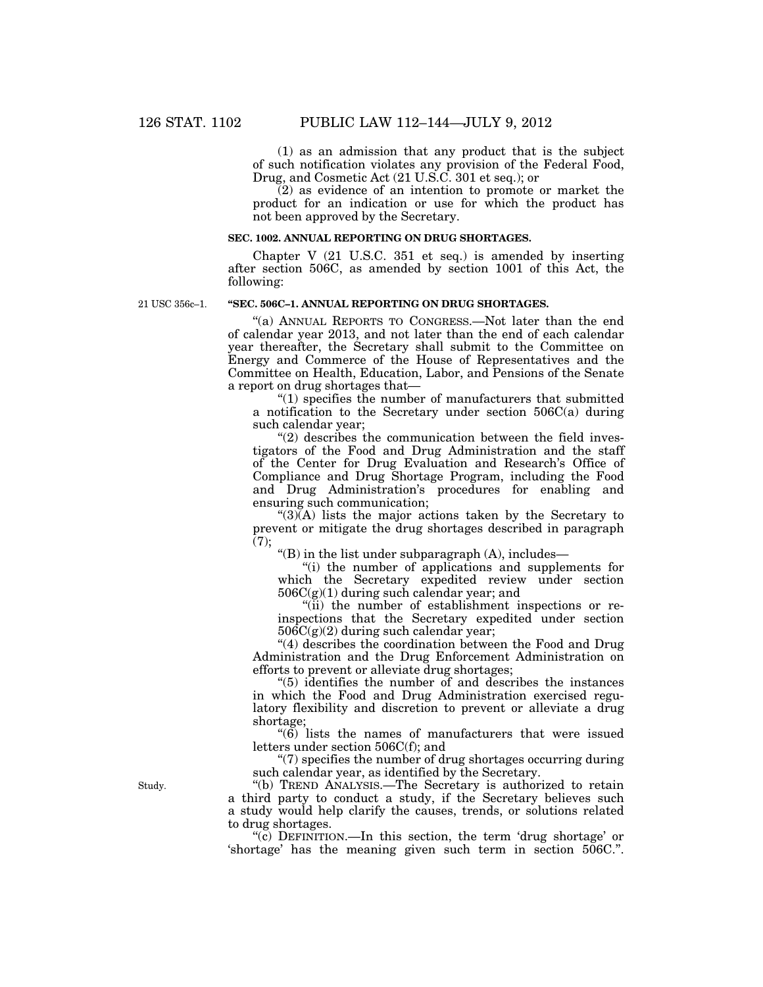(1) as an admission that any product that is the subject of such notification violates any provision of the Federal Food, Drug, and Cosmetic Act (21 U.S.C. 301 et seq.); or

(2) as evidence of an intention to promote or market the product for an indication or use for which the product has not been approved by the Secretary.

## **SEC. 1002. ANNUAL REPORTING ON DRUG SHORTAGES.**

Chapter V (21 U.S.C. 351 et seq.) is amended by inserting after section 506C, as amended by section 1001 of this Act, the following:

21 USC 356c–1.

# **''SEC. 506C–1. ANNUAL REPORTING ON DRUG SHORTAGES.**

''(a) ANNUAL REPORTS TO CONGRESS.—Not later than the end of calendar year 2013, and not later than the end of each calendar year thereafter, the Secretary shall submit to the Committee on Energy and Commerce of the House of Representatives and the Committee on Health, Education, Labor, and Pensions of the Senate a report on drug shortages that—

''(1) specifies the number of manufacturers that submitted a notification to the Secretary under section 506C(a) during such calendar year;

 $''(2)$  describes the communication between the field investigators of the Food and Drug Administration and the staff of the Center for Drug Evaluation and Research's Office of Compliance and Drug Shortage Program, including the Food and Drug Administration's procedures for enabling and ensuring such communication;

 $\mathcal{L}(3)(A)$  lists the major actions taken by the Secretary to prevent or mitigate the drug shortages described in paragraph  $(7);$ 

" $(B)$  in the list under subparagraph  $(A)$ , includes—

''(i) the number of applications and supplements for which the Secretary expedited review under section 506C(g)(1) during such calendar year; and

''(ii) the number of establishment inspections or reinspections that the Secretary expedited under section  $506C(g)(2)$  during such calendar year;

''(4) describes the coordination between the Food and Drug Administration and the Drug Enforcement Administration on efforts to prevent or alleviate drug shortages;

''(5) identifies the number of and describes the instances in which the Food and Drug Administration exercised regulatory flexibility and discretion to prevent or alleviate a drug shortage;

 $\cdot$ (6) lists the names of manufacturers that were issued letters under section 506C(f); and

''(7) specifies the number of drug shortages occurring during such calendar year, as identified by the Secretary.

''(b) TREND ANALYSIS.—The Secretary is authorized to retain a third party to conduct a study, if the Secretary believes such a study would help clarify the causes, trends, or solutions related to drug shortages.

''(c) DEFINITION.—In this section, the term 'drug shortage' or 'shortage' has the meaning given such term in section 506C.''.

Study.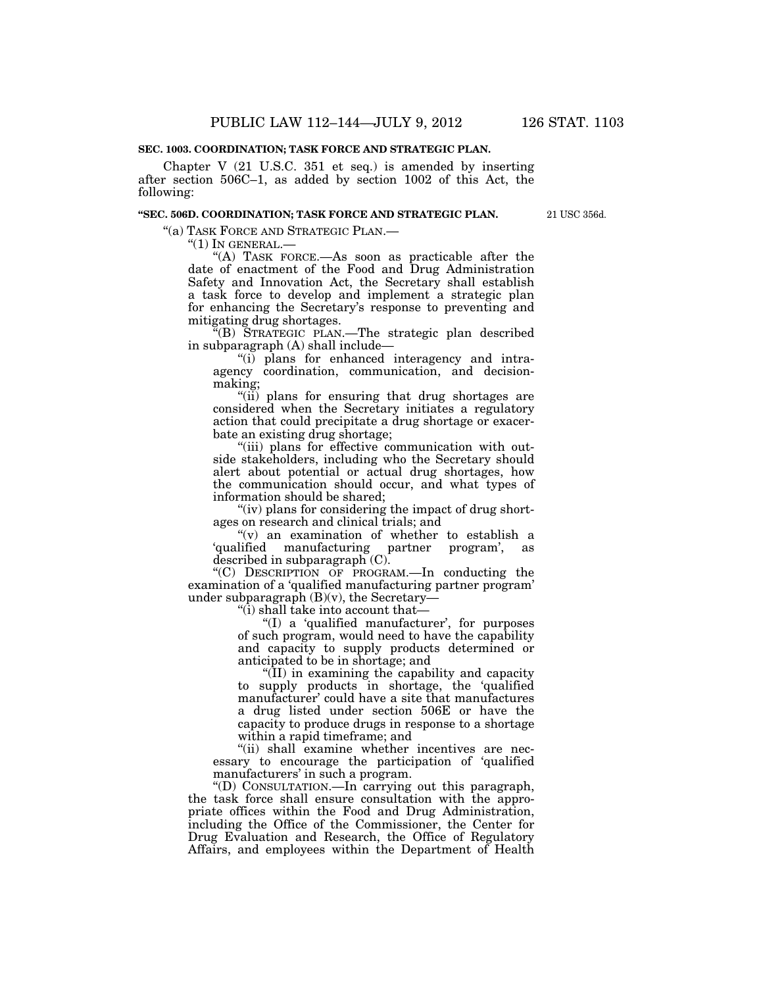# **SEC. 1003. COORDINATION; TASK FORCE AND STRATEGIC PLAN.**

Chapter V (21 U.S.C. 351 et seq.) is amended by inserting after section 506C–1, as added by section 1002 of this Act, the following:

## **''SEC. 506D. COORDINATION; TASK FORCE AND STRATEGIC PLAN.**

21 USC 356d.

''(a) TASK FORCE AND STRATEGIC PLAN.—

 $"(1)$  In GENERAL.—

"(A) TASK FORCE.—As soon as practicable after the date of enactment of the Food and Drug Administration Safety and Innovation Act, the Secretary shall establish a task force to develop and implement a strategic plan for enhancing the Secretary's response to preventing and mitigating drug shortages.

''(B) STRATEGIC PLAN.—The strategic plan described in subparagraph (A) shall include—

''(i) plans for enhanced interagency and intraagency coordination, communication, and decisionmaking;

''(ii) plans for ensuring that drug shortages are considered when the Secretary initiates a regulatory action that could precipitate a drug shortage or exacerbate an existing drug shortage;

"(iii) plans for effective communication with outside stakeholders, including who the Secretary should alert about potential or actual drug shortages, how the communication should occur, and what types of information should be shared;

"(iv) plans for considering the impact of drug shortages on research and clinical trials; and

"(v) an examination of whether to establish a 'qualified manufacturing partner program', as described in subparagraph $(C)$ .

''(C) DESCRIPTION OF PROGRAM.—In conducting the examination of a 'qualified manufacturing partner program' under subparagraph  $(B)(v)$ , the Secretary-

" $(i)$  shall take into account that-

''(I) a 'qualified manufacturer', for purposes of such program, would need to have the capability and capacity to supply products determined or anticipated to be in shortage; and

''(II) in examining the capability and capacity to supply products in shortage, the 'qualified manufacturer' could have a site that manufactures a drug listed under section 506E or have the capacity to produce drugs in response to a shortage within a rapid timeframe; and

''(ii) shall examine whether incentives are necessary to encourage the participation of 'qualified manufacturers' in such a program.

''(D) CONSULTATION.—In carrying out this paragraph, the task force shall ensure consultation with the appropriate offices within the Food and Drug Administration, including the Office of the Commissioner, the Center for Drug Evaluation and Research, the Office of Regulatory Affairs, and employees within the Department of Health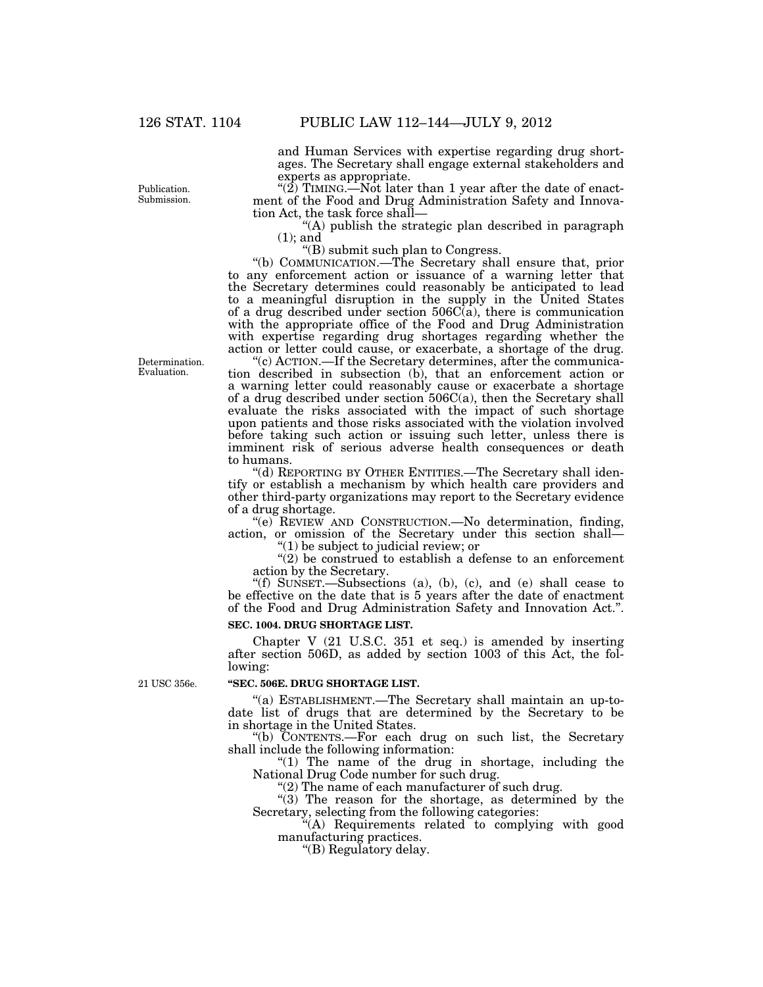and Human Services with expertise regarding drug shortages. The Secretary shall engage external stakeholders and experts as appropriate.

" $(2)$  TIMING.—Not later than 1 year after the date of enactment of the Food and Drug Administration Safety and Innovation Act, the task force shall—

''(A) publish the strategic plan described in paragraph (1); and

''(B) submit such plan to Congress.

''(b) COMMUNICATION.—The Secretary shall ensure that, prior to any enforcement action or issuance of a warning letter that the Secretary determines could reasonably be anticipated to lead to a meaningful disruption in the supply in the United States of a drug described under section  $506C(a)$ , there is communication with the appropriate office of the Food and Drug Administration with expertise regarding drug shortages regarding whether the action or letter could cause, or exacerbate, a shortage of the drug.

'(c) ACTION.—If the Secretary determines, after the communication described in subsection (b), that an enforcement action or a warning letter could reasonably cause or exacerbate a shortage of a drug described under section 506C(a), then the Secretary shall evaluate the risks associated with the impact of such shortage upon patients and those risks associated with the violation involved before taking such action or issuing such letter, unless there is imminent risk of serious adverse health consequences or death to humans.

''(d) REPORTING BY OTHER ENTITIES.—The Secretary shall identify or establish a mechanism by which health care providers and other third-party organizations may report to the Secretary evidence of a drug shortage.

''(e) REVIEW AND CONSTRUCTION.—No determination, finding, action, or omission of the Secretary under this section shall—

''(1) be subject to judicial review; or

" $(2)$  be construed to establish a defense to an enforcement action by the Secretary.

''(f) SUNSET.—Subsections (a), (b), (c), and (e) shall cease to be effective on the date that is 5 years after the date of enactment of the Food and Drug Administration Safety and Innovation Act.''.

# **SEC. 1004. DRUG SHORTAGE LIST.**

Chapter V (21 U.S.C. 351 et seq.) is amended by inserting after section 506D, as added by section 1003 of this Act, the following:

21 USC 356e.

#### **''SEC. 506E. DRUG SHORTAGE LIST.**

''(a) ESTABLISHMENT.—The Secretary shall maintain an up-todate list of drugs that are determined by the Secretary to be in shortage in the United States.

''(b) CONTENTS.—For each drug on such list, the Secretary shall include the following information:

" $(1)$  The name of the drug in shortage, including the National Drug Code number for such drug.

"(2) The name of each manufacturer of such drug.

 $(3)$  The reason for the shortage, as determined by the Secretary, selecting from the following categories:

''(A) Requirements related to complying with good manufacturing practices.

''(B) Regulatory delay.

Publication. Submission.

Determination. Evaluation.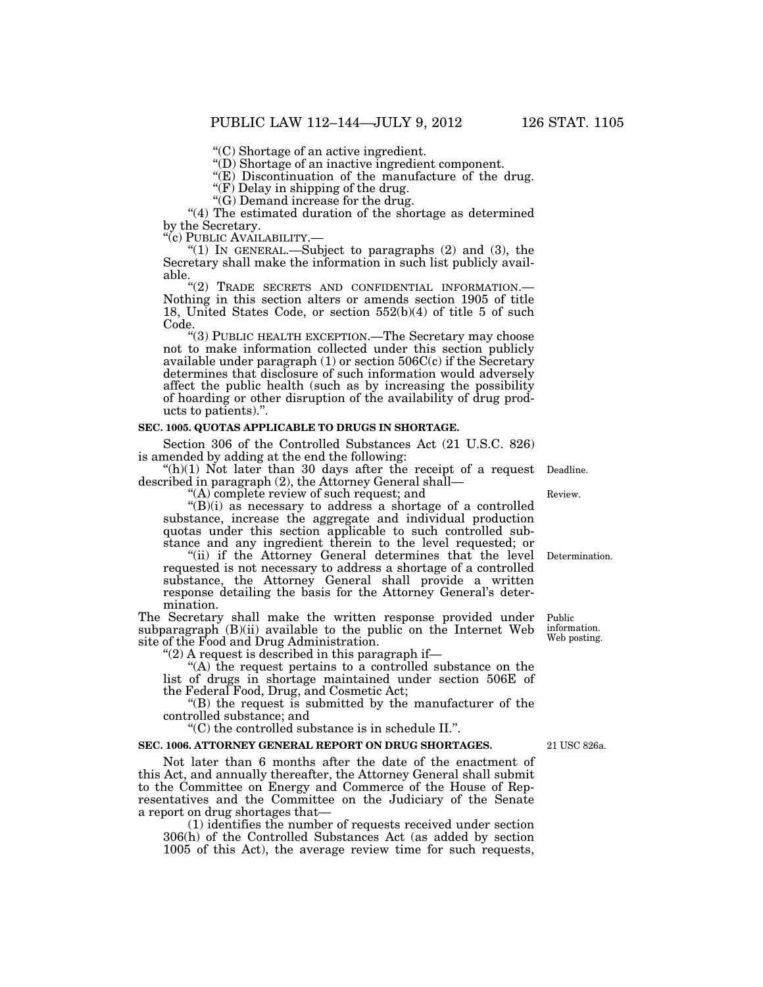''(C) Shortage of an active ingredient.

''(D) Shortage of an inactive ingredient component.

"(E) Discontinuation of the manufacture of the drug.

 $\mathcal{F}(F)$  Delay in shipping of the drug.

 $\mathcal{C}(G)$  Demand increase for the drug.

''(4) The estimated duration of the shortage as determined by the Secretary.<br>"(c) PUBLIC AVAILABILITY.-

"(1) IN GENERAL.—Subject to paragraphs  $(2)$  and  $(3)$ , the Secretary shall make the information in such list publicly avail-

able.<br>"(2) TRADE SECRETS AND CONFIDENTIAL INFORMATION. Nothing in this section alters or amends section 1905 of title 18, United States Code, or section 552(b)(4) of title 5 of such Code.

''(3) PUBLIC HEALTH EXCEPTION.—The Secretary may choose not to make information collected under this section publicly available under paragraph  $(1)$  or section  $506C(c)$  if the Secretary determines that disclosure of such information would adversely affect the public health (such as by increasing the possibility of hoarding or other disruption of the availability of drug products to patients).''.

#### **SEC. 1005. QUOTAS APPLICABLE TO DRUGS IN SHORTAGE.**

Section 306 of the Controlled Substances Act (21 U.S.C. 826) is amended by adding at the end the following:

" $(h)(1)$  Not later than 30 days after the receipt of a request Deadline. described in paragraph (2), the Attorney General shall—

''(A) complete review of such request; and

" $(B)(i)$  as necessary to address a shortage of a controlled substance, increase the aggregate and individual production quotas under this section applicable to such controlled substance and any ingredient therein to the level requested; or

"(ii) if the Attorney General determines that the level" requested is not necessary to address a shortage of a controlled substance, the Attorney General shall provide a written response detailing the basis for the Attorney General's determination.

The Secretary shall make the written response provided under subparagraph (B)(ii) available to the public on the Internet Web site of the Food and Drug Administration. Public information. Web posting.

" $(2)$  A request is described in this paragraph if—

''(A) the request pertains to a controlled substance on the list of drugs in shortage maintained under section 506E of the Federal Food, Drug, and Cosmetic Act;

''(B) the request is submitted by the manufacturer of the controlled substance; and

''(C) the controlled substance is in schedule II.''.

#### **SEC. 1006. ATTORNEY GENERAL REPORT ON DRUG SHORTAGES.**

Not later than 6 months after the date of the enactment of this Act, and annually thereafter, the Attorney General shall submit to the Committee on Energy and Commerce of the House of Representatives and the Committee on the Judiciary of the Senate a report on drug shortages that—

(1) identifies the number of requests received under section 306(h) of the Controlled Substances Act (as added by section 1005 of this Act), the average review time for such requests,

21 USC 826a.

Determination.

Review.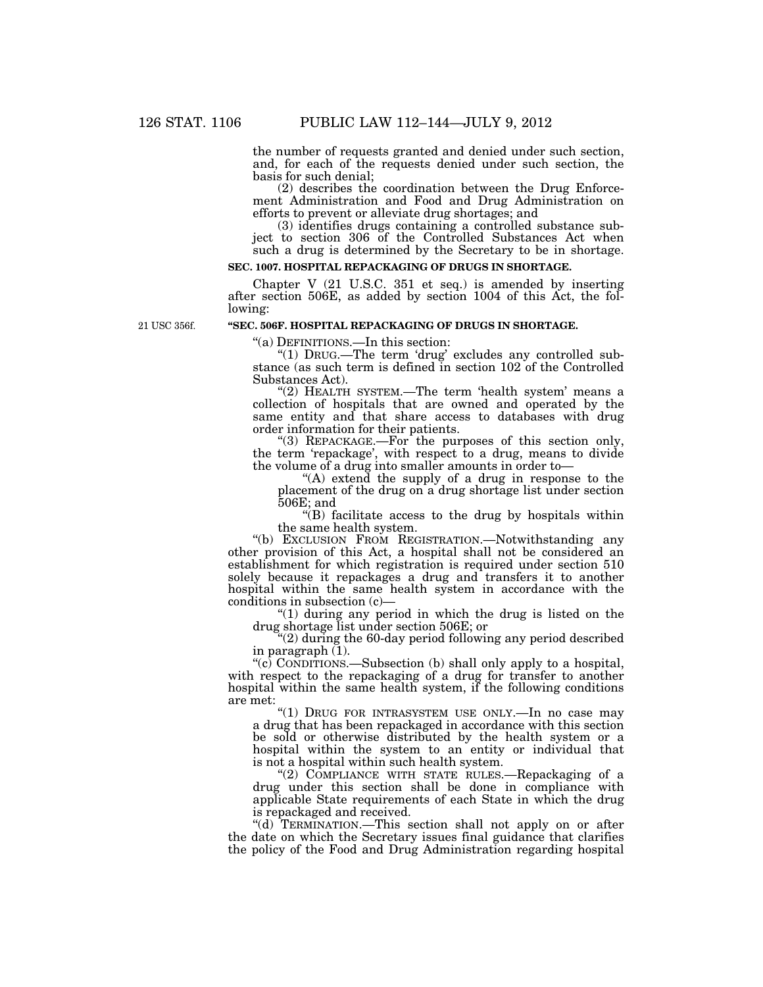the number of requests granted and denied under such section, and, for each of the requests denied under such section, the basis for such denial;

(2) describes the coordination between the Drug Enforcement Administration and Food and Drug Administration on efforts to prevent or alleviate drug shortages; and

(3) identifies drugs containing a controlled substance subject to section 306 of the Controlled Substances Act when such a drug is determined by the Secretary to be in shortage.

# **SEC. 1007. HOSPITAL REPACKAGING OF DRUGS IN SHORTAGE.**

Chapter V (21 U.S.C. 351 et seq.) is amended by inserting after section 506E, as added by section 1004 of this Act, the following:

21 USC 356f.

# **''SEC. 506F. HOSPITAL REPACKAGING OF DRUGS IN SHORTAGE.**

''(a) DEFINITIONS.—In this section:

"(1) DRUG.—The term 'drug' excludes any controlled substance (as such term is defined in section 102 of the Controlled Substances Act).

"(2) HEALTH SYSTEM.—The term 'health system' means a collection of hospitals that are owned and operated by the same entity and that share access to databases with drug order information for their patients.

"(3) REPACKAGE.—For the purposes of this section only, the term 'repackage', with respect to a drug, means to divide the volume of a drug into smaller amounts in order to—

"(A) extend the supply of a drug in response to the placement of the drug on a drug shortage list under section 506E; and

''(B) facilitate access to the drug by hospitals within the same health system.

''(b) EXCLUSION FROM REGISTRATION.—Notwithstanding any other provision of this Act, a hospital shall not be considered an establishment for which registration is required under section 510 solely because it repackages a drug and transfers it to another hospital within the same health system in accordance with the conditions in subsection (c)—

" $(1)$  during any period in which the drug is listed on the drug shortage list under section 506E; or

''(2) during the 60-day period following any period described in paragraph  $(1)$ .

''(c) CONDITIONS.—Subsection (b) shall only apply to a hospital, with respect to the repackaging of a drug for transfer to another hospital within the same health system, if the following conditions are met:

''(1) DRUG FOR INTRASYSTEM USE ONLY.—In no case may a drug that has been repackaged in accordance with this section be sold or otherwise distributed by the health system or a hospital within the system to an entity or individual that is not a hospital within such health system.

''(2) COMPLIANCE WITH STATE RULES.—Repackaging of a drug under this section shall be done in compliance with applicable State requirements of each State in which the drug is repackaged and received.

''(d) TERMINATION.—This section shall not apply on or after the date on which the Secretary issues final guidance that clarifies the policy of the Food and Drug Administration regarding hospital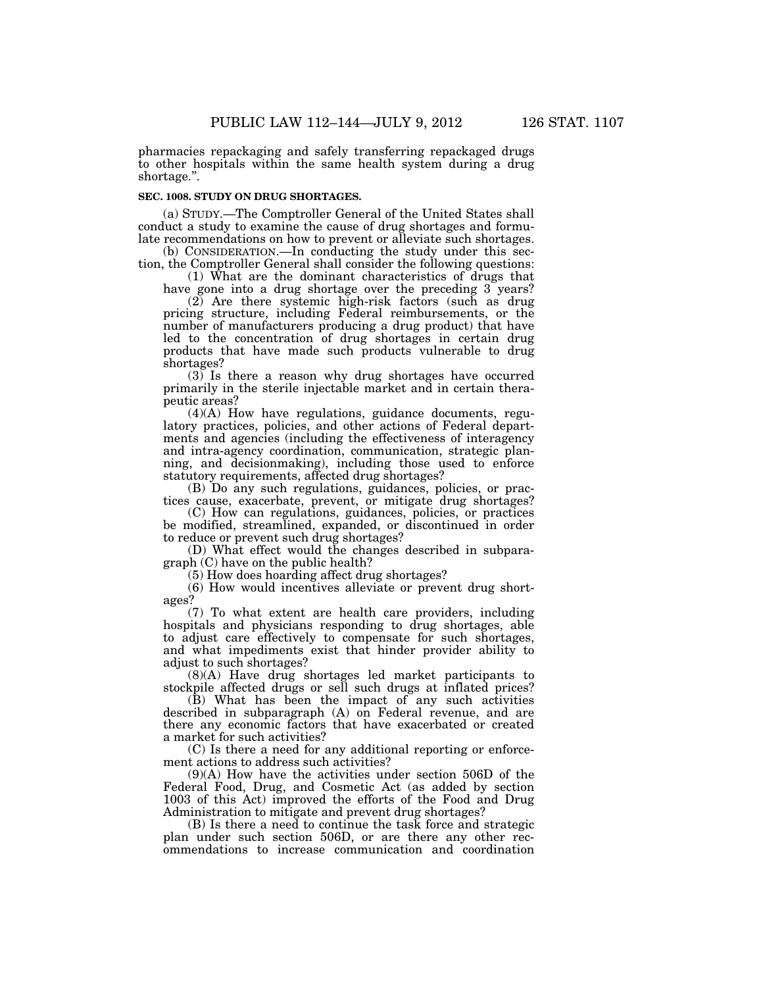pharmacies repackaging and safely transferring repackaged drugs to other hospitals within the same health system during a drug shortage.''.

## **SEC. 1008. STUDY ON DRUG SHORTAGES.**

(a) STUDY.—The Comptroller General of the United States shall conduct a study to examine the cause of drug shortages and formulate recommendations on how to prevent or alleviate such shortages.

(b) CONSIDERATION.—In conducting the study under this section, the Comptroller General shall consider the following questions:

(1) What are the dominant characteristics of drugs that have gone into a drug shortage over the preceding 3 years?

(2) Are there systemic high-risk factors (such as drug pricing structure, including Federal reimbursements, or the number of manufacturers producing a drug product) that have led to the concentration of drug shortages in certain drug products that have made such products vulnerable to drug shortages?

(3) Is there a reason why drug shortages have occurred primarily in the sterile injectable market and in certain therapeutic areas?

(4)(A) How have regulations, guidance documents, regulatory practices, policies, and other actions of Federal departments and agencies (including the effectiveness of interagency and intra-agency coordination, communication, strategic planning, and decisionmaking), including those used to enforce statutory requirements, affected drug shortages?

(B) Do any such regulations, guidances, policies, or practices cause, exacerbate, prevent, or mitigate drug shortages?

(C) How can regulations, guidances, policies, or practices be modified, streamlined, expanded, or discontinued in order to reduce or prevent such drug shortages?

(D) What effect would the changes described in subparagraph (C) have on the public health?

(5) How does hoarding affect drug shortages?

(6) How would incentives alleviate or prevent drug shortages?

(7) To what extent are health care providers, including hospitals and physicians responding to drug shortages, able to adjust care effectively to compensate for such shortages, and what impediments exist that hinder provider ability to adjust to such shortages?

(8)(A) Have drug shortages led market participants to stockpile affected drugs or sell such drugs at inflated prices?

(B) What has been the impact of any such activities described in subparagraph (A) on Federal revenue, and are there any economic factors that have exacerbated or created a market for such activities?

(C) Is there a need for any additional reporting or enforcement actions to address such activities?

(9)(A) How have the activities under section 506D of the Federal Food, Drug, and Cosmetic Act (as added by section 1003 of this Act) improved the efforts of the Food and Drug Administration to mitigate and prevent drug shortages?

(B) Is there a need to continue the task force and strategic plan under such section 506D, or are there any other recommendations to increase communication and coordination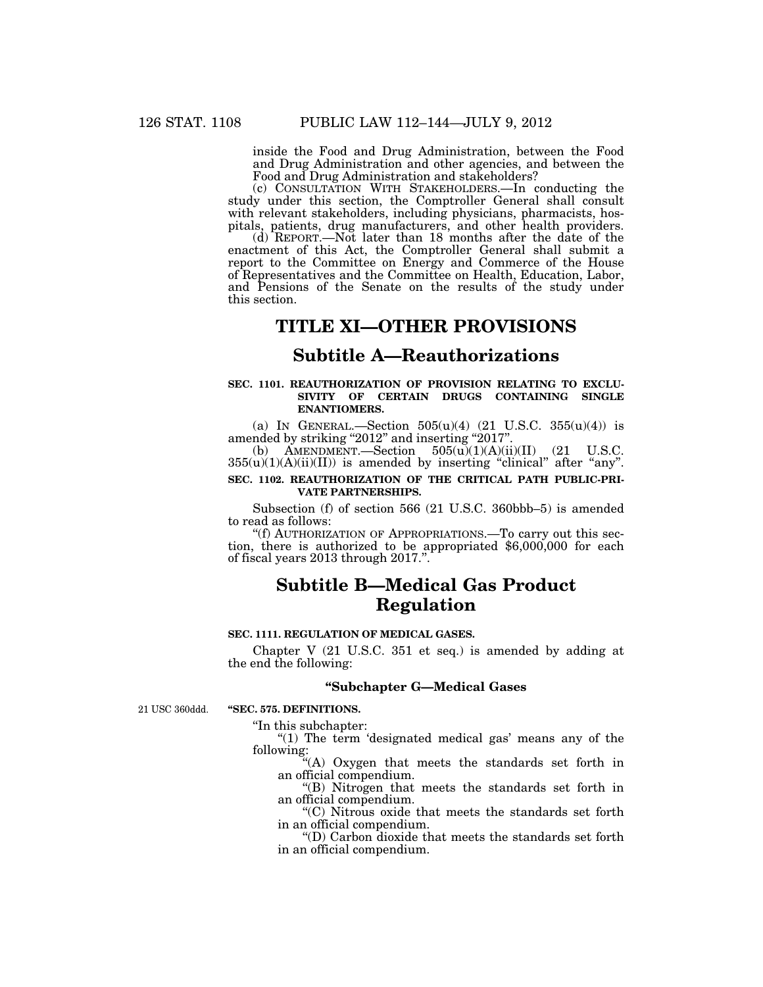inside the Food and Drug Administration, between the Food and Drug Administration and other agencies, and between the Food and Drug Administration and stakeholders?

(c) CONSULTATION WITH STAKEHOLDERS.—In conducting the study under this section, the Comptroller General shall consult with relevant stakeholders, including physicians, pharmacists, hospitals, patients, drug manufacturers, and other health providers.

(d) REPORT.—Not later than 18 months after the date of the enactment of this Act, the Comptroller General shall submit a report to the Committee on Energy and Commerce of the House of Representatives and the Committee on Health, Education, Labor, and Pensions of the Senate on the results of the study under this section.

# **TITLE XI—OTHER PROVISIONS**

# **Subtitle A—Reauthorizations**

#### **SEC. 1101. REAUTHORIZATION OF PROVISION RELATING TO EXCLU-SIVITY OF CERTAIN DRUGS CONTAINING SINGLE ENANTIOMERS.**

(a) IN GENERAL.—Section  $505(u)(4)$  (21 U.S.C.  $355(u)(4)$ ) is amended by striking "2012" and inserting "2017".<br>
(b) AMENDMENT,—Section  $505(u)(1)(A)(ii)$ 

 $\text{AMENDMENT.}$ —Section  $505(u)(1)(A)(ii)(II)$  (21 U.S.C.  $355(u)(1)(A)(ii)(II)$  is amended by inserting "clinical" after "any". **SEC. 1102. REAUTHORIZATION OF THE CRITICAL PATH PUBLIC-PRI-VATE PARTNERSHIPS.** 

Subsection (f) of section 566 (21 U.S.C. 360bbb–5) is amended to read as follows:<br>"(f) AUTHORIZATION OF APPROPRIATIONS.—To carry out this sec-

''(f) AUTHORIZATION OF APPROPRIATIONS.—To carry out this sec- tion, there is authorized to be appropriated \$6,000,000 for each of fiscal years 2013 through 2017.''.

# **Subtitle B—Medical Gas Product Regulation**

## **SEC. 1111. REGULATION OF MEDICAL GASES.**

Chapter V (21 U.S.C. 351 et seq.) is amended by adding at the end the following:

## **''Subchapter G—Medical Gases**

21 USC 360ddd.

### **''SEC. 575. DEFINITIONS.**

''In this subchapter:

" $(1)$  The term 'designated medical gas' means any of the following:

''(A) Oxygen that meets the standards set forth in an official compendium.

''(B) Nitrogen that meets the standards set forth in an official compendium.

''(C) Nitrous oxide that meets the standards set forth in an official compendium.

''(D) Carbon dioxide that meets the standards set forth in an official compendium.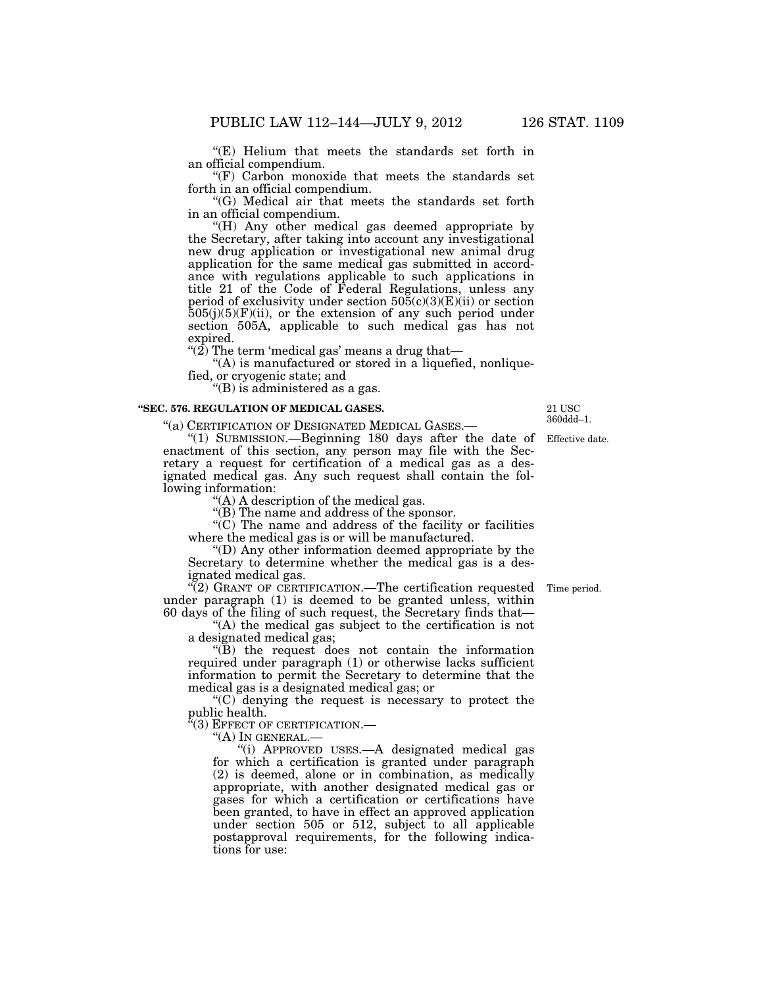''(E) Helium that meets the standards set forth in an official compendium.

''(F) Carbon monoxide that meets the standards set forth in an official compendium.

''(G) Medical air that meets the standards set forth in an official compendium.

''(H) Any other medical gas deemed appropriate by the Secretary, after taking into account any investigational new drug application or investigational new animal drug application for the same medical gas submitted in accordance with regulations applicable to such applications in title 21 of the Code of Federal Regulations, unless any period of exclusivity under section 505(c)(3)(E)(ii) or section  $505(j)(5)(F)(ii)$ , or the extension of any such period under section 505A, applicable to such medical gas has not expired.

"(2) The term 'medical gas' means a drug that—

''(A) is manufactured or stored in a liquefied, nonliquefied, or cryogenic state; and

''(B) is administered as a gas.

### **''SEC. 576. REGULATION OF MEDICAL GASES.**

''(a) CERTIFICATION OF DESIGNATED MEDICAL GASES.—

''(1) SUBMISSION.—Beginning 180 days after the date of enactment of this section, any person may file with the Secretary a request for certification of a medical gas as a designated medical gas. Any such request shall contain the following information:

''(A) A description of the medical gas.

''(B) The name and address of the sponsor.

 $\mathcal{C}(C)$  The name and address of the facility or facilities where the medical gas is or will be manufactured.

''(D) Any other information deemed appropriate by the Secretary to determine whether the medical gas is a designated medical gas.

 $\sqrt{\left(2\right)}$  GRANT OF CERTIFICATION.—The certification requested Time period. under paragraph (1) is deemed to be granted unless, within 60 days of the filing of such request, the Secretary finds that—

''(A) the medical gas subject to the certification is not a designated medical gas;

 $\sqrt{\text{B}}$ ) the request does not contain the information required under paragraph (1) or otherwise lacks sufficient information to permit the Secretary to determine that the medical gas is a designated medical gas; or

 $(C)$  denying the request is necessary to protect the public health.

'(3) EFFECT OF CERTIFICATION.-

''(A) IN GENERAL.—

''(i) APPROVED USES.—A designated medical gas for which a certification is granted under paragraph (2) is deemed, alone or in combination, as medically appropriate, with another designated medical gas or gases for which a certification or certifications have been granted, to have in effect an approved application under section 505 or 512, subject to all applicable postapproval requirements, for the following indications for use:

Effective date. 21 USC 360ddd–1.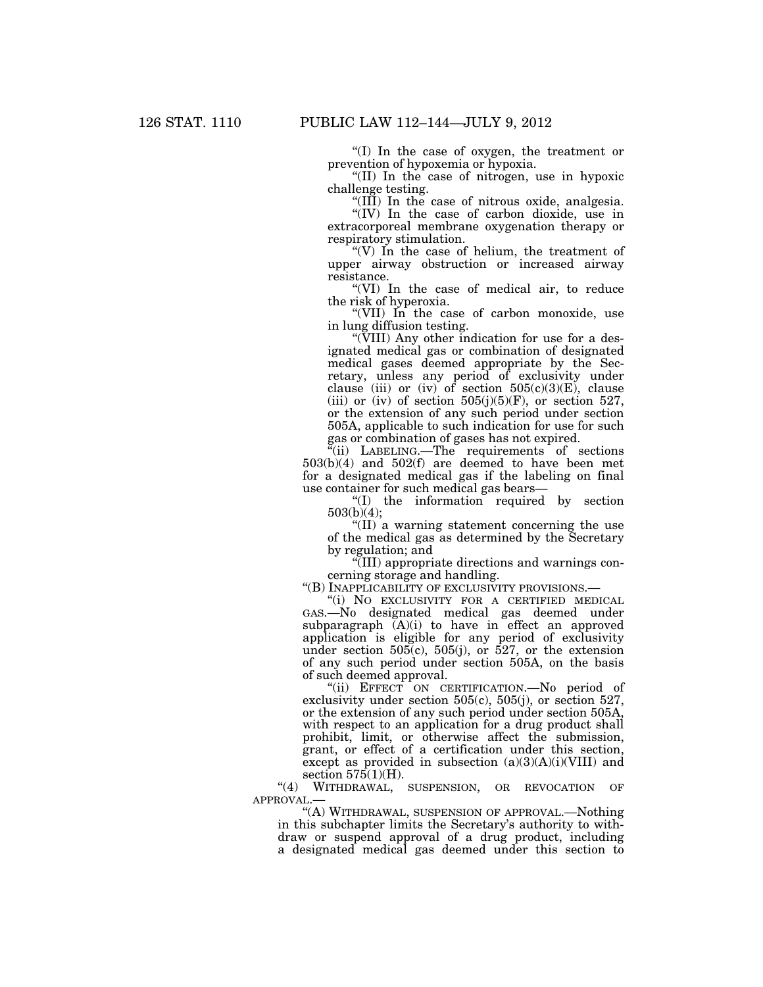''(I) In the case of oxygen, the treatment or prevention of hypoxemia or hypoxia.

''(II) In the case of nitrogen, use in hypoxic challenge testing.

''(III) In the case of nitrous oxide, analgesia.

''(IV) In the case of carbon dioxide, use in extracorporeal membrane oxygenation therapy or respiratory stimulation.

"(V) In the case of helium, the treatment of upper airway obstruction or increased airway resistance.

''(VI) In the case of medical air, to reduce the risk of hyperoxia.

''(VII) In the case of carbon monoxide, use in lung diffusion testing.

''(VIII) Any other indication for use for a designated medical gas or combination of designated medical gases deemed appropriate by the Secretary, unless any period of exclusivity under clause (iii) or (iv) of section  $505(c)(3)(E)$ , clause (iii) or (iv) of section  $505(j)(5)(F)$ , or section 527, or the extension of any such period under section 505A, applicable to such indication for use for such gas or combination of gases has not expired.

 $\tilde{f}$ (ii) LABELING.—The requirements of sections 503(b)(4) and 502(f) are deemed to have been met for a designated medical gas if the labeling on final use container for such medical gas bears—

''(I) the information required by section 503(b)(4);

''(II) a warning statement concerning the use of the medical gas as determined by the Secretary by regulation; and

''(III) appropriate directions and warnings concerning storage and handling.

"(B) INAPPLICABILITY OF EXCLUSIVITY PROVISIONS.-

''(i) NO EXCLUSIVITY FOR A CERTIFIED MEDICAL GAS.—No designated medical gas deemed under subparagraph  $(A)(i)$  to have in effect an approved application is eligible for any period of exclusivity under section 505(c), 505(j), or 527, or the extension of any such period under section 505A, on the basis of such deemed approval.

"(ii) EFFECT ON CERTIFICATION.-No period of exclusivity under section 505(c), 505(j), or section 527, or the extension of any such period under section 505A, with respect to an application for a drug product shall prohibit, limit, or otherwise affect the submission, grant, or effect of a certification under this section, except as provided in subsection  $(a)(3)(A)(i)(VIII)$  and section  $575(1)(H)$ .

"(4) WITHDRAWAL, SUSPENSION, OR REVOCATION OF APPROVAL.—

''(A) WITHDRAWAL, SUSPENSION OF APPROVAL.—Nothing in this subchapter limits the Secretary's authority to withdraw or suspend approval of a drug product, including a designated medical gas deemed under this section to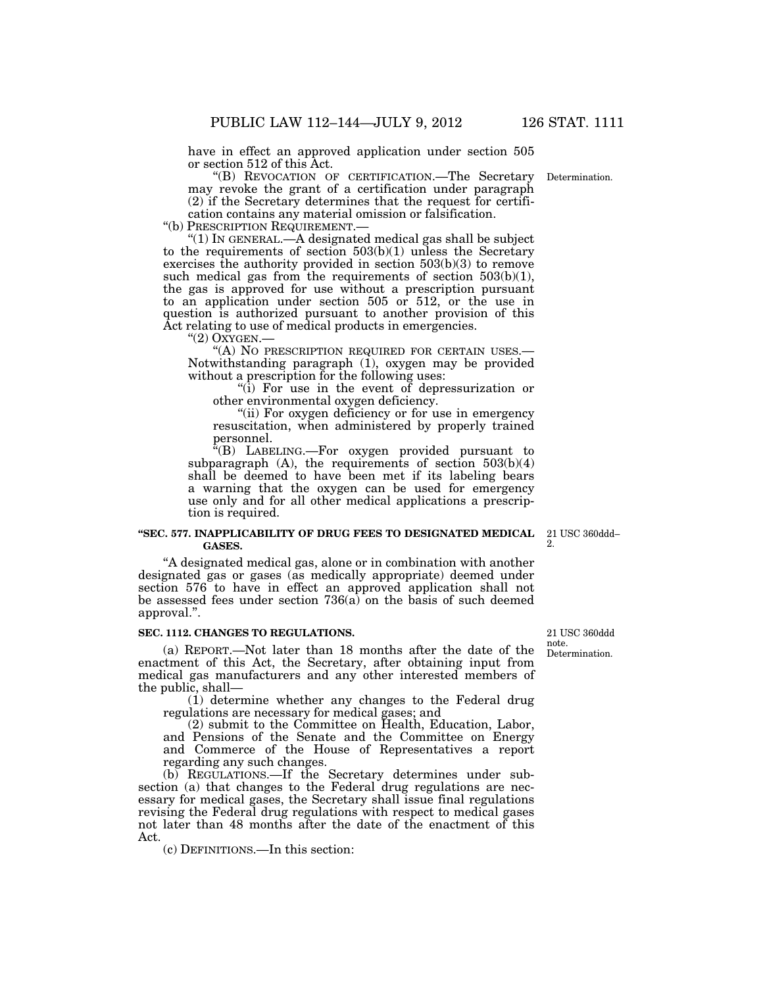have in effect an approved application under section 505 or section 512 of this Act.

''(B) REVOCATION OF CERTIFICATION.—The Secretary may revoke the grant of a certification under paragraph (2) if the Secretary determines that the request for certifi-

cation contains any material omission or falsification.<br>"(b) PRESCRIPTION REQUIREMENT.—

" $(1)$  In GENERAL.—A designated medical gas shall be subject to the requirements of section 503(b)(1) unless the Secretary exercises the authority provided in section 503(b)(3) to remove such medical gas from the requirements of section 503(b)(1), the gas is approved for use without a prescription pursuant to an application under section 505 or 512, or the use in question is authorized pursuant to another provision of this Act relating to use of medical products in emergencies.

''(2) OXYGEN.— ''(A) NO PRESCRIPTION REQUIRED FOR CERTAIN USES.— Notwithstanding paragraph (1), oxygen may be provided without a prescription for the following uses:

"(i) For use in the event of depressurization or other environmental oxygen deficiency.

''(ii) For oxygen deficiency or for use in emergency resuscitation, when administered by properly trained personnel.

''(B) LABELING.—For oxygen provided pursuant to subparagraph  $(A)$ , the requirements of section  $503(b)(4)$ shall be deemed to have been met if its labeling bears a warning that the oxygen can be used for emergency use only and for all other medical applications a prescription is required.

#### **''SEC. 577. INAPPLICABILITY OF DRUG FEES TO DESIGNATED MEDICAL GASES.**

''A designated medical gas, alone or in combination with another designated gas or gases (as medically appropriate) deemed under section 576 to have in effect an approved application shall not be assessed fees under section 736(a) on the basis of such deemed approval.''.

### **SEC. 1112. CHANGES TO REGULATIONS.**

(a) REPORT.—Not later than 18 months after the date of the enactment of this Act, the Secretary, after obtaining input from medical gas manufacturers and any other interested members of the public, shall—

(1) determine whether any changes to the Federal drug regulations are necessary for medical gases; and

(2) submit to the Committee on Health, Education, Labor, and Pensions of the Senate and the Committee on Energy and Commerce of the House of Representatives a report regarding any such changes.

(b) REGULATIONS.—If the Secretary determines under subsection (a) that changes to the Federal drug regulations are necessary for medical gases, the Secretary shall issue final regulations revising the Federal drug regulations with respect to medical gases not later than 48 months after the date of the enactment of this Act.

(c) DEFINITIONS.—In this section:

Determination. 21 USC 360ddd note.

Determination.

21 USC 360ddd– 2.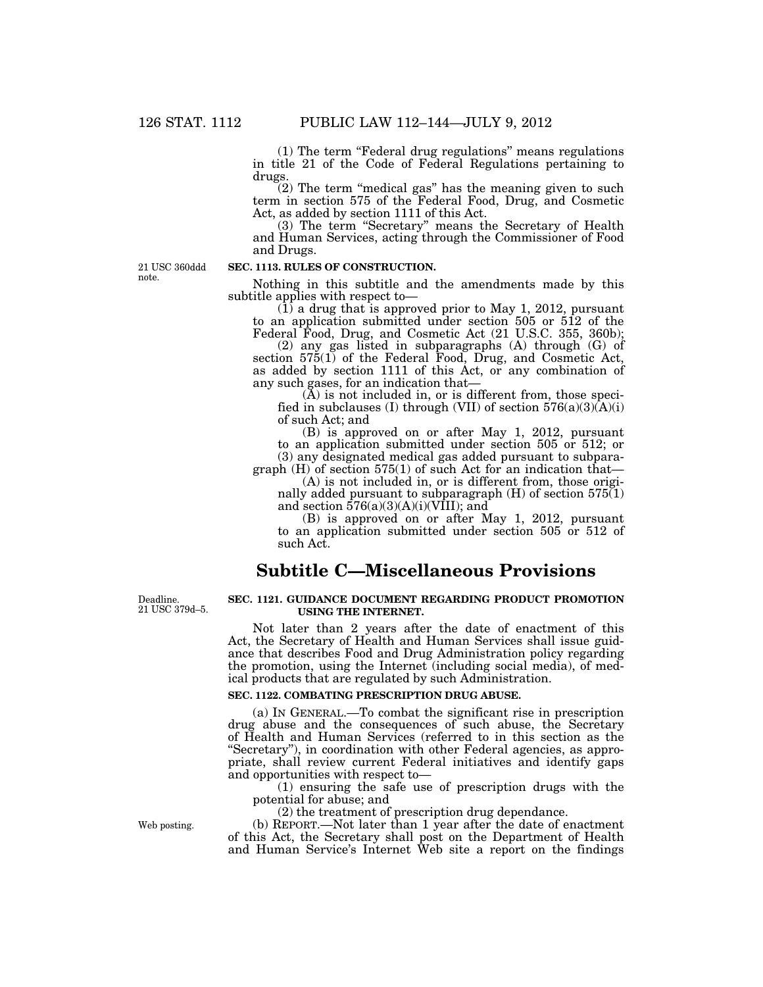(1) The term ''Federal drug regulations'' means regulations in title 21 of the Code of Federal Regulations pertaining to drugs.

 $(2)$  The term "medical gas" has the meaning given to such term in section 575 of the Federal Food, Drug, and Cosmetic Act, as added by section 1111 of this Act.

(3) The term ''Secretary'' means the Secretary of Health and Human Services, acting through the Commissioner of Food and Drugs.

21 USC 360ddd note.

## **SEC. 1113. RULES OF CONSTRUCTION.**

Nothing in this subtitle and the amendments made by this subtitle applies with respect to—

 $(1)$  a drug that is approved prior to May 1, 2012, pursuant to an application submitted under section 505 or 512 of the Federal Food, Drug, and Cosmetic Act (21 U.S.C. 355, 360b);

(2) any gas listed in subparagraphs (A) through (G) of section 575(1) of the Federal Food, Drug, and Cosmetic Act, as added by section 1111 of this Act, or any combination of any such gases, for an indication that—

(A) is not included in, or is different from, those specified in subclauses (I) through (VII) of section  $576(a)(3)(A)(i)$ of such Act; and

(B) is approved on or after May 1, 2012, pursuant to an application submitted under section 505 or 512; or (3) any designated medical gas added pursuant to subpara-

graph (H) of section 575(1) of such Act for an indication that—

(A) is not included in, or is different from, those originally added pursuant to subparagraph  $(H)$  of section  $575\overline{(1)}$ and section  $576(a)(3)(A)(i)(VIII)$ ; and

(B) is approved on or after May 1, 2012, pursuant to an application submitted under section 505 or 512 of such Act.

# **Subtitle C—Miscellaneous Provisions**

Deadline. 21 USC 379d–5.

### **SEC. 1121. GUIDANCE DOCUMENT REGARDING PRODUCT PROMOTION USING THE INTERNET.**

Not later than 2 years after the date of enactment of this Act, the Secretary of Health and Human Services shall issue guidance that describes Food and Drug Administration policy regarding the promotion, using the Internet (including social media), of medical products that are regulated by such Administration.

### **SEC. 1122. COMBATING PRESCRIPTION DRUG ABUSE.**

(a) IN GENERAL.—To combat the significant rise in prescription drug abuse and the consequences of such abuse, the Secretary of Health and Human Services (referred to in this section as the ''Secretary''), in coordination with other Federal agencies, as appropriate, shall review current Federal initiatives and identify gaps and opportunities with respect to—

(1) ensuring the safe use of prescription drugs with the potential for abuse; and

(2) the treatment of prescription drug dependance.

(b) REPORT.—Not later than 1 year after the date of enactment of this Act, the Secretary shall post on the Department of Health and Human Service's Internet Web site a report on the findings

Web posting.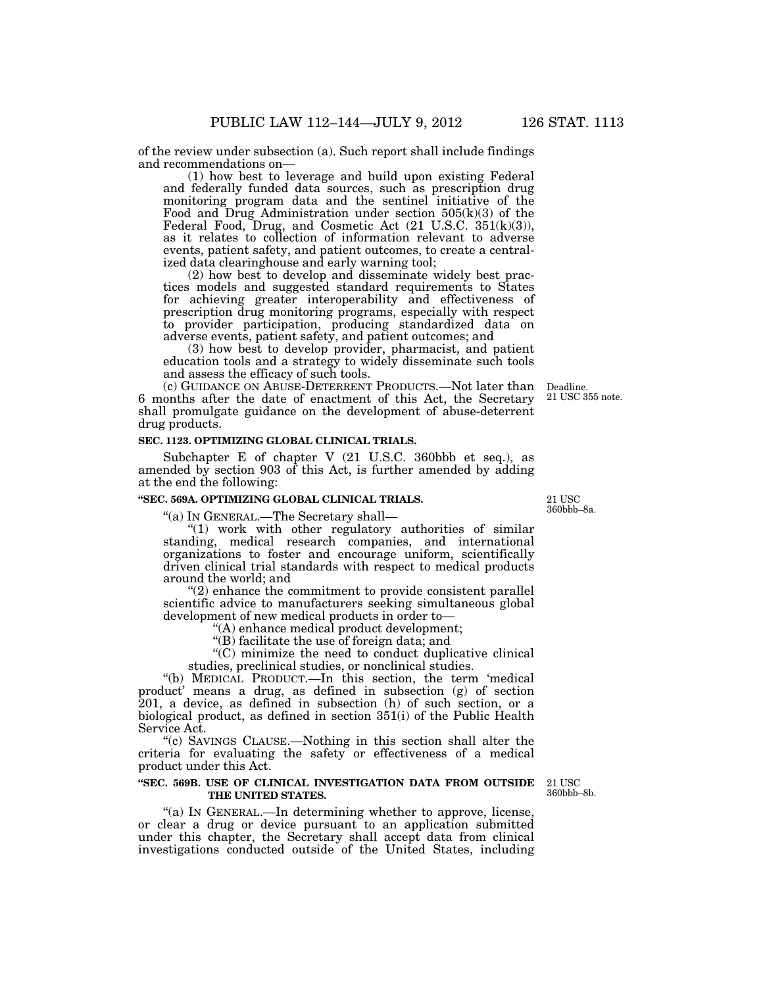of the review under subsection (a). Such report shall include findings and recommendations on—

(1) how best to leverage and build upon existing Federal and federally funded data sources, such as prescription drug monitoring program data and the sentinel initiative of the Food and Drug Administration under section  $505(k)(3)$  of the Federal Food, Drug, and Cosmetic Act (21 U.S.C. 351(k)(3)), as it relates to collection of information relevant to adverse events, patient safety, and patient outcomes, to create a centralized data clearinghouse and early warning tool;

(2) how best to develop and disseminate widely best practices models and suggested standard requirements to States for achieving greater interoperability and effectiveness of prescription drug monitoring programs, especially with respect to provider participation, producing standardized data on adverse events, patient safety, and patient outcomes; and

(3) how best to develop provider, pharmacist, and patient education tools and a strategy to widely disseminate such tools and assess the efficacy of such tools.

(c) GUIDANCE ON ABUSE-DETERRENT PRODUCTS.—Not later than Deadline. 6 months after the date of enactment of this Act, the Secretary shall promulgate guidance on the development of abuse-deterrent drug products.

#### **SEC. 1123. OPTIMIZING GLOBAL CLINICAL TRIALS.**

Subchapter E of chapter V (21 U.S.C. 360bbb et seq.), as amended by section 903 of this Act, is further amended by adding at the end the following:

# **''SEC. 569A. OPTIMIZING GLOBAL CLINICAL TRIALS.**

''(a) IN GENERAL.—The Secretary shall—

"(1) work with other regulatory authorities of similar standing, medical research companies, and international organizations to foster and encourage uniform, scientifically driven clinical trial standards with respect to medical products around the world; and

''(2) enhance the commitment to provide consistent parallel scientific advice to manufacturers seeking simultaneous global development of new medical products in order to—

''(A) enhance medical product development;

''(B) facilitate the use of foreign data; and

 $(C)$  minimize the need to conduct duplicative clinical studies, preclinical studies, or nonclinical studies.

''(b) MEDICAL PRODUCT.—In this section, the term 'medical product' means a drug, as defined in subsection (g) of section 201, a device, as defined in subsection (h) of such section, or a biological product, as defined in section 351(i) of the Public Health Service Act.

''(c) SAVINGS CLAUSE.—Nothing in this section shall alter the criteria for evaluating the safety or effectiveness of a medical product under this Act.

#### **''SEC. 569B. USE OF CLINICAL INVESTIGATION DATA FROM OUTSIDE**  21 USC **THE UNITED STATES.**

''(a) IN GENERAL.—In determining whether to approve, license, or clear a drug or device pursuant to an application submitted under this chapter, the Secretary shall accept data from clinical investigations conducted outside of the United States, including

360bbb–8b.

21 USC 360bbb–8a.

21 USC 355 note.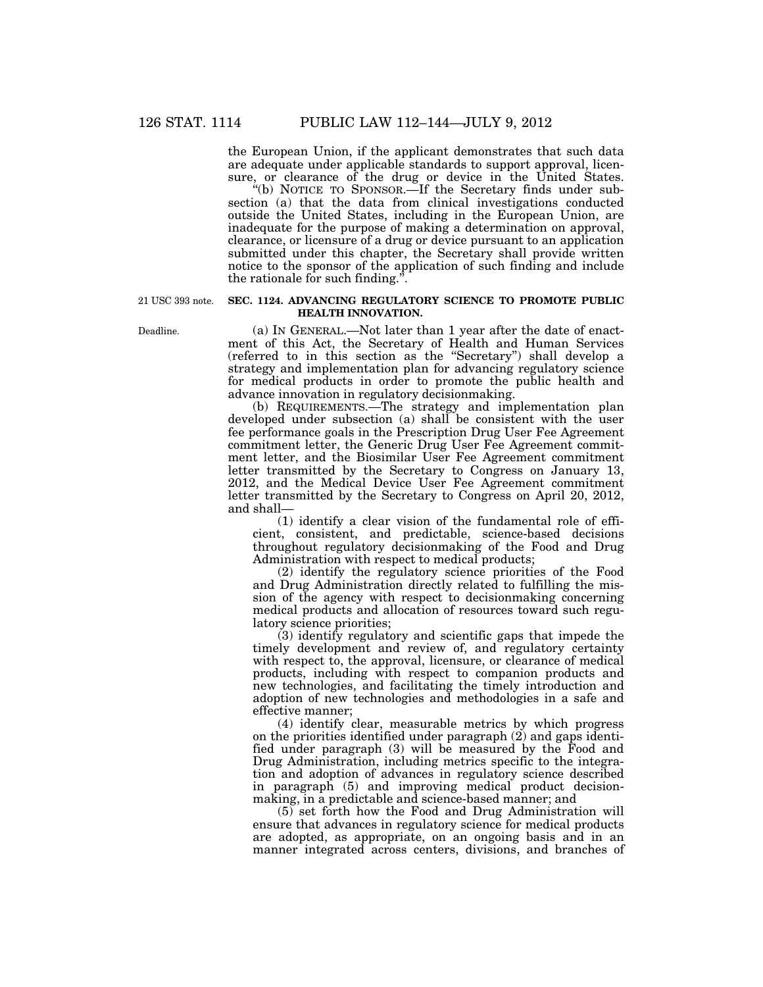the European Union, if the applicant demonstrates that such data are adequate under applicable standards to support approval, licensure, or clearance of the drug or device in the United States.

''(b) NOTICE TO SPONSOR.—If the Secretary finds under subsection (a) that the data from clinical investigations conducted outside the United States, including in the European Union, are inadequate for the purpose of making a determination on approval, clearance, or licensure of a drug or device pursuant to an application submitted under this chapter, the Secretary shall provide written notice to the sponsor of the application of such finding and include the rationale for such finding.''.

21 USC 393 note.

## **SEC. 1124. ADVANCING REGULATORY SCIENCE TO PROMOTE PUBLIC HEALTH INNOVATION.**

(a) IN GENERAL.—Not later than 1 year after the date of enactment of this Act, the Secretary of Health and Human Services (referred to in this section as the ''Secretary'') shall develop a strategy and implementation plan for advancing regulatory science for medical products in order to promote the public health and advance innovation in regulatory decisionmaking.

(b) REQUIREMENTS.—The strategy and implementation plan developed under subsection (a) shall be consistent with the user fee performance goals in the Prescription Drug User Fee Agreement commitment letter, the Generic Drug User Fee Agreement commitment letter, and the Biosimilar User Fee Agreement commitment letter transmitted by the Secretary to Congress on January 13, 2012, and the Medical Device User Fee Agreement commitment letter transmitted by the Secretary to Congress on April 20, 2012, and shall—

(1) identify a clear vision of the fundamental role of efficient, consistent, and predictable, science-based decisions throughout regulatory decisionmaking of the Food and Drug Administration with respect to medical products;

(2) identify the regulatory science priorities of the Food and Drug Administration directly related to fulfilling the mission of the agency with respect to decisionmaking concerning medical products and allocation of resources toward such regulatory science priorities;

(3) identify regulatory and scientific gaps that impede the timely development and review of, and regulatory certainty with respect to, the approval, licensure, or clearance of medical products, including with respect to companion products and new technologies, and facilitating the timely introduction and adoption of new technologies and methodologies in a safe and effective manner;

(4) identify clear, measurable metrics by which progress on the priorities identified under paragraph (2) and gaps identified under paragraph (3) will be measured by the Food and Drug Administration, including metrics specific to the integration and adoption of advances in regulatory science described in paragraph (5) and improving medical product decisionmaking, in a predictable and science-based manner; and

(5) set forth how the Food and Drug Administration will ensure that advances in regulatory science for medical products are adopted, as appropriate, on an ongoing basis and in an manner integrated across centers, divisions, and branches of

Deadline.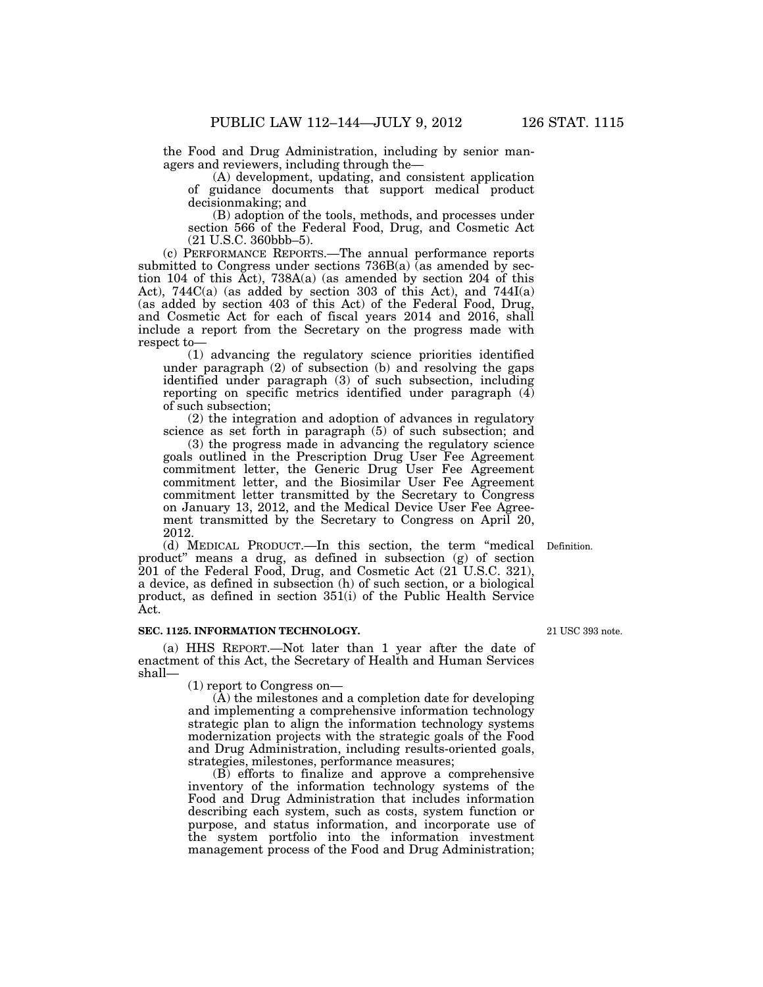the Food and Drug Administration, including by senior managers and reviewers, including through the—

(A) development, updating, and consistent application of guidance documents that support medical product decisionmaking; and

(B) adoption of the tools, methods, and processes under section 566 of the Federal Food, Drug, and Cosmetic Act (21 U.S.C. 360bbb–5).

(c) PERFORMANCE REPORTS.—The annual performance reports submitted to Congress under sections  $736B(a)$  (as amended by section 104 of this Act), 738A(a) (as amended by section 204 of this Act), 744C(a) (as added by section 303 of this Act), and 744I(a) (as added by section 403 of this Act) of the Federal Food, Drug, and Cosmetic Act for each of fiscal years 2014 and 2016, shall include a report from the Secretary on the progress made with respect to—

(1) advancing the regulatory science priorities identified under paragraph (2) of subsection (b) and resolving the gaps identified under paragraph (3) of such subsection, including reporting on specific metrics identified under paragraph (4) of such subsection;

(2) the integration and adoption of advances in regulatory science as set forth in paragraph (5) of such subsection; and

(3) the progress made in advancing the regulatory science goals outlined in the Prescription Drug User Fee Agreement commitment letter, the Generic Drug User Fee Agreement commitment letter, and the Biosimilar User Fee Agreement commitment letter transmitted by the Secretary to Congress on January 13, 2012, and the Medical Device User Fee Agreement transmitted by the Secretary to Congress on April 20, 2012.

(d) MEDICAL PRODUCT.—In this section, the term ''medical Definition. product'' means a drug, as defined in subsection (g) of section 201 of the Federal Food, Drug, and Cosmetic Act (21 U.S.C. 321), a device, as defined in subsection (h) of such section, or a biological product, as defined in section 351(i) of the Public Health Service Act.

#### **SEC. 1125. INFORMATION TECHNOLOGY.**

(a) HHS REPORT.—Not later than 1 year after the date of enactment of this Act, the Secretary of Health and Human Services shall—

(1) report to Congress on—

(A) the milestones and a completion date for developing and implementing a comprehensive information technology strategic plan to align the information technology systems modernization projects with the strategic goals of the Food and Drug Administration, including results-oriented goals, strategies, milestones, performance measures;

(B) efforts to finalize and approve a comprehensive inventory of the information technology systems of the Food and Drug Administration that includes information describing each system, such as costs, system function or purpose, and status information, and incorporate use of the system portfolio into the information investment management process of the Food and Drug Administration;

21 USC 393 note.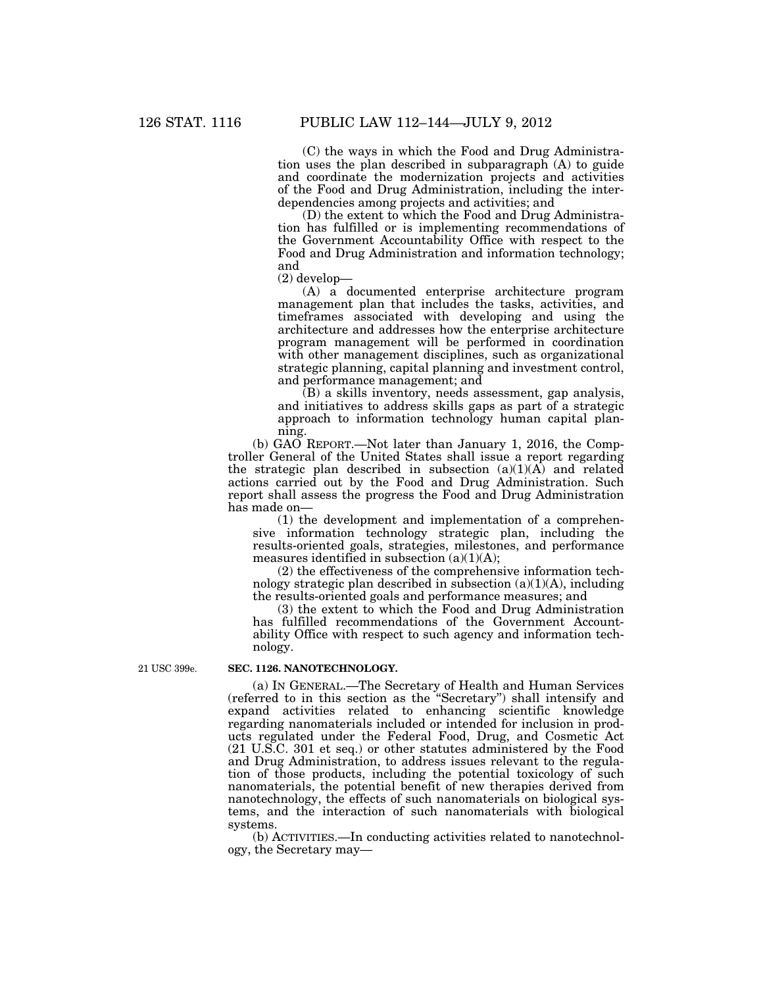(C) the ways in which the Food and Drug Administration uses the plan described in subparagraph (A) to guide and coordinate the modernization projects and activities of the Food and Drug Administration, including the interdependencies among projects and activities; and

(D) the extent to which the Food and Drug Administration has fulfilled or is implementing recommendations of the Government Accountability Office with respect to the Food and Drug Administration and information technology; and

(2) develop—

(A) a documented enterprise architecture program management plan that includes the tasks, activities, and timeframes associated with developing and using the architecture and addresses how the enterprise architecture program management will be performed in coordination with other management disciplines, such as organizational strategic planning, capital planning and investment control, and performance management; and

(B) a skills inventory, needs assessment, gap analysis, and initiatives to address skills gaps as part of a strategic approach to information technology human capital planning.

(b) GAO REPORT.—Not later than January 1, 2016, the Comptroller General of the United States shall issue a report regarding the strategic plan described in subsection  $(a)(1)(A)$  and related actions carried out by the Food and Drug Administration. Such report shall assess the progress the Food and Drug Administration has made on—

(1) the development and implementation of a comprehensive information technology strategic plan, including the results-oriented goals, strategies, milestones, and performance measures identified in subsection  $(a)(1)(A)$ ;

(2) the effectiveness of the comprehensive information technology strategic plan described in subsection  $(a)(1)(A)$ , including the results-oriented goals and performance measures; and

(3) the extent to which the Food and Drug Administration has fulfilled recommendations of the Government Accountability Office with respect to such agency and information technology.

21 USC 399e.

#### **SEC. 1126. NANOTECHNOLOGY.**

(a) IN GENERAL.—The Secretary of Health and Human Services (referred to in this section as the ''Secretary'') shall intensify and expand activities related to enhancing scientific knowledge regarding nanomaterials included or intended for inclusion in products regulated under the Federal Food, Drug, and Cosmetic Act (21 U.S.C. 301 et seq.) or other statutes administered by the Food and Drug Administration, to address issues relevant to the regulation of those products, including the potential toxicology of such nanomaterials, the potential benefit of new therapies derived from nanotechnology, the effects of such nanomaterials on biological systems, and the interaction of such nanomaterials with biological systems.

(b) ACTIVITIES.—In conducting activities related to nanotechnology, the Secretary may—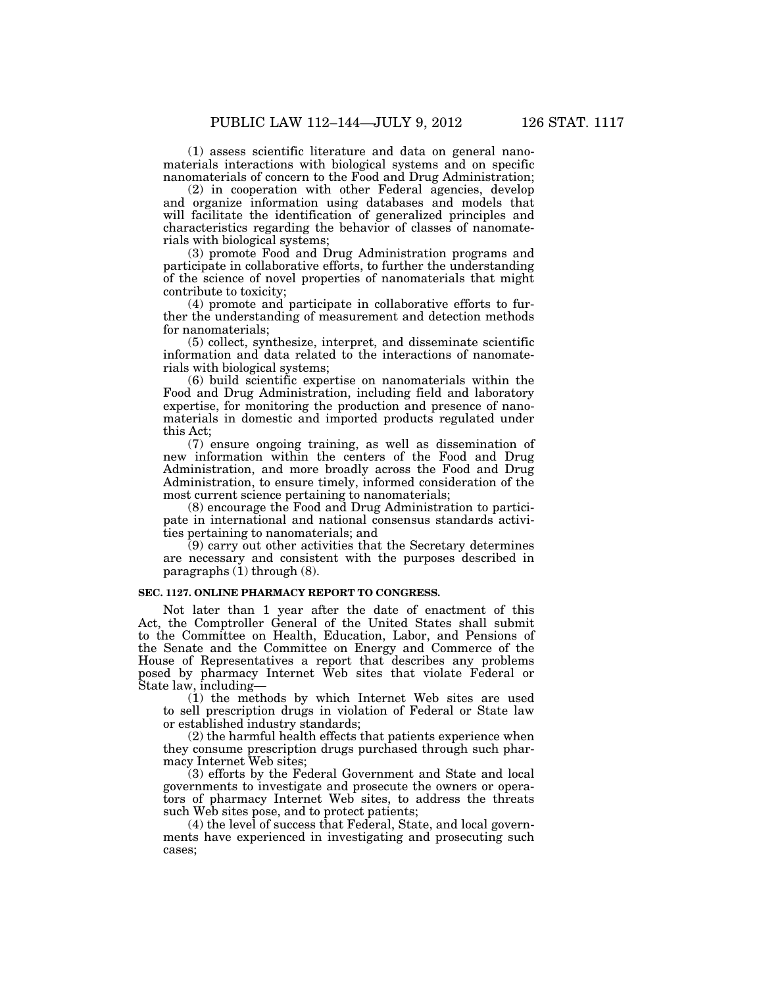(1) assess scientific literature and data on general nanomaterials interactions with biological systems and on specific nanomaterials of concern to the Food and Drug Administration;

(2) in cooperation with other Federal agencies, develop and organize information using databases and models that will facilitate the identification of generalized principles and characteristics regarding the behavior of classes of nanomaterials with biological systems;

(3) promote Food and Drug Administration programs and participate in collaborative efforts, to further the understanding of the science of novel properties of nanomaterials that might contribute to toxicity;

(4) promote and participate in collaborative efforts to further the understanding of measurement and detection methods for nanomaterials;

(5) collect, synthesize, interpret, and disseminate scientific information and data related to the interactions of nanomaterials with biological systems;

(6) build scientific expertise on nanomaterials within the Food and Drug Administration, including field and laboratory expertise, for monitoring the production and presence of nanomaterials in domestic and imported products regulated under this Act;

(7) ensure ongoing training, as well as dissemination of new information within the centers of the Food and Drug Administration, and more broadly across the Food and Drug Administration, to ensure timely, informed consideration of the most current science pertaining to nanomaterials;

(8) encourage the Food and Drug Administration to participate in international and national consensus standards activities pertaining to nanomaterials; and

 $(9)$  carry out other activities that the Secretary determines are necessary and consistent with the purposes described in paragraphs  $(1)$  through  $(8)$ .

## **SEC. 1127. ONLINE PHARMACY REPORT TO CONGRESS.**

Not later than 1 year after the date of enactment of this Act, the Comptroller General of the United States shall submit to the Committee on Health, Education, Labor, and Pensions of the Senate and the Committee on Energy and Commerce of the House of Representatives a report that describes any problems posed by pharmacy Internet Web sites that violate Federal or State law, including—

(1) the methods by which Internet Web sites are used to sell prescription drugs in violation of Federal or State law or established industry standards;

(2) the harmful health effects that patients experience when they consume prescription drugs purchased through such pharmacy Internet Web sites;

(3) efforts by the Federal Government and State and local governments to investigate and prosecute the owners or operators of pharmacy Internet Web sites, to address the threats such Web sites pose, and to protect patients;

(4) the level of success that Federal, State, and local governments have experienced in investigating and prosecuting such cases;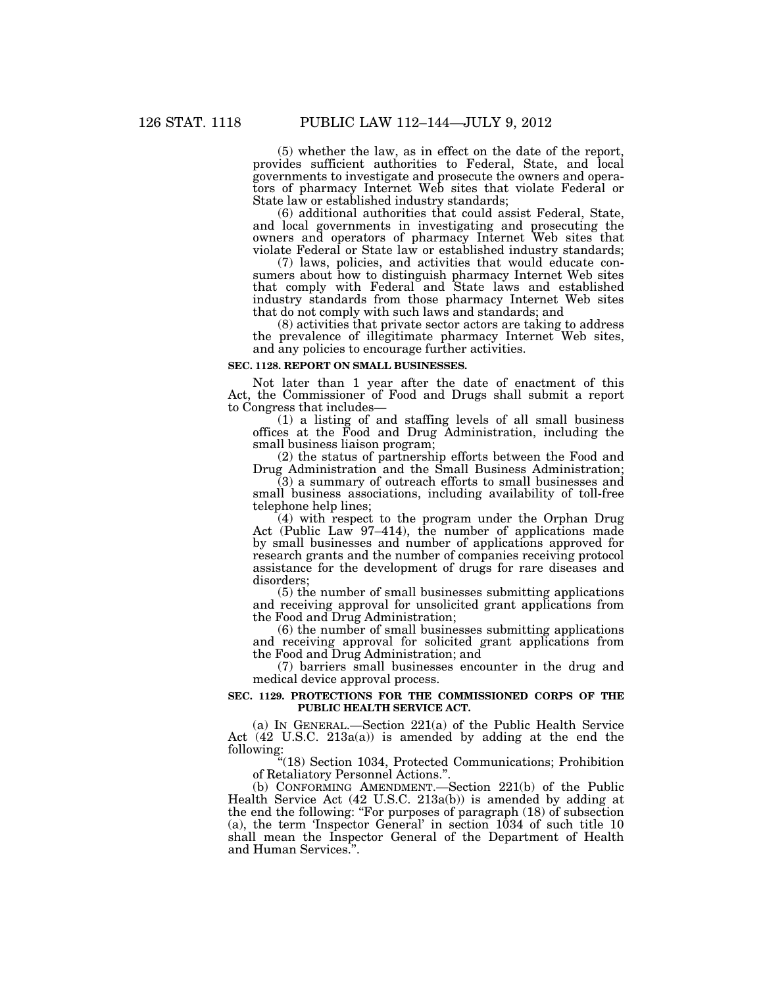(5) whether the law, as in effect on the date of the report, provides sufficient authorities to Federal, State, and local governments to investigate and prosecute the owners and operators of pharmacy Internet Web sites that violate Federal or State law or established industry standards;

(6) additional authorities that could assist Federal, State, and local governments in investigating and prosecuting the owners and operators of pharmacy Internet Web sites that violate Federal or State law or established industry standards;

(7) laws, policies, and activities that would educate consumers about how to distinguish pharmacy Internet Web sites that comply with Federal and State laws and established industry standards from those pharmacy Internet Web sites that do not comply with such laws and standards; and

(8) activities that private sector actors are taking to address the prevalence of illegitimate pharmacy Internet Web sites, and any policies to encourage further activities.

#### **SEC. 1128. REPORT ON SMALL BUSINESSES.**

Not later than 1 year after the date of enactment of this Act, the Commissioner of Food and Drugs shall submit a report to Congress that includes—

(1) a listing of and staffing levels of all small business offices at the Food and Drug Administration, including the small business liaison program;

(2) the status of partnership efforts between the Food and Drug Administration and the Small Business Administration;

(3) a summary of outreach efforts to small businesses and small business associations, including availability of toll-free telephone help lines;

(4) with respect to the program under the Orphan Drug Act (Public Law 97–414), the number of applications made by small businesses and number of applications approved for research grants and the number of companies receiving protocol assistance for the development of drugs for rare diseases and disorders;

(5) the number of small businesses submitting applications and receiving approval for unsolicited grant applications from the Food and Drug Administration;

(6) the number of small businesses submitting applications and receiving approval for solicited grant applications from the Food and Drug Administration; and

(7) barriers small businesses encounter in the drug and medical device approval process.

## **SEC. 1129. PROTECTIONS FOR THE COMMISSIONED CORPS OF THE PUBLIC HEALTH SERVICE ACT.**

(a) IN GENERAL.—Section 221(a) of the Public Health Service Act (42 U.S.C. 213a(a)) is amended by adding at the end the following:

''(18) Section 1034, Protected Communications; Prohibition of Retaliatory Personnel Actions.''.

(b) CONFORMING AMENDMENT.—Section 221(b) of the Public Health Service Act (42 U.S.C. 213a(b)) is amended by adding at the end the following: "For purposes of paragraph (18) of subsection (a), the term 'Inspector General' in section 1034 of such title 10 shall mean the Inspector General of the Department of Health and Human Services.''.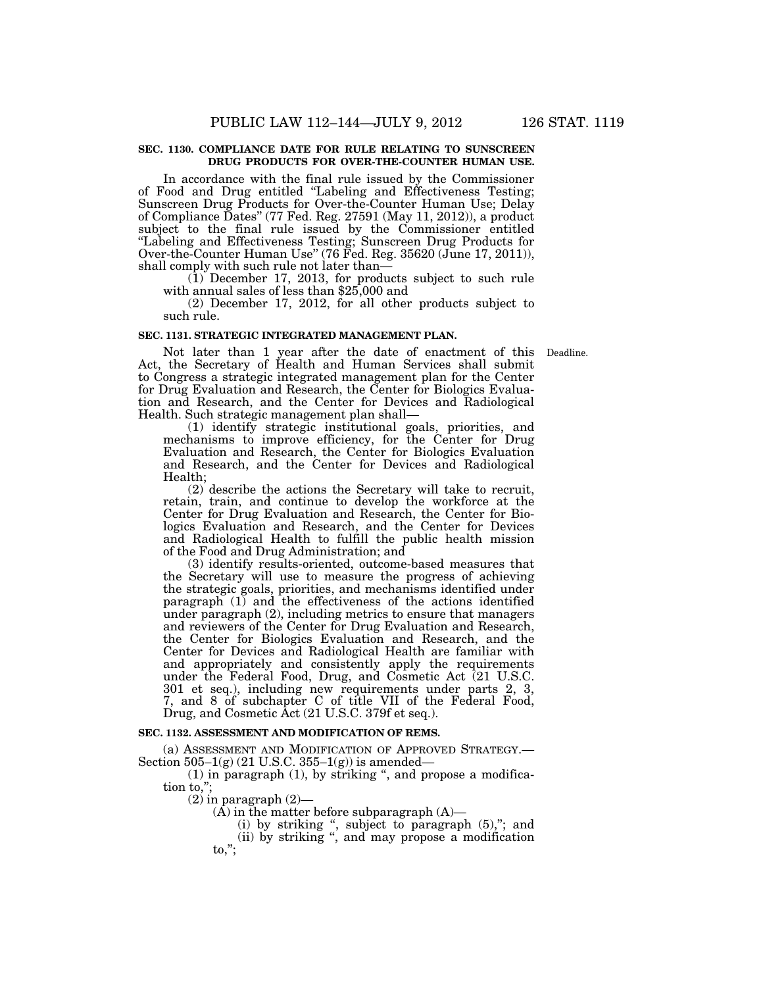#### **SEC. 1130. COMPLIANCE DATE FOR RULE RELATING TO SUNSCREEN DRUG PRODUCTS FOR OVER-THE-COUNTER HUMAN USE.**

In accordance with the final rule issued by the Commissioner of Food and Drug entitled ''Labeling and Effectiveness Testing; Sunscreen Drug Products for Over-the-Counter Human Use; Delay of Compliance Dates'' (77 Fed. Reg. 27591 (May 11, 2012)), a product subject to the final rule issued by the Commissioner entitled ''Labeling and Effectiveness Testing; Sunscreen Drug Products for Over-the-Counter Human Use'' (76 Fed. Reg. 35620 (June 17, 2011)), shall comply with such rule not later than—

(1) December 17, 2013, for products subject to such rule with annual sales of less than \$25,000 and

(2) December 17, 2012, for all other products subject to such rule.

#### **SEC. 1131. STRATEGIC INTEGRATED MANAGEMENT PLAN.**

Not later than 1 year after the date of enactment of this Deadline. Act, the Secretary of Health and Human Services shall submit to Congress a strategic integrated management plan for the Center for Drug Evaluation and Research, the Center for Biologics Evaluation and Research, and the Center for Devices and Radiological Health. Such strategic management plan shall—

(1) identify strategic institutional goals, priorities, and mechanisms to improve efficiency, for the Center for Drug Evaluation and Research, the Center for Biologics Evaluation and Research, and the Center for Devices and Radiological Health;

(2) describe the actions the Secretary will take to recruit, retain, train, and continue to develop the workforce at the Center for Drug Evaluation and Research, the Center for Biologics Evaluation and Research, and the Center for Devices and Radiological Health to fulfill the public health mission of the Food and Drug Administration; and

(3) identify results-oriented, outcome-based measures that the Secretary will use to measure the progress of achieving the strategic goals, priorities, and mechanisms identified under paragraph (1) and the effectiveness of the actions identified under paragraph (2), including metrics to ensure that managers and reviewers of the Center for Drug Evaluation and Research, the Center for Biologics Evaluation and Research, and the Center for Devices and Radiological Health are familiar with and appropriately and consistently apply the requirements under the Federal Food, Drug, and Cosmetic Act (21 U.S.C. 301 et seq.), including new requirements under parts 2, 3, 7, and 8 of subchapter C of title VII of the Federal Food, Drug, and Cosmetic Act (21 U.S.C. 379f et seq.).

#### **SEC. 1132. ASSESSMENT AND MODIFICATION OF REMS.**

(a) ASSESSMENT AND MODIFICATION OF APPROVED STRATEGY.— Section  $505-1(g)$  (21 U.S.C. 355-1(g)) is amended-

 $(1)$  in paragraph  $(1)$ , by striking ", and propose a modification to,'';

 $(2)$  in paragraph  $(2)$ —

 $(A)$  in the matter before subparagraph  $(A)$ —

(i) by striking ", subject to paragraph  $(5)$ ,"; and

(ii) by striking '', and may propose a modification  $\mathsf{to}$ .":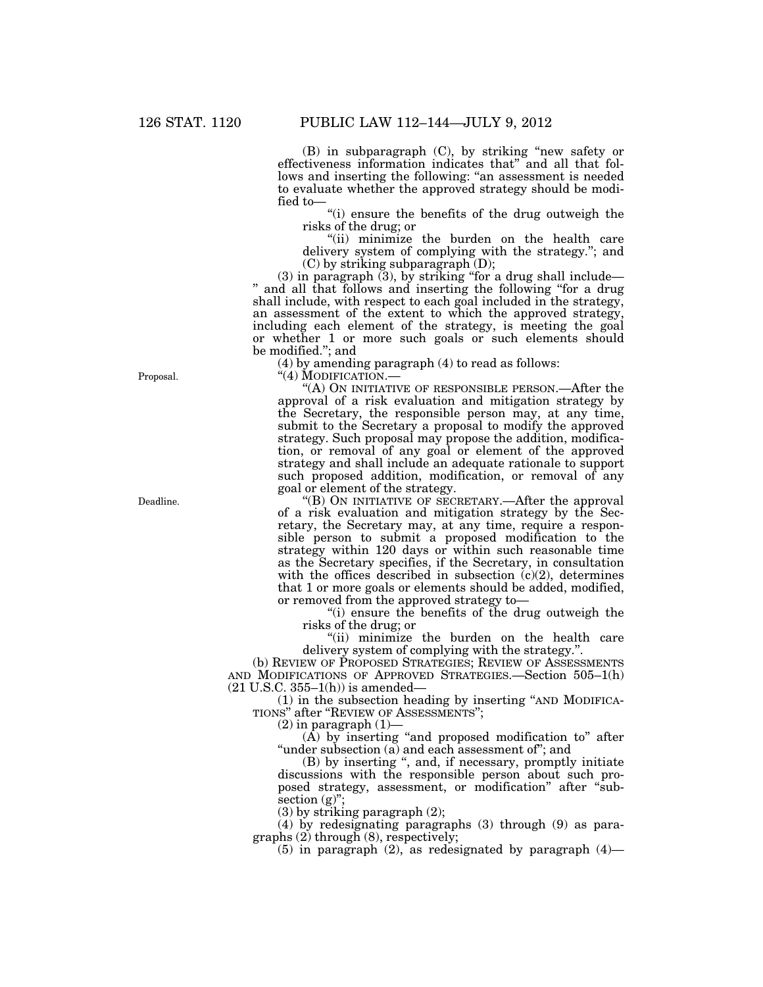(B) in subparagraph (C), by striking ''new safety or effectiveness information indicates that'' and all that follows and inserting the following: ''an assessment is needed to evaluate whether the approved strategy should be modified to—

''(i) ensure the benefits of the drug outweigh the risks of the drug; or

''(ii) minimize the burden on the health care delivery system of complying with the strategy.''; and (C) by striking subparagraph (D);

(3) in paragraph (3), by striking ''for a drug shall include— '' and all that follows and inserting the following ''for a drug shall include, with respect to each goal included in the strategy, an assessment of the extent to which the approved strategy, including each element of the strategy, is meeting the goal or whether 1 or more such goals or such elements should be modified.''; and

(4) by amending paragraph (4) to read as follows:

"(4) MODIFICATION.

"(A) ON INITIATIVE OF RESPONSIBLE PERSON.—After the approval of a risk evaluation and mitigation strategy by the Secretary, the responsible person may, at any time, submit to the Secretary a proposal to modify the approved strategy. Such proposal may propose the addition, modification, or removal of any goal or element of the approved strategy and shall include an adequate rationale to support such proposed addition, modification, or removal of any goal or element of the strategy.

"(B) ON INITIATIVE OF SECRETARY.—After the approval of a risk evaluation and mitigation strategy by the Secretary, the Secretary may, at any time, require a responsible person to submit a proposed modification to the strategy within 120 days or within such reasonable time as the Secretary specifies, if the Secretary, in consultation with the offices described in subsection  $(c)(2)$ , determines that 1 or more goals or elements should be added, modified, or removed from the approved strategy to—

''(i) ensure the benefits of the drug outweigh the risks of the drug; or

''(ii) minimize the burden on the health care delivery system of complying with the strategy.''.

(b) REVIEW OF PROPOSED STRATEGIES; REVIEW OF ASSESSMENTS AND MODIFICATIONS OF APPROVED STRATEGIES.—Section 505–1(h)  $(21 \text{ U.S.C. } 355-1(h))$  is amended—

(1) in the subsection heading by inserting ''AND MODIFICA-TIONS'' after ''REVIEW OF ASSESSMENTS'';

 $(2)$  in paragraph  $(1)$ —

(A) by inserting "and proposed modification to" after "under subsection (a) and each assessment of"; and

(B) by inserting '', and, if necessary, promptly initiate discussions with the responsible person about such proposed strategy, assessment, or modification" after "subsection (g)";

 $(3)$  by striking paragraph  $(2)$ ;

(4) by redesignating paragraphs (3) through (9) as paragraphs (2) through (8), respectively;

(5) in paragraph (2), as redesignated by paragraph (4)—

Proposal.

Deadline.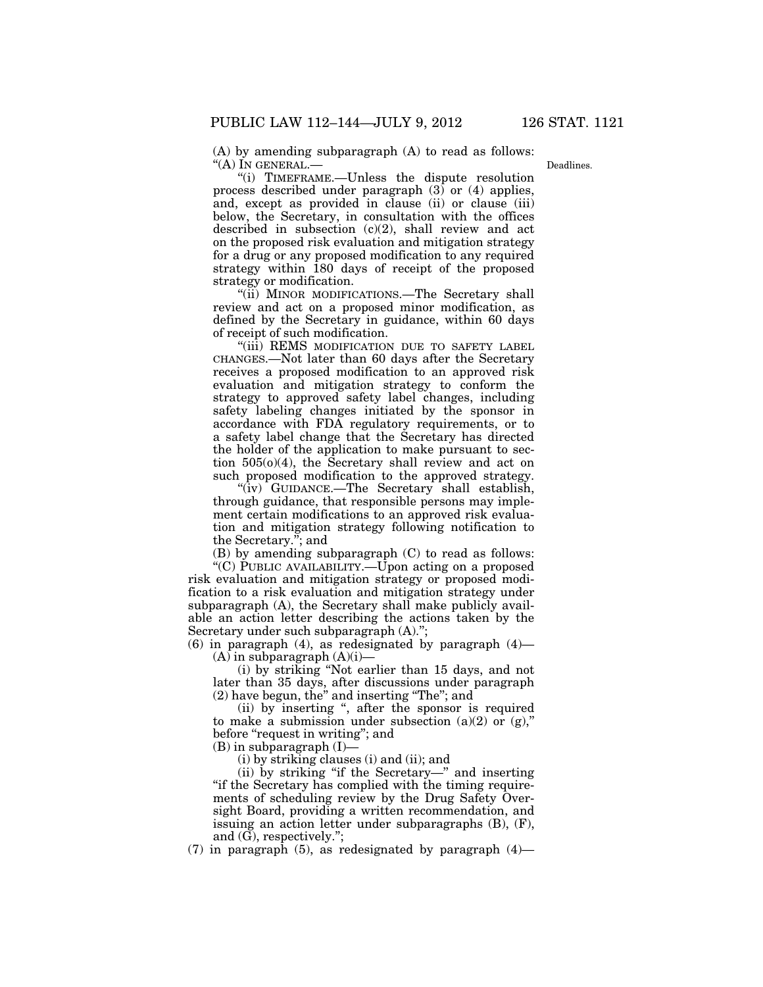(A) by amending subparagraph (A) to read as follows: ''(A) IN GENERAL.—

Deadlines.

''(i) TIMEFRAME.—Unless the dispute resolution process described under paragraph  $(3)$  or  $(4)$  applies, and, except as provided in clause (ii) or clause (iii) below, the Secretary, in consultation with the offices described in subsection (c)(2), shall review and act on the proposed risk evaluation and mitigation strategy for a drug or any proposed modification to any required strategy within 180 days of receipt of the proposed strategy or modification.

"(ii) MINOR MODIFICATIONS.—The Secretary shall review and act on a proposed minor modification, as defined by the Secretary in guidance, within 60 days of receipt of such modification.

"(iii) REMS MODIFICATION DUE TO SAFETY LABEL CHANGES.—Not later than 60 days after the Secretary receives a proposed modification to an approved risk evaluation and mitigation strategy to conform the strategy to approved safety label changes, including safety labeling changes initiated by the sponsor in accordance with FDA regulatory requirements, or to a safety label change that the Secretary has directed the holder of the application to make pursuant to section 505(o)(4), the Secretary shall review and act on such proposed modification to the approved strategy.

''(iv) GUIDANCE.—The Secretary shall establish, through guidance, that responsible persons may implement certain modifications to an approved risk evaluation and mitigation strategy following notification to the Secretary.''; and

(B) by amending subparagraph (C) to read as follows:

''(C) PUBLIC AVAILABILITY.—Upon acting on a proposed risk evaluation and mitigation strategy or proposed modification to a risk evaluation and mitigation strategy under subparagraph (A), the Secretary shall make publicly available an action letter describing the actions taken by the Secretary under such subparagraph (A).'';

 $(6)$  in paragraph  $(4)$ , as redesignated by paragraph  $(4)$ —  $(A)$  in subparagraph  $(A)(i)$ 

(i) by striking ''Not earlier than 15 days, and not later than 35 days, after discussions under paragraph (2) have begun, the'' and inserting ''The''; and

(ii) by inserting '', after the sponsor is required to make a submission under subsection  $(a)(2)$  or  $(g)$ ," before "request in writing"; and

 $(B)$  in subparagraph  $(I)$ –

(i) by striking clauses (i) and (ii); and

(ii) by striking ''if the Secretary—'' and inserting ''if the Secretary has complied with the timing requirements of scheduling review by the Drug Safety Oversight Board, providing a written recommendation, and issuing an action letter under subparagraphs (B), (F), and (G), respectively.'';

(7) in paragraph (5), as redesignated by paragraph  $(4)$ —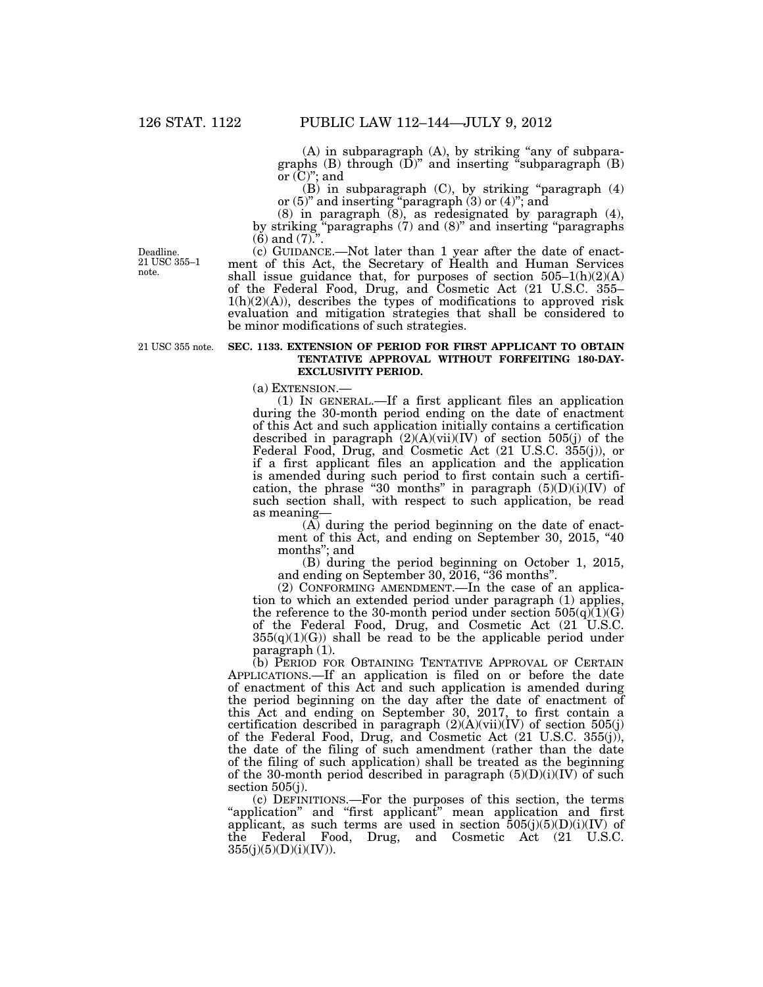(A) in subparagraph (A), by striking ''any of subparagraphs  $(B)$  through  $(D)$ " and inserting "subparagraph  $(B)$ or  $(C)$ "; and

(B) in subparagraph (C), by striking ''paragraph (4) or  $(5)$ " and inserting "paragraph  $(3)$  or  $(4)$ "; and

(8) in paragraph (8), as redesignated by paragraph (4), by striking ''paragraphs (7) and (8)'' and inserting ''paragraphs  $(6)$  and  $(7)$ ."

Deadline. 21 USC 355–1 note.

(c) GUIDANCE.—Not later than 1 year after the date of enactment of this Act, the Secretary of Health and Human Services shall issue guidance that, for purposes of section  $505-1(h)(2)(A)$ of the Federal Food, Drug, and Cosmetic Act (21 U.S.C. 355–  $1(h)(2)(A)$ , describes the types of modifications to approved risk evaluation and mitigation strategies that shall be considered to be minor modifications of such strategies.

# 21 USC 355 note.

#### **SEC. 1133. EXTENSION OF PERIOD FOR FIRST APPLICANT TO OBTAIN TENTATIVE APPROVAL WITHOUT FORFEITING 180-DAY-EXCLUSIVITY PERIOD.**

(a) EXTENSION.—

(1) IN GENERAL.—If a first applicant files an application during the 30-month period ending on the date of enactment of this Act and such application initially contains a certification described in paragraph  $(2)(A)(vii)(IV)$  of section 505(j) of the Federal Food, Drug, and Cosmetic Act (21 U.S.C. 355(j)), or if a first applicant files an application and the application is amended during such period to first contain such a certification, the phrase "30 months" in paragraph  $(5)(D)(i)(IV)$  of such section shall, with respect to such application, be read as meaning—

(A) during the period beginning on the date of enactment of this Act, and ending on September 30, 2015, "40 months''; and

(B) during the period beginning on October 1, 2015, and ending on September 30, 2016, ''36 months''.

(2) CONFORMING AMENDMENT.—In the case of an application to which an extended period under paragraph (1) applies, the reference to the 30-month period under section  $505(q)(1)(G)$ of the Federal Food, Drug, and Cosmetic Act (21 U.S.C.  $355(q)(1)(G)$  shall be read to be the applicable period under paragraph (1).

(b) PERIOD FOR OBTAINING TENTATIVE APPROVAL OF CERTAIN APPLICATIONS.—If an application is filed on or before the date of enactment of this Act and such application is amended during the period beginning on the day after the date of enactment of this Act and ending on September 30, 2017, to first contain a certification described in paragraph  $(2)(A)(vi)(IV)$  of section 505(j) of the Federal Food, Drug, and Cosmetic Act (21 U.S.C. 355(j)), the date of the filing of such amendment (rather than the date of the filing of such application) shall be treated as the beginning of the 30-month period described in paragraph  $(5)(D)(i)(IV)$  of such section 505(j).

(c) DEFINITIONS.—For the purposes of this section, the terms "application" and "first applicant" mean application and first applicant, as such terms are used in section  $505(j)(5)(D)(i)(IV)$  of the Federal Food, Drug, and Cosmetic Act (21 U.S.C. 355(j)(5)(D)(i)(IV)).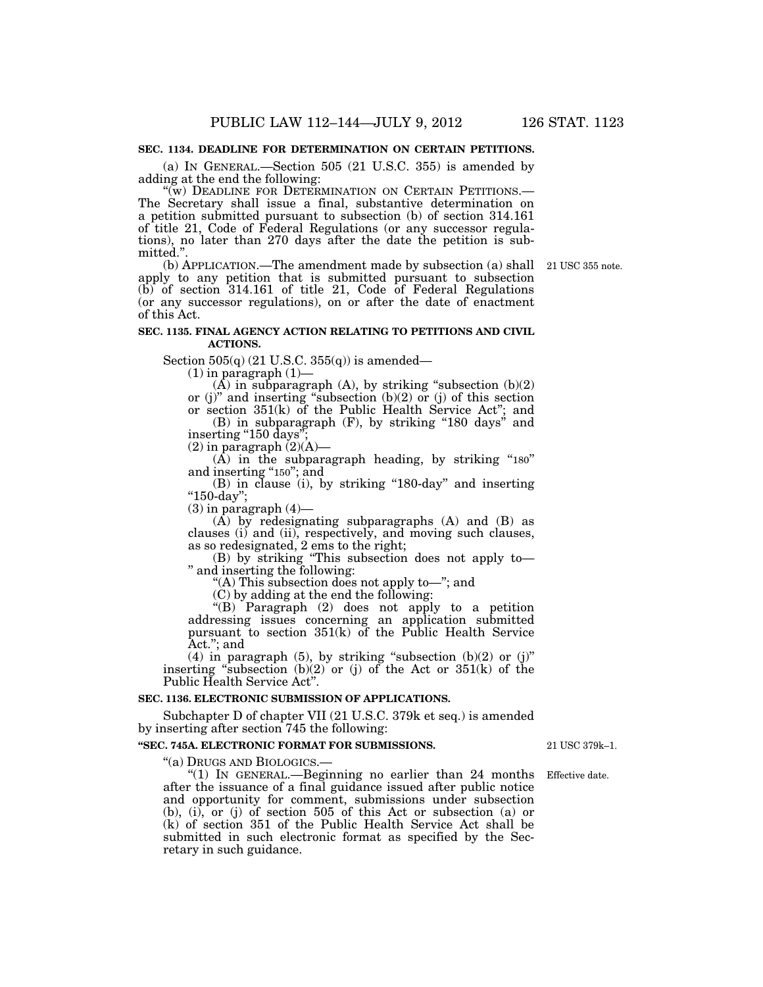# **SEC. 1134. DEADLINE FOR DETERMINATION ON CERTAIN PETITIONS.**

(a) IN GENERAL.—Section 505 (21 U.S.C. 355) is amended by adding at the end the following:<br>"(w) DEADLINE FOR DETERMINATION ON CERTAIN PETITIONS.—

The Secretary shall issue a final, substantive determination on a petition submitted pursuant to subsection (b) of section 314.161 of title 21, Code of Federal Regulations (or any successor regulations), no later than 270 days after the date the petition is submitted."

(b) APPLICATION.—The amendment made by subsection (a) shall 21 USC 355 note. apply to any petition that is submitted pursuant to subsection (b) of section 314.161 of title 21, Code of Federal Regulations (or any successor regulations), on or after the date of enactment of this Act.

#### **SEC. 1135. FINAL AGENCY ACTION RELATING TO PETITIONS AND CIVIL ACTIONS.**

Section  $505(q)$  (21 U.S.C.  $355(q)$ ) is amended—

 $(1)$  in paragraph  $(1)$ –

 $(A)$  in subparagraph  $(A)$ , by striking "subsection  $(b)(2)$ or (j)" and inserting "subsection  $(b)(2)$  or (j) of this section or section 351(k) of the Public Health Service Act''; and

(B) in subparagraph (F), by striking ''180 days'' and inserting "150 days";

 $(2)$  in paragraph  $(2)(A)$ —

 $(A)$  in the subparagraph heading, by striking "180" and inserting "150"; and

(B) in clause (i), by striking "180-day" and inserting ''150-day'';

 $(3)$  in paragraph  $(4)$ —

 $(A)$  by redesignating subparagraphs  $(A)$  and  $(B)$  as clauses (i) and (ii), respectively, and moving such clauses, as so redesignated, 2 ems to the right;

(B) by striking ''This subsection does not apply to— '' and inserting the following:

"(A) This subsection does not apply to-"; and

(C) by adding at the end the following:

''(B) Paragraph (2) does not apply to a petition addressing issues concerning an application submitted pursuant to section 351(k) of the Public Health Service Act.''; and

(4) in paragraph (5), by striking "subsection  $(b)(2)$  or  $(j)$ " inserting "subsection  $(b)(2)$  or  $(j)$  of the Act or  $351(k)$  of the Public Health Service Act''.

## **SEC. 1136. ELECTRONIC SUBMISSION OF APPLICATIONS.**

Subchapter D of chapter VII (21 U.S.C. 379k et seq.) is amended by inserting after section 745 the following:

#### **''SEC. 745A. ELECTRONIC FORMAT FOR SUBMISSIONS.**

''(a) DRUGS AND BIOLOGICS.—

" $(1)$  In GENERAL.—Beginning no earlier than 24 months Effective date. after the issuance of a final guidance issued after public notice and opportunity for comment, submissions under subsection  $(b)$ ,  $(i)$ ,  $\overline{or}$   $(i)$  of section 505 of this Act or subsection (a) or (k) of section 351 of the Public Health Service Act shall be submitted in such electronic format as specified by the Secretary in such guidance.

21 USC 379k–1.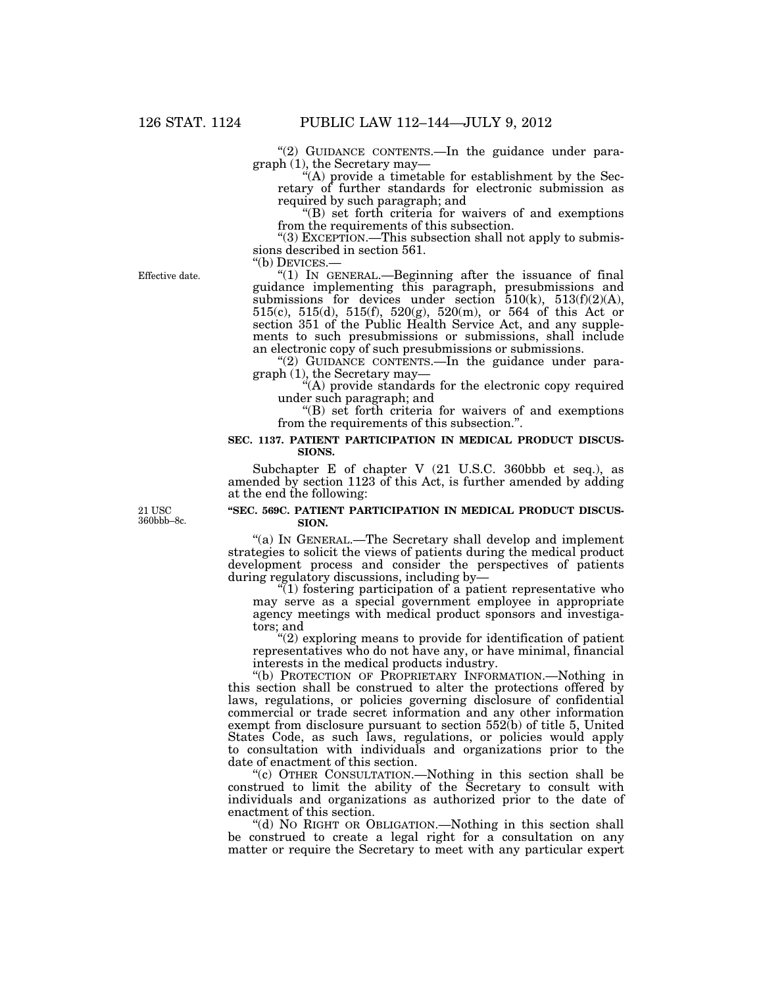" $(2)$  GUIDANCE CONTENTS.—In the guidance under paragraph (1), the Secretary may—

"(A) provide a timetable for establishment by the Secretary of further standards for electronic submission as required by such paragraph; and

''(B) set forth criteria for waivers of and exemptions from the requirements of this subsection.

''(3) EXCEPTION.—This subsection shall not apply to submissions described in section 561.<br>"(b) DEVICES.—

Effective date.

" $(1)$  In GENERAL.—Beginning after the issuance of final guidance implementing this paragraph, presubmissions and submissions for devices under section  $\overline{510(k)}$ ,  $513(f)(2)(A)$ , 515(c), 515(d), 515(f), 520(g), 520(m), or 564 of this Act or section 351 of the Public Health Service Act, and any supplements to such presubmissions or submissions, shall include an electronic copy of such presubmissions or submissions.

"(2) GUIDANCE CONTENTS.—In the guidance under paragraph (1), the Secretary may—

''(A) provide standards for the electronic copy required under such paragraph; and

''(B) set forth criteria for waivers of and exemptions from the requirements of this subsection.''.

#### **SEC. 1137. PATIENT PARTICIPATION IN MEDICAL PRODUCT DISCUS-SIONS.**

Subchapter E of chapter V (21 U.S.C. 360bbb et seq.), as amended by section 1123 of this Act, is further amended by adding at the end the following:

21 USC 360bbb–8c.

## **''SEC. 569C. PATIENT PARTICIPATION IN MEDICAL PRODUCT DISCUS-SION.**

"(a) IN GENERAL.—The Secretary shall develop and implement strategies to solicit the views of patients during the medical product development process and consider the perspectives of patients during regulatory discussions, including by—

 $\sqrt[n]{(1)}$  fostering participation of a patient representative who may serve as a special government employee in appropriate agency meetings with medical product sponsors and investigators; and

"(2) exploring means to provide for identification of patient representatives who do not have any, or have minimal, financial interests in the medical products industry.

''(b) PROTECTION OF PROPRIETARY INFORMATION.—Nothing in this section shall be construed to alter the protections offered by laws, regulations, or policies governing disclosure of confidential commercial or trade secret information and any other information exempt from disclosure pursuant to section 552(b) of title 5, United States Code, as such laws, regulations, or policies would apply to consultation with individuals and organizations prior to the date of enactment of this section.

''(c) OTHER CONSULTATION.—Nothing in this section shall be construed to limit the ability of the Secretary to consult with individuals and organizations as authorized prior to the date of enactment of this section.

''(d) NO RIGHT OR OBLIGATION.—Nothing in this section shall be construed to create a legal right for a consultation on any matter or require the Secretary to meet with any particular expert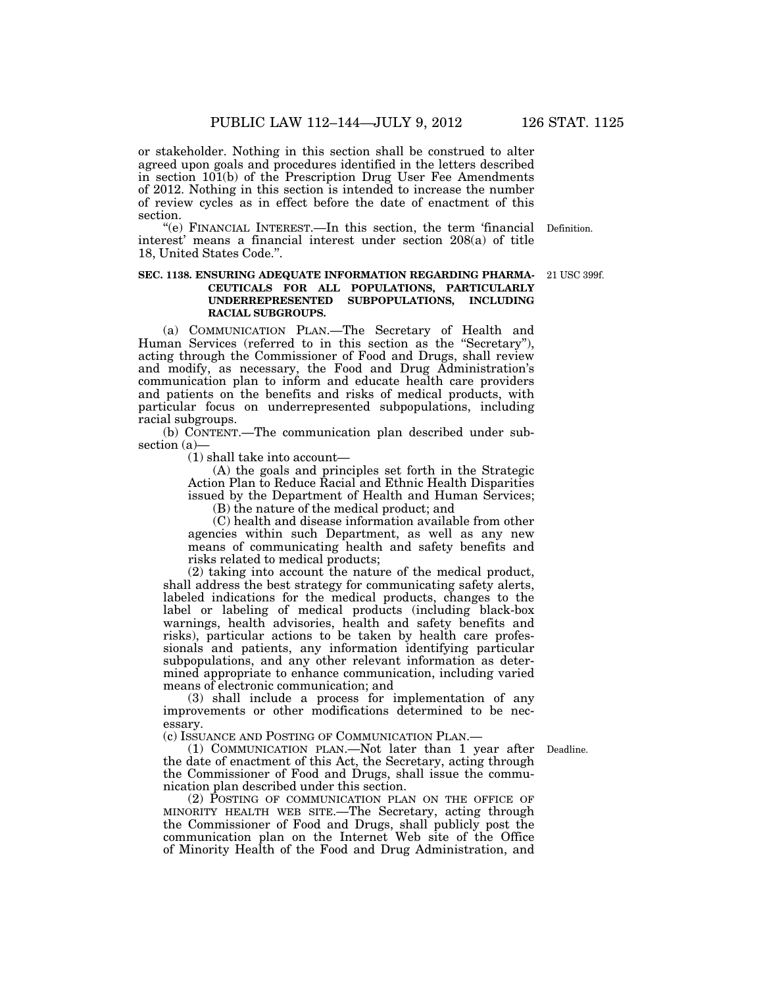or stakeholder. Nothing in this section shall be construed to alter agreed upon goals and procedures identified in the letters described in section 101(b) of the Prescription Drug User Fee Amendments of 2012. Nothing in this section is intended to increase the number of review cycles as in effect before the date of enactment of this section.

"(e) FINANCIAL INTEREST.—In this section, the term 'financial Definition. interest' means a financial interest under section 208(a) of title 18, United States Code.''.

### **SEC. 1138. ENSURING ADEQUATE INFORMATION REGARDING PHARMA-CEUTICALS FOR ALL POPULATIONS, PARTICULARLY UNDERREPRESENTED SUBPOPULATIONS, INCLUDING RACIAL SUBGROUPS.**

(a) COMMUNICATION PLAN.—The Secretary of Health and Human Services (referred to in this section as the "Secretary"), acting through the Commissioner of Food and Drugs, shall review and modify, as necessary, the Food and Drug Administration's communication plan to inform and educate health care providers and patients on the benefits and risks of medical products, with particular focus on underrepresented subpopulations, including racial subgroups.

(b) CONTENT.—The communication plan described under subsection (a)—

(1) shall take into account—

(A) the goals and principles set forth in the Strategic Action Plan to Reduce Racial and Ethnic Health Disparities issued by the Department of Health and Human Services;

(B) the nature of the medical product; and

(C) health and disease information available from other agencies within such Department, as well as any new means of communicating health and safety benefits and risks related to medical products;

(2) taking into account the nature of the medical product, shall address the best strategy for communicating safety alerts, labeled indications for the medical products, changes to the label or labeling of medical products (including black-box warnings, health advisories, health and safety benefits and risks), particular actions to be taken by health care professionals and patients, any information identifying particular subpopulations, and any other relevant information as determined appropriate to enhance communication, including varied means of electronic communication; and

(3) shall include a process for implementation of any improvements or other modifications determined to be necessary.

(c) ISSUANCE AND POSTING OF COMMUNICATION PLAN.—

(1) COMMUNICATION PLAN.—Not later than 1 year after Deadline. the date of enactment of this Act, the Secretary, acting through the Commissioner of Food and Drugs, shall issue the communication plan described under this section.

(2) POSTING OF COMMUNICATION PLAN ON THE OFFICE OF MINORITY HEALTH WEB SITE.—The Secretary, acting through the Commissioner of Food and Drugs, shall publicly post the communication plan on the Internet Web site of the Office of Minority Health of the Food and Drug Administration, and

21 USC 399f.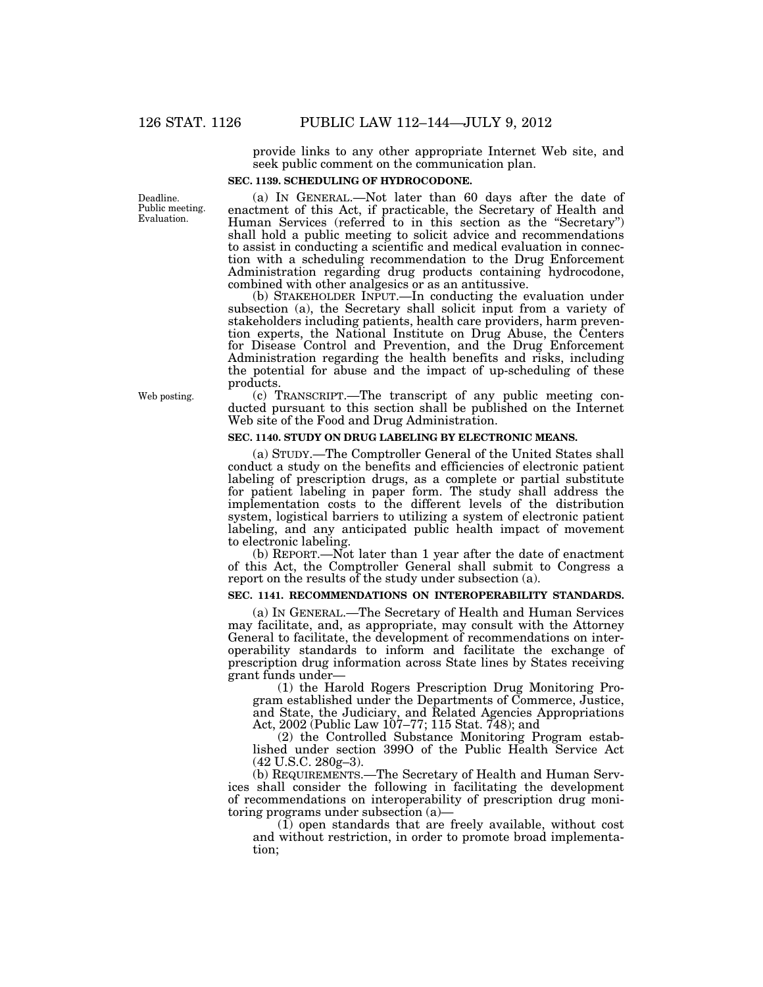provide links to any other appropriate Internet Web site, and seek public comment on the communication plan.

## **SEC. 1139. SCHEDULING OF HYDROCODONE.**

Deadline. Public meeting. Evaluation.

(a) IN GENERAL.—Not later than 60 days after the date of enactment of this Act, if practicable, the Secretary of Health and Human Services (referred to in this section as the ''Secretary'') shall hold a public meeting to solicit advice and recommendations to assist in conducting a scientific and medical evaluation in connection with a scheduling recommendation to the Drug Enforcement Administration regarding drug products containing hydrocodone, combined with other analgesics or as an antitussive.

(b) STAKEHOLDER INPUT.—In conducting the evaluation under subsection (a), the Secretary shall solicit input from a variety of stakeholders including patients, health care providers, harm prevention experts, the National Institute on Drug Abuse, the Centers for Disease Control and Prevention, and the Drug Enforcement Administration regarding the health benefits and risks, including the potential for abuse and the impact of up-scheduling of these products.

(c) TRANSCRIPT.—The transcript of any public meeting conducted pursuant to this section shall be published on the Internet Web site of the Food and Drug Administration.

## **SEC. 1140. STUDY ON DRUG LABELING BY ELECTRONIC MEANS.**

(a) STUDY.—The Comptroller General of the United States shall conduct a study on the benefits and efficiencies of electronic patient labeling of prescription drugs, as a complete or partial substitute for patient labeling in paper form. The study shall address the implementation costs to the different levels of the distribution system, logistical barriers to utilizing a system of electronic patient labeling, and any anticipated public health impact of movement to electronic labeling.

(b) REPORT.—Not later than 1 year after the date of enactment of this Act, the Comptroller General shall submit to Congress a report on the results of the study under subsection (a).

# **SEC. 1141. RECOMMENDATIONS ON INTEROPERABILITY STANDARDS.**

(a) IN GENERAL.—The Secretary of Health and Human Services may facilitate, and, as appropriate, may consult with the Attorney General to facilitate, the development of recommendations on interoperability standards to inform and facilitate the exchange of prescription drug information across State lines by States receiving grant funds under—

(1) the Harold Rogers Prescription Drug Monitoring Program established under the Departments of Commerce, Justice, and State, the Judiciary, and Related Agencies Appropriations Act, 2002 (Public Law 107–77; 115 Stat. 748); and

(2) the Controlled Substance Monitoring Program established under section 399O of the Public Health Service Act (42 U.S.C. 280g–3).

(b) REQUIREMENTS.—The Secretary of Health and Human Services shall consider the following in facilitating the development of recommendations on interoperability of prescription drug monitoring programs under subsection (a)—

(1) open standards that are freely available, without cost and without restriction, in order to promote broad implementation;

Web posting.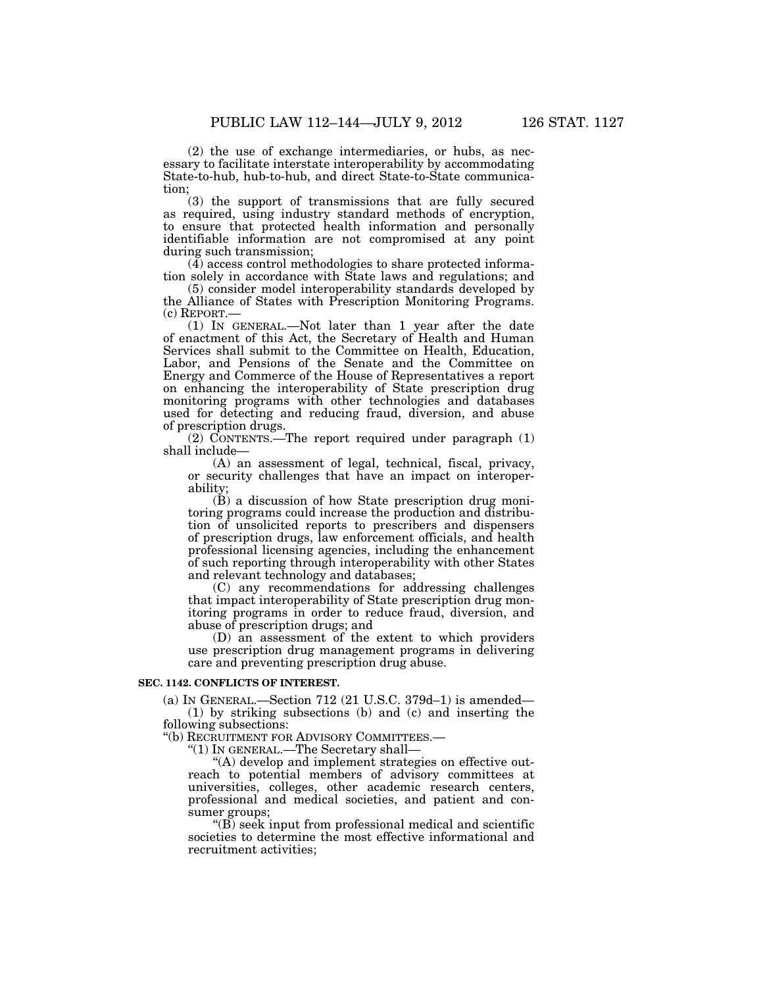(2) the use of exchange intermediaries, or hubs, as necessary to facilitate interstate interoperability by accommodating State-to-hub, hub-to-hub, and direct State-to-State communication;

(3) the support of transmissions that are fully secured as required, using industry standard methods of encryption, to ensure that protected health information and personally identifiable information are not compromised at any point during such transmission;

(4) access control methodologies to share protected information solely in accordance with State laws and regulations; and

(5) consider model interoperability standards developed by the Alliance of States with Prescription Monitoring Programs.<br>(c) REPORT.—

 $(1)$  In GENERAL.—Not later than 1 year after the date of enactment of this Act, the Secretary of Health and Human Services shall submit to the Committee on Health, Education, Labor, and Pensions of the Senate and the Committee on Energy and Commerce of the House of Representatives a report on enhancing the interoperability of State prescription drug monitoring programs with other technologies and databases used for detecting and reducing fraud, diversion, and abuse of prescription drugs.

 $(2)$  CONTENTS.—The report required under paragraph  $(1)$ shall include—

(A) an assessment of legal, technical, fiscal, privacy, or security challenges that have an impact on interoperability;

 $(\check{B})$  a discussion of how State prescription drug monitoring programs could increase the production and distribution of unsolicited reports to prescribers and dispensers of prescription drugs, law enforcement officials, and health professional licensing agencies, including the enhancement of such reporting through interoperability with other States and relevant technology and databases;

(C) any recommendations for addressing challenges that impact interoperability of State prescription drug monitoring programs in order to reduce fraud, diversion, and abuse of prescription drugs; and

(D) an assessment of the extent to which providers use prescription drug management programs in delivering care and preventing prescription drug abuse.

#### **SEC. 1142. CONFLICTS OF INTEREST.**

(a) IN GENERAL.—Section 712 (21 U.S.C. 379d–1) is amended— (1) by striking subsections (b) and (c) and inserting the following subsections:

''(b) RECRUITMENT FOR ADVISORY COMMITTEES.—

''(1) IN GENERAL.—The Secretary shall—

''(A) develop and implement strategies on effective outreach to potential members of advisory committees at universities, colleges, other academic research centers, professional and medical societies, and patient and consumer groups;

 $\mathrm{``(B)}$  seek input from professional medical and scientific societies to determine the most effective informational and recruitment activities;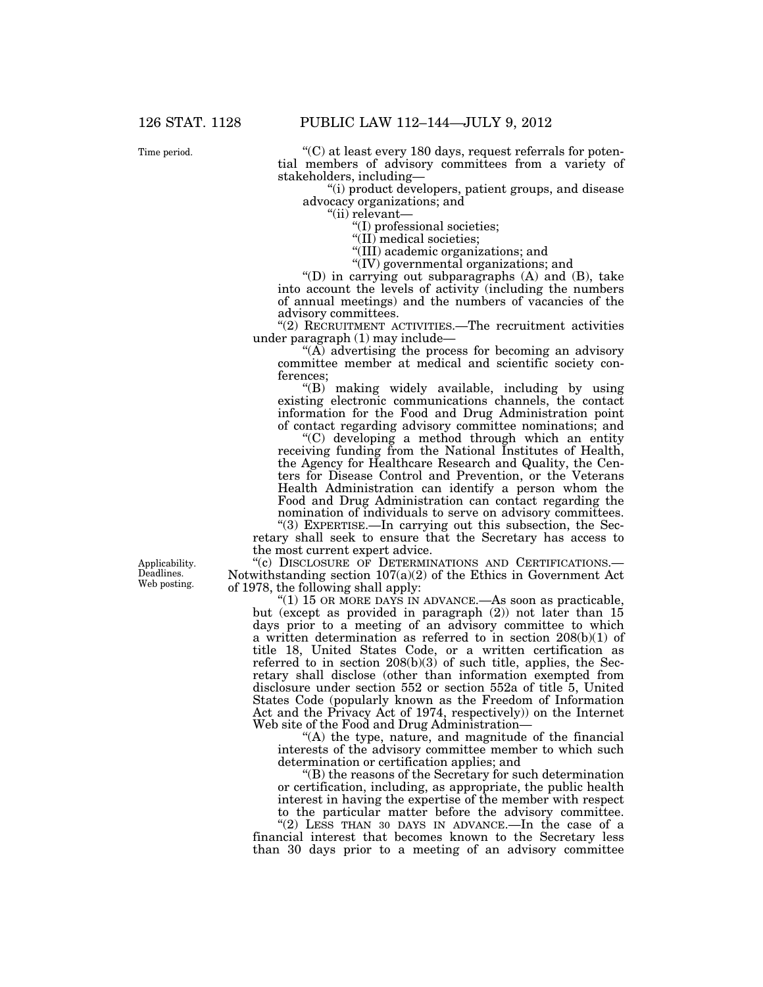Time period.

 $C$ ) at least every 180 days, request referrals for potential members of advisory committees from a variety of stakeholders, including—

''(i) product developers, patient groups, and disease advocacy organizations; and

"(ii) relevant-

''(I) professional societies;

"(II) medical societies;

''(III) academic organizations; and

''(IV) governmental organizations; and

 $'(D)$  in carrying out subparagraphs  $(A)$  and  $(B)$ , take into account the levels of activity (including the numbers of annual meetings) and the numbers of vacancies of the advisory committees.

''(2) RECRUITMENT ACTIVITIES.—The recruitment activities under paragraph (1) may include—

''(A) advertising the process for becoming an advisory committee member at medical and scientific society conferences;

''(B) making widely available, including by using existing electronic communications channels, the contact information for the Food and Drug Administration point of contact regarding advisory committee nominations; and

''(C) developing a method through which an entity receiving funding from the National Institutes of Health, the Agency for Healthcare Research and Quality, the Centers for Disease Control and Prevention, or the Veterans Health Administration can identify a person whom the Food and Drug Administration can contact regarding the nomination of individuals to serve on advisory committees.

''(3) EXPERTISE.—In carrying out this subsection, the Secretary shall seek to ensure that the Secretary has access to the most current expert advice.

"(c) DISCLOSURE OF DETERMINATIONS AND CERTIFICATIONS.-Notwithstanding section  $107(a)(2)$  of the Ethics in Government Act of 1978, the following shall apply:

"(1) 15 OR MORE DAYS IN ADVANCE.—As soon as practicable, but (except as provided in paragraph (2)) not later than 15 days prior to a meeting of an advisory committee to which a written determination as referred to in section 208(b)(1) of title 18, United States Code, or a written certification as referred to in section 208(b)(3) of such title, applies, the Secretary shall disclose (other than information exempted from disclosure under section 552 or section 552a of title 5, United States Code (popularly known as the Freedom of Information Act and the Privacy Act of 1974, respectively)) on the Internet Web site of the Food and Drug Administration—

"(A) the type, nature, and magnitude of the financial interests of the advisory committee member to which such determination or certification applies; and

''(B) the reasons of the Secretary for such determination or certification, including, as appropriate, the public health interest in having the expertise of the member with respect to the particular matter before the advisory committee.

"(2) LESS THAN 30 DAYS IN ADVANCE.—In the case of a financial interest that becomes known to the Secretary less than 30 days prior to a meeting of an advisory committee

Applicability. Deadlines. Web posting.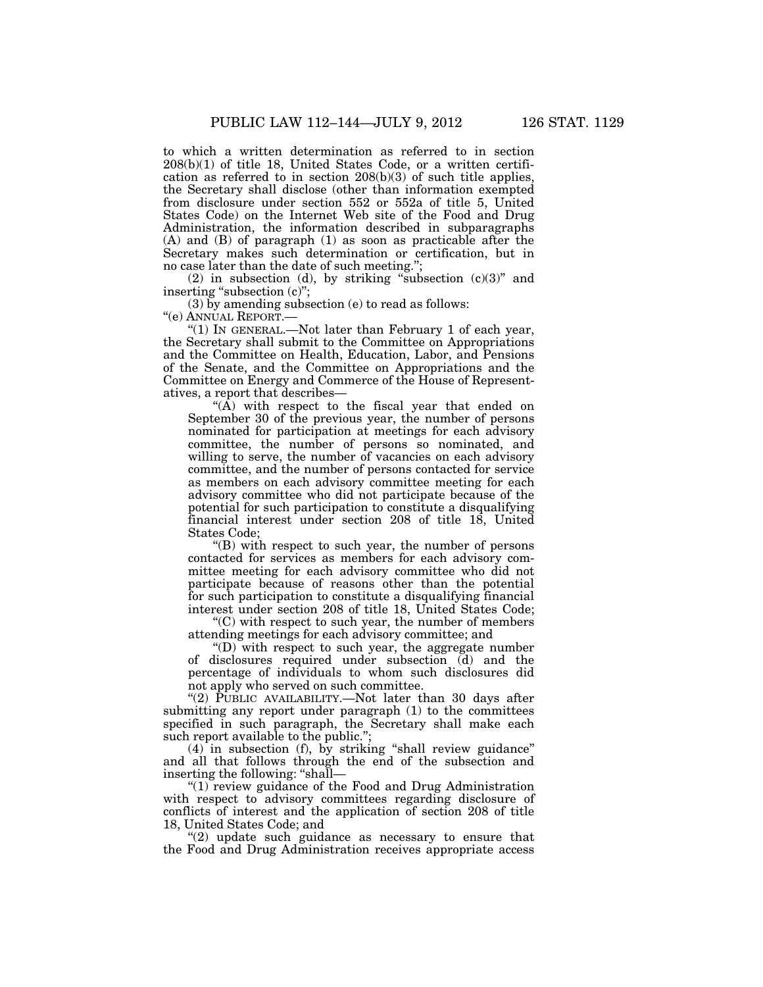to which a written determination as referred to in section 208(b)(1) of title 18, United States Code, or a written certification as referred to in section 208(b)(3) of such title applies, the Secretary shall disclose (other than information exempted from disclosure under section 552 or 552a of title 5, United States Code) on the Internet Web site of the Food and Drug Administration, the information described in subparagraphs (A) and (B) of paragraph (1) as soon as practicable after the Secretary makes such determination or certification, but in no case later than the date of such meeting.'';

(2) in subsection (d), by striking "subsection  $(c)(3)$ " and inserting "subsection (c)";

(3) by amending subsection (e) to read as follows:

''(e) ANNUAL REPORT.—

"(1) IN GENERAL.—Not later than February 1 of each year, the Secretary shall submit to the Committee on Appropriations and the Committee on Health, Education, Labor, and Pensions of the Senate, and the Committee on Appropriations and the Committee on Energy and Commerce of the House of Representatives, a report that describes—

" $(\overline{A})$  with respect to the fiscal year that ended on September 30 of the previous year, the number of persons nominated for participation at meetings for each advisory committee, the number of persons so nominated, and willing to serve, the number of vacancies on each advisory committee, and the number of persons contacted for service as members on each advisory committee meeting for each advisory committee who did not participate because of the potential for such participation to constitute a disqualifying financial interest under section 208 of title 18, United States Code;

''(B) with respect to such year, the number of persons contacted for services as members for each advisory committee meeting for each advisory committee who did not participate because of reasons other than the potential for such participation to constitute a disqualifying financial interest under section 208 of title 18, United States Code;

 $C$ ) with respect to such year, the number of members attending meetings for each advisory committee; and

 $f(D)$  with respect to such year, the aggregate number of disclosures required under subsection (d) and the percentage of individuals to whom such disclosures did not apply who served on such committee.

"(2) PUBLIC AVAILABILITY.—Not later than 30 days after submitting any report under paragraph (1) to the committees specified in such paragraph, the Secretary shall make each such report available to the public.'';

(4) in subsection (f), by striking ''shall review guidance'' and all that follows through the end of the subsection and inserting the following: ''shall—

"(1) review guidance of the Food and Drug Administration with respect to advisory committees regarding disclosure of conflicts of interest and the application of section 208 of title 18, United States Code; and

 $(2)$  update such guidance as necessary to ensure that the Food and Drug Administration receives appropriate access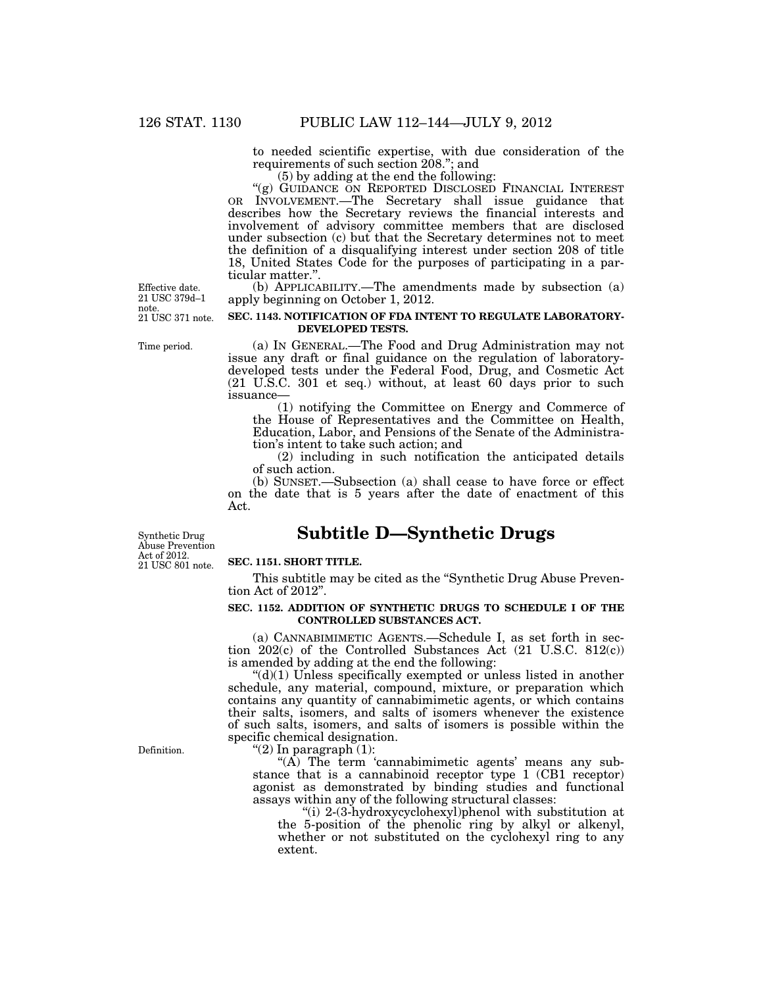to needed scientific expertise, with due consideration of the requirements of such section 208.''; and

(5) by adding at the end the following:

"(g) GUIDANCE ON REPORTED DISCLOSED FINANCIAL INTEREST OR INVOLVEMENT.—The Secretary shall issue guidance that describes how the Secretary reviews the financial interests and involvement of advisory committee members that are disclosed under subsection (c) but that the Secretary determines not to meet the definition of a disqualifying interest under section 208 of title 18, United States Code for the purposes of participating in a particular matter.''.

(b) APPLICABILITY.—The amendments made by subsection (a) apply beginning on October 1, 2012.

#### **SEC. 1143. NOTIFICATION OF FDA INTENT TO REGULATE LABORATORY-DEVELOPED TESTS.**

Time period.

21 USC 371 note.

Effective date. 21 USC 379d–1

note.

(a) IN GENERAL.—The Food and Drug Administration may not issue any draft or final guidance on the regulation of laboratorydeveloped tests under the Federal Food, Drug, and Cosmetic Act  $(21 \text{ U.S.C. } 301 \text{ et seq.})$  without, at least  $60^\circ$  days prior to such issuance—

(1) notifying the Committee on Energy and Commerce of the House of Representatives and the Committee on Health, Education, Labor, and Pensions of the Senate of the Administration's intent to take such action; and

(2) including in such notification the anticipated details of such action.

(b) SUNSET.—Subsection (a) shall cease to have force or effect on the date that is 5 years after the date of enactment of this Act.

# **Subtitle D—Synthetic Drugs**

21 USC 801 note. Synthetic Drug Abuse Prevention Act of 2012.

#### **SEC. 1151. SHORT TITLE.**

This subtitle may be cited as the ''Synthetic Drug Abuse Prevention Act of 2012''.

#### **SEC. 1152. ADDITION OF SYNTHETIC DRUGS TO SCHEDULE I OF THE CONTROLLED SUBSTANCES ACT.**

(a) CANNABIMIMETIC AGENTS.—Schedule I, as set forth in section 202(c) of the Controlled Substances Act (21 U.S.C. 812(c)) is amended by adding at the end the following:

 $\degree$ (d)(1) Unless specifically exempted or unless listed in another schedule, any material, compound, mixture, or preparation which contains any quantity of cannabimimetic agents, or which contains their salts, isomers, and salts of isomers whenever the existence of such salts, isomers, and salts of isomers is possible within the specific chemical designation.

" $(2)$  In paragraph  $(1)$ :

 $\mathcal{L}(A)$  The term 'cannabimimetic agents' means any substance that is a cannabinoid receptor type 1 (CB1 receptor) agonist as demonstrated by binding studies and functional assays within any of the following structural classes:

''(i) 2-(3-hydroxycyclohexyl)phenol with substitution at the 5-position of the phenolic ring by alkyl or alkenyl, whether or not substituted on the cyclohexyl ring to any extent.

Definition.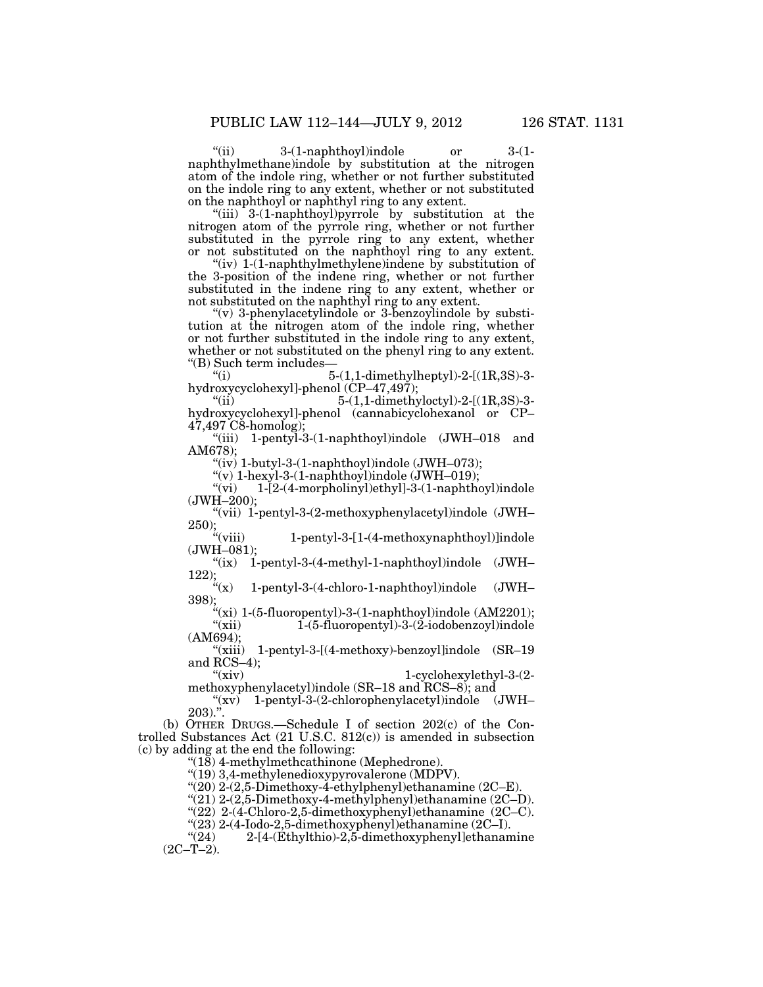''(ii) 3-(1-naphthoyl)indole or 3-(1 naphthylmethane)indole by substitution at the nitrogen atom of the indole ring, whether or not further substituted on the indole ring to any extent, whether or not substituted on the naphthoyl or naphthyl ring to any extent.

"(iii) 3-(1-naphthoyl)pyrrole by substitution at the nitrogen atom of the pyrrole ring, whether or not further substituted in the pyrrole ring to any extent, whether or not substituted on the naphthoyl ring to any extent.

"(iv) 1-(1-naphthylmethylene)indene by substitution of the 3-position of the indene ring, whether or not further substituted in the indene ring to any extent, whether or not substituted on the naphthyl ring to any extent.

''(v) 3-phenylacetylindole or 3-benzoylindole by substitution at the nitrogen atom of the indole ring, whether or not further substituted in the indole ring to any extent, whether or not substituted on the phenyl ring to any extent. "(B) Such term includes— $\frac{5}{5}$ 

5-(1,1-dimethylheptyl)-2-[(1R,3S)-3hydroxycyclohexyl]-phenol (CP–47,497);

5-(1,1-dimethyloctyl)-2-[(1R,3S)-3hydroxycyclohexyl]-phenol (cannabicyclohexanol or CP– 47,497 C8-homolog);

''(iii) 1-pentyl-3-(1-naphthoyl)indole (JWH–018 and AM678);

"(iv)  $1$ -butyl-3- $(1$ -naphthoyl)indole  $(JWH-073)$ ;

 $\begin{array}{ll}\n\text{(v)} & \text{1-hexyl-3-(1-naphthoyl)} \n\text{model (JWH–019)}; \\
\text{(vi)} & \text{1-[2-(4-morpholinyl)ethyl]-3-(1-naphthoyl)}\n\end{array}$ 

1-[2-(4-morpholinyl)ethyl]-3-(1-naphthoyl)indole (JWH–200);

''(vii) 1-pentyl-3-(2-methoxyphenylacetyl)indole (JWH– 250);<br> $\frac{250}{\alpha}$ 

1-pentyl-3-[1-(4-methoxynaphthoyl)]indole (JWH–081);

''(ix) 1-pentyl-3-(4-methyl-1-naphthoyl)indole (JWH– 122);<br> $\frac{4}{3}(x)$ 

1-pentyl-3-(4-chloro-1-naphthoyl)indole (JWH– 398);

"(xi) 1-(5-fluoropentyl)-3-(1-naphthoyl)indole (AM2201); "(xii) 1-(5-fluoropentyl)-3-(2-iodobenzoyl)indole  $"(\text{xii})$ <br>(AM694);

''(xiii) 1-pentyl-3-[(4-methoxy)-benzoyl]indole (SR–19 and  $RCS-4$ );<br>" $(xiv)$ 

1-cyclohexylethyl-3-(2methoxyphenylacetyl)indole (SR–18 and RCS–8); and

 $\sqrt[4]{(xv)}$  1-pentyl-3-(2-chlorophenylacetyl)indole (JWH–  $203)$ .".

(b) OTHER DRUGS.—Schedule I of section 202(c) of the Controlled Substances Act (21 U.S.C. 812(c)) is amended in subsection (c) by adding at the end the following:

''(18) 4-methylmethcathinone (Mephedrone).

''(19) 3,4-methylenedioxypyrovalerone (MDPV).

 $(20)$  2-(2,5-Dimethoxy-4-ethylphenyl)ethanamine (2C–E).

 $"(21)$  2-(2,5-Dimethoxy-4-methylphenyl)ethanamine (2C–D).

''(22) 2-(4-Chloro-2,5-dimethoxyphenyl)ethanamine (2C–C).

 $\frac{123}{22}$  2-(4-Iodo-2,5-dimethoxyphenyl)ethanamine (2C–I).<br>
"(24) 2-[4-(Ethylthio)-2,5-dimethoxyphenyl]ethanan

2-[4-(Ethylthio)-2,5-dimethoxyphenyl]ethanamine  $(2C-T-2)$ .